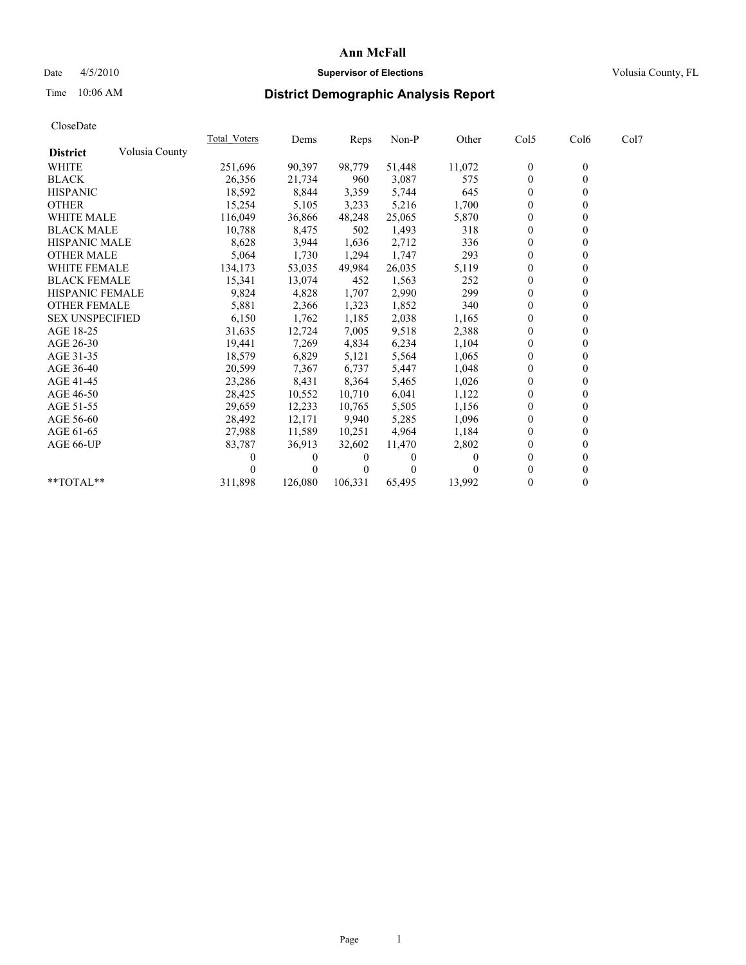## Date  $4/5/2010$  **Supervisor of Elections Supervisor of Elections** Volusia County, FL

## Time 10:06 AM **District Demographic Analysis Report**

|                        |                | <b>Total Voters</b> | Dems     | <b>Reps</b> | Non-P    | Other  | Col5           | Col6         | Col7 |  |
|------------------------|----------------|---------------------|----------|-------------|----------|--------|----------------|--------------|------|--|
| <b>District</b>        | Volusia County |                     |          |             |          |        |                |              |      |  |
| <b>WHITE</b>           |                | 251,696             | 90,397   | 98,779      | 51,448   | 11,072 | $\bf{0}$       | $\mathbf{0}$ |      |  |
| <b>BLACK</b>           |                | 26,356              | 21,734   | 960         | 3,087    | 575    | $\theta$       |              |      |  |
| <b>HISPANIC</b>        |                | 18,592              | 8,844    | 3,359       | 5,744    | 645    | $\theta$       |              |      |  |
| <b>OTHER</b>           |                | 15,254              | 5,105    | 3,233       | 5,216    | 1,700  | $\overline{0}$ |              |      |  |
| <b>WHITE MALE</b>      |                | 116,049             | 36,866   | 48,248      | 25,065   | 5,870  | $\theta$       |              |      |  |
| <b>BLACK MALE</b>      |                | 10,788              | 8,475    | 502         | 1,493    | 318    | $\theta$       |              |      |  |
| <b>HISPANIC MALE</b>   |                | 8,628               | 3,944    | 1,636       | 2,712    | 336    | $\theta$       |              |      |  |
| <b>OTHER MALE</b>      |                | 5,064               | 1,730    | 1,294       | 1,747    | 293    | 0              |              |      |  |
| <b>WHITE FEMALE</b>    |                | 134,173             | 53,035   | 49,984      | 26,035   | 5,119  | $\mathbf{0}$   |              |      |  |
| <b>BLACK FEMALE</b>    |                | 15,341              | 13,074   | 452         | 1,563    | 252    | $\overline{0}$ |              |      |  |
| HISPANIC FEMALE        |                | 9,824               | 4,828    | 1,707       | 2,990    | 299    | $\mathbf{0}$   |              |      |  |
| <b>OTHER FEMALE</b>    |                | 5,881               | 2,366    | 1,323       | 1,852    | 340    | $\theta$       |              |      |  |
| <b>SEX UNSPECIFIED</b> |                | 6,150               | 1,762    | 1,185       | 2,038    | 1,165  | $\overline{0}$ |              |      |  |
| AGE 18-25              |                | 31,635              | 12,724   | 7,005       | 9,518    | 2,388  | 0              |              |      |  |
| AGE 26-30              |                | 19,441              | 7,269    | 4,834       | 6,234    | 1,104  | $\theta$       |              |      |  |
| AGE 31-35              |                | 18,579              | 6,829    | 5,121       | 5,564    | 1,065  | $\overline{0}$ |              |      |  |
| AGE 36-40              |                | 20,599              | 7,367    | 6,737       | 5,447    | 1,048  | 0              |              |      |  |
| AGE 41-45              |                | 23,286              | 8,431    | 8,364       | 5,465    | 1,026  | $\theta$       |              |      |  |
| AGE 46-50              |                | 28,425              | 10,552   | 10,710      | 6,041    | 1,122  | $\overline{0}$ |              |      |  |
| AGE 51-55              |                | 29,659              | 12,233   | 10,765      | 5,505    | 1,156  | 0              |              |      |  |
| AGE 56-60              |                | 28,492              | 12,171   | 9,940       | 5,285    | 1,096  | $\theta$       |              |      |  |
| AGE 61-65              |                | 27,988              | 11,589   | 10,251      | 4,964    | 1,184  | $\theta$       |              |      |  |
| AGE 66-UP              |                | 83,787              | 36,913   | 32,602      | 11,470   | 2,802  | 0              |              |      |  |
|                        |                |                     | $\theta$ | $\theta$    | $\theta$ | 0      | $\theta$       |              |      |  |
|                        |                |                     | $\theta$ | $\Omega$    | $\Omega$ |        | $\Omega$       |              |      |  |
| **TOTAL**              |                | 311,898             | 126,080  | 106,331     | 65,495   | 13,992 | $\mathbf{0}$   | 0            |      |  |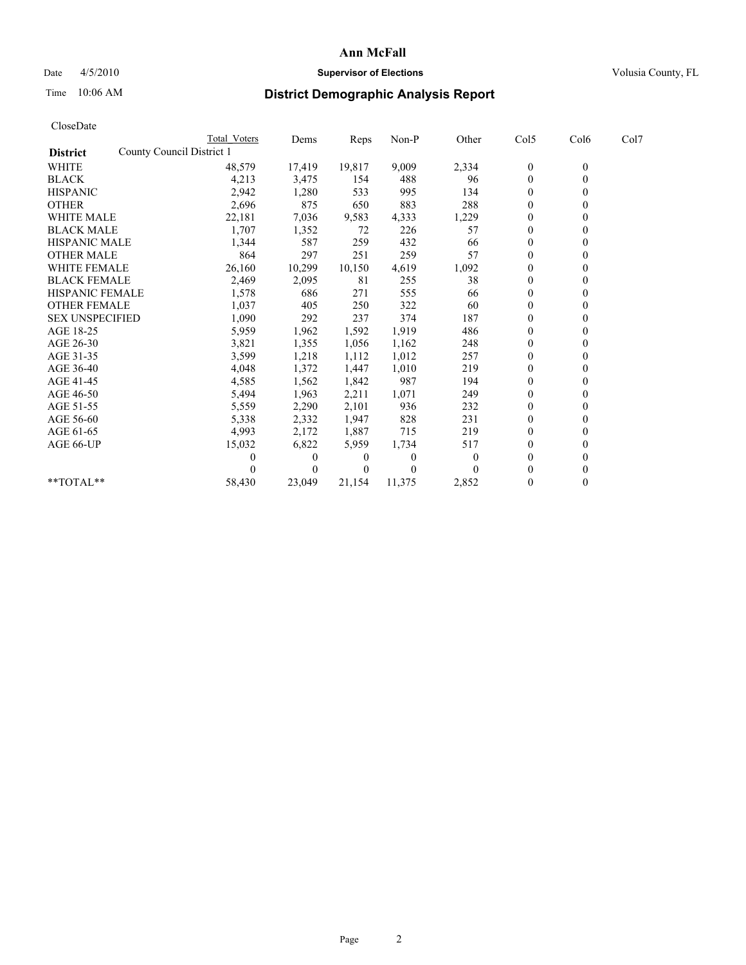## Date 4/5/2010 **Supervisor of Elections Supervisor of Elections** Volusia County, FL

# Time 10:06 AM **District Demographic Analysis Report**

|                                              | <b>Total Voters</b> | Dems     | Reps   | Non-P    | Other    | Col5         | Col6             | Col7 |  |
|----------------------------------------------|---------------------|----------|--------|----------|----------|--------------|------------------|------|--|
| County Council District 1<br><b>District</b> |                     |          |        |          |          |              |                  |      |  |
| <b>WHITE</b>                                 | 48,579              | 17,419   | 19,817 | 9,009    | 2,334    | $\bf{0}$     | $\boldsymbol{0}$ |      |  |
| <b>BLACK</b>                                 | 4,213               | 3,475    | 154    | 488      | 96       | $\theta$     |                  |      |  |
| <b>HISPANIC</b>                              | 2,942               | 1,280    | 533    | 995      | 134      | $\theta$     |                  |      |  |
| <b>OTHER</b>                                 | 2,696               | 875      | 650    | 883      | 288      | $\mathbf{0}$ |                  |      |  |
| <b>WHITE MALE</b>                            | 22,181              | 7,036    | 9,583  | 4,333    | 1,229    | $\theta$     |                  |      |  |
| <b>BLACK MALE</b>                            | 1,707               | 1,352    | 72     | 226      | 57       | $\theta$     |                  |      |  |
| <b>HISPANIC MALE</b>                         | 1,344               | 587      | 259    | 432      | 66       | $\theta$     |                  |      |  |
| <b>OTHER MALE</b>                            | 864                 | 297      | 251    | 259      | 57       | $\theta$     |                  |      |  |
| <b>WHITE FEMALE</b>                          | 26,160              | 10,299   | 10,150 | 4,619    | 1,092    | $\theta$     |                  |      |  |
| <b>BLACK FEMALE</b>                          | 2,469               | 2,095    | 81     | 255      | 38       | $\mathbf{0}$ |                  |      |  |
| HISPANIC FEMALE                              | 1,578               | 686      | 271    | 555      | 66       | $\theta$     |                  |      |  |
| <b>OTHER FEMALE</b>                          | 1,037               | 405      | 250    | 322      | 60       | $\theta$     |                  |      |  |
| <b>SEX UNSPECIFIED</b>                       | 1,090               | 292      | 237    | 374      | 187      | $\theta$     |                  |      |  |
| AGE 18-25                                    | 5,959               | 1,962    | 1,592  | 1,919    | 486      | $\theta$     |                  |      |  |
| AGE 26-30                                    | 3,821               | 1,355    | 1,056  | 1,162    | 248      | $\theta$     |                  |      |  |
| AGE 31-35                                    | 3,599               | 1,218    | 1,112  | 1,012    | 257      | $\theta$     |                  |      |  |
| AGE 36-40                                    | 4,048               | 1,372    | 1,447  | 1,010    | 219      | $\theta$     |                  |      |  |
| AGE 41-45                                    | 4,585               | 1,562    | 1,842  | 987      | 194      | $\theta$     |                  |      |  |
| AGE 46-50                                    | 5,494               | 1,963    | 2,211  | 1,071    | 249      | $\mathbf{0}$ |                  |      |  |
| AGE 51-55                                    | 5,559               | 2,290    | 2,101  | 936      | 232      | $\theta$     |                  |      |  |
| AGE 56-60                                    | 5,338               | 2,332    | 1,947  | 828      | 231      | $\theta$     |                  |      |  |
| AGE 61-65                                    | 4,993               | 2,172    | 1,887  | 715      | 219      | $\theta$     |                  |      |  |
| AGE 66-UP                                    | 15,032              | 6,822    | 5,959  | 1,734    | 517      | $\theta$     |                  |      |  |
|                                              |                     | $\theta$ | 0      | $\theta$ | $\theta$ | $\theta$     |                  |      |  |
|                                              |                     | 0        |        | 0        |          | $\theta$     |                  |      |  |
| **TOTAL**                                    | 58,430              | 23,049   | 21,154 | 11,375   | 2,852    | $\mathbf{0}$ |                  |      |  |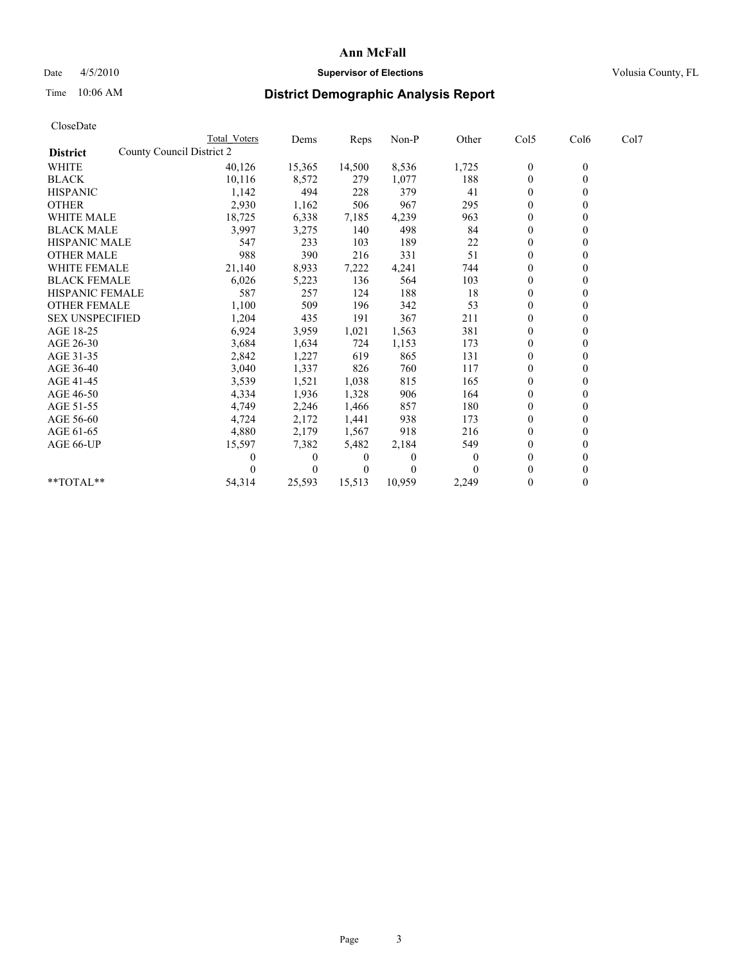## Date 4/5/2010 **Supervisor of Elections Supervisor of Elections** Volusia County, FL

# Time 10:06 AM **District Demographic Analysis Report**

| CloseDate              |                           |                     |              |          |         |          |                  |                  |      |  |
|------------------------|---------------------------|---------------------|--------------|----------|---------|----------|------------------|------------------|------|--|
|                        |                           | <b>Total Voters</b> | Dems         | Reps     | $Non-P$ | Other    | Col5             | Col6             | Col7 |  |
| <b>District</b>        | County Council District 2 |                     |              |          |         |          |                  |                  |      |  |
| <b>WHITE</b>           |                           | 40,126              | 15,365       | 14,500   | 8,536   | 1,725    | $\boldsymbol{0}$ | $\boldsymbol{0}$ |      |  |
| <b>BLACK</b>           |                           | 10,116              | 8,572        | 279      | 1,077   | 188      | $\boldsymbol{0}$ | $\mathbf{0}$     |      |  |
| <b>HISPANIC</b>        |                           | 1,142               | 494          | 228      | 379     | 41       | $\mathbf{0}$     | $\Omega$         |      |  |
| <b>OTHER</b>           |                           | 2,930               | 1,162        | 506      | 967     | 295      | $\mathbf{0}$     | $\theta$         |      |  |
| <b>WHITE MALE</b>      |                           | 18,725              | 6,338        | 7,185    | 4,239   | 963      | $\boldsymbol{0}$ | $\mathbf{0}$     |      |  |
| <b>BLACK MALE</b>      |                           | 3,997               | 3,275        | 140      | 498     | 84       | $\mathbf{0}$     | $\mathbf{0}$     |      |  |
| <b>HISPANIC MALE</b>   |                           | 547                 | 233          | 103      | 189     | 22       | $\boldsymbol{0}$ | $\Omega$         |      |  |
| <b>OTHER MALE</b>      |                           | 988                 | 390          | 216      | 331     | 51       | $\boldsymbol{0}$ | $\mathbf{0}$     |      |  |
| <b>WHITE FEMALE</b>    |                           | 21,140              | 8,933        | 7,222    | 4,241   | 744      | $\boldsymbol{0}$ | $\theta$         |      |  |
| <b>BLACK FEMALE</b>    |                           | 6,026               | 5,223        | 136      | 564     | 103      | $\boldsymbol{0}$ | $\Omega$         |      |  |
| <b>HISPANIC FEMALE</b> |                           | 587                 | 257          | 124      | 188     | 18       | $\boldsymbol{0}$ | $\theta$         |      |  |
| <b>OTHER FEMALE</b>    |                           | 1,100               | 509          | 196      | 342     | 53       | $\boldsymbol{0}$ | $\mathbf{0}$     |      |  |
| <b>SEX UNSPECIFIED</b> |                           | 1,204               | 435          | 191      | 367     | 211      | $\mathbf{0}$     | $\mathbf{0}$     |      |  |
| AGE 18-25              |                           | 6,924               | 3,959        | 1,021    | 1,563   | 381      | $\boldsymbol{0}$ | $\mathbf{0}$     |      |  |
| AGE 26-30              |                           | 3,684               | 1,634        | 724      | 1,153   | 173      | $\boldsymbol{0}$ | $\mathbf{0}$     |      |  |
| AGE 31-35              |                           | 2,842               | 1,227        | 619      | 865     | 131      | $\boldsymbol{0}$ | $\theta$         |      |  |
| AGE 36-40              |                           | 3,040               | 1,337        | 826      | 760     | 117      | $\boldsymbol{0}$ | $\Omega$         |      |  |
| AGE 41-45              |                           | 3,539               | 1,521        | 1,038    | 815     | 165      | $\mathbf{0}$     | $\theta$         |      |  |
| AGE 46-50              |                           | 4,334               | 1,936        | 1,328    | 906     | 164      | $\boldsymbol{0}$ | $\mathbf{0}$     |      |  |
| AGE 51-55              |                           | 4,749               | 2,246        | 1,466    | 857     | 180      | $\boldsymbol{0}$ | $\theta$         |      |  |
| AGE 56-60              |                           | 4,724               | 2,172        | 1,441    | 938     | 173      | $\boldsymbol{0}$ | $\Omega$         |      |  |
| AGE 61-65              |                           | 4,880               | 2,179        | 1,567    | 918     | 216      | $\mathbf{0}$     | $\mathbf{0}$     |      |  |
| AGE 66-UP              |                           | 15,597              | 7,382        | 5,482    | 2,184   | 549      | $\boldsymbol{0}$ | $\boldsymbol{0}$ |      |  |
|                        |                           |                     | $\mathbf{0}$ | $\theta$ | 0       | $\theta$ | $\mathbf{0}$     | $\mathbf{0}$     |      |  |
|                        |                           |                     | $\theta$     | $\theta$ | 0       | $\Omega$ | $\mathbf{0}$     | $\theta$         |      |  |
| **TOTAL**              |                           | 54,314              | 25,593       | 15,513   | 10,959  | 2,249    | $\mathbf{0}$     | $\theta$         |      |  |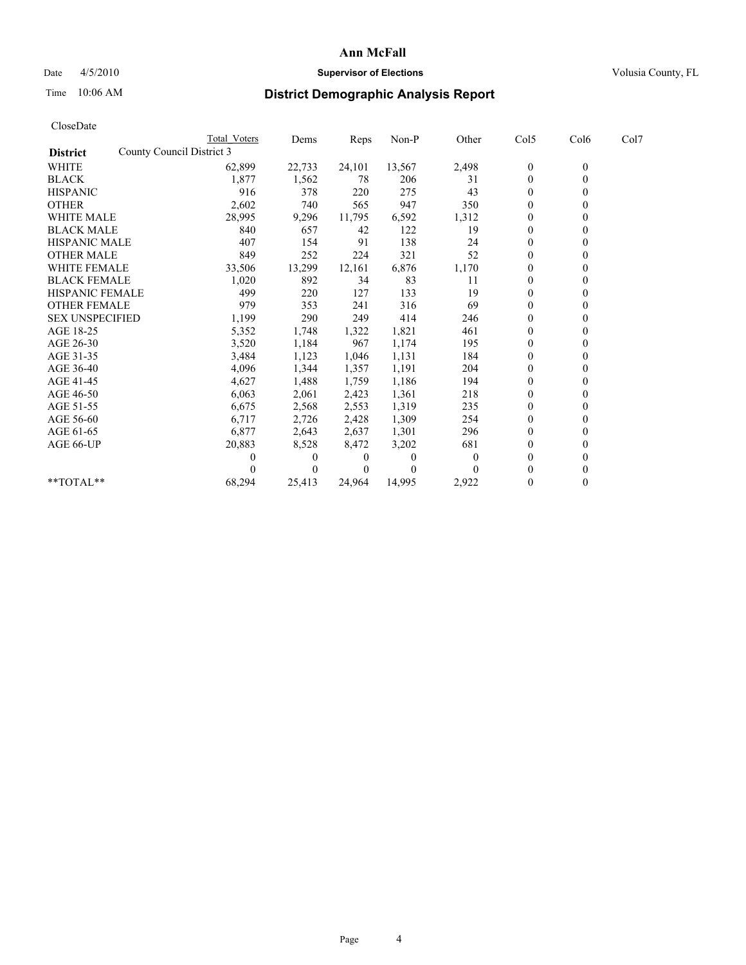## Date  $4/5/2010$  **Supervisor of Elections Supervisor of Elections** Volusia County, FL

# Time 10:06 AM **District Demographic Analysis Report**

|                                              | Total Voters | Dems     | <b>Reps</b> | Non-P    | Other | Col5           | Col6         | Col7 |
|----------------------------------------------|--------------|----------|-------------|----------|-------|----------------|--------------|------|
| County Council District 3<br><b>District</b> |              |          |             |          |       |                |              |      |
| WHITE                                        | 62,899       | 22,733   | 24,101      | 13,567   | 2,498 | $\theta$       | $\mathbf{0}$ |      |
| <b>BLACK</b>                                 | 1,877        | 1,562    | 78          | 206      | 31    | $\mathbf{0}$   |              |      |
| <b>HISPANIC</b>                              | 916          | 378      | 220         | 275      | 43    | $\theta$       |              |      |
| <b>OTHER</b>                                 | 2,602        | 740      | 565         | 947      | 350   | $\Omega$       |              |      |
| WHITE MALE                                   | 28,995       | 9,296    | 11,795      | 6,592    | 1,312 | 0              |              |      |
| <b>BLACK MALE</b>                            | 840          | 657      | 42          | 122      | 19    | $\theta$       |              |      |
| <b>HISPANIC MALE</b>                         | 407          | 154      | 91          | 138      | 24    | $\theta$       |              |      |
| <b>OTHER MALE</b>                            | 849          | 252      | 224         | 321      | 52    | $\Omega$       |              |      |
| WHITE FEMALE                                 | 33,506       | 13,299   | 12,161      | 6,876    | 1,170 | $\theta$       |              |      |
| <b>BLACK FEMALE</b>                          | 1,020        | 892      | 34          | 83       | 11    | $\overline{0}$ |              |      |
| HISPANIC FEMALE                              | 499          | 220      | 127         | 133      | 19    | 0              |              |      |
| <b>OTHER FEMALE</b>                          | 979          | 353      | 241         | 316      | 69    | $\theta$       |              |      |
| <b>SEX UNSPECIFIED</b>                       | 1,199        | 290      | 249         | 414      | 246   | $\theta$       |              |      |
| AGE 18-25                                    | 5,352        | 1,748    | 1,322       | 1,821    | 461   | $\theta$       |              |      |
| AGE 26-30                                    | 3,520        | 1,184    | 967         | 1,174    | 195   | $\mathbf{0}$   |              |      |
| AGE 31-35                                    | 3,484        | 1,123    | 1,046       | 1,131    | 184   | $\overline{0}$ |              |      |
| AGE 36-40                                    | 4,096        | 1,344    | 1,357       | 1,191    | 204   | 0              |              |      |
| AGE 41-45                                    | 4,627        | 1,488    | 1,759       | 1,186    | 194   | $\theta$       |              |      |
| AGE 46-50                                    | 6,063        | 2,061    | 2,423       | 1,361    | 218   | $\theta$       |              |      |
| AGE 51-55                                    | 6,675        | 2,568    | 2,553       | 1,319    | 235   | $\overline{0}$ |              |      |
| AGE 56-60                                    | 6,717        | 2,726    | 2,428       | 1,309    | 254   | $\theta$       |              |      |
| AGE 61-65                                    | 6,877        | 2,643    | 2,637       | 1,301    | 296   | $\theta$       |              |      |
| AGE 66-UP                                    | 20,883       | 8,528    | 8,472       | 3,202    | 681   | 0              |              |      |
|                                              |              | $\theta$ | 0           | $\Omega$ | 0     | $\theta$       |              |      |
|                                              |              | $\Omega$ | $\theta$    | 0        |       | 0              |              |      |
| $*$ $TOTAI.**$                               | 68,294       | 25,413   | 24,964      | 14,995   | 2,922 | $\theta$       |              |      |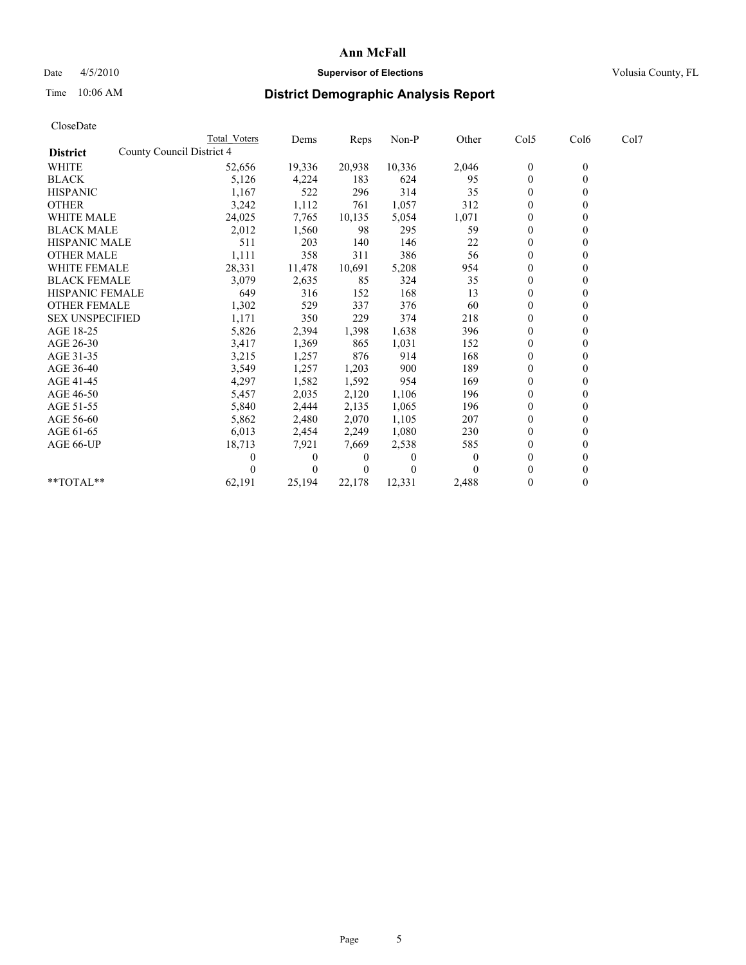## Date 4/5/2010 **Supervisor of Elections Supervisor of Elections** Volusia County, FL

# Time 10:06 AM **District Demographic Analysis Report**

|                                              | <b>Total Voters</b> | Dems     | <b>Reps</b> | Non-P    | Other    | Col5           | Col6         | Col7 |  |
|----------------------------------------------|---------------------|----------|-------------|----------|----------|----------------|--------------|------|--|
| County Council District 4<br><b>District</b> |                     |          |             |          |          |                |              |      |  |
| <b>WHITE</b>                                 | 52,656              | 19,336   | 20,938      | 10,336   | 2,046    | $\bf{0}$       | $\mathbf{0}$ |      |  |
| <b>BLACK</b>                                 | 5,126               | 4,224    | 183         | 624      | 95       | $\mathbf{0}$   |              |      |  |
| <b>HISPANIC</b>                              | 1,167               | 522      | 296         | 314      | 35       | $\theta$       |              |      |  |
| <b>OTHER</b>                                 | 3,242               | 1,112    | 761         | 1,057    | 312      | $\theta$       |              |      |  |
| <b>WHITE MALE</b>                            | 24,025              | 7,765    | 10,135      | 5,054    | 1,071    | 0              |              |      |  |
| <b>BLACK MALE</b>                            | 2,012               | 1,560    | 98          | 295      | 59       | $\theta$       |              |      |  |
| <b>HISPANIC MALE</b>                         | 511                 | 203      | 140         | 146      | 22       | $\overline{0}$ |              |      |  |
| <b>OTHER MALE</b>                            | 1,111               | 358      | 311         | 386      | 56       | $\mathbf{0}$   |              |      |  |
| <b>WHITE FEMALE</b>                          | 28,331              | 11,478   | 10,691      | 5,208    | 954      | $\theta$       |              |      |  |
| <b>BLACK FEMALE</b>                          | 3,079               | 2,635    | 85          | 324      | 35       | $\mathbf{0}$   |              |      |  |
| HISPANIC FEMALE                              | 649                 | 316      | 152         | 168      | 13       | $\mathbf{0}$   |              |      |  |
| <b>OTHER FEMALE</b>                          | 1,302               | 529      | 337         | 376      | 60       | $\theta$       |              |      |  |
| <b>SEX UNSPECIFIED</b>                       | 1,171               | 350      | 229         | 374      | 218      | $\overline{0}$ |              |      |  |
| AGE 18-25                                    | 5,826               | 2,394    | 1,398       | 1,638    | 396      | 0              |              |      |  |
| AGE 26-30                                    | 3,417               | 1,369    | 865         | 1,031    | 152      | $\theta$       |              |      |  |
| AGE 31-35                                    | 3,215               | 1,257    | 876         | 914      | 168      | $\overline{0}$ |              |      |  |
| AGE 36-40                                    | 3,549               | 1,257    | 1,203       | 900      | 189      | $\overline{0}$ |              |      |  |
| AGE 41-45                                    | 4,297               | 1,582    | 1,592       | 954      | 169      | $\theta$       |              |      |  |
| AGE 46-50                                    | 5,457               | 2,035    | 2,120       | 1,106    | 196      | $\theta$       |              |      |  |
| AGE 51-55                                    | 5,840               | 2,444    | 2,135       | 1,065    | 196      | $\theta$       |              |      |  |
| AGE 56-60                                    | 5,862               | 2,480    | 2,070       | 1,105    | 207      | $\theta$       |              |      |  |
| AGE 61-65                                    | 6,013               | 2,454    | 2,249       | 1,080    | 230      | $\mathbf{0}$   |              |      |  |
| AGE 66-UP                                    | 18,713              | 7,921    | 7,669       | 2,538    | 585      | $\mathbf{0}$   |              |      |  |
|                                              | 0                   | $\theta$ | $\bf{0}$    | $\Omega$ | $\theta$ | $\theta$       |              |      |  |
|                                              |                     | $\Omega$ | $\Omega$    | $\theta$ |          | $\Omega$       |              |      |  |
| **TOTAL**                                    | 62,191              | 25,194   | 22,178      | 12,331   | 2,488    | $\mathbf{0}$   | 0            |      |  |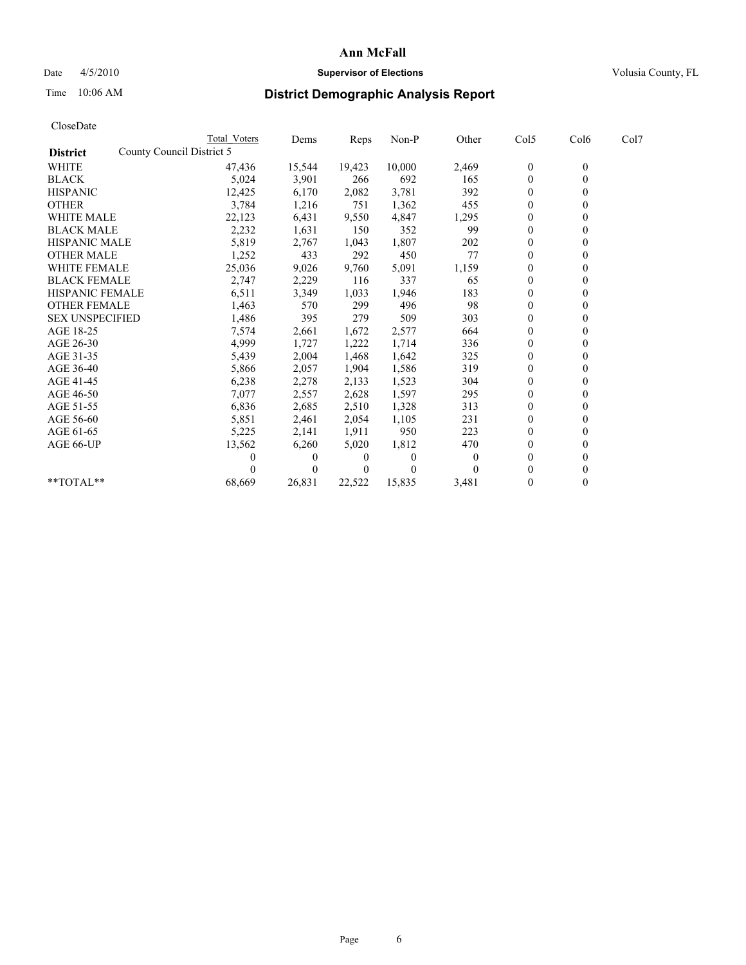## Date 4/5/2010 **Supervisor of Elections Supervisor of Elections** Volusia County, FL

# Time 10:06 AM **District Demographic Analysis Report**

| CloseDate              |                           |                |        |          |          |                  |                  |      |
|------------------------|---------------------------|----------------|--------|----------|----------|------------------|------------------|------|
|                        | Total Voters              | Dems           | Reps   | $Non-P$  | Other    | Col5             | Col6             | Col7 |
| <b>District</b>        | County Council District 5 |                |        |          |          |                  |                  |      |
| <b>WHITE</b>           | 47,436                    | 15,544         | 19,423 | 10,000   | 2,469    | $\boldsymbol{0}$ | $\boldsymbol{0}$ |      |
| <b>BLACK</b>           | 5,024                     | 3,901          | 266    | 692      | 165      | $\boldsymbol{0}$ | $\mathbf{0}$     |      |
| <b>HISPANIC</b>        | 12,425                    | 6,170          | 2,082  | 3,781    | 392      | $\overline{0}$   | $\Omega$         |      |
| <b>OTHER</b>           | 3,784                     | 1,216          | 751    | 1,362    | 455      | $\overline{0}$   | $\theta$         |      |
| <b>WHITE MALE</b>      | 22,123                    | 6,431          | 9,550  | 4,847    | 1,295    | $\boldsymbol{0}$ | $\mathbf{0}$     |      |
| <b>BLACK MALE</b>      | 2,232                     | 1,631          | 150    | 352      | 99       | $\overline{0}$   | $\mathbf{0}$     |      |
| <b>HISPANIC MALE</b>   | 5,819                     | 2,767          | 1,043  | 1,807    | 202      | $\boldsymbol{0}$ | $\Omega$         |      |
| <b>OTHER MALE</b>      | 1,252                     | 433            | 292    | 450      | 77       | $\boldsymbol{0}$ | $\mathbf{0}$     |      |
| <b>WHITE FEMALE</b>    | 25,036                    | 9,026          | 9,760  | 5,091    | 1,159    | $\boldsymbol{0}$ | $\theta$         |      |
| <b>BLACK FEMALE</b>    | 2,747                     | 2,229          | 116    | 337      | 65       | $\boldsymbol{0}$ | $\Omega$         |      |
| <b>HISPANIC FEMALE</b> | 6,511                     | 3,349          | 1,033  | 1,946    | 183      | $\overline{0}$   | $\theta$         |      |
| <b>OTHER FEMALE</b>    | 1,463                     | 570            | 299    | 496      | 98       | $\boldsymbol{0}$ | $\mathbf{0}$     |      |
| <b>SEX UNSPECIFIED</b> | 1,486                     | 395            | 279    | 509      | 303      | $\overline{0}$   | $\mathbf{0}$     |      |
| AGE 18-25              | 7,574                     | 2,661          | 1,672  | 2,577    | 664      | $\boldsymbol{0}$ | $\mathbf{0}$     |      |
| AGE 26-30              | 4,999                     | 1,727          | 1,222  | 1,714    | 336      | $\boldsymbol{0}$ | $\mathbf{0}$     |      |
| AGE 31-35              | 5,439                     | 2,004          | 1,468  | 1,642    | 325      | $\boldsymbol{0}$ | $\theta$         |      |
| AGE 36-40              | 5,866                     | 2,057          | 1,904  | 1,586    | 319      | $\boldsymbol{0}$ | $\Omega$         |      |
| AGE 41-45              | 6,238                     | 2,278          | 2,133  | 1,523    | 304      | $\overline{0}$   | $\theta$         |      |
| AGE 46-50              | 7,077                     | 2,557          | 2,628  | 1,597    | 295      | 0                | $\mathbf{0}$     |      |
| AGE 51-55              | 6,836                     | 2,685          | 2,510  | 1,328    | 313      | 0                | $\theta$         |      |
| AGE 56-60              | 5,851                     | 2,461          | 2,054  | 1,105    | 231      | 0                | $\Omega$         |      |
| AGE 61-65              | 5,225                     | 2,141          | 1,911  | 950      | 223      | $\mathbf{0}$     | $\mathbf{0}$     |      |
| AGE 66-UP              | 13,562                    | 6,260          | 5,020  | 1,812    | 470      | $\boldsymbol{0}$ | $\boldsymbol{0}$ |      |
|                        | 0                         | $\overline{0}$ | 0      | $\theta$ | $\theta$ | $\overline{0}$   | $\mathbf{0}$     |      |
|                        | 0                         | $\Omega$       | 0      | 0        | $\Omega$ | $\mathbf{0}$     | $\theta$         |      |
| **TOTAL**              | 68,669                    | 26,831         | 22,522 | 15,835   | 3,481    | $\boldsymbol{0}$ | $\theta$         |      |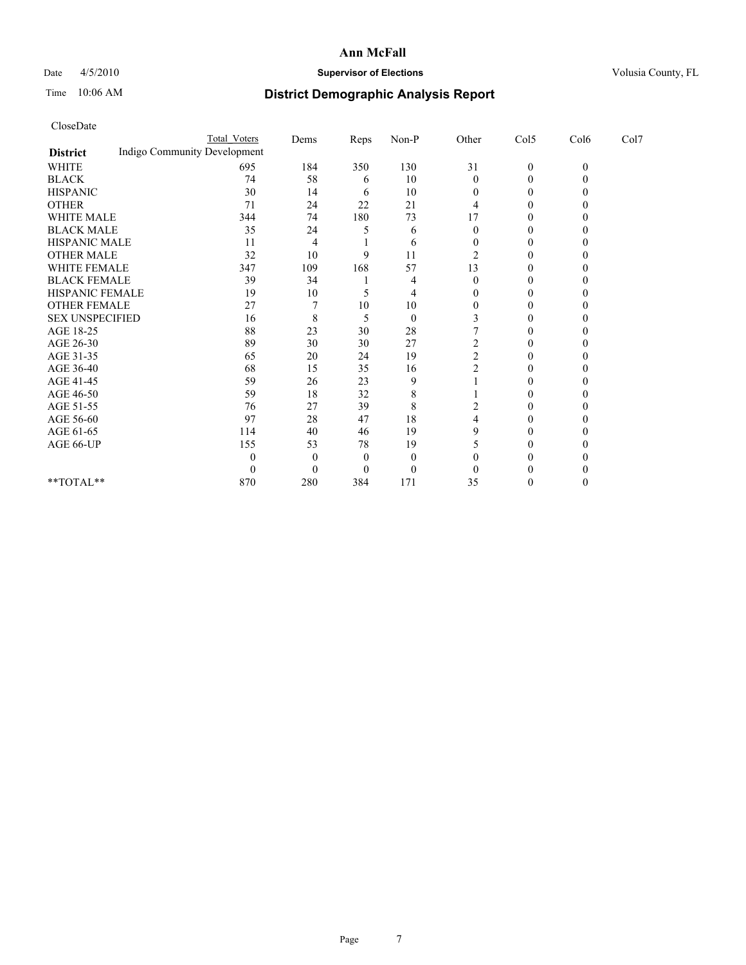## Date  $4/5/2010$  **Supervisor of Elections Supervisor of Elections** Volusia County, FL

# Time 10:06 AM **District Demographic Analysis Report**

|                                                 | Total Voters | Dems     | Reps     | $Non-P$        | Other          | Col5         | Col6         | Col7 |
|-------------------------------------------------|--------------|----------|----------|----------------|----------------|--------------|--------------|------|
| Indigo Community Development<br><b>District</b> |              |          |          |                |                |              |              |      |
| <b>WHITE</b>                                    | 695          | 184      | 350      | 130            | 31             | $\mathbf{0}$ | $\mathbf{0}$ |      |
| <b>BLACK</b>                                    | 74           | 58       | 6        | 10             | $\theta$       | $\theta$     |              |      |
| <b>HISPANIC</b>                                 | 30           | 14       | 6        | 10             | 0              | $\Omega$     |              |      |
| <b>OTHER</b>                                    | 71           | 24       | 22       | 21             |                | $\theta$     |              |      |
| <b>WHITE MALE</b>                               | 344          | 74       | 180      | 73             | 17             | 0            |              |      |
| <b>BLACK MALE</b>                               | 35           | 24       |          | 6              | $\Omega$       | $\Omega$     |              |      |
| HISPANIC MALE                                   | 11           | 4        |          | 6              |                | $\theta$     |              |      |
| <b>OTHER MALE</b>                               | 32           | 10       | 9        | 11             | 2              | 0            |              |      |
| WHITE FEMALE                                    | 347          | 109      | 168      | 57             | 13             | 0            |              |      |
| <b>BLACK FEMALE</b>                             | 39           | 34       |          | 4              | $\theta$       | $\theta$     |              |      |
| HISPANIC FEMALE                                 | 19           | 10       |          | 4              |                | 0            |              |      |
| <b>OTHER FEMALE</b>                             | 27           |          | 10       | 10             | $\Omega$       | $\Omega$     |              |      |
| <b>SEX UNSPECIFIED</b>                          | 16           | 8        | 5        | $\overline{0}$ |                | $\theta$     |              |      |
| AGE 18-25                                       | 88           | 23       | 30       | 28             |                | 0            |              |      |
| AGE 26-30                                       | 89           | 30       | 30       | 27             |                | $\Omega$     |              |      |
| AGE 31-35                                       | 65           | 20       | 24       | 19             | $\overline{c}$ | $\theta$     |              |      |
| AGE 36-40                                       | 68           | 15       | 35       | 16             |                | 0            |              |      |
| AGE 41-45                                       | 59           | 26       | 23       | 9              |                | 0            |              |      |
| AGE 46-50                                       | 59           | 18       | 32       | 8              |                | $\theta$     |              |      |
| AGE 51-55                                       | 76           | 27       | 39       | 8              |                | 0            |              |      |
| AGE 56-60                                       | 97           | 28       | 47       | 18             |                | $\Omega$     |              |      |
| AGE 61-65                                       | 114          | 40       | 46       | 19             | q              | $\Omega$     |              |      |
| AGE 66-UP                                       | 155          | 53       | 78       | 19             |                | 0            |              |      |
|                                                 |              | 0        | $\theta$ | $\theta$       |                | 0            |              |      |
|                                                 |              | $\theta$ | $\theta$ | $\theta$       |                |              |              |      |
| **TOTAL**                                       | 870          | 280      | 384      | 171            | 35             | $\theta$     |              |      |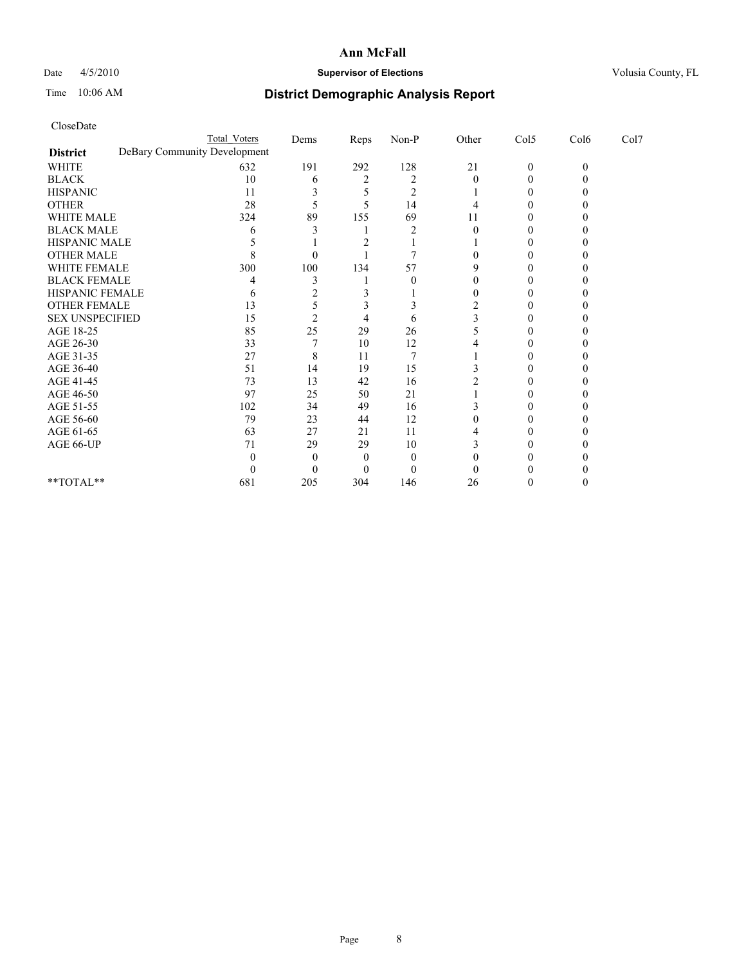## Date 4/5/2010 **Supervisor of Elections Supervisor of Elections** Volusia County, FL

# Time 10:06 AM **District Demographic Analysis Report**

|                        | Total Voters                 | Dems | Reps | $Non-P$        | Other | Col5         | Col6     | Col7 |  |
|------------------------|------------------------------|------|------|----------------|-------|--------------|----------|------|--|
| <b>District</b>        | DeBary Community Development |      |      |                |       |              |          |      |  |
| <b>WHITE</b>           | 632                          | 191  | 292  | 128            | 21    | $\mathbf{0}$ | $\theta$ |      |  |
| <b>BLACK</b>           | 10                           | 6    |      | $\overline{2}$ |       | 0            |          |      |  |
| <b>HISPANIC</b>        | 11                           |      |      | $\overline{2}$ |       |              |          |      |  |
| <b>OTHER</b>           | 28                           |      |      | 14             |       |              |          |      |  |
| <b>WHITE MALE</b>      | 324                          | 89   | 155  | 69             | 11    |              |          |      |  |
| <b>BLACK MALE</b>      | h                            |      |      |                |       |              |          |      |  |
| HISPANIC MALE          |                              |      |      |                |       |              |          |      |  |
| <b>OTHER MALE</b>      |                              |      |      |                |       |              |          |      |  |
| WHITE FEMALE           | 300                          | 100  | 134  | 57             |       |              |          |      |  |
| <b>BLACK FEMALE</b>    |                              |      |      | 0              |       |              |          |      |  |
| HISPANIC FEMALE        |                              |      |      |                |       |              |          |      |  |
| OTHER FEMALE           | 13                           |      |      |                |       |              |          |      |  |
| <b>SEX UNSPECIFIED</b> | 15                           |      |      | 6              |       |              |          |      |  |
| AGE 18-25              | 85                           | 25   | 29   | 26             |       |              |          |      |  |
| AGE 26-30              | 33                           |      | 10   | 12             |       |              |          |      |  |
| AGE 31-35              | 27                           | 8    | 11   |                |       |              |          |      |  |
| AGE 36-40              | 51                           | 14   | 19   | 15             |       |              |          |      |  |
| AGE 41-45              | 73                           | 13   | 42   | 16             |       |              |          |      |  |
| AGE 46-50              | 97                           | 25   | 50   | 21             |       |              |          |      |  |
| AGE 51-55              | 102                          | 34   | 49   | 16             |       |              |          |      |  |
| AGE 56-60              | 79                           | 23   | 44   | 12             |       |              |          |      |  |
| AGE 61-65              | 63                           | 27   | 21   | 11             |       |              |          |      |  |
| AGE 66-UP              | 71                           | 29   | 29   | 10             |       |              |          |      |  |
|                        |                              |      |      | $\theta$       |       |              |          |      |  |
|                        |                              |      |      | $\theta$       |       |              |          |      |  |
| **TOTAL**              | 681                          | 205  | 304  | 146            | 26    |              |          |      |  |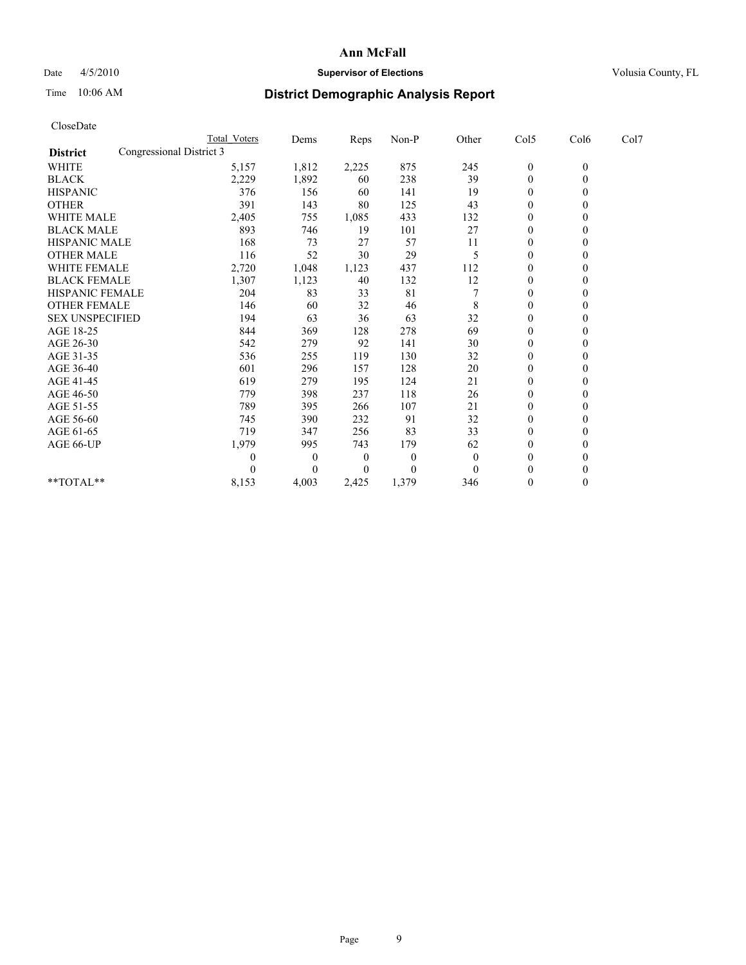## Date 4/5/2010 **Supervisor of Elections Supervisor of Elections** Volusia County, FL

# Time 10:06 AM **District Demographic Analysis Report**

| CloseDate              |                          |                     |       |       |          |              |                  |                |      |  |
|------------------------|--------------------------|---------------------|-------|-------|----------|--------------|------------------|----------------|------|--|
|                        |                          | <b>Total Voters</b> | Dems  | Reps  | Non-P    | Other        | Col5             | Col6           | Col7 |  |
| <b>District</b>        | Congressional District 3 |                     |       |       |          |              |                  |                |      |  |
| <b>WHITE</b>           |                          | 5,157               | 1,812 | 2,225 | 875      | 245          | $\overline{0}$   | $\overline{0}$ |      |  |
| <b>BLACK</b>           |                          | 2,229               | 1,892 | 60    | 238      | 39           | $\boldsymbol{0}$ | 0              |      |  |
| <b>HISPANIC</b>        |                          | 376                 | 156   | 60    | 141      | 19           | $\theta$         | 0              |      |  |
| <b>OTHER</b>           |                          | 391                 | 143   | 80    | 125      | 43           | $\theta$         | 0              |      |  |
| <b>WHITE MALE</b>      |                          | 2,405               | 755   | 1,085 | 433      | 132          | 0                | 0              |      |  |
| <b>BLACK MALE</b>      |                          | 893                 | 746   | 19    | 101      | 27           | $\theta$         | 0              |      |  |
| HISPANIC MALE          |                          | 168                 | 73    | 27    | 57       | 11           | $\boldsymbol{0}$ | 0              |      |  |
| <b>OTHER MALE</b>      |                          | 116                 | 52    | 30    | 29       | 5            | $\theta$         | 0              |      |  |
| <b>WHITE FEMALE</b>    |                          | 2,720               | 1,048 | 1,123 | 437      | 112          | $\boldsymbol{0}$ | 0              |      |  |
| <b>BLACK FEMALE</b>    |                          | 1,307               | 1,123 | 40    | 132      | 12           | 0                | 0              |      |  |
| <b>HISPANIC FEMALE</b> |                          | 204                 | 83    | 33    | 81       |              | $\theta$         | 0              |      |  |
| <b>OTHER FEMALE</b>    |                          | 146                 | 60    | 32    | 46       | 8            | 0                | 0              |      |  |
| <b>SEX UNSPECIFIED</b> |                          | 194                 | 63    | 36    | 63       | 32           | $\theta$         | 0              |      |  |
| AGE 18-25              |                          | 844                 | 369   | 128   | 278      | 69           | $\theta$         | 0              |      |  |
| AGE 26-30              |                          | 542                 | 279   | 92    | 141      | 30           | $\theta$         | 0              |      |  |
| AGE 31-35              |                          | 536                 | 255   | 119   | 130      | 32           | $\boldsymbol{0}$ | 0              |      |  |
| AGE 36-40              |                          | 601                 | 296   | 157   | 128      | 20           | $\boldsymbol{0}$ | 0              |      |  |
| AGE 41-45              |                          | 619                 | 279   | 195   | 124      | 21           | $\theta$         | 0              |      |  |
| AGE 46-50              |                          | 779                 | 398   | 237   | 118      | 26           | $\boldsymbol{0}$ | 0              |      |  |
| AGE 51-55              |                          | 789                 | 395   | 266   | 107      | 21           | $\theta$         | 0              |      |  |
| AGE 56-60              |                          | 745                 | 390   | 232   | 91       | 32           | $\theta$         | 0              |      |  |
| AGE 61-65              |                          | 719                 | 347   | 256   | 83       | 33           | $\theta$         | 0              |      |  |
| AGE 66-UP              |                          | 1,979               | 995   | 743   | 179      | 62           | $\theta$         | 0              |      |  |
|                        |                          | 0                   | 0     | 0     | $\theta$ | $\mathbf{0}$ | 0                | 0              |      |  |
|                        |                          | 0                   | 0     | 0     | $\theta$ | $\theta$     | 0                | 0              |      |  |
| **TOTAL**              |                          | 8,153               | 4,003 | 2,425 | 1,379    | 346          | 0                | 0              |      |  |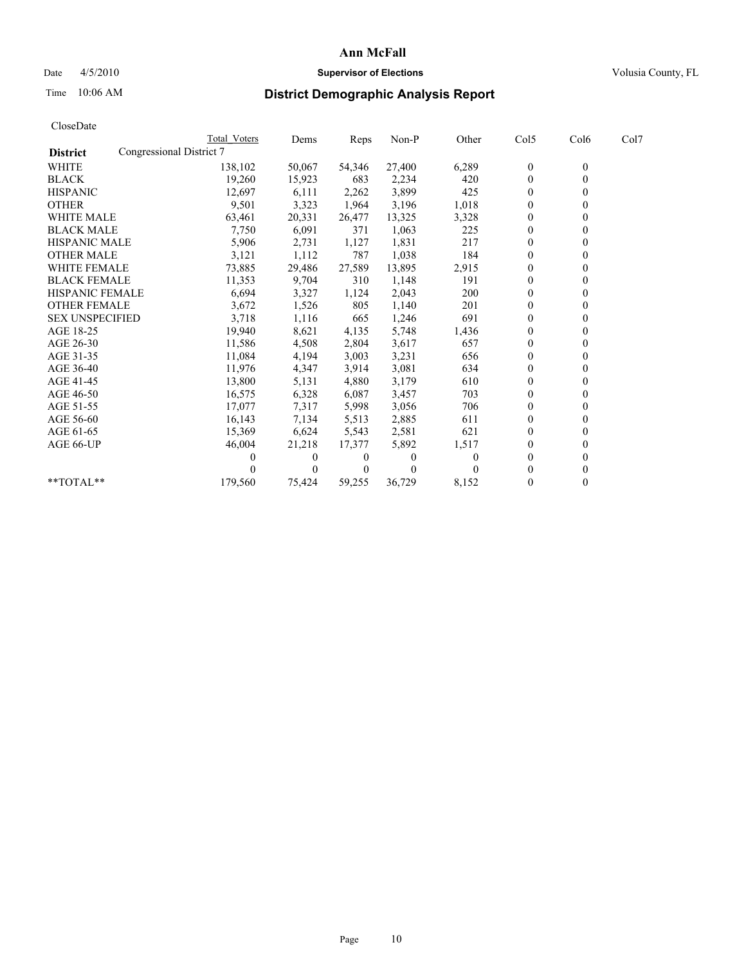## Date 4/5/2010 **Supervisor of Elections Supervisor of Elections** Volusia County, FL

# Time 10:06 AM **District Demographic Analysis Report**

|                                             | Total Voters | Dems     | <b>Reps</b> | Non-P    | Other | Col5           | Col6         | Col7 |  |
|---------------------------------------------|--------------|----------|-------------|----------|-------|----------------|--------------|------|--|
| Congressional District 7<br><b>District</b> |              |          |             |          |       |                |              |      |  |
| <b>WHITE</b>                                | 138,102      | 50,067   | 54,346      | 27,400   | 6,289 | $\mathbf{0}$   | $\mathbf{0}$ |      |  |
| <b>BLACK</b>                                | 19,260       | 15,923   | 683         | 2,234    | 420   | $\mathbf{0}$   |              |      |  |
| <b>HISPANIC</b>                             | 12,697       | 6,111    | 2,262       | 3,899    | 425   | $\theta$       |              |      |  |
| <b>OTHER</b>                                | 9,501        | 3,323    | 1,964       | 3,196    | 1,018 | $\theta$       |              |      |  |
| <b>WHITE MALE</b>                           | 63,461       | 20,331   | 26,477      | 13,325   | 3,328 | $\overline{0}$ |              |      |  |
| <b>BLACK MALE</b>                           | 7,750        | 6,091    | 371         | 1,063    | 225   | $\theta$       |              |      |  |
| <b>HISPANIC MALE</b>                        | 5,906        | 2,731    | 1,127       | 1,831    | 217   | $\theta$       |              |      |  |
| <b>OTHER MALE</b>                           | 3,121        | 1,112    | 787         | 1,038    | 184   | $\Omega$       |              |      |  |
| WHITE FEMALE                                | 73,885       | 29,486   | 27,589      | 13,895   | 2,915 | $\theta$       |              |      |  |
| <b>BLACK FEMALE</b>                         | 11,353       | 9,704    | 310         | 1,148    | 191   | $\overline{0}$ |              |      |  |
| HISPANIC FEMALE                             | 6,694        | 3,327    | 1,124       | 2,043    | 200   | 0              |              |      |  |
| <b>OTHER FEMALE</b>                         | 3,672        | 1,526    | 805         | 1,140    | 201   | $\theta$       |              |      |  |
| <b>SEX UNSPECIFIED</b>                      | 3,718        | 1,116    | 665         | 1,246    | 691   | $\theta$       |              |      |  |
| AGE 18-25                                   | 19,940       | 8,621    | 4,135       | 5,748    | 1,436 | $\mathbf{0}$   |              |      |  |
| AGE 26-30                                   | 11,586       | 4,508    | 2,804       | 3,617    | 657   | $\mathbf{0}$   |              |      |  |
| AGE 31-35                                   | 11,084       | 4,194    | 3,003       | 3,231    | 656   | $\overline{0}$ |              |      |  |
| AGE 36-40                                   | 11,976       | 4,347    | 3,914       | 3,081    | 634   | 0              |              |      |  |
| AGE 41-45                                   | 13,800       | 5,131    | 4,880       | 3,179    | 610   | $\theta$       |              |      |  |
| AGE 46-50                                   | 16,575       | 6,328    | 6,087       | 3,457    | 703   | $\theta$       |              |      |  |
| AGE 51-55                                   | 17,077       | 7,317    | 5,998       | 3,056    | 706   | $\overline{0}$ |              |      |  |
| AGE 56-60                                   | 16,143       | 7,134    | 5,513       | 2,885    | 611   | $\theta$       |              |      |  |
| AGE 61-65                                   | 15,369       | 6,624    | 5,543       | 2,581    | 621   | $\Omega$       |              |      |  |
| AGE 66-UP                                   | 46,004       | 21,218   | 17,377      | 5,892    | 1,517 | $\Omega$       |              |      |  |
|                                             |              | $\theta$ | 0           | $\Omega$ | 0     | $\theta$       |              |      |  |
|                                             |              | $\Omega$ | $\theta$    | $\theta$ |       | 0              |              |      |  |
| $*$ $TOTAI.**$                              | 179,560      | 75,424   | 59,255      | 36,729   | 8,152 | $\theta$       |              |      |  |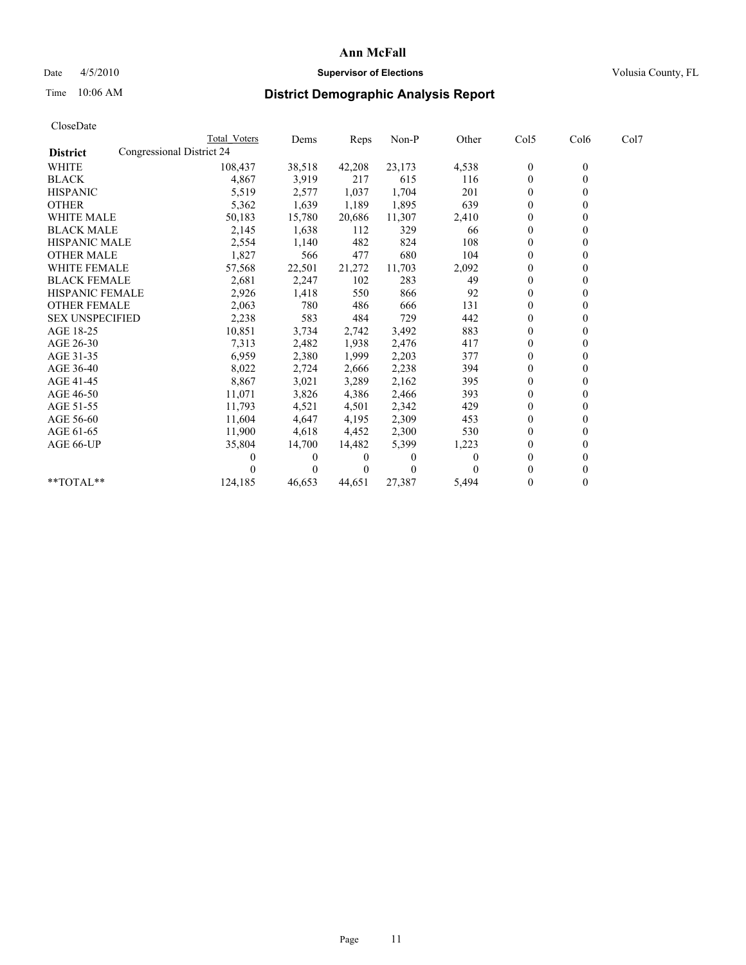## Date 4/5/2010 **Supervisor of Elections Supervisor of Elections** Volusia County, FL

# Time 10:06 AM **District Demographic Analysis Report**

|                        |                           | Total Voters | Dems     | Reps     | Non-P    | Other | Col5             | Col6         | Col7 |  |
|------------------------|---------------------------|--------------|----------|----------|----------|-------|------------------|--------------|------|--|
| <b>District</b>        | Congressional District 24 |              |          |          |          |       |                  |              |      |  |
| <b>WHITE</b>           |                           | 108,437      | 38,518   | 42,208   | 23,173   | 4,538 | $\mathbf{0}$     | $\mathbf{0}$ |      |  |
| <b>BLACK</b>           |                           | 4,867        | 3,919    | 217      | 615      | 116   | $\mathbf{0}$     |              |      |  |
| <b>HISPANIC</b>        |                           | 5,519        | 2,577    | 1,037    | 1,704    | 201   | $\theta$         |              |      |  |
| <b>OTHER</b>           |                           | 5,362        | 1,639    | 1,189    | 1,895    | 639   | $\theta$         |              |      |  |
| <b>WHITE MALE</b>      |                           | 50,183       | 15,780   | 20,686   | 11,307   | 2,410 | $\theta$         |              |      |  |
| <b>BLACK MALE</b>      |                           | 2,145        | 1,638    | 112      | 329      | 66    | $\Omega$         |              |      |  |
| <b>HISPANIC MALE</b>   |                           | 2,554        | 1,140    | 482      | 824      | 108   | $\theta$         |              |      |  |
| <b>OTHER MALE</b>      |                           | 1,827        | 566      | 477      | 680      | 104   | $\theta$         |              |      |  |
| WHITE FEMALE           |                           | 57,568       | 22,501   | 21,272   | 11,703   | 2,092 | $\theta$         |              |      |  |
| <b>BLACK FEMALE</b>    |                           | 2,681        | 2,247    | 102      | 283      | 49    | $\boldsymbol{0}$ |              |      |  |
| HISPANIC FEMALE        |                           | 2,926        | 1,418    | 550      | 866      | 92    | $\theta$         |              |      |  |
| <b>OTHER FEMALE</b>    |                           | 2,063        | 780      | 486      | 666      | 131   | $\theta$         |              |      |  |
| <b>SEX UNSPECIFIED</b> |                           | 2,238        | 583      | 484      | 729      | 442   | $\theta$         |              |      |  |
| AGE 18-25              |                           | 10,851       | 3,734    | 2,742    | 3,492    | 883   | $\mathbf{0}$     |              |      |  |
| AGE 26-30              |                           | 7,313        | 2,482    | 1,938    | 2,476    | 417   | $\Omega$         |              |      |  |
| AGE 31-35              |                           | 6,959        | 2,380    | 1,999    | 2,203    | 377   | $\theta$         |              |      |  |
| AGE 36-40              |                           | 8,022        | 2,724    | 2,666    | 2,238    | 394   | $\mathbf{0}$     |              |      |  |
| AGE 41-45              |                           | 8,867        | 3,021    | 3,289    | 2,162    | 395   | $\theta$         |              |      |  |
| AGE 46-50              |                           | 11,071       | 3,826    | 4,386    | 2,466    | 393   | $\theta$         |              |      |  |
| AGE 51-55              |                           | 11,793       | 4,521    | 4,501    | 2,342    | 429   | $\boldsymbol{0}$ |              |      |  |
| AGE 56-60              |                           | 11,604       | 4,647    | 4,195    | 2,309    | 453   | $\Omega$         |              |      |  |
| AGE 61-65              |                           | 11,900       | 4,618    | 4,452    | 2,300    | 530   | $\theta$         |              |      |  |
| AGE 66-UP              |                           | 35,804       | 14,700   | 14,482   | 5,399    | 1,223 | $\theta$         |              |      |  |
|                        |                           |              | $\theta$ | $\theta$ | $\theta$ |       | $\Omega$         |              |      |  |
|                        |                           |              | 0        | 0        | $\Omega$ |       | $\Omega$         |              |      |  |
| $*$ TOTAL $*$          |                           | 124,185      | 46,653   | 44,651   | 27,387   | 5,494 | $\Omega$         | $\theta$     |      |  |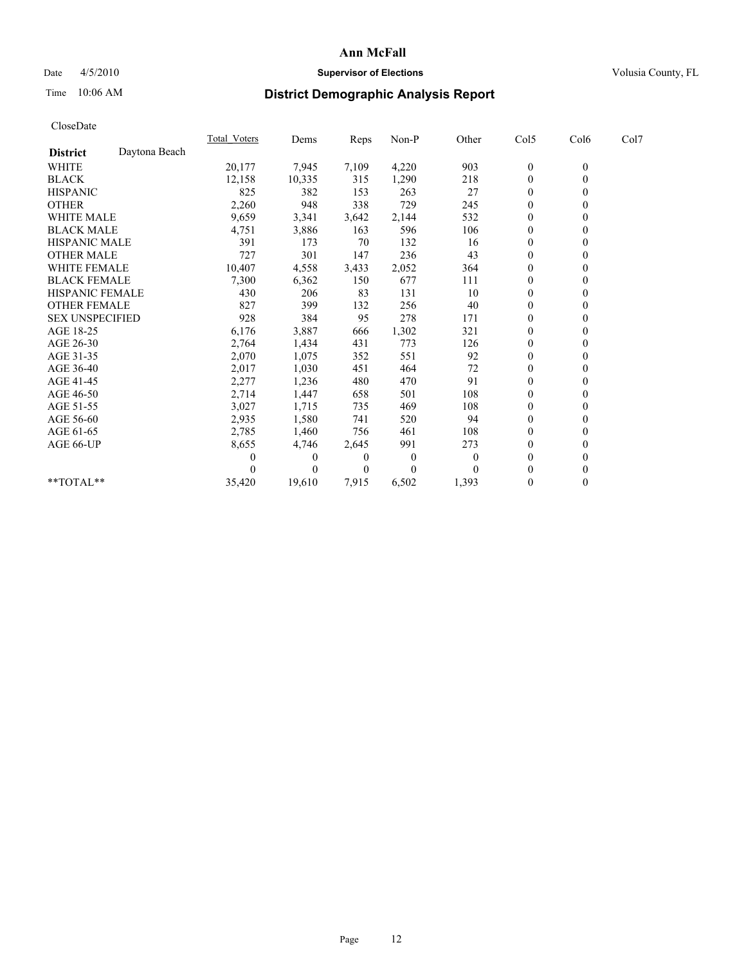## Date 4/5/2010 **Supervisor of Elections Supervisor of Elections** Volusia County, FL

# Time 10:06 AM **District Demographic Analysis Report**

|                        |               | <b>Total Voters</b> | Dems     | Reps     | Non-P    | Other    | Col5         | Col6             | Col7 |  |
|------------------------|---------------|---------------------|----------|----------|----------|----------|--------------|------------------|------|--|
| <b>District</b>        | Daytona Beach |                     |          |          |          |          |              |                  |      |  |
| <b>WHITE</b>           |               | 20,177              | 7,945    | 7,109    | 4,220    | 903      | $\bf{0}$     | $\boldsymbol{0}$ |      |  |
| <b>BLACK</b>           |               | 12,158              | 10,335   | 315      | 1,290    | 218      | $\theta$     |                  |      |  |
| <b>HISPANIC</b>        |               | 825                 | 382      | 153      | 263      | 27       | $\theta$     |                  |      |  |
| <b>OTHER</b>           |               | 2,260               | 948      | 338      | 729      | 245      | $\mathbf{0}$ |                  |      |  |
| <b>WHITE MALE</b>      |               | 9,659               | 3,341    | 3,642    | 2,144    | 532      | $\theta$     |                  |      |  |
| <b>BLACK MALE</b>      |               | 4,751               | 3,886    | 163      | 596      | 106      | $\Omega$     |                  |      |  |
| <b>HISPANIC MALE</b>   |               | 391                 | 173      | 70       | 132      | 16       | $\theta$     |                  |      |  |
| <b>OTHER MALE</b>      |               | 727                 | 301      | 147      | 236      | 43       | $\theta$     |                  |      |  |
| <b>WHITE FEMALE</b>    |               | 10,407              | 4,558    | 3,433    | 2,052    | 364      | $\theta$     |                  |      |  |
| <b>BLACK FEMALE</b>    |               | 7,300               | 6,362    | 150      | 677      | 111      | $\mathbf{0}$ |                  |      |  |
| HISPANIC FEMALE        |               | 430                 | 206      | 83       | 131      | 10       | $\theta$     |                  |      |  |
| <b>OTHER FEMALE</b>    |               | 827                 | 399      | 132      | 256      | 40       | $\theta$     |                  |      |  |
| <b>SEX UNSPECIFIED</b> |               | 928                 | 384      | 95       | 278      | 171      | $\mathbf{0}$ |                  |      |  |
| AGE 18-25              |               | 6,176               | 3,887    | 666      | 1,302    | 321      | $\theta$     |                  |      |  |
| AGE 26-30              |               | 2,764               | 1,434    | 431      | 773      | 126      | $\theta$     |                  |      |  |
| AGE 31-35              |               | 2,070               | 1,075    | 352      | 551      | 92       | $\theta$     |                  |      |  |
| AGE 36-40              |               | 2,017               | 1,030    | 451      | 464      | 72       | $\theta$     |                  |      |  |
| AGE 41-45              |               | 2,277               | 1,236    | 480      | 470      | 91       | $\theta$     |                  |      |  |
| AGE 46-50              |               | 2,714               | 1,447    | 658      | 501      | 108      | $\mathbf{0}$ |                  |      |  |
| AGE 51-55              |               | 3,027               | 1,715    | 735      | 469      | 108      | $\theta$     |                  |      |  |
| AGE 56-60              |               | 2,935               | 1,580    | 741      | 520      | 94       | $\Omega$     |                  |      |  |
| AGE 61-65              |               | 2,785               | 1,460    | 756      | 461      | 108      | $\theta$     |                  |      |  |
| AGE 66-UP              |               | 8,655               | 4,746    | 2,645    | 991      | 273      | $\theta$     |                  |      |  |
|                        |               |                     | $\theta$ | $\theta$ | $\theta$ | $\theta$ | $\theta$     |                  |      |  |
|                        |               |                     | 0        | $\theta$ | $\theta$ |          | $\theta$     |                  |      |  |
| **TOTAL**              |               | 35,420              | 19,610   | 7,915    | 6,502    | 1,393    | $\mathbf{0}$ | 0                |      |  |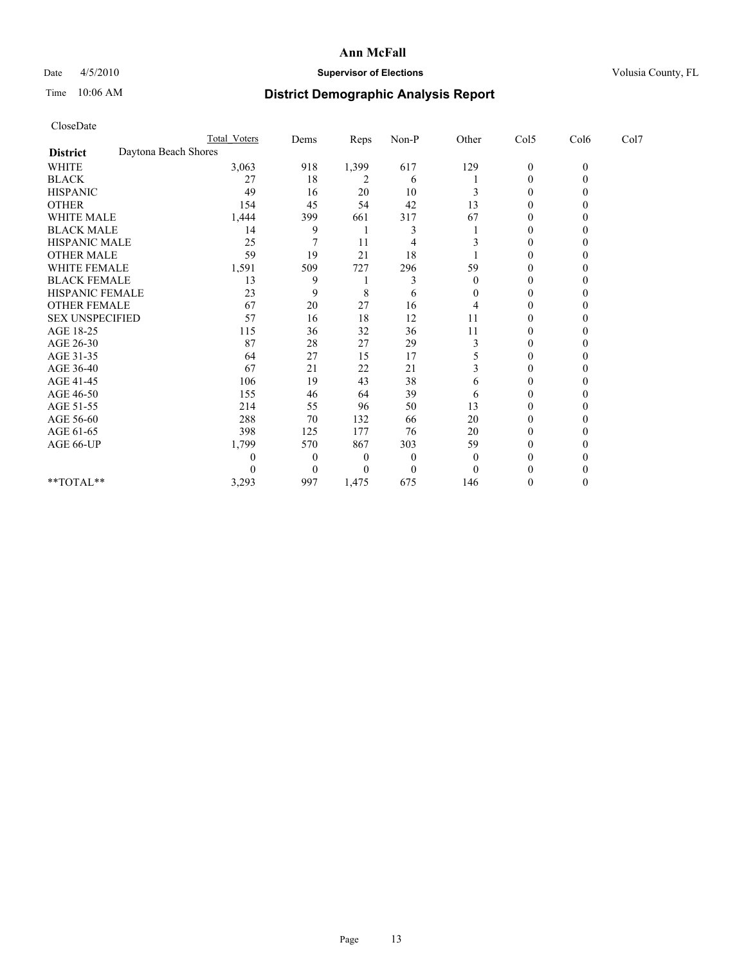## Date 4/5/2010 **Supervisor of Elections Supervisor of Elections** Volusia County, FL

# Time 10:06 AM **District Demographic Analysis Report**

|                                         | <b>Total Voters</b> | Dems     | Reps     | $Non-P$          | Other    | Col5             | Col6     | Col7 |  |
|-----------------------------------------|---------------------|----------|----------|------------------|----------|------------------|----------|------|--|
| Daytona Beach Shores<br><b>District</b> |                     |          |          |                  |          |                  |          |      |  |
| <b>WHITE</b>                            | 3,063               | 918      | 1,399    | 617              | 129      | $\boldsymbol{0}$ | $\theta$ |      |  |
| <b>BLACK</b>                            | 27                  | 18       | 2        | 6                |          | $\Omega$         |          |      |  |
| <b>HISPANIC</b>                         | 49                  | 16       | 20       | 10               |          | $\Omega$         |          |      |  |
| <b>OTHER</b>                            | 154                 | 45       | 54       | 42               | 13       | $\theta$         |          |      |  |
| WHITE MALE                              | 1,444               | 399      | 661      | 317              | 67       |                  |          |      |  |
| <b>BLACK MALE</b>                       | 14                  | 9        |          |                  |          | $\Omega$         |          |      |  |
| HISPANIC MALE                           | 25                  |          | 11       | 4                |          | $\Omega$         |          |      |  |
| <b>OTHER MALE</b>                       | 59                  | 19       | 21       | 18               |          | 0                |          |      |  |
| WHITE FEMALE                            | 1,591               | 509      | 727      | 296              | 59       | $\Omega$         |          |      |  |
| <b>BLACK FEMALE</b>                     | 13                  | 9        |          |                  | 0        | $\mathbf{0}$     |          |      |  |
| HISPANIC FEMALE                         | 23                  | 9        | 8        | 6                | 0        | 0                |          |      |  |
| <b>OTHER FEMALE</b>                     | 67                  | 20       | 27       | 16               |          | $\Omega$         |          |      |  |
| <b>SEX UNSPECIFIED</b>                  | 57                  | 16       | 18       | 12               | 11       | $\Omega$         |          |      |  |
| AGE 18-25                               | 115                 | 36       | 32       | 36               | 11       | 0                |          |      |  |
| AGE 26-30                               | 87                  | 28       | 27       | 29               | 3        | $\Omega$         |          |      |  |
| AGE 31-35                               | 64                  | 27       | 15       | 17               |          | $\theta$         |          |      |  |
| AGE 36-40                               | 67                  | 21       | 22       | 21               |          | 0                |          |      |  |
| AGE 41-45                               | 106                 | 19       | 43       | 38               | 6        | $\Omega$         |          |      |  |
| AGE 46-50                               | 155                 | 46       | 64       | 39               | 6        | $\theta$         |          |      |  |
| AGE 51-55                               | 214                 | 55       | 96       | 50               | 13       | 0                |          |      |  |
| AGE 56-60                               | 288                 | 70       | 132      | 66               | 20       | $\Omega$         |          |      |  |
| AGE 61-65                               | 398                 | 125      | 177      | 76               | 20       | $\Omega$         |          |      |  |
| AGE 66-UP                               | 1,799               | 570      | 867      | 303              | 59       | 0                |          |      |  |
|                                         | 0                   | $\theta$ | $\theta$ | $\boldsymbol{0}$ | $\theta$ | 0                |          |      |  |
|                                         |                     | $\Omega$ | 0        | $\theta$         | $\theta$ |                  |          |      |  |
| **TOTAL**                               | 3,293               | 997      | 1,475    | 675              | 146      | 0                |          |      |  |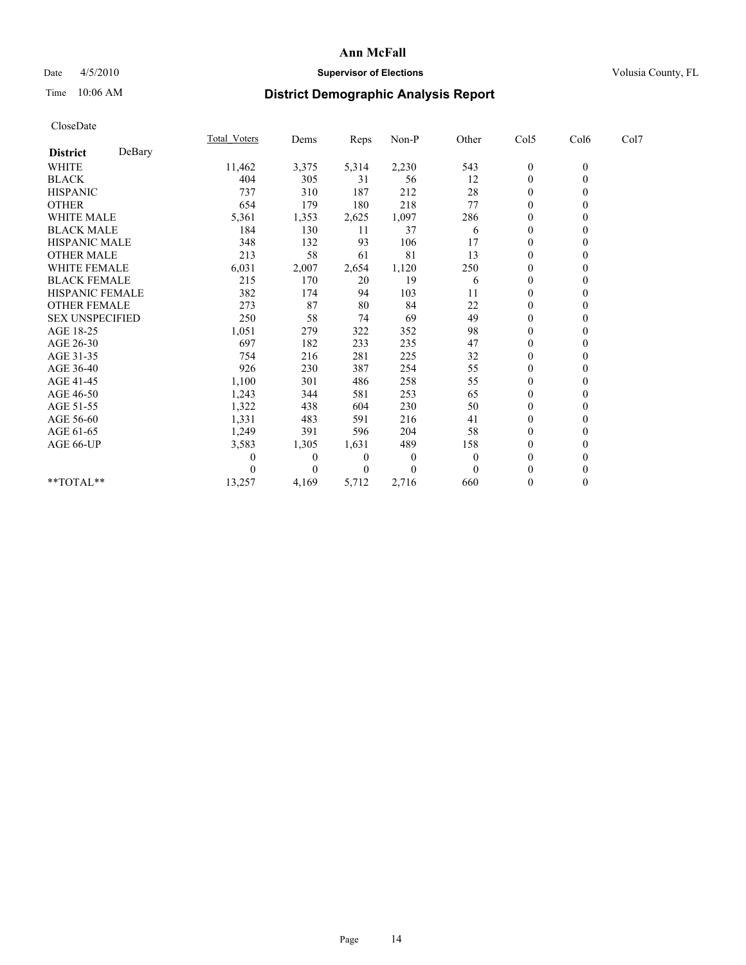## Date 4/5/2010 **Supervisor of Elections Supervisor of Elections** Volusia County, FL

# Time 10:06 AM **District Demographic Analysis Report**

|                        |        | <b>Total Voters</b> | Dems         | Reps         | $Non-P$        | Other    | Col5             | Col6             | Col7 |  |
|------------------------|--------|---------------------|--------------|--------------|----------------|----------|------------------|------------------|------|--|
| <b>District</b>        | DeBary |                     |              |              |                |          |                  |                  |      |  |
| WHITE                  |        | 11,462              | 3,375        | 5,314        | 2,230          | 543      | $\boldsymbol{0}$ | $\boldsymbol{0}$ |      |  |
| <b>BLACK</b>           |        | 404                 | 305          | 31           | 56             | 12       | $\mathbf{0}$     |                  |      |  |
| <b>HISPANIC</b>        |        | 737                 | 310          | 187          | 212            | 28       | $\theta$         |                  |      |  |
| <b>OTHER</b>           |        | 654                 | 179          | 180          | 218            | 77       | $\theta$         |                  |      |  |
| <b>WHITE MALE</b>      |        | 5,361               | 1,353        | 2,625        | 1,097          | 286      | $\theta$         |                  |      |  |
| <b>BLACK MALE</b>      |        | 184                 | 130          | 11           | 37             | 6        | $\theta$         |                  |      |  |
| HISPANIC MALE          |        | 348                 | 132          | 93           | 106            | 17       | $\theta$         |                  |      |  |
| <b>OTHER MALE</b>      |        | 213                 | 58           | 61           | 81             | 13       | $\mathbf{0}$     |                  |      |  |
| WHITE FEMALE           |        | 6,031               | 2,007        | 2,654        | 1,120          | 250      | $\theta$         |                  |      |  |
| <b>BLACK FEMALE</b>    |        | 215                 | 170          | 20           | 19             | 6        | $\theta$         |                  |      |  |
| HISPANIC FEMALE        |        | 382                 | 174          | 94           | 103            | 11       | $\theta$         |                  |      |  |
| <b>OTHER FEMALE</b>    |        | 273                 | 87           | 80           | 84             | 22       | $\theta$         |                  |      |  |
| <b>SEX UNSPECIFIED</b> |        | 250                 | 58           | 74           | 69             | 49       | $\theta$         |                  |      |  |
| AGE 18-25              |        | 1,051               | 279          | 322          | 352            | 98       | $\theta$         |                  |      |  |
| AGE 26-30              |        | 697                 | 182          | 233          | 235            | 47       | $\theta$         |                  |      |  |
| AGE 31-35              |        | 754                 | 216          | 281          | 225            | 32       | $\mathbf{0}$     |                  |      |  |
| AGE 36-40              |        | 926                 | 230          | 387          | 254            | 55       | $\theta$         |                  |      |  |
| AGE 41-45              |        | 1,100               | 301          | 486          | 258            | 55       | $\theta$         |                  |      |  |
| AGE 46-50              |        | 1,243               | 344          | 581          | 253            | 65       | $\theta$         |                  |      |  |
| AGE 51-55              |        | 1,322               | 438          | 604          | 230            | 50       | $\theta$         |                  |      |  |
| AGE 56-60              |        | 1,331               | 483          | 591          | 216            | 41       | $\Omega$         |                  |      |  |
| AGE 61-65              |        | 1,249               | 391          | 596          | 204            | 58       | $\theta$         |                  |      |  |
| AGE 66-UP              |        | 3,583               | 1,305        | 1,631        | 489            | 158      | $\mathbf{0}$     |                  |      |  |
|                        |        | $\theta$            | $\mathbf{0}$ | $\mathbf{0}$ | $\overline{0}$ | $\theta$ | $\theta$         |                  |      |  |
|                        |        |                     | $\Omega$     | $\theta$     | $\theta$       | $\theta$ | $\theta$         |                  |      |  |
| **TOTAL**              |        | 13,257              | 4,169        | 5,712        | 2,716          | 660      | $\overline{0}$   | 0                |      |  |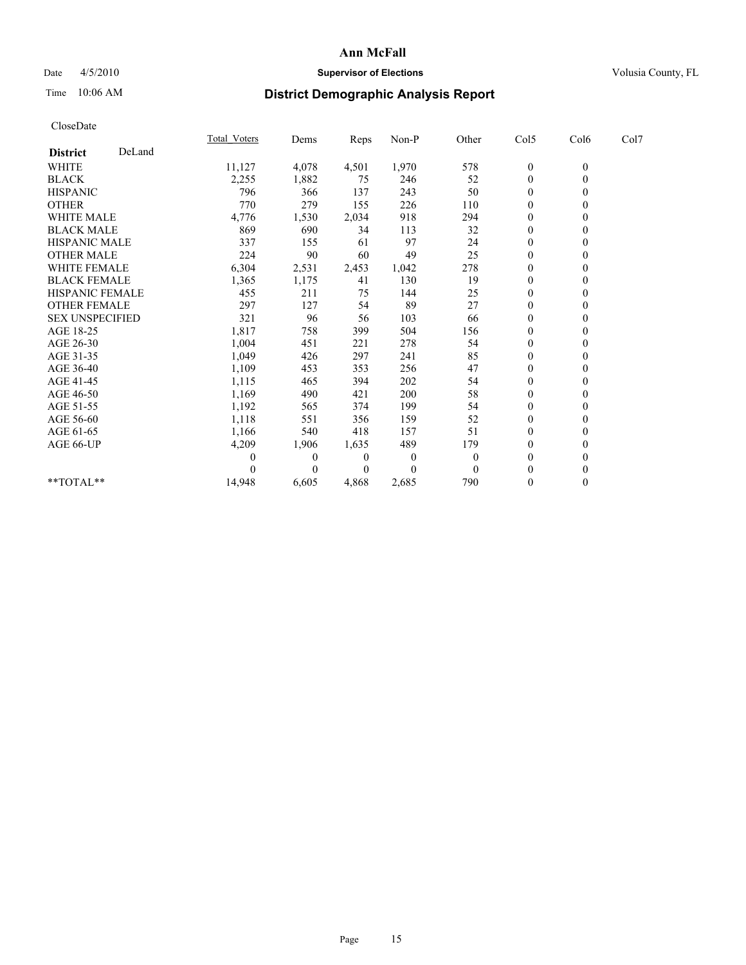## Date 4/5/2010 **Supervisor of Elections Supervisor of Elections** Volusia County, FL

# Time 10:06 AM **District Demographic Analysis Report**

|                        |        | <b>Total Voters</b> | Dems     | Reps     | Non-P        | Other        | Col5         | Col6             | Col7 |  |
|------------------------|--------|---------------------|----------|----------|--------------|--------------|--------------|------------------|------|--|
| <b>District</b>        | DeLand |                     |          |          |              |              |              |                  |      |  |
| <b>WHITE</b>           |        | 11,127              | 4,078    | 4,501    | 1,970        | 578          | $\bf{0}$     | $\boldsymbol{0}$ |      |  |
| <b>BLACK</b>           |        | 2,255               | 1,882    | 75       | 246          | 52           | $\theta$     |                  |      |  |
| <b>HISPANIC</b>        |        | 796                 | 366      | 137      | 243          | 50           | $\theta$     |                  |      |  |
| <b>OTHER</b>           |        | 770                 | 279      | 155      | 226          | 110          | $\mathbf{0}$ |                  |      |  |
| <b>WHITE MALE</b>      |        | 4,776               | 1,530    | 2,034    | 918          | 294          | $\theta$     |                  |      |  |
| <b>BLACK MALE</b>      |        | 869                 | 690      | 34       | 113          | 32           | $\theta$     |                  |      |  |
| <b>HISPANIC MALE</b>   |        | 337                 | 155      | 61       | 97           | 24           | $\theta$     |                  |      |  |
| <b>OTHER MALE</b>      |        | 224                 | 90       | 60       | 49           | 25           | $\theta$     |                  |      |  |
| <b>WHITE FEMALE</b>    |        | 6,304               | 2,531    | 2,453    | 1,042        | 278          | $\theta$     |                  |      |  |
| <b>BLACK FEMALE</b>    |        | 1,365               | 1,175    | 41       | 130          | 19           | $\mathbf{0}$ |                  |      |  |
| HISPANIC FEMALE        |        | 455                 | 211      | 75       | 144          | 25           | $\theta$     |                  |      |  |
| <b>OTHER FEMALE</b>    |        | 297                 | 127      | 54       | 89           | 27           | $\theta$     |                  |      |  |
| <b>SEX UNSPECIFIED</b> |        | 321                 | 96       | 56       | 103          | 66           | $\theta$     |                  |      |  |
| AGE 18-25              |        | 1,817               | 758      | 399      | 504          | 156          | $\theta$     |                  |      |  |
| AGE 26-30              |        | 1,004               | 451      | 221      | 278          | 54           | $\theta$     |                  |      |  |
| AGE 31-35              |        | 1,049               | 426      | 297      | 241          | 85           | $\theta$     |                  |      |  |
| AGE 36-40              |        | 1,109               | 453      | 353      | 256          | 47           | $\theta$     |                  |      |  |
| AGE 41-45              |        | 1,115               | 465      | 394      | 202          | 54           | $\theta$     |                  |      |  |
| AGE 46-50              |        | 1,169               | 490      | 421      | 200          | 58           | $\mathbf{0}$ |                  |      |  |
| AGE 51-55              |        | 1,192               | 565      | 374      | 199          | 54           | $\theta$     |                  |      |  |
| AGE 56-60              |        | 1,118               | 551      | 356      | 159          | 52           | $\theta$     |                  |      |  |
| AGE 61-65              |        | 1,166               | 540      | 418      | 157          | 51           | $\theta$     |                  |      |  |
| AGE 66-UP              |        | 4,209               | 1,906    | 1,635    | 489          | 179          | $\theta$     |                  |      |  |
|                        |        |                     | $\theta$ | $\theta$ | $\mathbf{0}$ | $\mathbf{0}$ | $\theta$     |                  |      |  |
|                        |        |                     | $\Omega$ | $\theta$ | $\theta$     | $\theta$     | $\theta$     |                  |      |  |
| $**TOTAL**$            |        | 14,948              | 6,605    | 4,868    | 2,685        | 790          | $\mathbf{0}$ | 0                |      |  |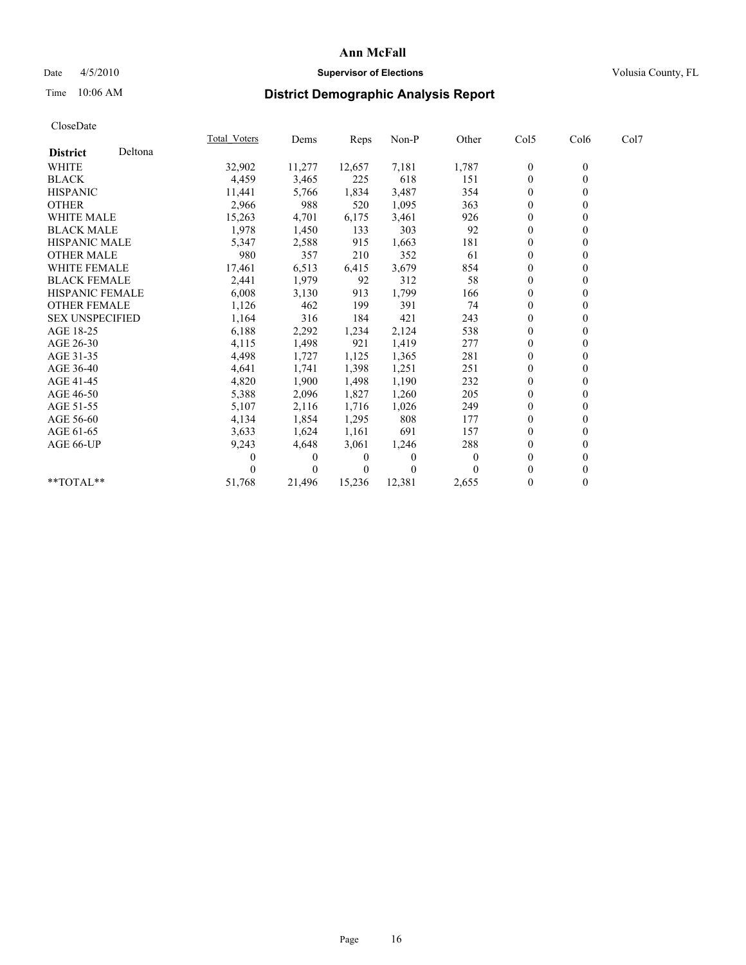## Date 4/5/2010 **Supervisor of Elections Supervisor of Elections** Volusia County, FL

# Time 10:06 AM **District Demographic Analysis Report**

|                        |         | <b>Total Voters</b> | Dems     | <b>Reps</b> | Non-P        | Other    | Col5           | Col6         | Col7 |  |
|------------------------|---------|---------------------|----------|-------------|--------------|----------|----------------|--------------|------|--|
| <b>District</b>        | Deltona |                     |          |             |              |          |                |              |      |  |
| <b>WHITE</b>           |         | 32,902              | 11,277   | 12,657      | 7,181        | 1,787    | $\bf{0}$       | $\mathbf{0}$ |      |  |
| <b>BLACK</b>           |         | 4,459               | 3,465    | 225         | 618          | 151      | $\Omega$       |              |      |  |
| <b>HISPANIC</b>        |         | 11,441              | 5,766    | 1,834       | 3,487        | 354      | $\theta$       |              |      |  |
| <b>OTHER</b>           |         | 2,966               | 988      | 520         | 1,095        | 363      | $\overline{0}$ |              |      |  |
| <b>WHITE MALE</b>      |         | 15,263              | 4,701    | 6,175       | 3,461        | 926      | 0              |              |      |  |
| <b>BLACK MALE</b>      |         | 1,978               | 1,450    | 133         | 303          | 92       | $\theta$       |              |      |  |
| <b>HISPANIC MALE</b>   |         | 5,347               | 2,588    | 915         | 1,663        | 181      | $\overline{0}$ |              |      |  |
| <b>OTHER MALE</b>      |         | 980                 | 357      | 210         | 352          | 61       | $\Omega$       |              |      |  |
| <b>WHITE FEMALE</b>    |         | 17,461              | 6,513    | 6,415       | 3,679        | 854      | $\theta$       |              |      |  |
| <b>BLACK FEMALE</b>    |         | 2,441               | 1,979    | 92          | 312          | 58       | $\overline{0}$ |              |      |  |
| HISPANIC FEMALE        |         | 6,008               | 3,130    | 913         | 1,799        | 166      | $\mathbf{0}$   |              |      |  |
| <b>OTHER FEMALE</b>    |         | 1,126               | 462      | 199         | 391          | 74       | $\theta$       |              |      |  |
| <b>SEX UNSPECIFIED</b> |         | 1,164               | 316      | 184         | 421          | 243      | $\overline{0}$ |              |      |  |
| AGE 18-25              |         | 6,188               | 2,292    | 1,234       | 2,124        | 538      | $\Omega$       |              |      |  |
| AGE 26-30              |         | 4,115               | 1,498    | 921         | 1,419        | 277      | $\theta$       |              |      |  |
| AGE 31-35              |         | 4,498               | 1,727    | 1,125       | 1,365        | 281      | $\Omega$       |              |      |  |
| AGE 36-40              |         | 4,641               | 1,741    | 1,398       | 1,251        | 251      | 0              |              |      |  |
| AGE 41-45              |         | 4,820               | 1,900    | 1,498       | 1,190        | 232      | $\theta$       |              |      |  |
| AGE 46-50              |         | 5,388               | 2,096    | 1,827       | 1,260        | 205      | $\overline{0}$ |              |      |  |
| AGE 51-55              |         | 5,107               | 2,116    | 1,716       | 1,026        | 249      | $\Omega$       |              |      |  |
| AGE 56-60              |         | 4,134               | 1,854    | 1,295       | 808          | 177      | $\theta$       |              |      |  |
| AGE 61-65              |         | 3,633               | 1,624    | 1,161       | 691          | 157      | $\Omega$       |              |      |  |
| AGE 66-UP              |         | 9,243               | 4,648    | 3,061       | 1,246        | 288      | 0              |              |      |  |
|                        |         | 0                   | $\left($ | 0           | $\Omega$     | $\theta$ | $\theta$       |              |      |  |
|                        |         |                     | $\Omega$ | $\Omega$    | $\mathbf{0}$ |          | $\Omega$       |              |      |  |
| **TOTAL**              |         | 51,768              | 21,496   | 15,236      | 12,381       | 2,655    | $\mathbf{0}$   | 0            |      |  |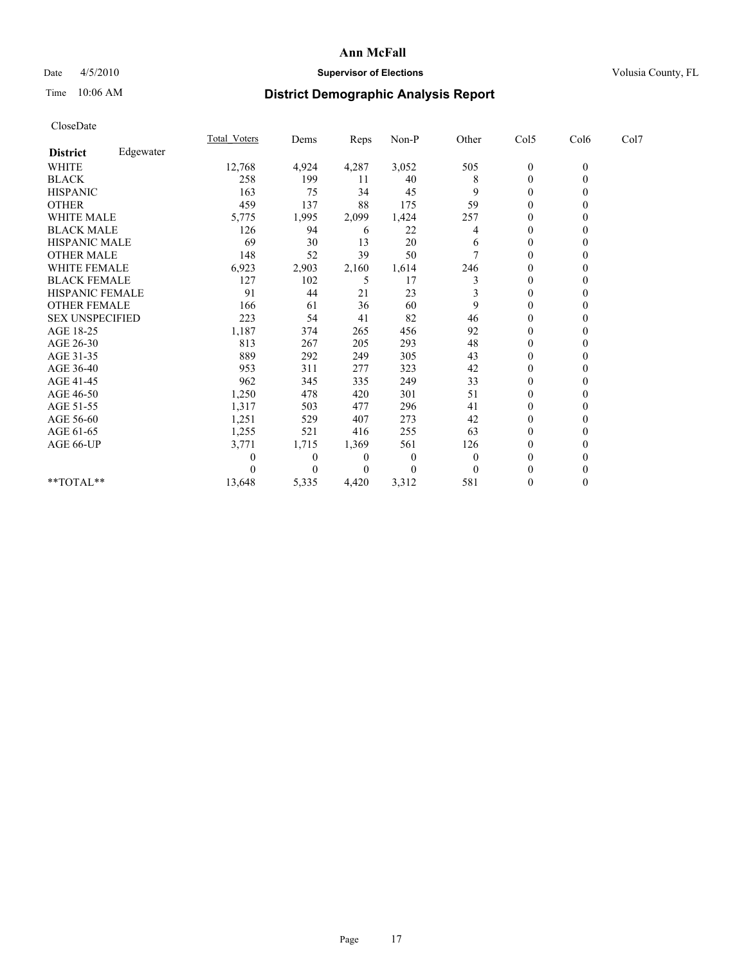## Date 4/5/2010 **Supervisor of Elections Supervisor of Elections** Volusia County, FL

# Time 10:06 AM **District Demographic Analysis Report**

|                        |           | <b>Total Voters</b> | Dems           | Reps  | Non-P    | Other | Col5             | Col6             | Col7 |  |
|------------------------|-----------|---------------------|----------------|-------|----------|-------|------------------|------------------|------|--|
| <b>District</b>        | Edgewater |                     |                |       |          |       |                  |                  |      |  |
| <b>WHITE</b>           |           | 12,768              | 4,924          | 4,287 | 3,052    | 505   | $\boldsymbol{0}$ | $\boldsymbol{0}$ |      |  |
| <b>BLACK</b>           |           | 258                 | 199            | 11    | 40       | 8     | $\mathbf{0}$     |                  |      |  |
| <b>HISPANIC</b>        |           | 163                 | 75             | 34    | 45       | 9     | $\Omega$         |                  |      |  |
| <b>OTHER</b>           |           | 459                 | 137            | 88    | 175      | 59    | $\theta$         |                  |      |  |
| <b>WHITE MALE</b>      |           | 5,775               | 1,995          | 2,099 | 1,424    | 257   | 0                |                  |      |  |
| <b>BLACK MALE</b>      |           | 126                 | 94             | 6     | 22       | 4     | $\Omega$         |                  |      |  |
| HISPANIC MALE          |           | 69                  | 30             | 13    | 20       | 6     | $\theta$         |                  |      |  |
| <b>OTHER MALE</b>      |           | 148                 | 52             | 39    | 50       |       | 0                |                  |      |  |
| WHITE FEMALE           |           | 6,923               | 2,903          | 2,160 | 1,614    | 246   | $\Omega$         |                  |      |  |
| <b>BLACK FEMALE</b>    |           | 127                 | 102            | 5     | 17       |       | $\theta$         |                  |      |  |
| HISPANIC FEMALE        |           | 91                  | 44             | 21    | 23       |       | $\theta$         |                  |      |  |
| <b>OTHER FEMALE</b>    |           | 166                 | 61             | 36    | 60       | 9     | $\Omega$         |                  |      |  |
| <b>SEX UNSPECIFIED</b> |           | 223                 | 54             | 41    | 82       | 46    | $\theta$         |                  |      |  |
| AGE 18-25              |           | 1,187               | 374            | 265   | 456      | 92    | $\theta$         |                  |      |  |
| AGE 26-30              |           | 813                 | 267            | 205   | 293      | 48    | $\Omega$         |                  |      |  |
| AGE 31-35              |           | 889                 | 292            | 249   | 305      | 43    | $\theta$         |                  |      |  |
| AGE 36-40              |           | 953                 | 311            | 277   | 323      | 42    | $\Omega$         |                  |      |  |
| AGE 41-45              |           | 962                 | 345            | 335   | 249      | 33    | $\Omega$         |                  |      |  |
| AGE 46-50              |           | 1,250               | 478            | 420   | 301      | 51    | $\theta$         |                  |      |  |
| AGE 51-55              |           | 1,317               | 503            | 477   | 296      | 41    | $\theta$         |                  |      |  |
| AGE 56-60              |           | 1,251               | 529            | 407   | 273      | 42    | $\Omega$         |                  |      |  |
| AGE 61-65              |           | 1,255               | 521            | 416   | 255      | 63    | $\theta$         |                  |      |  |
| AGE 66-UP              |           | 3,771               | 1,715          | 1,369 | 561      | 126   | $\theta$         |                  |      |  |
|                        |           |                     | $\overline{0}$ | 0     | $\theta$ | 0     | $\Omega$         |                  |      |  |
|                        |           |                     | $\Omega$       |       | $\Omega$ |       | $\theta$         |                  |      |  |
| **TOTAL**              |           | 13,648              | 5,335          | 4,420 | 3,312    | 581   | $\theta$         | $\theta$         |      |  |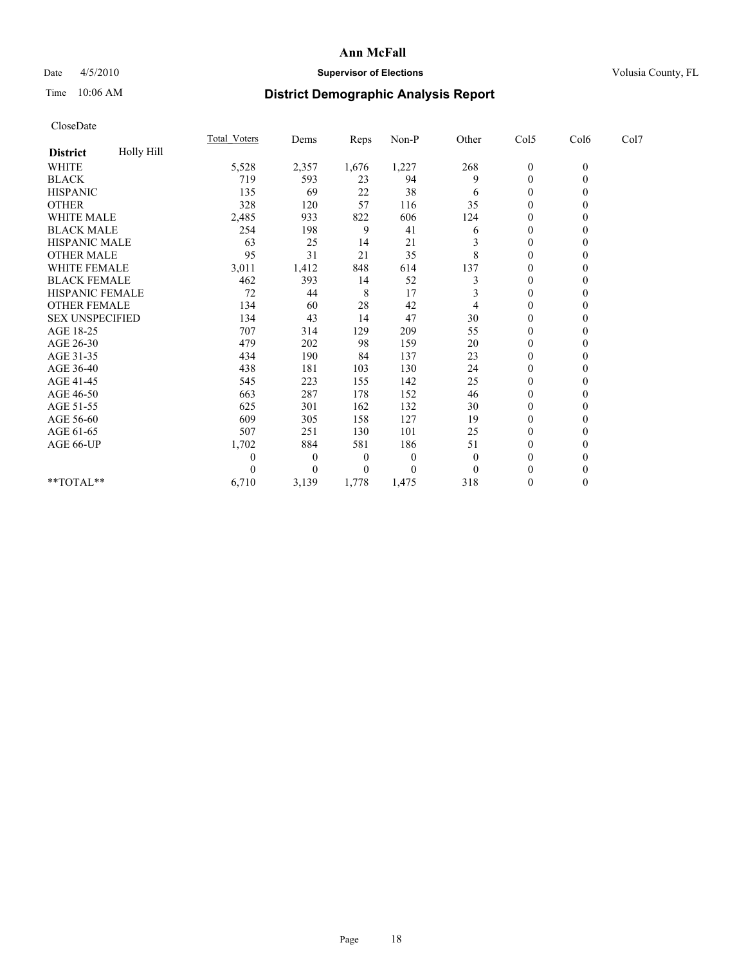## Date  $4/5/2010$  **Supervisor of Elections** Volusia County, FL

# Time 10:06 AM **District Demographic Analysis Report**

| CloseDate              |            |                     |              |             |              |                |                  |                  |      |  |
|------------------------|------------|---------------------|--------------|-------------|--------------|----------------|------------------|------------------|------|--|
|                        |            | <b>Total Voters</b> | Dems         | Reps        | Non-P        | Other          | Col5             | Col6             | Col7 |  |
| <b>District</b>        | Holly Hill |                     |              |             |              |                |                  |                  |      |  |
| <b>WHITE</b>           |            | 5,528               | 2,357        | 1,676       | 1,227        | 268            | $\boldsymbol{0}$ | $\boldsymbol{0}$ |      |  |
| <b>BLACK</b>           |            | 719                 | 593          | 23          | 94           | 9              | $\boldsymbol{0}$ | $\overline{0}$   |      |  |
| <b>HISPANIC</b>        |            | 135                 | 69           | 22          | 38           | 6              | $\theta$         | $\mathbf{0}$     |      |  |
| <b>OTHER</b>           |            | 328                 | 120          | 57          | 116          | 35             | $\mathbf{0}$     | $\theta$         |      |  |
| <b>WHITE MALE</b>      |            | 2,485               | 933          | 822         | 606          | 124            | $\boldsymbol{0}$ | $\theta$         |      |  |
| <b>BLACK MALE</b>      |            | 254                 | 198          | 9           | 41           | 6              | 0                | $\theta$         |      |  |
| HISPANIC MALE          |            | 63                  | 25           | 14          | 21           | 3              | $\boldsymbol{0}$ | $\theta$         |      |  |
| <b>OTHER MALE</b>      |            | 95                  | 31           | 21          | 35           | 8              | $\mathbf{0}$     | $\mathbf{0}$     |      |  |
| <b>WHITE FEMALE</b>    |            | 3,011               | 1,412        | 848         | 614          | 137            | 0                | $\theta$         |      |  |
| <b>BLACK FEMALE</b>    |            | 462                 | 393          | 14          | 52           | 3              | $\mathbf{0}$     | $\Omega$         |      |  |
| HISPANIC FEMALE        |            | 72                  | 44           | $\,$ 8 $\,$ | 17           | 3              | $\mathbf{0}$     | $\theta$         |      |  |
| <b>OTHER FEMALE</b>    |            | 134                 | 60           | 28          | 42           | 4              | $\overline{0}$   | $\mathbf{0}$     |      |  |
| <b>SEX UNSPECIFIED</b> |            | 134                 | 43           | 14          | 47           | 30             | $\mathbf{0}$     | $\theta$         |      |  |
| AGE 18-25              |            | 707                 | 314          | 129         | 209          | 55             | $\boldsymbol{0}$ | $\Omega$         |      |  |
| AGE 26-30              |            | 479                 | 202          | 98          | 159          | 20             | $\boldsymbol{0}$ | $\Omega$         |      |  |
| AGE 31-35              |            | 434                 | 190          | 84          | 137          | 23             | $\boldsymbol{0}$ | $\theta$         |      |  |
| AGE 36-40              |            | 438                 | 181          | 103         | 130          | 24             | $\boldsymbol{0}$ | $\Omega$         |      |  |
| AGE 41-45              |            | 545                 | 223          | 155         | 142          | 25             | $\boldsymbol{0}$ | $\theta$         |      |  |
| AGE 46-50              |            | 663                 | 287          | 178         | 152          | 46             | $\boldsymbol{0}$ | $\Omega$         |      |  |
| AGE 51-55              |            | 625                 | 301          | 162         | 132          | 30             | $\overline{0}$   | $\theta$         |      |  |
| AGE 56-60              |            | 609                 | 305          | 158         | 127          | 19             | $\boldsymbol{0}$ | $\theta$         |      |  |
| AGE 61-65              |            | 507                 | 251          | 130         | 101          | 25             | $\theta$         | $\theta$         |      |  |
| AGE 66-UP              |            | 1,702               | 884          | 581         | 186          | 51             | $\boldsymbol{0}$ | $\mathbf{0}$     |      |  |
|                        |            | $\mathbf{0}$        | $\mathbf{0}$ | $\theta$    | $\mathbf{0}$ | $\theta$       | $\mathbf{0}$     | $\Omega$         |      |  |
|                        |            | $\theta$            | $\mathbf{0}$ | $\theta$    | $\theta$     | $\overline{0}$ | $\mathbf{0}$     | $\theta$         |      |  |
| **TOTAL**              |            | 6,710               | 3,139        | 1,778       | 1,475        | 318            | $\overline{0}$   | $\mathbf{0}$     |      |  |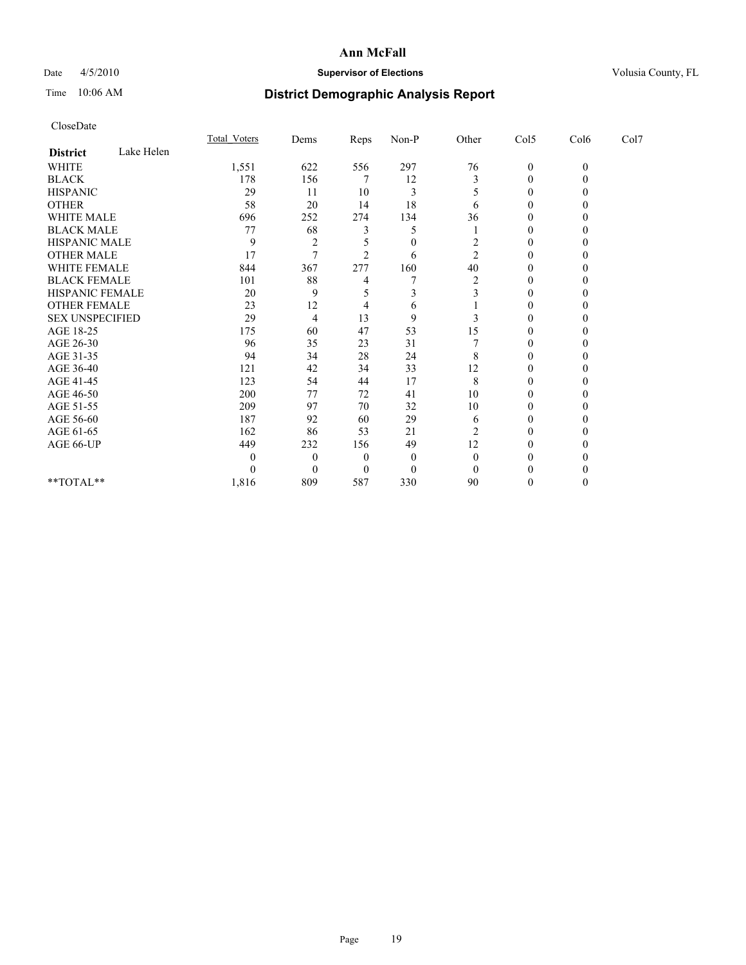## Date 4/5/2010 **Supervisor of Elections Supervisor of Elections** Volusia County, FL

# Time 10:06 AM **District Demographic Analysis Report**

|                        |            | Total Voters  | Dems           | <b>Reps</b>    | $Non-P$      | Other          | Col5         | Col6         | Col7 |  |
|------------------------|------------|---------------|----------------|----------------|--------------|----------------|--------------|--------------|------|--|
| <b>District</b>        | Lake Helen |               |                |                |              |                |              |              |      |  |
| <b>WHITE</b>           |            | 1,551         | 622            | 556            | 297          | 76             | $\mathbf{0}$ | $\mathbf{0}$ |      |  |
| <b>BLACK</b>           |            | 178           | 156            |                | 12           | 3              | $\theta$     |              |      |  |
| <b>HISPANIC</b>        |            | 29            | 11             | 10             | 3            | 5              | $\Omega$     |              |      |  |
| <b>OTHER</b>           |            | 58            | 20             | 14             | 18           | 6              | $\Omega$     |              |      |  |
| <b>WHITE MALE</b>      |            | 696           | 252            | 274            | 134          | 36             | 0            |              |      |  |
| <b>BLACK MALE</b>      |            | 77            | 68             |                | 5            |                | 0            |              |      |  |
| HISPANIC MALE          |            | 9             | $\overline{2}$ |                | $\theta$     | 2              | $\Omega$     |              |      |  |
| <b>OTHER MALE</b>      |            | 17            | $\tau$         | $\mathfrak{D}$ | 6            | $\overline{c}$ | 0            |              |      |  |
| WHITE FEMALE           |            | 844           | 367            | 277            | 160          | 40             | 0            |              |      |  |
| <b>BLACK FEMALE</b>    |            | 101           | 88             |                |              | $\overline{2}$ | $\Omega$     |              |      |  |
| HISPANIC FEMALE        |            | 20            | 9              |                |              |                | 0            |              |      |  |
| <b>OTHER FEMALE</b>    |            | 23            | 12             |                | 6            |                | 0            |              |      |  |
| <b>SEX UNSPECIFIED</b> |            | 29            | 4              | 13             | 9            |                | $\theta$     |              |      |  |
| AGE 18-25              |            | 175           | 60             | 47             | 53           | 15             | 0            |              |      |  |
| AGE 26-30              |            | 96            | 35             | 23             | 31           |                | $\Omega$     |              |      |  |
| AGE 31-35              |            | 94            | 34             | 28             | 24           | 8              | $\Omega$     |              |      |  |
| AGE 36-40              |            | 121           | 42             | 34             | 33           | 12             | 0            |              |      |  |
| AGE 41-45              |            | 123           | 54             | 44             | 17           | 8              | $\Omega$     |              |      |  |
| AGE 46-50              |            | 200           | 77             | $72\,$         | 41           | 10             | 0            |              |      |  |
| AGE 51-55              |            | 209           | 97             | 70             | 32           | 10             | 0            |              |      |  |
| AGE 56-60              |            | 187           | 92             | 60             | 29           | 6              | $\Omega$     |              |      |  |
| AGE 61-65              |            | 162           | 86             | 53             | 21           | $\overline{2}$ | $\Omega$     |              |      |  |
| AGE 66-UP              |            | 449           | 232            | 156            | 49           | 12             | 0            |              |      |  |
|                        |            | $\mathcal{L}$ | $\Omega$       | $\theta$       | $\mathbf{0}$ | $\theta$       | 0            |              |      |  |
|                        |            |               | $\Omega$       | $\theta$       | $\theta$     | 0              |              |              |      |  |
| **TOTAL**              |            | 1,816         | 809            | 587            | 330          | 90             | 0            |              |      |  |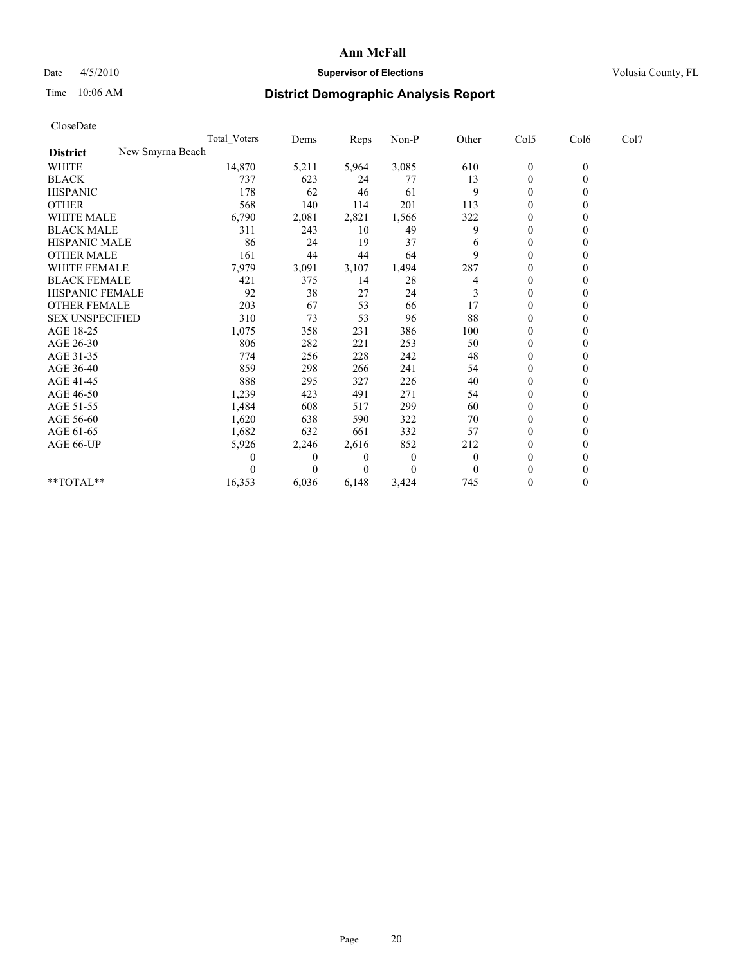## Date 4/5/2010 **Supervisor of Elections Supervisor of Elections** Volusia County, FL

# Time 10:06 AM **District Demographic Analysis Report**

|                        |                  | Total Voters | Dems         | Reps         | $Non-P$        | Other          | Col5         | Col6         | Col7 |  |
|------------------------|------------------|--------------|--------------|--------------|----------------|----------------|--------------|--------------|------|--|
| <b>District</b>        | New Smyrna Beach |              |              |              |                |                |              |              |      |  |
| WHITE                  |                  | 14,870       | 5,211        | 5,964        | 3,085          | 610            | $\mathbf{0}$ | $\mathbf{0}$ |      |  |
| <b>BLACK</b>           |                  | 737          | 623          | 24           | 77             | 13             | $\theta$     |              |      |  |
| <b>HISPANIC</b>        |                  | 178          | 62           | 46           | 61             | 9              | $\theta$     |              |      |  |
| <b>OTHER</b>           |                  | 568          | 140          | 114          | 201            | 113            | $\theta$     |              |      |  |
| <b>WHITE MALE</b>      |                  | 6,790        | 2,081        | 2,821        | 1,566          | 322            | 0            |              |      |  |
| <b>BLACK MALE</b>      |                  | 311          | 243          | 10           | 49             | 9              | $\theta$     |              |      |  |
| <b>HISPANIC MALE</b>   |                  | 86           | 24           | 19           | 37             | 6              | $\theta$     |              |      |  |
| <b>OTHER MALE</b>      |                  | 161          | 44           | 44           | 64             | 9              | $\theta$     |              |      |  |
| WHITE FEMALE           |                  | 7,979        | 3,091        | 3,107        | 1,494          | 287            | $\theta$     |              |      |  |
| <b>BLACK FEMALE</b>    |                  | 421          | 375          | 14           | 28             | 4              | $\mathbf{0}$ |              |      |  |
| HISPANIC FEMALE        |                  | 92           | 38           | 27           | 24             | 3              | $\theta$     |              |      |  |
| <b>OTHER FEMALE</b>    |                  | 203          | 67           | 53           | 66             | 17             | $\theta$     |              |      |  |
| <b>SEX UNSPECIFIED</b> |                  | 310          | 73           | 53           | 96             | 88             | $\theta$     |              |      |  |
| AGE 18-25              |                  | 1,075        | 358          | 231          | 386            | 100            | $\theta$     |              |      |  |
| AGE 26-30              |                  | 806          | 282          | 221          | 253            | 50             | $\theta$     |              |      |  |
| AGE 31-35              |                  | 774          | 256          | 228          | 242            | 48             | $\theta$     |              |      |  |
| AGE 36-40              |                  | 859          | 298          | 266          | 241            | 54             | $\mathbf{0}$ |              |      |  |
| AGE 41-45              |                  | 888          | 295          | 327          | 226            | 40             | $\theta$     |              |      |  |
| AGE 46-50              |                  | 1,239        | 423          | 491          | 271            | 54             | $\theta$     |              |      |  |
| AGE 51-55              |                  | 1,484        | 608          | 517          | 299            | 60             | $\mathbf{0}$ |              |      |  |
| AGE 56-60              |                  | 1,620        | 638          | 590          | 322            | 70             | $\Omega$     |              |      |  |
| AGE 61-65              |                  | 1,682        | 632          | 661          | 332            | 57             | $\theta$     |              |      |  |
| AGE 66-UP              |                  | 5,926        | 2,246        | 2,616        | 852            | 212            | $\mathbf{0}$ |              |      |  |
|                        |                  | 0            | $\mathbf{0}$ | $\mathbf{0}$ | $\overline{0}$ | $\overline{0}$ | $\theta$     |              |      |  |
|                        |                  |              | $\Omega$     | $\theta$     | $\theta$       | $\theta$       | $\theta$     |              |      |  |
| **TOTAL**              |                  | 16,353       | 6,036        | 6,148        | 3,424          | 745            | $\Omega$     |              |      |  |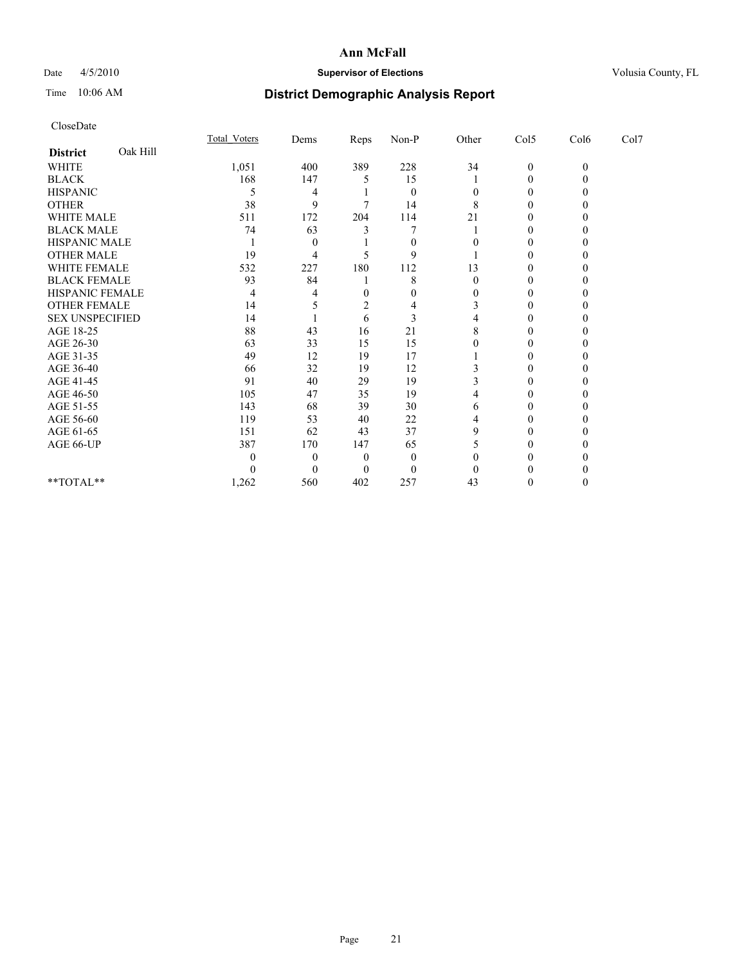## Date 4/5/2010 **Supervisor of Elections Supervisor of Elections** Volusia County, FL

# Time 10:06 AM **District Demographic Analysis Report**

|                        |          | <b>Total Voters</b> | Dems     | Reps     | $Non-P$  | Other | Col5             | Col6     | Col7 |  |
|------------------------|----------|---------------------|----------|----------|----------|-------|------------------|----------|------|--|
| <b>District</b>        | Oak Hill |                     |          |          |          |       |                  |          |      |  |
| <b>WHITE</b>           |          | 1,051               | 400      | 389      | 228      | 34    | $\boldsymbol{0}$ | $\Omega$ |      |  |
| <b>BLACK</b>           |          | 168                 | 147      |          | 15       |       | 0                |          |      |  |
| <b>HISPANIC</b>        |          | 5                   | 4        |          | $\theta$ |       | 0                |          |      |  |
| <b>OTHER</b>           |          | 38                  | 9        |          | 14       | 8     | 0                |          |      |  |
| WHITE MALE             |          | 511                 | 172      | 204      | 114      | 21    |                  |          |      |  |
| <b>BLACK MALE</b>      |          | 74                  | 63       |          |          |       | 0                |          |      |  |
| HISPANIC MALE          |          |                     | $\Omega$ |          | $\Omega$ |       | 0                |          |      |  |
| <b>OTHER MALE</b>      |          | 19                  | 4        |          | 9        |       | 0                |          |      |  |
| <b>WHITE FEMALE</b>    |          | 532                 | 227      | 180      | 112      | 13    | 0                |          |      |  |
| <b>BLACK FEMALE</b>    |          | 93                  | 84       |          | 8        | 0     | 0                |          |      |  |
| HISPANIC FEMALE        |          | 4                   |          | 0        |          |       | 0                |          |      |  |
| <b>OTHER FEMALE</b>    |          | 14                  |          |          |          |       | 0                |          |      |  |
| <b>SEX UNSPECIFIED</b> |          | 14                  |          | 6        | 3        |       | 0                |          |      |  |
| AGE 18-25              |          | 88                  | 43       | 16       | 21       |       |                  |          |      |  |
| AGE 26-30              |          | 63                  | 33       | 15       | 15       |       | 0                |          |      |  |
| AGE 31-35              |          | 49                  | 12       | 19       | 17       |       | 0                |          |      |  |
| AGE 36-40              |          | 66                  | 32       | 19       | 12       |       |                  |          |      |  |
| AGE 41-45              |          | 91                  | 40       | 29       | 19       |       | 0                |          |      |  |
| AGE 46-50              |          | 105                 | 47       | 35       | 19       |       | 0                |          |      |  |
| AGE 51-55              |          | 143                 | 68       | 39       | 30       | 6     | 0                |          |      |  |
| AGE 56-60              |          | 119                 | 53       | 40       | 22       |       | 0                |          |      |  |
| AGE 61-65              |          | 151                 | 62       | 43       | 37       | g     | 0                |          |      |  |
| AGE 66-UP              |          | 387                 | 170      | 147      | 65       |       | 0                |          |      |  |
|                        |          |                     | $\Omega$ | $\Omega$ | $\theta$ |       | 0                |          |      |  |
|                        |          |                     | $\Omega$ | $\Omega$ | $\theta$ |       |                  |          |      |  |
| **TOTAL**              |          | 1,262               | 560      | 402      | 257      | 43    | 0                |          |      |  |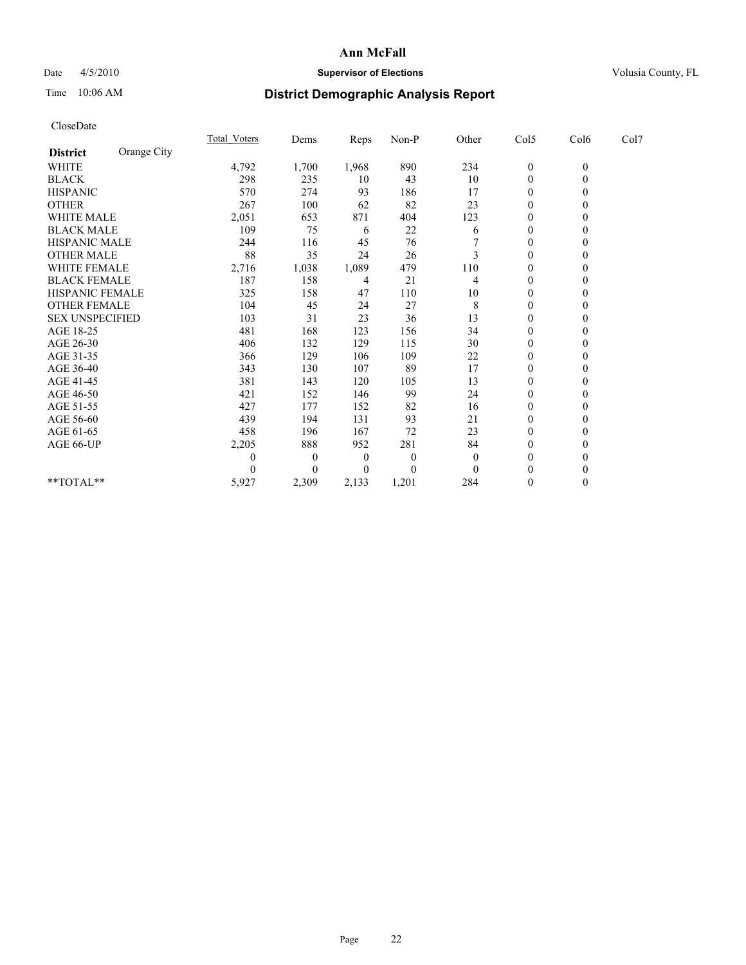## Date 4/5/2010 **Supervisor of Elections Supervisor of Elections** Volusia County, FL

# Time 10:06 AM **District Demographic Analysis Report**

|                        |             | <b>Total Voters</b> | Dems     | Reps             | $Non-P$  | Other    | Col5             | Col6             | Col7 |  |
|------------------------|-------------|---------------------|----------|------------------|----------|----------|------------------|------------------|------|--|
| <b>District</b>        | Orange City |                     |          |                  |          |          |                  |                  |      |  |
| <b>WHITE</b>           |             | 4,792               | 1,700    | 1,968            | 890      | 234      | $\boldsymbol{0}$ | $\boldsymbol{0}$ |      |  |
| <b>BLACK</b>           |             | 298                 | 235      | 10               | 43       | 10       | $\theta$         |                  |      |  |
| <b>HISPANIC</b>        |             | 570                 | 274      | 93               | 186      | 17       | $\theta$         |                  |      |  |
| <b>OTHER</b>           |             | 267                 | 100      | 62               | 82       | 23       | $\theta$         |                  |      |  |
| <b>WHITE MALE</b>      |             | 2,051               | 653      | 871              | 404      | 123      | $\Omega$         |                  |      |  |
| <b>BLACK MALE</b>      |             | 109                 | 75       | 6                | 22       | 6        | $\theta$         |                  |      |  |
| HISPANIC MALE          |             | 244                 | 116      | 45               | 76       |          | $\mathbf{0}$     |                  |      |  |
| <b>OTHER MALE</b>      |             | 88                  | 35       | 24               | 26       | 3        | $\theta$         |                  |      |  |
| WHITE FEMALE           |             | 2,716               | 1,038    | 1,089            | 479      | 110      | $\theta$         |                  |      |  |
| <b>BLACK FEMALE</b>    |             | 187                 | 158      | 4                | 21       | 4        | $\theta$         |                  |      |  |
| HISPANIC FEMALE        |             | 325                 | 158      | 47               | 110      | 10       | $\mathbf{0}$     |                  |      |  |
| <b>OTHER FEMALE</b>    |             | 104                 | 45       | 24               | 27       | 8        | $\theta$         |                  |      |  |
| <b>SEX UNSPECIFIED</b> |             | 103                 | 31       | 23               | 36       | 13       | $\theta$         |                  |      |  |
| AGE 18-25              |             | 481                 | 168      | 123              | 156      | 34       | $\theta$         |                  |      |  |
| AGE 26-30              |             | 406                 | 132      | 129              | 115      | 30       | $\theta$         |                  |      |  |
| AGE 31-35              |             | 366                 | 129      | 106              | 109      | 22       | $\theta$         |                  |      |  |
| AGE 36-40              |             | 343                 | 130      | 107              | 89       | 17       | $\theta$         |                  |      |  |
| AGE 41-45              |             | 381                 | 143      | 120              | 105      | 13       | $\theta$         |                  |      |  |
| AGE 46-50              |             | 421                 | 152      | 146              | 99       | 24       | $\theta$         |                  |      |  |
| AGE 51-55              |             | 427                 | 177      | 152              | 82       | 16       | $\theta$         |                  |      |  |
| AGE 56-60              |             | 439                 | 194      | 131              | 93       | 21       | $\Omega$         |                  |      |  |
| AGE 61-65              |             | 458                 | 196      | 167              | 72       | 23       | $\theta$         |                  |      |  |
| AGE 66-UP              |             | 2,205               | 888      | 952              | 281      | 84       | $\theta$         |                  |      |  |
|                        |             |                     | $\bf{0}$ | $\boldsymbol{0}$ | $\Omega$ | $\theta$ | $\theta$         |                  |      |  |
|                        |             |                     | $\theta$ | $\theta$         | $\theta$ | $\Omega$ | $\theta$         |                  |      |  |
| **TOTAL**              |             | 5,927               | 2,309    | 2,133            | 1,201    | 284      | $\mathbf{0}$     | $\Omega$         |      |  |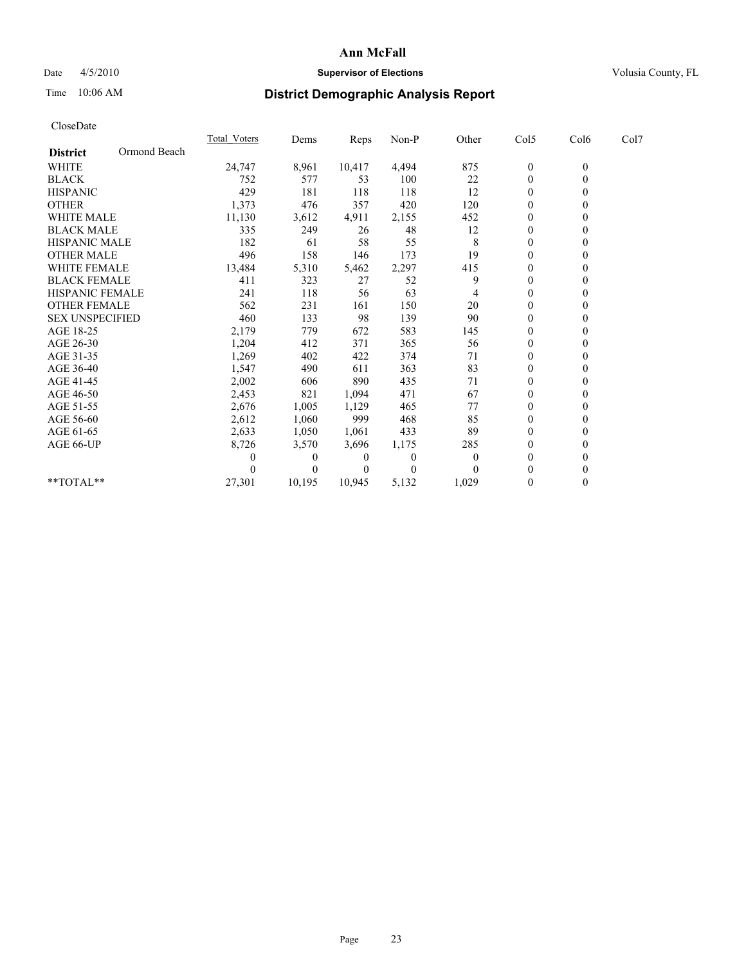## Date  $4/5/2010$  **Supervisor of Elections** Volusia County, FL

# Time 10:06 AM **District Demographic Analysis Report**

| CloseDate              |              |                     |          |        |       |          |                  |                  |      |  |
|------------------------|--------------|---------------------|----------|--------|-------|----------|------------------|------------------|------|--|
|                        |              | <b>Total Voters</b> | Dems     | Reps   | Non-P | Other    | Col5             | Col6             | Col7 |  |
| <b>District</b>        | Ormond Beach |                     |          |        |       |          |                  |                  |      |  |
| <b>WHITE</b>           |              | 24,747              | 8,961    | 10,417 | 4,494 | 875      | $\boldsymbol{0}$ | $\boldsymbol{0}$ |      |  |
| <b>BLACK</b>           |              | 752                 | 577      | 53     | 100   | 22       | $\boldsymbol{0}$ | $\theta$         |      |  |
| <b>HISPANIC</b>        |              | 429                 | 181      | 118    | 118   | 12       | $\boldsymbol{0}$ | 0                |      |  |
| <b>OTHER</b>           |              | 1,373               | 476      | 357    | 420   | 120      | $\boldsymbol{0}$ | $\theta$         |      |  |
| <b>WHITE MALE</b>      |              | 11,130              | 3,612    | 4,911  | 2,155 | 452      | 0                | 0                |      |  |
| <b>BLACK MALE</b>      |              | 335                 | 249      | 26     | 48    | 12       | 0                | $\theta$         |      |  |
| <b>HISPANIC MALE</b>   |              | 182                 | 61       | 58     | 55    | 8        | $\boldsymbol{0}$ | $\theta$         |      |  |
| <b>OTHER MALE</b>      |              | 496                 | 158      | 146    | 173   | 19       | $\boldsymbol{0}$ | $\theta$         |      |  |
| <b>WHITE FEMALE</b>    |              | 13,484              | 5,310    | 5,462  | 2,297 | 415      | $\boldsymbol{0}$ | $\mathbf{0}$     |      |  |
| <b>BLACK FEMALE</b>    |              | 411                 | 323      | 27     | 52    | 9        | $\boldsymbol{0}$ | 0                |      |  |
| <b>HISPANIC FEMALE</b> |              | 241                 | 118      | 56     | 63    | 4        | $\boldsymbol{0}$ | $\theta$         |      |  |
| <b>OTHER FEMALE</b>    |              | 562                 | 231      | 161    | 150   | 20       | 0                | $\theta$         |      |  |
| <b>SEX UNSPECIFIED</b> |              | 460                 | 133      | 98     | 139   | 90       | $\mathbf{0}$     | $\theta$         |      |  |
| AGE 18-25              |              | 2,179               | 779      | 672    | 583   | 145      | $\boldsymbol{0}$ | $\theta$         |      |  |
| AGE 26-30              |              | 1,204               | 412      | 371    | 365   | 56       | $\overline{0}$   | $\theta$         |      |  |
| AGE 31-35              |              | 1,269               | 402      | 422    | 374   | 71       | $\boldsymbol{0}$ | $\theta$         |      |  |
| AGE 36-40              |              | 1,547               | 490      | 611    | 363   | 83       | 0                | $\theta$         |      |  |
| AGE 41-45              |              | 2,002               | 606      | 890    | 435   | 71       | 0                | $\theta$         |      |  |
| AGE 46-50              |              | 2,453               | 821      | 1,094  | 471   | 67       | 0                | $\theta$         |      |  |
| AGE 51-55              |              | 2,676               | 1,005    | 1,129  | 465   | 77       | 0                | $\theta$         |      |  |
| AGE 56-60              |              | 2,612               | 1,060    | 999    | 468   | 85       | 0                | $\theta$         |      |  |
| AGE 61-65              |              | 2,633               | 1,050    | 1,061  | 433   | 89       | $\Omega$         | $\theta$         |      |  |
| AGE 66-UP              |              | 8,726               | 3,570    | 3,696  | 1,175 | 285      | $\boldsymbol{0}$ | $\theta$         |      |  |
|                        |              | 0                   | $\theta$ | 0      | 0     | $\theta$ | $\theta$         | 0                |      |  |
|                        |              |                     | $\theta$ |        | 0     | $\Omega$ | 0                | $\theta$         |      |  |
| $*$ TOTAL $*$ *        |              | 27,301              | 10,195   | 10,945 | 5,132 | 1,029    | 0                | $\theta$         |      |  |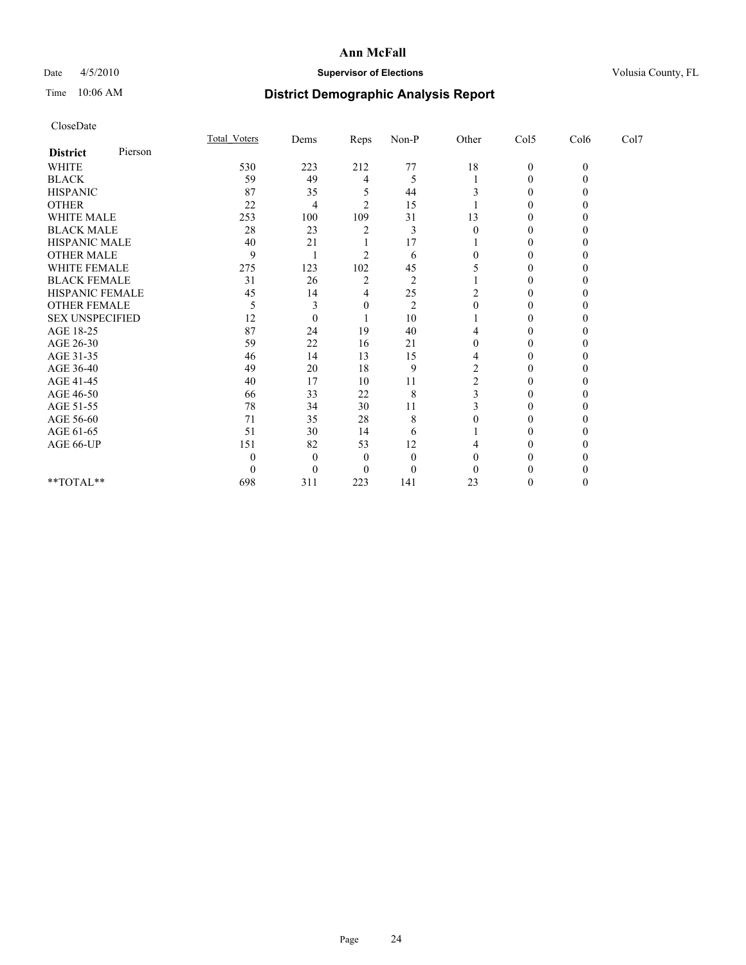## Date 4/5/2010 **Supervisor of Elections Supervisor of Elections** Volusia County, FL

# Time 10:06 AM **District Demographic Analysis Report**

|                        |         | Total Voters | Dems     | <b>Reps</b>    | $Non-P$        | Other  | Col5         | Col6         | Col7 |  |
|------------------------|---------|--------------|----------|----------------|----------------|--------|--------------|--------------|------|--|
| <b>District</b>        | Pierson |              |          |                |                |        |              |              |      |  |
| <b>WHITE</b>           |         | 530          | 223      | 212            | 77             | $18\,$ | $\mathbf{0}$ | $\mathbf{0}$ |      |  |
| <b>BLACK</b>           |         | 59           | 49       | 4              | 5              |        | 0            |              |      |  |
| <b>HISPANIC</b>        |         | 87           | 35       |                | 44             |        | 0            |              |      |  |
| <b>OTHER</b>           |         | 22           | 4        | $\mathfrak{D}$ | 15             |        | 0            |              |      |  |
| <b>WHITE MALE</b>      |         | 253          | 100      | 109            | 31             | 13     |              |              |      |  |
| <b>BLACK MALE</b>      |         | 28           | 23       | 2              | 3              |        | 0            |              |      |  |
| HISPANIC MALE          |         | 40           | 21       |                | 17             |        | 0            |              |      |  |
| <b>OTHER MALE</b>      |         | 9            |          | $\mathfrak{D}$ | 6              |        | 0            |              |      |  |
| WHITE FEMALE           |         | 275          | 123      | 102            | 45             |        | 0            |              |      |  |
| <b>BLACK FEMALE</b>    |         | 31           | 26       | $\overline{2}$ | $\overline{2}$ |        | 0            |              |      |  |
| HISPANIC FEMALE        |         | 45           | 14       | 4              | 25             |        | 0            |              |      |  |
| <b>OTHER FEMALE</b>    |         | 5            | 3        | $\theta$       | $\overline{2}$ | 0      | 0            |              |      |  |
| <b>SEX UNSPECIFIED</b> |         | 12           | $\theta$ |                | 10             |        | $\Omega$     |              |      |  |
| AGE 18-25              |         | 87           | 24       | 19             | 40             |        | 0            |              |      |  |
| AGE 26-30              |         | 59           | 22       | 16             | 21             | 0      | $\Omega$     |              |      |  |
| AGE 31-35              |         | 46           | 14       | 13             | 15             |        | $\Omega$     |              |      |  |
| AGE 36-40              |         | 49           | 20       | 18             | 9              | 2      | 0            |              |      |  |
| AGE 41-45              |         | 40           | 17       | $10\,$         | 11             |        | 0            |              |      |  |
| AGE 46-50              |         | 66           | 33       | $22\,$         | 8              |        | 0            |              |      |  |
| AGE 51-55              |         | 78           | 34       | 30             | 11             |        | 0            |              |      |  |
| AGE 56-60              |         | 71           | 35       | 28             | 8              |        | 0            |              |      |  |
| AGE 61-65              |         | 51           | 30       | 14             | 6              |        | 0            |              |      |  |
| AGE 66-UP              |         | 151          | 82       | 53             | 12             |        |              |              |      |  |
|                        |         |              | $\Omega$ | $\Omega$       | $\theta$       |        | 0            |              |      |  |
|                        |         |              | $\Omega$ | $\Omega$       | $\theta$       |        |              |              |      |  |
| **TOTAL**              |         | 698          | 311      | 223            | 141            | 23     | 0            |              |      |  |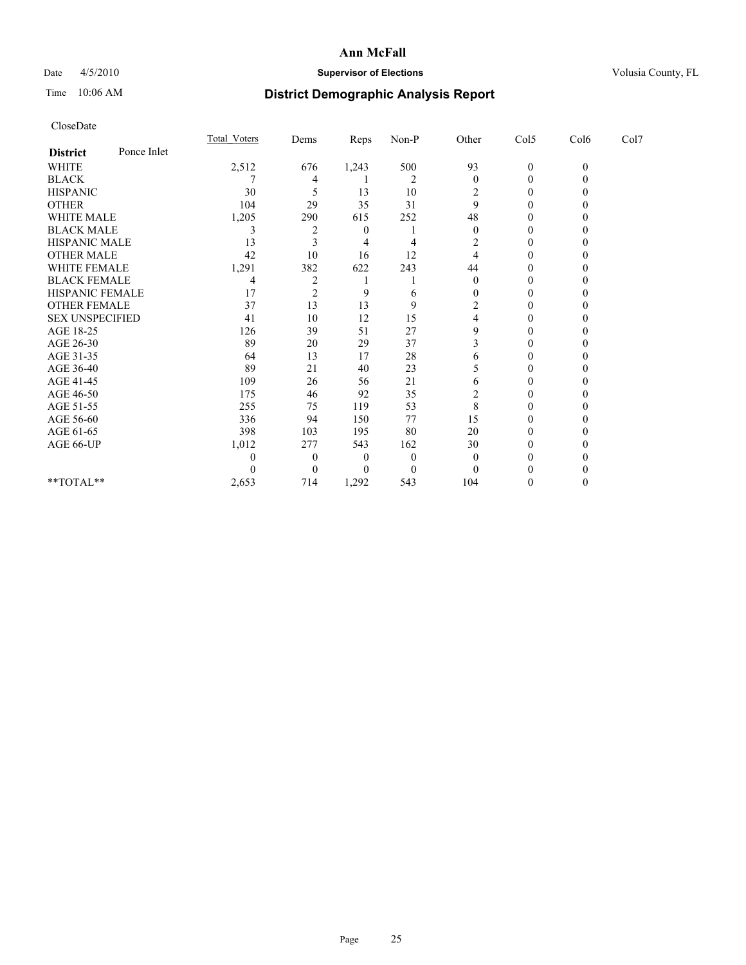## Date 4/5/2010 **Supervisor of Elections Supervisor of Elections** Volusia County, FL

# Time 10:06 AM **District Demographic Analysis Report**

|                        |             | Total Voters | Dems           | <b>Reps</b> | $Non-P$        | Other    | Col5         | Col6         | Col7 |  |
|------------------------|-------------|--------------|----------------|-------------|----------------|----------|--------------|--------------|------|--|
| <b>District</b>        | Ponce Inlet |              |                |             |                |          |              |              |      |  |
| <b>WHITE</b>           |             | 2,512        | 676            | 1,243       | 500            | 93       | $\mathbf{0}$ | $\mathbf{0}$ |      |  |
| <b>BLACK</b>           |             |              | 4              |             | $\overline{2}$ | $\theta$ | 0            |              |      |  |
| <b>HISPANIC</b>        |             | 30           |                | 13          | 10             | 2        | $\Omega$     |              |      |  |
| <b>OTHER</b>           |             | 104          | 29             | 35          | 31             | 9        | 0            |              |      |  |
| <b>WHITE MALE</b>      |             | 1,205        | 290            | 615         | 252            | 48       |              |              |      |  |
| <b>BLACK MALE</b>      |             | 3            |                | $\theta$    |                | $\Omega$ | 0            |              |      |  |
| HISPANIC MALE          |             | 13           |                |             | 4              | 2        | $\Omega$     |              |      |  |
| <b>OTHER MALE</b>      |             | 42           | 10             | 16          | 12             | 4        | 0            |              |      |  |
| WHITE FEMALE           |             | 1,291        | 382            | 622         | 243            | 44       | 0            |              |      |  |
| <b>BLACK FEMALE</b>    |             | 4            | $\overline{2}$ |             |                | $\theta$ | 0            |              |      |  |
| HISPANIC FEMALE        |             | 17           | $\overline{c}$ | 9           | 6              | 0        | 0            |              |      |  |
| <b>OTHER FEMALE</b>    |             | 37           | 13             | 13          | 9              | 2        | 0            |              |      |  |
| <b>SEX UNSPECIFIED</b> |             | 41           | 10             | 12          | 15             | 4        | 0            |              |      |  |
| AGE 18-25              |             | 126          | 39             | 51          | 27             | 9        | 0            |              |      |  |
| AGE 26-30              |             | 89           | 20             | 29          | 37             |          | $\Omega$     |              |      |  |
| AGE 31-35              |             | 64           | 13             | 17          | 28             | 6        | $\Omega$     |              |      |  |
| AGE 36-40              |             | 89           | 21             | 40          | 23             | 5        | 0            |              |      |  |
| AGE 41-45              |             | 109          | 26             | 56          | 21             | 6        | 0            |              |      |  |
| AGE 46-50              |             | 175          | 46             | 92          | 35             | 2        | 0            |              |      |  |
| AGE 51-55              |             | 255          | 75             | 119         | 53             | 8        | 0            |              |      |  |
| AGE 56-60              |             | 336          | 94             | 150         | 77             | 15       | 0            |              |      |  |
| AGE 61-65              |             | 398          | 103            | 195         | 80             | 20       | 0            |              |      |  |
| AGE 66-UP              |             | 1,012        | 277            | 543         | 162            | 30       | 0            |              |      |  |
|                        |             |              | $\theta$       | $\theta$    | $\theta$       | $\Omega$ | 0            |              |      |  |
|                        |             |              | $\Omega$       | $\left($    | $\theta$       | $\Omega$ |              |              |      |  |
| **TOTAL**              |             | 2,653        | 714            | 1,292       | 543            | 104      | 0            |              |      |  |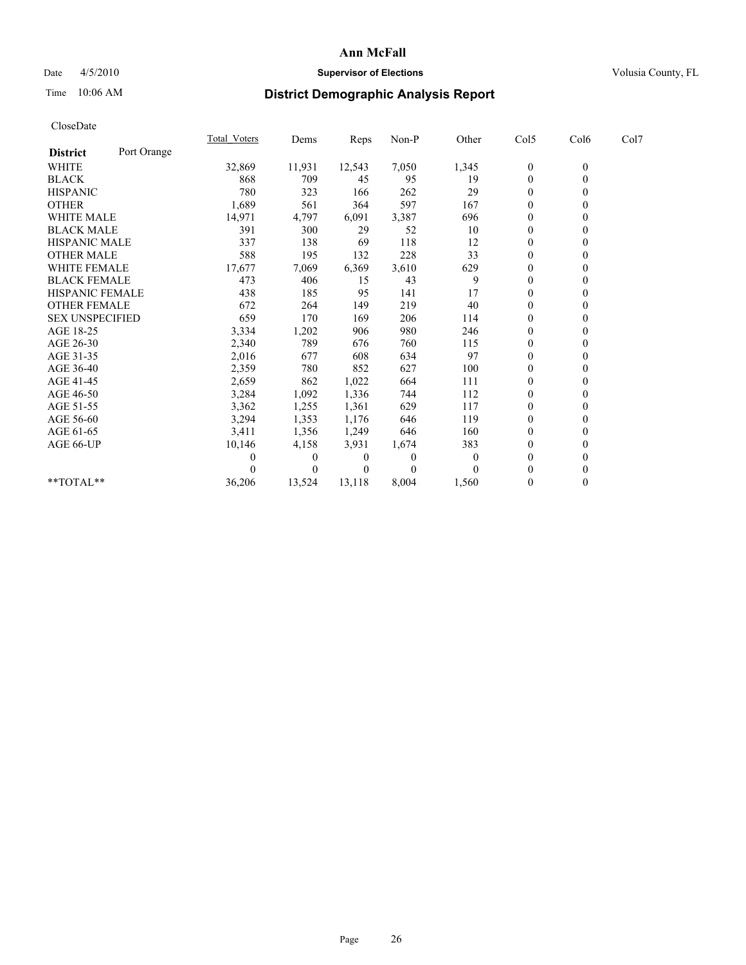## Date 4/5/2010 **Supervisor of Elections Supervisor of Elections** Volusia County, FL

# Time 10:06 AM **District Demographic Analysis Report**

|                        |             | <b>Total Voters</b> | Dems     | <b>Reps</b> | Non-P    | Other    | Col5           | Col6         | Col7 |  |
|------------------------|-------------|---------------------|----------|-------------|----------|----------|----------------|--------------|------|--|
| <b>District</b>        | Port Orange |                     |          |             |          |          |                |              |      |  |
| <b>WHITE</b>           |             | 32,869              | 11,931   | 12,543      | 7,050    | 1,345    | $\bf{0}$       | $\mathbf{0}$ |      |  |
| <b>BLACK</b>           |             | 868                 | 709      | 45          | 95       | 19       | $\mathbf{0}$   |              |      |  |
| <b>HISPANIC</b>        |             | 780                 | 323      | 166         | 262      | 29       | $\Omega$       |              |      |  |
| <b>OTHER</b>           |             | 1,689               | 561      | 364         | 597      | 167      | $\Omega$       |              |      |  |
| <b>WHITE MALE</b>      |             | 14,971              | 4,797    | 6,091       | 3,387    | 696      | 0              |              |      |  |
| <b>BLACK MALE</b>      |             | 391                 | 300      | 29          | 52       | 10       | $\theta$       |              |      |  |
| <b>HISPANIC MALE</b>   |             | 337                 | 138      | 69          | 118      | 12       | $\theta$       |              |      |  |
| <b>OTHER MALE</b>      |             | 588                 | 195      | 132         | 228      | 33       | 0              |              |      |  |
| <b>WHITE FEMALE</b>    |             | 17,677              | 7,069    | 6,369       | 3,610    | 629      | $\theta$       |              |      |  |
| <b>BLACK FEMALE</b>    |             | 473                 | 406      | 15          | 43       | 9        | $\theta$       |              |      |  |
| HISPANIC FEMALE        |             | 438                 | 185      | 95          | 141      | 17       | $\theta$       |              |      |  |
| <b>OTHER FEMALE</b>    |             | 672                 | 264      | 149         | 219      | 40       | $\theta$       |              |      |  |
| <b>SEX UNSPECIFIED</b> |             | 659                 | 170      | 169         | 206      | 114      | $\overline{0}$ |              |      |  |
| AGE 18-25              |             | 3,334               | 1,202    | 906         | 980      | 246      | $\theta$       |              |      |  |
| AGE 26-30              |             | 2,340               | 789      | 676         | 760      | 115      | $\theta$       |              |      |  |
| AGE 31-35              |             | 2,016               | 677      | 608         | 634      | 97       | $\Omega$       |              |      |  |
| AGE 36-40              |             | 2,359               | 780      | 852         | 627      | 100      | $\Omega$       |              |      |  |
| AGE 41-45              |             | 2,659               | 862      | 1,022       | 664      | 111      | $\theta$       |              |      |  |
| AGE 46-50              |             | 3,284               | 1,092    | 1,336       | 744      | 112      | $\Omega$       |              |      |  |
| AGE 51-55              |             | 3,362               | 1,255    | 1,361       | 629      | 117      | $\theta$       |              |      |  |
| AGE 56-60              |             | 3,294               | 1,353    | 1,176       | 646      | 119      | $\theta$       |              |      |  |
| AGE 61-65              |             | 3,411               | 1,356    | 1,249       | 646      | 160      | $\theta$       |              |      |  |
| AGE 66-UP              |             | 10,146              | 4,158    | 3,931       | 1,674    | 383      | 0              |              |      |  |
|                        |             |                     | $\theta$ | 0           | $\Omega$ | $\theta$ | $\theta$       |              |      |  |
|                        |             |                     | $\Omega$ | $\theta$    | $\Omega$ |          | $\Omega$       |              |      |  |
| **TOTAL**              |             | 36,206              | 13,524   | 13,118      | 8,004    | 1,560    | $\mathbf{0}$   | 0            |      |  |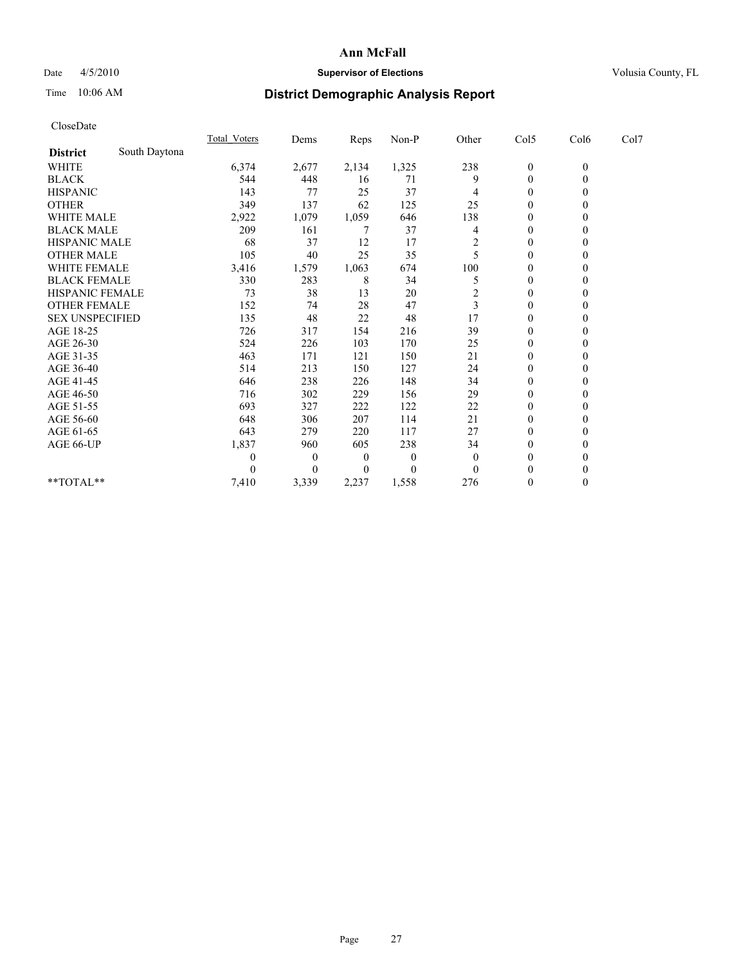## Date  $4/5/2010$  **Supervisor of Elections** Volusia County, FL

# Time 10:06 AM **District Demographic Analysis Report**

| CloseDate              |               |                     |          |          |          |                |                  |                |      |  |
|------------------------|---------------|---------------------|----------|----------|----------|----------------|------------------|----------------|------|--|
|                        |               | <b>Total Voters</b> | Dems     | Reps     | Non-P    | Other          | Col5             | Col6           | Col7 |  |
| <b>District</b>        | South Daytona |                     |          |          |          |                |                  |                |      |  |
| <b>WHITE</b>           |               | 6,374               | 2,677    | 2,134    | 1,325    | 238            | $\overline{0}$   | $\theta$       |      |  |
| <b>BLACK</b>           |               | 544                 | 448      | 16       | 71       | 9              | $\boldsymbol{0}$ | $\overline{0}$ |      |  |
| <b>HISPANIC</b>        |               | 143                 | 77       | 25       | 37       | 4              | $\theta$         | 0              |      |  |
| <b>OTHER</b>           |               | 349                 | 137      | 62       | 125      | 25             | $\boldsymbol{0}$ | 0              |      |  |
| <b>WHITE MALE</b>      |               | 2,922               | 1,079    | 1,059    | 646      | 138            | $\boldsymbol{0}$ | 0              |      |  |
| <b>BLACK MALE</b>      |               | 209                 | 161      | 7        | 37       | 4              | $\boldsymbol{0}$ | 0              |      |  |
| <b>HISPANIC MALE</b>   |               | 68                  | 37       | 12       | 17       | $\overline{c}$ | 0                | 0              |      |  |
| <b>OTHER MALE</b>      |               | 105                 | 40       | 25       | 35       | 5              | $\theta$         | 0              |      |  |
| WHITE FEMALE           |               | 3,416               | 1,579    | 1,063    | 674      | 100            | $\boldsymbol{0}$ | 0              |      |  |
| <b>BLACK FEMALE</b>    |               | 330                 | 283      | 8        | 34       | 5              | $\theta$         | 0              |      |  |
| <b>HISPANIC FEMALE</b> |               | 73                  | 38       | 13       | 20       | $\overline{2}$ | $\boldsymbol{0}$ | 0              |      |  |
| <b>OTHER FEMALE</b>    |               | 152                 | 74       | 28       | 47       | 3              | $\mathbf{0}$     | 0              |      |  |
| <b>SEX UNSPECIFIED</b> |               | 135                 | 48       | 22       | 48       | 17             | $\theta$         | 0              |      |  |
| AGE 18-25              |               | 726                 | 317      | 154      | 216      | 39             | $\boldsymbol{0}$ | 0              |      |  |
| AGE 26-30              |               | 524                 | 226      | 103      | 170      | 25             | $\overline{0}$   | 0              |      |  |
| AGE 31-35              |               | 463                 | 171      | 121      | 150      | 21             | $\mathbf{0}$     | 0              |      |  |
| AGE 36-40              |               | 514                 | 213      | 150      | 127      | 24             | $\theta$         | 0              |      |  |
| AGE 41-45              |               | 646                 | 238      | 226      | 148      | 34             | $\boldsymbol{0}$ | 0              |      |  |
| AGE 46-50              |               | 716                 | 302      | 229      | 156      | 29             | $\boldsymbol{0}$ | 0              |      |  |
| AGE 51-55              |               | 693                 | 327      | 222      | 122      | 22             | $\theta$         | 0              |      |  |
| AGE 56-60              |               | 648                 | 306      | 207      | 114      | 21             | $\boldsymbol{0}$ | 0              |      |  |
| AGE 61-65              |               | 643                 | 279      | 220      | 117      | 27             | $\overline{0}$   | $\theta$       |      |  |
| AGE 66-UP              |               | 1,837               | 960      | 605      | 238      | 34             | $\boldsymbol{0}$ | $\theta$       |      |  |
|                        |               | 0                   | $\theta$ | $\theta$ | $\theta$ | $\mathbf{0}$   | $\theta$         | 0              |      |  |
|                        |               | 0                   | 0        | 0        | $\theta$ | $\theta$       | $\theta$         | 0              |      |  |
| **TOTAL**              |               | 7,410               | 3,339    | 2,237    | 1,558    | 276            | $\theta$         | $\overline{0}$ |      |  |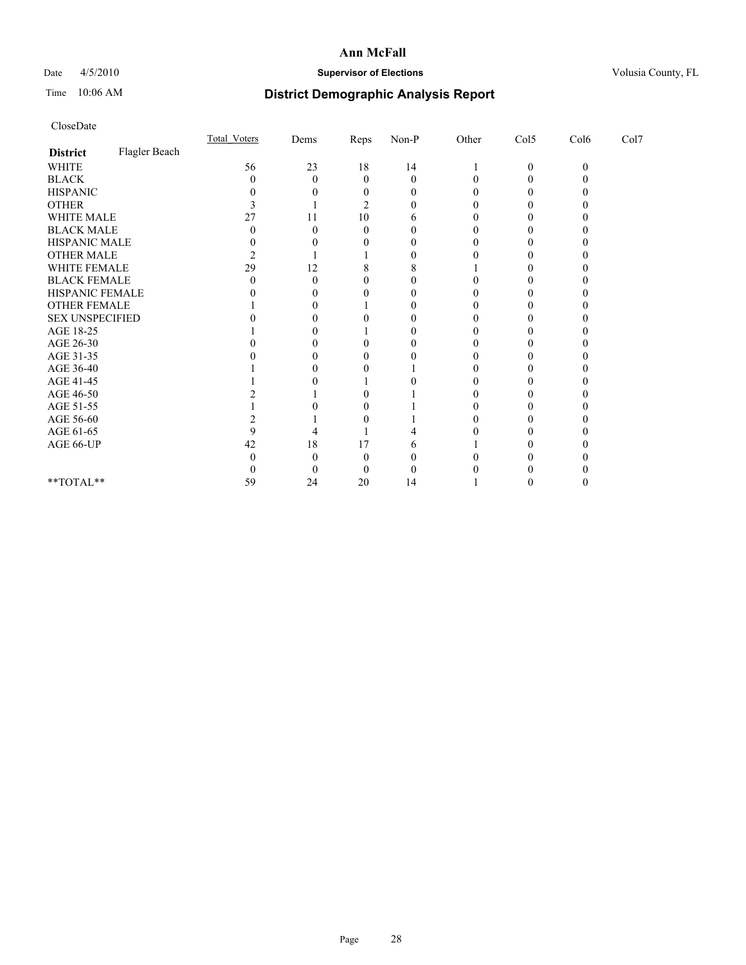## Date 4/5/2010 **Supervisor of Elections Supervisor of Elections** Volusia County, FL

# Time 10:06 AM **District Demographic Analysis Report**

|                        |               | <b>Total Voters</b> | Dems | Reps     | $Non-P$      | Other | Col5         | Col6     | Col7 |  |
|------------------------|---------------|---------------------|------|----------|--------------|-------|--------------|----------|------|--|
| <b>District</b>        | Flagler Beach |                     |      |          |              |       |              |          |      |  |
| <b>WHITE</b>           |               | 56                  | 23   | 18       | 14           |       | $\mathbf{0}$ | $\theta$ |      |  |
| <b>BLACK</b>           |               |                     | 0    | $\theta$ | $\Omega$     |       |              |          |      |  |
| <b>HISPANIC</b>        |               |                     |      |          | $\mathbf{0}$ |       |              |          |      |  |
| <b>OTHER</b>           |               |                     |      |          |              |       |              |          |      |  |
| WHITE MALE             |               |                     | 11   | 10       |              |       |              |          |      |  |
| <b>BLACK MALE</b>      |               |                     |      |          |              |       |              |          |      |  |
| HISPANIC MALE          |               |                     |      |          |              |       |              |          |      |  |
| <b>OTHER MALE</b>      |               |                     |      |          |              |       |              |          |      |  |
| WHITE FEMALE           |               | 29                  | 12   |          | 8            |       |              |          |      |  |
| <b>BLACK FEMALE</b>    |               |                     |      |          |              |       |              |          |      |  |
| HISPANIC FEMALE        |               |                     |      |          |              |       |              |          |      |  |
| OTHER FEMALE           |               |                     |      |          |              |       |              |          |      |  |
| <b>SEX UNSPECIFIED</b> |               |                     |      |          |              |       |              |          |      |  |
| AGE 18-25              |               |                     |      |          |              |       |              |          |      |  |
| AGE 26-30              |               |                     |      |          |              |       |              |          |      |  |
| AGE 31-35              |               |                     |      |          |              |       |              |          |      |  |
| AGE 36-40              |               |                     |      |          |              |       |              |          |      |  |
| AGE 41-45              |               |                     |      |          |              |       |              |          |      |  |
| AGE 46-50              |               |                     |      |          |              |       |              |          |      |  |
| AGE 51-55              |               |                     |      |          |              |       |              |          |      |  |
| AGE 56-60              |               |                     |      |          |              |       |              |          |      |  |
| AGE 61-65              |               |                     |      |          |              |       |              |          |      |  |
| AGE 66-UP              |               | 42                  | 18   | 17       |              |       |              |          |      |  |
|                        |               |                     |      |          |              |       |              |          |      |  |
|                        |               |                     |      |          |              |       |              |          |      |  |
| **TOTAL**              |               | 59                  | 24   | 20       | 14           |       |              |          |      |  |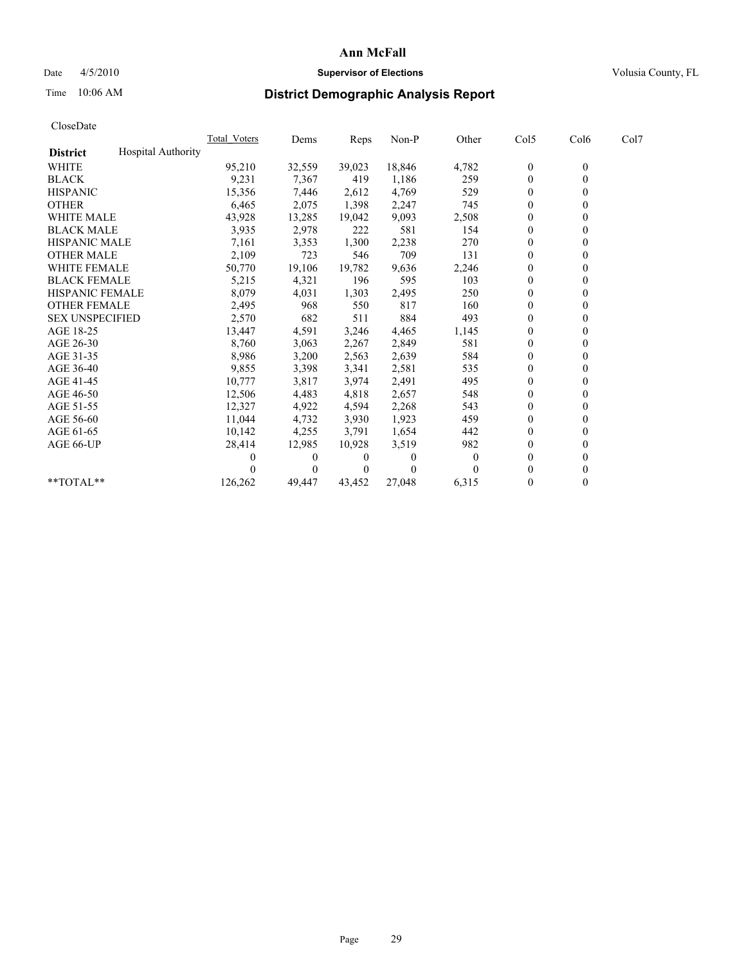## Date 4/5/2010 **Supervisor of Elections Supervisor of Elections** Volusia County, FL

# Time 10:06 AM **District Demographic Analysis Report**

|                                              | <b>Total Voters</b> | Dems     | <b>Reps</b> | Non-P    | Other    | Col5             | Col6         | Col7 |
|----------------------------------------------|---------------------|----------|-------------|----------|----------|------------------|--------------|------|
| <b>Hospital Authority</b><br><b>District</b> |                     |          |             |          |          |                  |              |      |
| <b>WHITE</b>                                 | 95,210              | 32,559   | 39,023      | 18,846   | 4,782    | $\boldsymbol{0}$ | $\mathbf{0}$ |      |
| <b>BLACK</b>                                 | 9,231               | 7,367    | 419         | 1,186    | 259      | $\mathbf{0}$     |              |      |
| <b>HISPANIC</b>                              | 15,356              | 7,446    | 2,612       | 4.769    | 529      | $\theta$         |              |      |
| <b>OTHER</b>                                 | 6,465               | 2,075    | 1,398       | 2,247    | 745      | $\theta$         |              |      |
| <b>WHITE MALE</b>                            | 43,928              | 13,285   | 19,042      | 9,093    | 2,508    | 0                |              |      |
| <b>BLACK MALE</b>                            | 3,935               | 2,978    | 222         | 581      | 154      | $\theta$         |              |      |
| <b>HISPANIC MALE</b>                         | 7,161               | 3,353    | 1,300       | 2,238    | 270      | $\overline{0}$   |              |      |
| <b>OTHER MALE</b>                            | 2,109               | 723      | 546         | 709      | 131      | $\mathbf{0}$     |              |      |
| <b>WHITE FEMALE</b>                          | 50,770              | 19,106   | 19,782      | 9,636    | 2,246    | $\theta$         |              |      |
| <b>BLACK FEMALE</b>                          | 5,215               | 4,321    | 196         | 595      | 103      | $\theta$         |              |      |
| HISPANIC FEMALE                              | 8,079               | 4,031    | 1,303       | 2,495    | 250      | $\mathbf{0}$     |              |      |
| <b>OTHER FEMALE</b>                          | 2,495               | 968      | 550         | 817      | 160      | $\theta$         |              |      |
| <b>SEX UNSPECIFIED</b>                       | 2,570               | 682      | 511         | 884      | 493      | $\overline{0}$   |              |      |
| AGE 18-25                                    | 13,447              | 4,591    | 3,246       | 4,465    | 1,145    | $\theta$         |              |      |
| AGE 26-30                                    | 8,760               | 3,063    | 2,267       | 2,849    | 581      | $\theta$         |              |      |
| AGE 31-35                                    | 8,986               | 3,200    | 2,563       | 2,639    | 584      | $\overline{0}$   |              |      |
| AGE 36-40                                    | 9,855               | 3,398    | 3,341       | 2,581    | 535      | $\mathbf{0}$     |              |      |
| AGE 41-45                                    | 10,777              | 3,817    | 3,974       | 2,491    | 495      | $\theta$         |              |      |
| AGE 46-50                                    | 12,506              | 4,483    | 4,818       | 2,657    | 548      | $\theta$         |              |      |
| AGE 51-55                                    | 12,327              | 4,922    | 4,594       | 2,268    | 543      | $\mathbf{0}$     |              |      |
| AGE 56-60                                    | 11,044              | 4,732    | 3,930       | 1,923    | 459      | $\theta$         |              |      |
| AGE 61-65                                    | 10,142              | 4,255    | 3,791       | 1,654    | 442      | $\mathbf{0}$     |              |      |
| AGE 66-UP                                    | 28,414              | 12,985   | 10,928      | 3,519    | 982      | $\mathbf{0}$     |              |      |
|                                              | 0                   | $\Omega$ | 0           | $\Omega$ | $\theta$ | $\theta$         |              |      |
|                                              |                     | $\Omega$ | $\theta$    | $\theta$ |          | $\Omega$         |              |      |
| **TOTAL**                                    | 126,262             | 49,447   | 43,452      | 27,048   | 6,315    | $\mathbf{0}$     | 0            |      |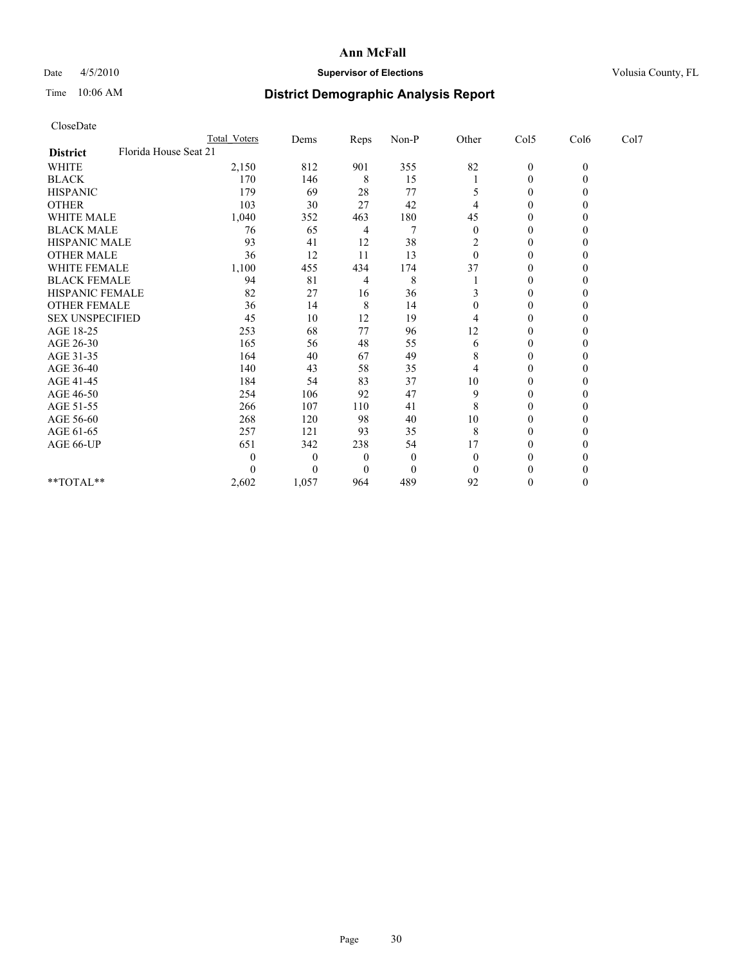## Date 4/5/2010 **Supervisor of Elections Supervisor of Elections** Volusia County, FL

# Time 10:06 AM **District Demographic Analysis Report**

|                                          | Total Voters | Dems     | Reps     | $Non-P$  | Other    | Col5         | Col6         | Col7 |  |
|------------------------------------------|--------------|----------|----------|----------|----------|--------------|--------------|------|--|
| Florida House Seat 21<br><b>District</b> |              |          |          |          |          |              |              |      |  |
| WHITE                                    | 2,150        | 812      | 901      | 355      | 82       | $\mathbf{0}$ | $\mathbf{0}$ |      |  |
| <b>BLACK</b>                             | 170          | 146      | 8        | 15       |          | $\theta$     |              |      |  |
| <b>HISPANIC</b>                          | 179          | 69       | 28       | 77       |          | $\theta$     |              |      |  |
| <b>OTHER</b>                             | 103          | 30       | 27       | 42       |          | $\theta$     |              |      |  |
| <b>WHITE MALE</b>                        | 1,040        | 352      | 463      | 180      | 45       | 0            |              |      |  |
| <b>BLACK MALE</b>                        | 76           | 65       | 4        |          | $\Omega$ | $\theta$     |              |      |  |
| <b>HISPANIC MALE</b>                     | 93           | 41       | 12       | 38       | 2        | $\mathbf{0}$ |              |      |  |
| <b>OTHER MALE</b>                        | 36           | 12       | 11       | 13       | $\theta$ | $\theta$     |              |      |  |
| WHITE FEMALE                             | 1,100        | 455      | 434      | 174      | 37       | $\Omega$     |              |      |  |
| <b>BLACK FEMALE</b>                      | 94           | 81       | 4        | 8        |          | $\theta$     |              |      |  |
| HISPANIC FEMALE                          | 82           | 27       | 16       | 36       |          | $\theta$     |              |      |  |
| <b>OTHER FEMALE</b>                      | 36           | 14       | 8        | 14       | $\Omega$ | $\Omega$     |              |      |  |
| <b>SEX UNSPECIFIED</b>                   | 45           | 10       | 12       | 19       |          | $\theta$     |              |      |  |
| AGE 18-25                                | 253          | 68       | 77       | 96       | 12       | $\theta$     |              |      |  |
| AGE 26-30                                | 165          | 56       | 48       | 55       | 6        | $\theta$     |              |      |  |
| AGE 31-35                                | 164          | 40       | 67       | 49       | 8        | $\theta$     |              |      |  |
| AGE 36-40                                | 140          | 43       | 58       | 35       |          | $\theta$     |              |      |  |
| AGE 41-45                                | 184          | 54       | 83       | 37       | 10       | $\theta$     |              |      |  |
| AGE 46-50                                | 254          | 106      | 92       | 47       | 9        | $\theta$     |              |      |  |
| AGE 51-55                                | 266          | 107      | 110      | 41       | 8        | $\theta$     |              |      |  |
| AGE 56-60                                | 268          | 120      | 98       | 40       | 10       | $\theta$     |              |      |  |
| AGE 61-65                                | 257          | 121      | 93       | 35       | 8        | $\theta$     |              |      |  |
| AGE 66-UP                                | 651          | 342      | 238      | 54       | 17       | $\theta$     |              |      |  |
|                                          |              | $\bf{0}$ | $\theta$ | $\theta$ | 0        | $\Omega$     |              |      |  |
|                                          |              | $\theta$ | $\theta$ | $\theta$ |          | 0            |              |      |  |
| **TOTAL**                                | 2,602        | 1,057    | 964      | 489      | 92       | $\theta$     |              |      |  |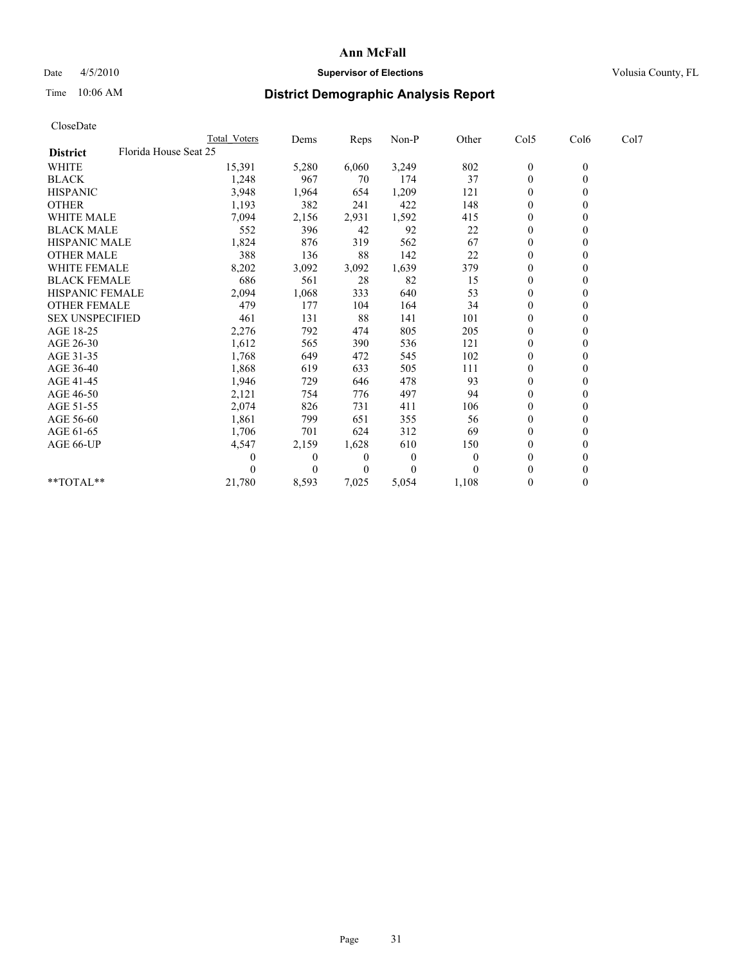## Date 4/5/2010 **Supervisor of Elections Supervisor of Elections** Volusia County, FL

# Time 10:06 AM **District Demographic Analysis Report**

|                                          | Total Voters | Dems           | <b>Reps</b> | Non-P        | Other    | Col5             | Col6         | Col7 |
|------------------------------------------|--------------|----------------|-------------|--------------|----------|------------------|--------------|------|
| Florida House Seat 25<br><b>District</b> |              |                |             |              |          |                  |              |      |
| <b>WHITE</b>                             | 15,391       | 5,280          | 6,060       | 3,249        | 802      | $\boldsymbol{0}$ | $\mathbf{0}$ |      |
| <b>BLACK</b>                             | 1,248        | 967            | 70          | 174          | 37       | $\mathbf{0}$     |              |      |
| <b>HISPANIC</b>                          | 3,948        | 1,964          | 654         | 1,209        | 121      | $\theta$         |              |      |
| <b>OTHER</b>                             | 1,193        | 382            | 241         | 422          | 148      | $\Omega$         |              |      |
| WHITE MALE                               | 7,094        | 2,156          | 2,931       | 1,592        | 415      | 0                |              |      |
| <b>BLACK MALE</b>                        | 552          | 396            | 42          | 92           | 22       | $\theta$         |              |      |
| <b>HISPANIC MALE</b>                     | 1,824        | 876            | 319         | 562          | 67       | $\theta$         |              |      |
| <b>OTHER MALE</b>                        | 388          | 136            | 88          | 142          | 22       | $\Omega$         |              |      |
| <b>WHITE FEMALE</b>                      | 8,202        | 3,092          | 3,092       | 1,639        | 379      | $\theta$         |              |      |
| <b>BLACK FEMALE</b>                      | 686          | 561            | 28          | 82           | 15       | $\overline{0}$   |              |      |
| HISPANIC FEMALE                          | 2,094        | 1,068          | 333         | 640          | 53       | $\overline{0}$   |              |      |
| <b>OTHER FEMALE</b>                      | 479          | 177            | 104         | 164          | 34       | $\theta$         |              |      |
| <b>SEX UNSPECIFIED</b>                   | 461          | 131            | 88          | 141          | 101      | $\theta$         |              |      |
| AGE 18-25                                | 2,276        | 792            | 474         | 805          | 205      | $\Omega$         |              |      |
| AGE 26-30                                | 1,612        | 565            | 390         | 536          | 121      | $\mathbf{0}$     |              |      |
| AGE 31-35                                | 1,768        | 649            | 472         | 545          | 102      | $\overline{0}$   |              |      |
| AGE 36-40                                | 1,868        | 619            | 633         | 505          | 111      | $\overline{0}$   |              |      |
| AGE 41-45                                | 1,946        | 729            | 646         | 478          | 93       | $\theta$         |              |      |
| AGE 46-50                                | 2,121        | 754            | 776         | 497          | 94       | $\theta$         |              |      |
| AGE 51-55                                | 2,074        | 826            | 731         | 411          | 106      | 0                |              |      |
| AGE 56-60                                | 1,861        | 799            | 651         | 355          | 56       | $\theta$         |              |      |
| AGE 61-65                                | 1,706        | 701            | 624         | 312          | 69       | $\Omega$         |              |      |
| AGE 66-UP                                | 4,547        | 2,159          | 1,628       | 610          | 150      | $\Omega$         |              |      |
|                                          |              | $\overline{0}$ | 0           | $\mathbf{0}$ | $\Omega$ | $\theta$         |              |      |
|                                          |              | $\Omega$       | $\theta$    | $\theta$     |          | 0                |              |      |
| $*$ $TOTAI.**$                           | 21,780       | 8,593          | 7,025       | 5,054        | 1,108    | $\theta$         |              |      |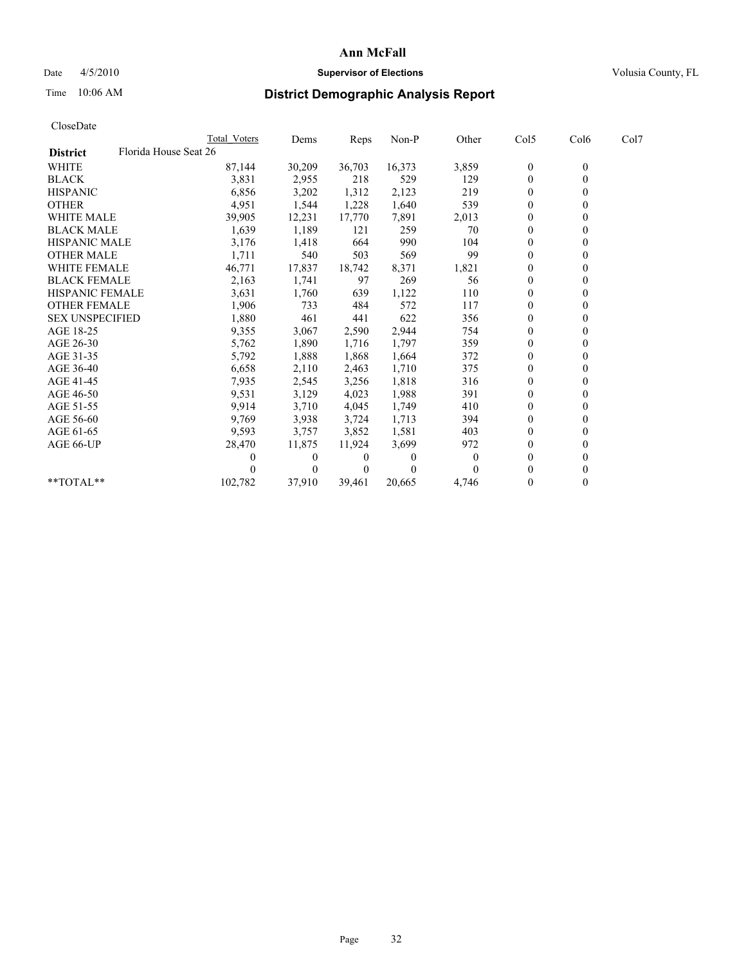## Date 4/5/2010 **Supervisor of Elections Supervisor of Elections** Volusia County, FL

# Time 10:06 AM **District Demographic Analysis Report**

|                                          | <b>Total Voters</b> | Dems     | <b>Reps</b> | Non-P    | Other    | Col5             | Col6         | Col7 |  |
|------------------------------------------|---------------------|----------|-------------|----------|----------|------------------|--------------|------|--|
| Florida House Seat 26<br><b>District</b> |                     |          |             |          |          |                  |              |      |  |
| <b>WHITE</b>                             | 87,144              | 30,209   | 36,703      | 16,373   | 3,859    | $\boldsymbol{0}$ | $\mathbf{0}$ |      |  |
| <b>BLACK</b>                             | 3,831               | 2,955    | 218         | 529      | 129      | $\overline{0}$   |              |      |  |
| <b>HISPANIC</b>                          | 6,856               | 3,202    | 1,312       | 2,123    | 219      | $\theta$         |              |      |  |
| <b>OTHER</b>                             | 4,951               | 1,544    | 1,228       | 1,640    | 539      | $\overline{0}$   |              |      |  |
| <b>WHITE MALE</b>                        | 39,905              | 12,231   | 17,770      | 7,891    | 2,013    | 0                |              |      |  |
| <b>BLACK MALE</b>                        | 1,639               | 1,189    | 121         | 259      | 70       | $\theta$         |              |      |  |
| <b>HISPANIC MALE</b>                     | 3,176               | 1,418    | 664         | 990      | 104      | $\overline{0}$   |              |      |  |
| <b>OTHER MALE</b>                        | 1,711               | 540      | 503         | 569      | 99       | $\Omega$         |              |      |  |
| <b>WHITE FEMALE</b>                      | 46,771              | 17,837   | 18,742      | 8,371    | 1,821    | $\theta$         |              |      |  |
| <b>BLACK FEMALE</b>                      | 2,163               | 1,741    | 97          | 269      | 56       | $\overline{0}$   |              |      |  |
| HISPANIC FEMALE                          | 3,631               | 1,760    | 639         | 1,122    | 110      | $\Omega$         |              |      |  |
| <b>OTHER FEMALE</b>                      | 1,906               | 733      | 484         | 572      | 117      | $\theta$         |              |      |  |
| <b>SEX UNSPECIFIED</b>                   | 1,880               | 461      | 441         | 622      | 356      | $\Omega$         |              |      |  |
| AGE 18-25                                | 9,355               | 3,067    | 2,590       | 2,944    | 754      | 0                |              |      |  |
| AGE 26-30                                | 5,762               | 1,890    | 1,716       | 1,797    | 359      | $\Omega$         |              |      |  |
| AGE 31-35                                | 5,792               | 1,888    | 1,868       | 1,664    | 372      | $\overline{0}$   |              |      |  |
| AGE 36-40                                | 6,658               | 2,110    | 2,463       | 1,710    | 375      | $\Omega$         |              |      |  |
| AGE 41-45                                | 7,935               | 2,545    | 3,256       | 1,818    | 316      | $\theta$         |              |      |  |
| AGE 46-50                                | 9,531               | 3,129    | 4,023       | 1,988    | 391      | $\overline{0}$   |              |      |  |
| AGE 51-55                                | 9,914               | 3,710    | 4,045       | 1,749    | 410      | $\theta$         |              |      |  |
| AGE 56-60                                | 9,769               | 3,938    | 3,724       | 1,713    | 394      | $\theta$         |              |      |  |
| AGE 61-65                                | 9,593               | 3,757    | 3,852       | 1,581    | 403      | $\Omega$         |              |      |  |
| AGE 66-UP                                | 28,470              | 11,875   | 11,924      | 3,699    | 972      | $\overline{0}$   |              |      |  |
|                                          | 0                   | $\Omega$ | 0           | $\Omega$ | $\theta$ | $\Omega$         |              |      |  |
|                                          |                     | $\Omega$ | 0           | $\theta$ |          | $\Omega$         |              |      |  |
| **TOTAL**                                | 102,782             | 37,910   | 39,461      | 20,665   | 4,746    | $\mathbf{0}$     | 0            |      |  |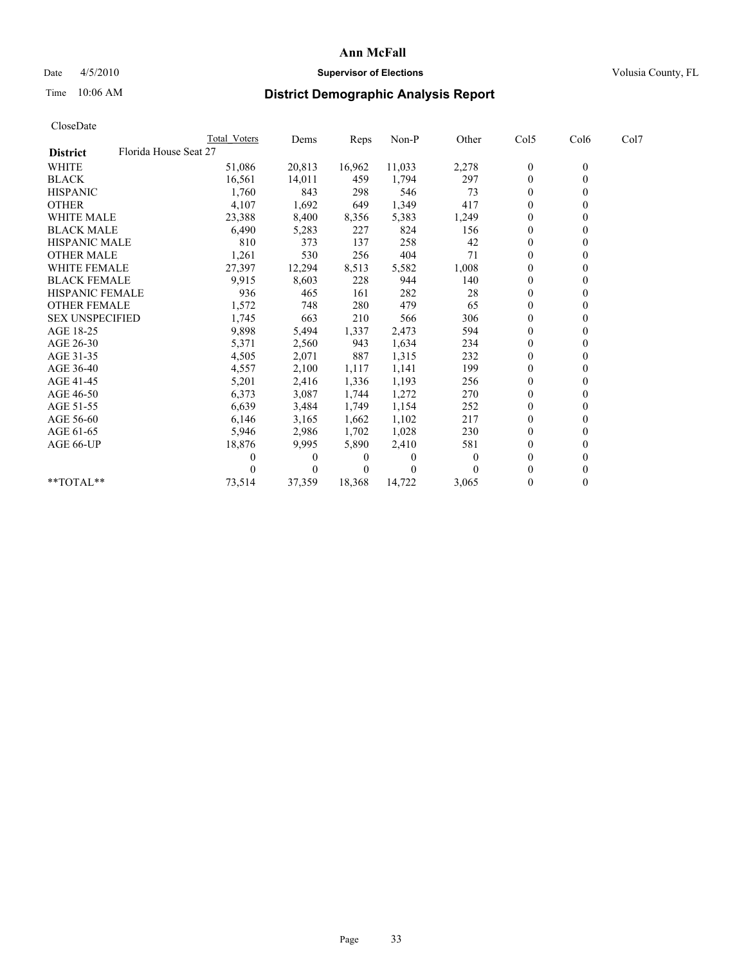## Date 4/5/2010 **Supervisor of Elections Supervisor of Elections** Volusia County, FL

# Time 10:06 AM **District Demographic Analysis Report**

|                                          | <b>Total Voters</b> | Dems     | <b>Reps</b> | Non-P    | Other    | Col5             | Col6         | Col7 |  |
|------------------------------------------|---------------------|----------|-------------|----------|----------|------------------|--------------|------|--|
| Florida House Seat 27<br><b>District</b> |                     |          |             |          |          |                  |              |      |  |
| <b>WHITE</b>                             | 51,086              | 20,813   | 16,962      | 11,033   | 2,278    | $\boldsymbol{0}$ | $\mathbf{0}$ |      |  |
| <b>BLACK</b>                             | 16,561              | 14,011   | 459         | 1,794    | 297      | $\overline{0}$   |              |      |  |
| <b>HISPANIC</b>                          | 1,760               | 843      | 298         | 546      | 73       | $\theta$         |              |      |  |
| <b>OTHER</b>                             | 4,107               | 1,692    | 649         | 1,349    | 417      | $\theta$         |              |      |  |
| <b>WHITE MALE</b>                        | 23,388              | 8,400    | 8,356       | 5,383    | 1,249    | 0                |              |      |  |
| <b>BLACK MALE</b>                        | 6,490               | 5,283    | 227         | 824      | 156      | $\theta$         |              |      |  |
| <b>HISPANIC MALE</b>                     | 810                 | 373      | 137         | 258      | 42       | $\overline{0}$   |              |      |  |
| <b>OTHER MALE</b>                        | 1,261               | 530      | 256         | 404      | 71       | $\overline{0}$   |              |      |  |
| <b>WHITE FEMALE</b>                      | 27,397              | 12,294   | 8,513       | 5,582    | 1,008    | $\theta$         |              |      |  |
| <b>BLACK FEMALE</b>                      | 9,915               | 8,603    | 228         | 944      | 140      | $\theta$         |              |      |  |
| HISPANIC FEMALE                          | 936                 | 465      | 161         | 282      | 28       | $\overline{0}$   |              |      |  |
| <b>OTHER FEMALE</b>                      | 1,572               | 748      | 280         | 479      | 65       | $\theta$         |              |      |  |
| <b>SEX UNSPECIFIED</b>                   | 1,745               | 663      | 210         | 566      | 306      | $\overline{0}$   |              |      |  |
| AGE 18-25                                | 9,898               | 5,494    | 1,337       | 2,473    | 594      | 0                |              |      |  |
| AGE 26-30                                | 5,371               | 2,560    | 943         | 1,634    | 234      | $\Omega$         |              |      |  |
| AGE 31-35                                | 4,505               | 2,071    | 887         | 1,315    | 232      | $\overline{0}$   |              |      |  |
| AGE 36-40                                | 4,557               | 2,100    | 1,117       | 1,141    | 199      | $\overline{0}$   |              |      |  |
| AGE 41-45                                | 5,201               | 2,416    | 1,336       | 1,193    | 256      | $\theta$         |              |      |  |
| AGE 46-50                                | 6,373               | 3,087    | 1,744       | 1,272    | 270      | $\theta$         |              |      |  |
| AGE 51-55                                | 6,639               | 3,484    | 1,749       | 1,154    | 252      | $\overline{0}$   |              |      |  |
| AGE 56-60                                | 6,146               | 3,165    | 1,662       | 1,102    | 217      | $\theta$         |              |      |  |
| AGE 61-65                                | 5,946               | 2,986    | 1,702       | 1,028    | 230      | $\Omega$         |              |      |  |
| AGE 66-UP                                | 18,876              | 9,995    | 5,890       | 2,410    | 581      | $\overline{0}$   |              |      |  |
|                                          | 0                   | $\Omega$ | 0           | $\Omega$ | $\theta$ | $\theta$         |              |      |  |
|                                          |                     | $\Omega$ | $\theta$    | $\theta$ |          | $\Omega$         |              |      |  |
| **TOTAL**                                | 73,514              | 37,359   | 18,368      | 14,722   | 3,065    | $\mathbf{0}$     | 0            |      |  |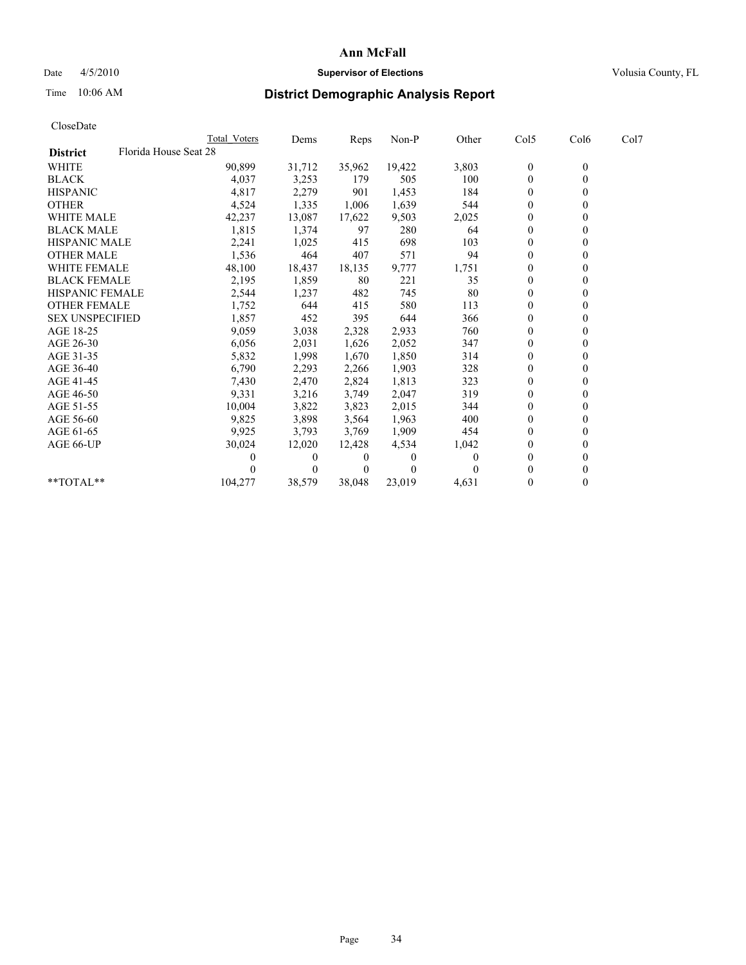## Date 4/5/2010 **Supervisor of Elections Supervisor of Elections** Volusia County, FL

# Time 10:06 AM **District Demographic Analysis Report**

|                                          | Total Voters | Dems     | <b>Reps</b> | Non-P    | Other | Col5           | Col6         | Col7 |  |
|------------------------------------------|--------------|----------|-------------|----------|-------|----------------|--------------|------|--|
| Florida House Seat 28<br><b>District</b> |              |          |             |          |       |                |              |      |  |
| <b>WHITE</b>                             | 90,899       | 31,712   | 35,962      | 19,422   | 3,803 | $\mathbf{0}$   | $\mathbf{0}$ |      |  |
| <b>BLACK</b>                             | 4,037        | 3,253    | 179         | 505      | 100   | $\theta$       |              |      |  |
| <b>HISPANIC</b>                          | 4,817        | 2,279    | 901         | 1,453    | 184   | $\theta$       |              |      |  |
| <b>OTHER</b>                             | 4,524        | 1,335    | 1,006       | 1,639    | 544   | $\overline{0}$ |              |      |  |
| <b>WHITE MALE</b>                        | 42,237       | 13,087   | 17,622      | 9,503    | 2,025 | 0              |              |      |  |
| <b>BLACK MALE</b>                        | 1,815        | 1,374    | 97          | 280      | 64    | $\theta$       |              |      |  |
| <b>HISPANIC MALE</b>                     | 2,241        | 1,025    | 415         | 698      | 103   | $\theta$       |              |      |  |
| <b>OTHER MALE</b>                        | 1,536        | 464      | 407         | 571      | 94    | $\Omega$       |              |      |  |
| WHITE FEMALE                             | 48,100       | 18,437   | 18,135      | 9,777    | 1,751 | $\theta$       |              |      |  |
| <b>BLACK FEMALE</b>                      | 2,195        | 1,859    | 80          | 221      | 35    | $\overline{0}$ |              |      |  |
| HISPANIC FEMALE                          | 2,544        | 1,237    | 482         | 745      | 80    | $\Omega$       |              |      |  |
| <b>OTHER FEMALE</b>                      | 1,752        | 644      | 415         | 580      | 113   | $\theta$       |              |      |  |
| <b>SEX UNSPECIFIED</b>                   | 1,857        | 452      | 395         | 644      | 366   | $\theta$       |              |      |  |
| AGE 18-25                                | 9,059        | 3,038    | 2,328       | 2,933    | 760   | $\overline{0}$ |              |      |  |
| AGE 26-30                                | 6,056        | 2,031    | 1,626       | 2,052    | 347   | $\mathbf{0}$   |              |      |  |
| AGE 31-35                                | 5,832        | 1,998    | 1,670       | 1,850    | 314   | $\overline{0}$ |              |      |  |
| AGE 36-40                                | 6,790        | 2,293    | 2,266       | 1,903    | 328   | $\mathbf{0}$   |              |      |  |
| AGE 41-45                                | 7,430        | 2,470    | 2,824       | 1,813    | 323   | $\theta$       |              |      |  |
| AGE 46-50                                | 9,331        | 3,216    | 3,749       | 2,047    | 319   | $\theta$       |              |      |  |
| AGE 51-55                                | 10,004       | 3,822    | 3,823       | 2,015    | 344   | $\overline{0}$ |              |      |  |
| AGE 56-60                                | 9,825        | 3,898    | 3,564       | 1,963    | 400   | $\theta$       |              |      |  |
| AGE 61-65                                | 9,925        | 3,793    | 3,769       | 1,909    | 454   | $\theta$       |              |      |  |
| AGE 66-UP                                | 30,024       | 12,020   | 12,428      | 4,534    | 1,042 | $\Omega$       |              |      |  |
|                                          |              | $\theta$ | 0           | $\theta$ | 0     | $\theta$       |              |      |  |
|                                          |              | $\Omega$ | $\theta$    | 0        |       | 0              |              |      |  |
| $*$ $TOTAI.**$                           | 104,277      | 38,579   | 38,048      | 23,019   | 4,631 | $\theta$       |              |      |  |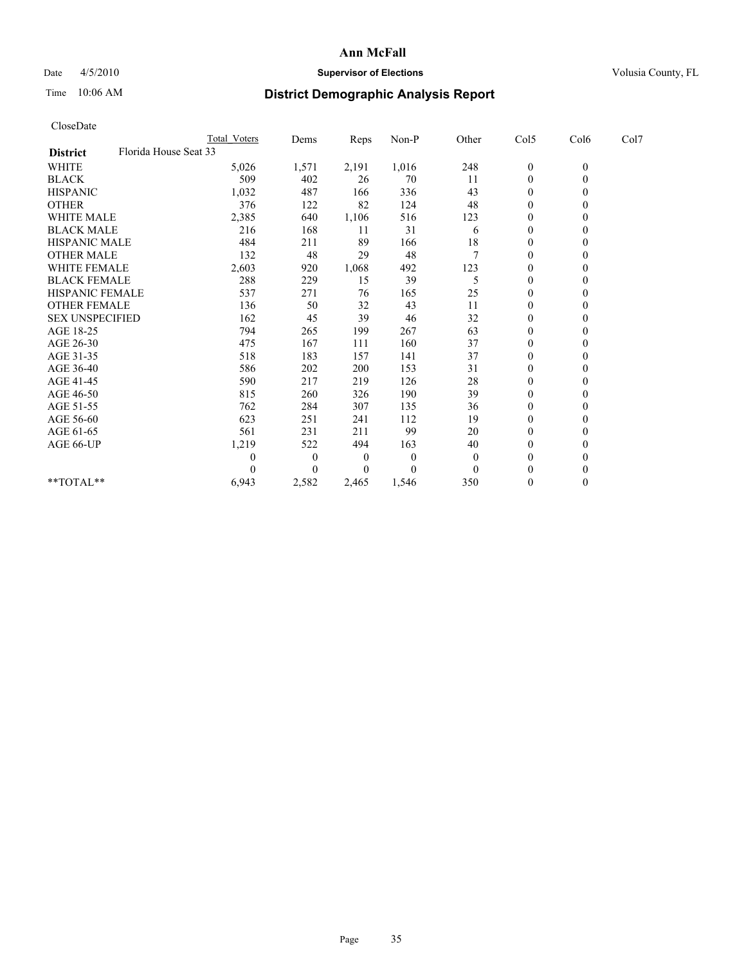## Date  $4/5/2010$  **Supervisor of Elections** Volusia County, FL

# Time 10:06 AM **District Demographic Analysis Report**

| CloseDate              |                       |                     |                |          |          |          |                  |              |      |
|------------------------|-----------------------|---------------------|----------------|----------|----------|----------|------------------|--------------|------|
|                        |                       | <b>Total Voters</b> | Dems           | Reps     | Non-P    | Other    | Col5             | Col6         | Col7 |
| <b>District</b>        | Florida House Seat 33 |                     |                |          |          |          |                  |              |      |
| WHITE                  |                       | 5,026               | 1,571          | 2,191    | 1,016    | 248      | $\boldsymbol{0}$ | $\mathbf{0}$ |      |
| <b>BLACK</b>           |                       | 509                 | 402            | 26       | 70       | 11       | $\boldsymbol{0}$ | $\mathbf{0}$ |      |
| <b>HISPANIC</b>        |                       | 1,032               | 487            | 166      | 336      | 43       | $\overline{0}$   | $\mathbf{0}$ |      |
| <b>OTHER</b>           |                       | 376                 | 122            | 82       | 124      | 48       | $\mathbf{0}$     | $\theta$     |      |
| <b>WHITE MALE</b>      |                       | 2,385               | 640            | 1,106    | 516      | 123      | $\boldsymbol{0}$ | $\mathbf{0}$ |      |
| <b>BLACK MALE</b>      |                       | 216                 | 168            | 11       | 31       | 6        | $\overline{0}$   | $\theta$     |      |
| <b>HISPANIC MALE</b>   |                       | 484                 | 211            | 89       | 166      | 18       | 0                | $\Omega$     |      |
| <b>OTHER MALE</b>      |                       | 132                 | 48             | 29       | 48       |          | $\mathbf{0}$     | $\mathbf{0}$ |      |
| <b>WHITE FEMALE</b>    |                       | 2,603               | 920            | 1,068    | 492      | 123      | $\boldsymbol{0}$ | $\theta$     |      |
| <b>BLACK FEMALE</b>    |                       | 288                 | 229            | 15       | 39       | 5        | $\boldsymbol{0}$ | $\Omega$     |      |
| <b>HISPANIC FEMALE</b> |                       | 537                 | 271            | 76       | 165      | 25       | 0                | $\theta$     |      |
| <b>OTHER FEMALE</b>    |                       | 136                 | 50             | 32       | 43       | 11       | $\boldsymbol{0}$ | $\Omega$     |      |
| <b>SEX UNSPECIFIED</b> |                       | 162                 | 45             | 39       | 46       | 32       | 0                | $\Omega$     |      |
| AGE 18-25              |                       | 794                 | 265            | 199      | 267      | 63       | 0                | $\Omega$     |      |
| AGE 26-30              |                       | 475                 | 167            | 111      | 160      | 37       | $\boldsymbol{0}$ | $\theta$     |      |
| AGE 31-35              |                       | 518                 | 183            | 157      | 141      | 37       | $\boldsymbol{0}$ | $\theta$     |      |
| AGE 36-40              |                       | 586                 | 202            | 200      | 153      | 31       | $\boldsymbol{0}$ | $\Omega$     |      |
| AGE 41-45              |                       | 590                 | 217            | 219      | 126      | 28       | $\boldsymbol{0}$ | $\Omega$     |      |
| AGE 46-50              |                       | 815                 | 260            | 326      | 190      | 39       | $\boldsymbol{0}$ | $\mathbf{0}$ |      |
| AGE 51-55              |                       | 762                 | 284            | 307      | 135      | 36       | $\boldsymbol{0}$ | $\Omega$     |      |
| AGE 56-60              |                       | 623                 | 251            | 241      | 112      | 19       | $\boldsymbol{0}$ | $\mathbf{0}$ |      |
| AGE 61-65              |                       | 561                 | 231            | 211      | 99       | 20       | $\mathbf{0}$     | $\mathbf{0}$ |      |
| AGE 66-UP              |                       | 1,219               | 522            | 494      | 163      | 40       | $\boldsymbol{0}$ | $\theta$     |      |
|                        |                       | 0                   | $\overline{0}$ | $\theta$ | $\theta$ | $\theta$ | $\boldsymbol{0}$ | $\Omega$     |      |
|                        |                       | 0                   | $\Omega$       | 0        | 0        | $\Omega$ | $\boldsymbol{0}$ | $\Omega$     |      |
| $*$ $TOTAI.**$         |                       | 6,943               | 2,582          | 2,465    | 1,546    | 350      | $\boldsymbol{0}$ | $\theta$     |      |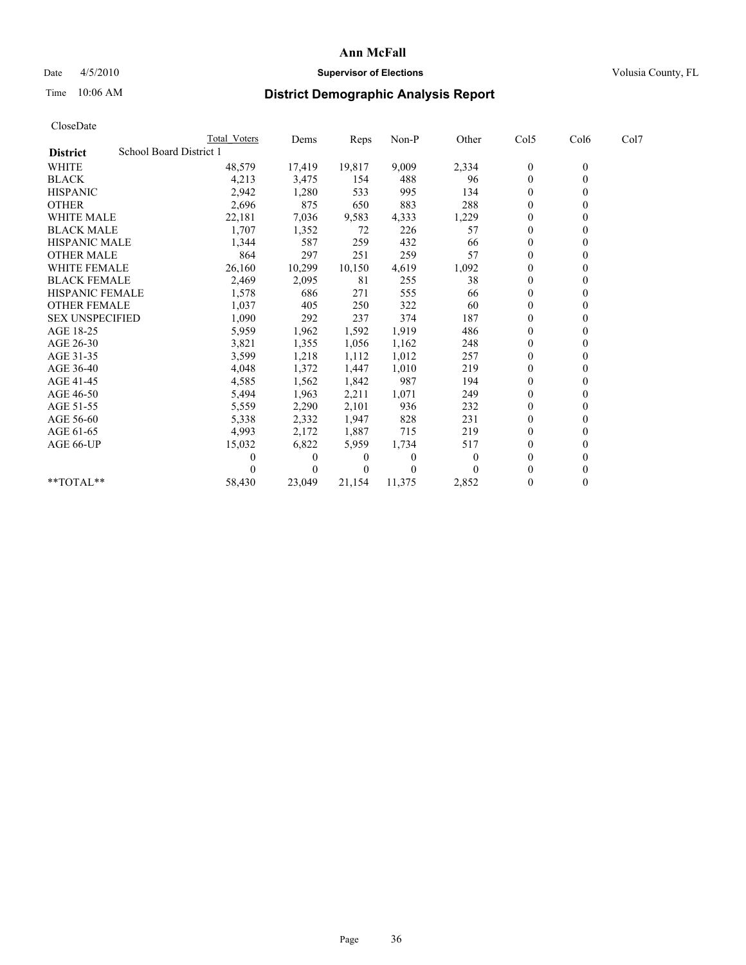## Date 4/5/2010 **Supervisor of Elections Supervisor of Elections** Volusia County, FL

# Time 10:06 AM **District Demographic Analysis Report**

|                                            | <b>Total Voters</b> | Dems     | <b>Reps</b> | Non-P  | Other    | Col5           | Col6         | Col7 |  |
|--------------------------------------------|---------------------|----------|-------------|--------|----------|----------------|--------------|------|--|
| School Board District 1<br><b>District</b> |                     |          |             |        |          |                |              |      |  |
| <b>WHITE</b>                               | 48,579              | 17,419   | 19,817      | 9,009  | 2,334    | $\mathbf{0}$   | $\mathbf{0}$ |      |  |
| <b>BLACK</b>                               | 4,213               | 3,475    | 154         | 488    | 96       | $\mathbf{0}$   |              |      |  |
| <b>HISPANIC</b>                            | 2,942               | 1,280    | 533         | 995    | 134      | $\theta$       |              |      |  |
| <b>OTHER</b>                               | 2,696               | 875      | 650         | 883    | 288      | $\Omega$       |              |      |  |
| WHITE MALE                                 | 22,181              | 7,036    | 9,583       | 4,333  | 1,229    | $\overline{0}$ |              |      |  |
| <b>BLACK MALE</b>                          | 1,707               | 1,352    | 72          | 226    | 57       | $\theta$       |              |      |  |
| <b>HISPANIC MALE</b>                       | 1,344               | 587      | 259         | 432    | 66       | $\theta$       |              |      |  |
| <b>OTHER MALE</b>                          | 864                 | 297      | 251         | 259    | 57       | $\Omega$       |              |      |  |
| <b>WHITE FEMALE</b>                        | 26,160              | 10,299   | 10,150      | 4,619  | 1,092    | $\theta$       |              |      |  |
| <b>BLACK FEMALE</b>                        | 2,469               | 2,095    | 81          | 255    | 38       | $\overline{0}$ |              |      |  |
| HISPANIC FEMALE                            | 1,578               | 686      | 271         | 555    | 66       | $\Omega$       |              |      |  |
| <b>OTHER FEMALE</b>                        | 1,037               | 405      | 250         | 322    | 60       | $\theta$       |              |      |  |
| <b>SEX UNSPECIFIED</b>                     | 1,090               | 292      | 237         | 374    | 187      | $\theta$       |              |      |  |
| AGE 18-25                                  | 5,959               | 1,962    | 1,592       | 1,919  | 486      | $\Omega$       |              |      |  |
| AGE 26-30                                  | 3,821               | 1,355    | 1,056       | 1,162  | 248      | $\mathbf{0}$   |              |      |  |
| AGE 31-35                                  | 3,599               | 1,218    | 1,112       | 1,012  | 257      | $\overline{0}$ |              |      |  |
| AGE 36-40                                  | 4,048               | 1,372    | 1,447       | 1,010  | 219      | $\mathbf{0}$   |              |      |  |
| AGE 41-45                                  | 4,585               | 1,562    | 1,842       | 987    | 194      | $\theta$       |              |      |  |
| AGE 46-50                                  | 5,494               | 1,963    | 2,211       | 1,071  | 249      | $\theta$       |              |      |  |
| AGE 51-55                                  | 5,559               | 2,290    | 2,101       | 936    | 232      | $\overline{0}$ |              |      |  |
| AGE 56-60                                  | 5,338               | 2,332    | 1,947       | 828    | 231      | $\theta$       |              |      |  |
| AGE 61-65                                  | 4,993               | 2,172    | 1,887       | 715    | 219      | $\theta$       |              |      |  |
| AGE 66-UP                                  | 15,032              | 6,822    | 5,959       | 1,734  | 517      | $\Omega$       |              |      |  |
|                                            |                     | 0        | 0           | 0      | $\theta$ | $\theta$       |              |      |  |
|                                            |                     | $\Omega$ | $\theta$    | 0      |          | $\Omega$       |              |      |  |
| $*$ $TOTAI.**$                             | 58,430              | 23,049   | 21,154      | 11,375 | 2,852    | $\theta$       |              |      |  |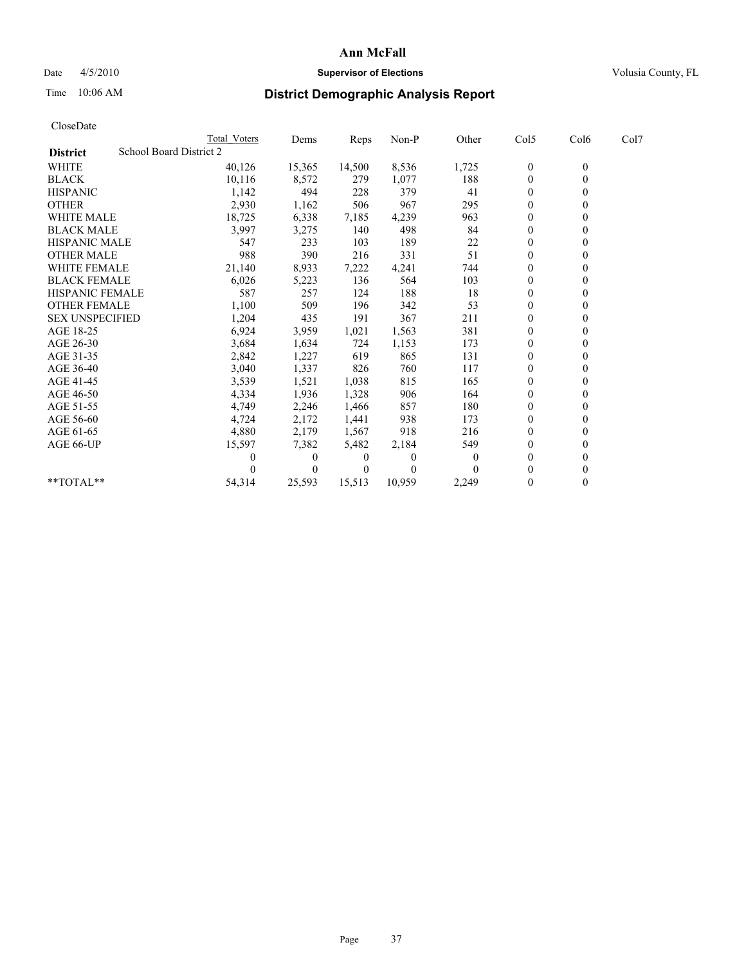## Date 4/5/2010 **Supervisor of Elections Supervisor of Elections** Volusia County, FL

## Time 10:06 AM **District Demographic Analysis Report**

| CloseDate              |                                |                     |              |          |         |          |                  |                  |      |  |
|------------------------|--------------------------------|---------------------|--------------|----------|---------|----------|------------------|------------------|------|--|
|                        |                                | <b>Total Voters</b> | Dems         | Reps     | $Non-P$ | Other    | Col5             | Col6             | Col7 |  |
| <b>District</b>        | <b>School Board District 2</b> |                     |              |          |         |          |                  |                  |      |  |
| <b>WHITE</b>           |                                | 40,126              | 15,365       | 14,500   | 8,536   | 1,725    | $\boldsymbol{0}$ | $\boldsymbol{0}$ |      |  |
| <b>BLACK</b>           |                                | 10,116              | 8,572        | 279      | 1,077   | 188      | $\boldsymbol{0}$ | $\mathbf{0}$     |      |  |
| <b>HISPANIC</b>        |                                | 1,142               | 494          | 228      | 379     | 41       | $\mathbf{0}$     | $\Omega$         |      |  |
| <b>OTHER</b>           |                                | 2,930               | 1,162        | 506      | 967     | 295      | $\mathbf{0}$     | $\theta$         |      |  |
| <b>WHITE MALE</b>      |                                | 18,725              | 6,338        | 7,185    | 4,239   | 963      | $\boldsymbol{0}$ | $\mathbf{0}$     |      |  |
| <b>BLACK MALE</b>      |                                | 3,997               | 3,275        | 140      | 498     | 84       | $\mathbf{0}$     | $\mathbf{0}$     |      |  |
| <b>HISPANIC MALE</b>   |                                | 547                 | 233          | 103      | 189     | 22       | $\boldsymbol{0}$ | $\Omega$         |      |  |
| <b>OTHER MALE</b>      |                                | 988                 | 390          | 216      | 331     | 51       | $\boldsymbol{0}$ | $\mathbf{0}$     |      |  |
| <b>WHITE FEMALE</b>    |                                | 21,140              | 8,933        | 7,222    | 4,241   | 744      | $\boldsymbol{0}$ | $\theta$         |      |  |
| <b>BLACK FEMALE</b>    |                                | 6,026               | 5,223        | 136      | 564     | 103      | $\theta$         | $\Omega$         |      |  |
| <b>HISPANIC FEMALE</b> |                                | 587                 | 257          | 124      | 188     | 18       | $\boldsymbol{0}$ | $\theta$         |      |  |
| <b>OTHER FEMALE</b>    |                                | 1,100               | 509          | 196      | 342     | 53       | $\boldsymbol{0}$ | $\mathbf{0}$     |      |  |
| <b>SEX UNSPECIFIED</b> |                                | 1,204               | 435          | 191      | 367     | 211      | $\mathbf{0}$     | $\mathbf{0}$     |      |  |
| AGE 18-25              |                                | 6,924               | 3,959        | 1,021    | 1,563   | 381      | $\boldsymbol{0}$ | $\mathbf{0}$     |      |  |
| AGE 26-30              |                                | 3,684               | 1,634        | 724      | 1,153   | 173      | $\boldsymbol{0}$ | $\mathbf{0}$     |      |  |
| AGE 31-35              |                                | 2,842               | 1,227        | 619      | 865     | 131      | $\boldsymbol{0}$ | $\theta$         |      |  |
| AGE 36-40              |                                | 3,040               | 1,337        | 826      | 760     | 117      | $\boldsymbol{0}$ | $\Omega$         |      |  |
| AGE 41-45              |                                | 3,539               | 1,521        | 1,038    | 815     | 165      | $\mathbf{0}$     | $\theta$         |      |  |
| AGE 46-50              |                                | 4,334               | 1,936        | 1,328    | 906     | 164      | $\boldsymbol{0}$ | $\mathbf{0}$     |      |  |
| AGE 51-55              |                                | 4,749               | 2,246        | 1,466    | 857     | 180      | $\boldsymbol{0}$ | $\theta$         |      |  |
| AGE 56-60              |                                | 4,724               | 2,172        | 1,441    | 938     | 173      | $\boldsymbol{0}$ | $\Omega$         |      |  |
| AGE 61-65              |                                | 4,880               | 2,179        | 1,567    | 918     | 216      | $\mathbf{0}$     | $\mathbf{0}$     |      |  |
| AGE 66-UP              |                                | 15,597              | 7,382        | 5,482    | 2,184   | 549      | $\boldsymbol{0}$ | $\theta$         |      |  |
|                        |                                |                     | $\mathbf{0}$ | $\theta$ | 0       | $\theta$ | $\mathbf{0}$     | $\mathbf{0}$     |      |  |
|                        |                                |                     | $\theta$     | $\theta$ | 0       | $\Omega$ | $\mathbf{0}$     | $\theta$         |      |  |
| **TOTAL**              |                                | 54,314              | 25,593       | 15,513   | 10,959  | 2,249    | $\theta$         | $\theta$         |      |  |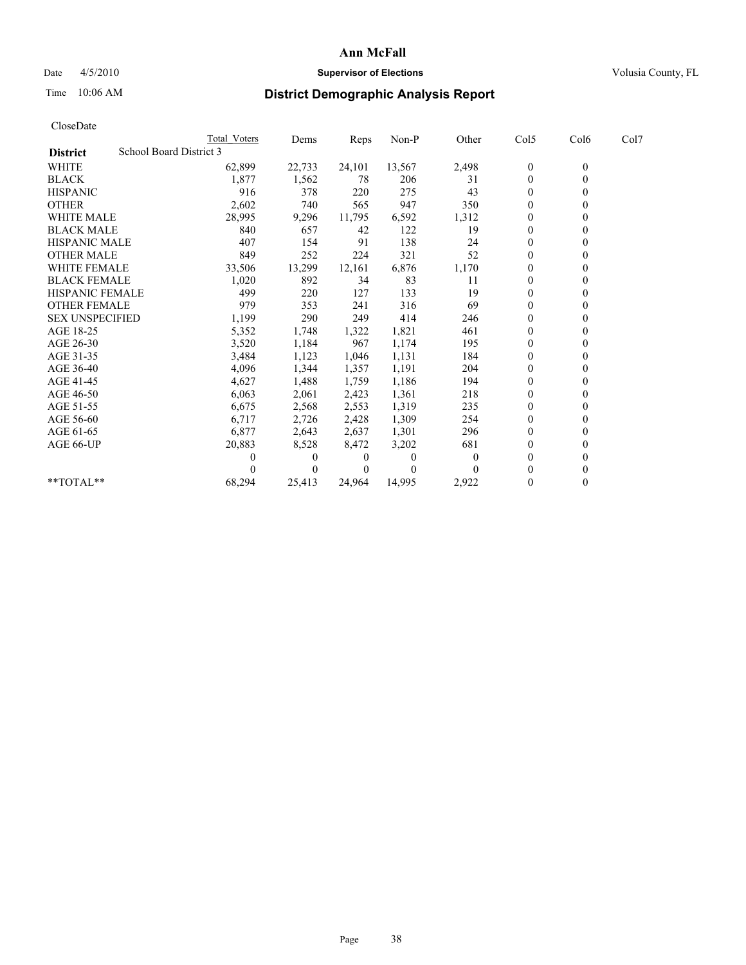## Date 4/5/2010 **Supervisor of Elections Supervisor of Elections** Volusia County, FL

# Time 10:06 AM **District Demographic Analysis Report**

| CloseDate              |                         |              |          |        |          |          |                  |                |      |
|------------------------|-------------------------|--------------|----------|--------|----------|----------|------------------|----------------|------|
|                        |                         | Total Voters | Dems     | Reps   | Non-P    | Other    | Col5             | Col6           | Col7 |
| <b>District</b>        | School Board District 3 |              |          |        |          |          |                  |                |      |
| <b>WHITE</b>           |                         | 62,899       | 22,733   | 24,101 | 13,567   | 2,498    | 0                | $\overline{0}$ |      |
| <b>BLACK</b>           |                         | 1,877        | 1,562    | 78     | 206      | 31       | $\boldsymbol{0}$ | $\theta$       |      |
| <b>HISPANIC</b>        |                         | 916          | 378      | 220    | 275      | 43       | $\boldsymbol{0}$ | $\theta$       |      |
| <b>OTHER</b>           |                         | 2,602        | 740      | 565    | 947      | 350      | $\overline{0}$   | $\Omega$       |      |
| WHITE MALE             |                         | 28,995       | 9,296    | 11,795 | 6,592    | 1,312    | 0                | 0              |      |
| <b>BLACK MALE</b>      |                         | 840          | 657      | 42     | 122      | 19       | $\overline{0}$   | $\Omega$       |      |
| <b>HISPANIC MALE</b>   |                         | 407          | 154      | 91     | 138      | 24       | $\boldsymbol{0}$ | $\theta$       |      |
| <b>OTHER MALE</b>      |                         | 849          | 252      | 224    | 321      | 52       | $\boldsymbol{0}$ | $\theta$       |      |
| <b>WHITE FEMALE</b>    |                         | 33,506       | 13,299   | 12,161 | 6,876    | 1,170    | $\mathbf{0}$     | $\theta$       |      |
| <b>BLACK FEMALE</b>    |                         | 1,020        | 892      | 34     | 83       | 11       | 0                | $\theta$       |      |
| <b>HISPANIC FEMALE</b> |                         | 499          | 220      | 127    | 133      | 19       | $\overline{0}$   | $\Omega$       |      |
| <b>OTHER FEMALE</b>    |                         | 979          | 353      | 241    | 316      | 69       | 0                | $\theta$       |      |
| <b>SEX UNSPECIFIED</b> |                         | 1,199        | 290      | 249    | 414      | 246      | $\mathbf{0}$     | $\Omega$       |      |
| AGE 18-25              |                         | 5,352        | 1,748    | 1,322  | 1,821    | 461      | $\boldsymbol{0}$ | $\theta$       |      |
| AGE 26-30              |                         | 3,520        | 1,184    | 967    | 1,174    | 195      | $\boldsymbol{0}$ | 0              |      |
| AGE 31-35              |                         | 3,484        | 1,123    | 1,046  | 1,131    | 184      | $\mathbf{0}$     | $\mathbf{0}$   |      |
| AGE 36-40              |                         | 4,096        | 1,344    | 1,357  | 1,191    | 204      | 0                | $\theta$       |      |
| AGE 41-45              |                         | 4,627        | 1,488    | 1,759  | 1,186    | 194      | $\boldsymbol{0}$ | $\Omega$       |      |
| AGE 46-50              |                         | 6,063        | 2,061    | 2,423  | 1,361    | 218      | 0                | $\theta$       |      |
| AGE 51-55              |                         | 6,675        | 2,568    | 2,553  | 1,319    | 235      | $\mathbf{0}$     | $\Omega$       |      |
| AGE 56-60              |                         | 6,717        | 2,726    | 2,428  | 1,309    | 254      | $\mathbf{0}$     | $\theta$       |      |
| AGE 61-65              |                         | 6,877        | 2,643    | 2,637  | 1,301    | 296      | $\boldsymbol{0}$ | $\theta$       |      |
| AGE 66-UP              |                         | 20,883       | 8,528    | 8,472  | 3,202    | 681      | $\mathbf{0}$     | $\theta$       |      |
|                        |                         | 0            | $\theta$ | 0      | $\theta$ | $\Omega$ | $\mathbf{0}$     | $\theta$       |      |
|                        |                         |              | $\theta$ | 0      |          |          | $\theta$         | $\theta$       |      |
| **TOTAL**              |                         | 68,294       | 25,413   | 24.964 | 14.995   | 2.922    | 0                | $\theta$       |      |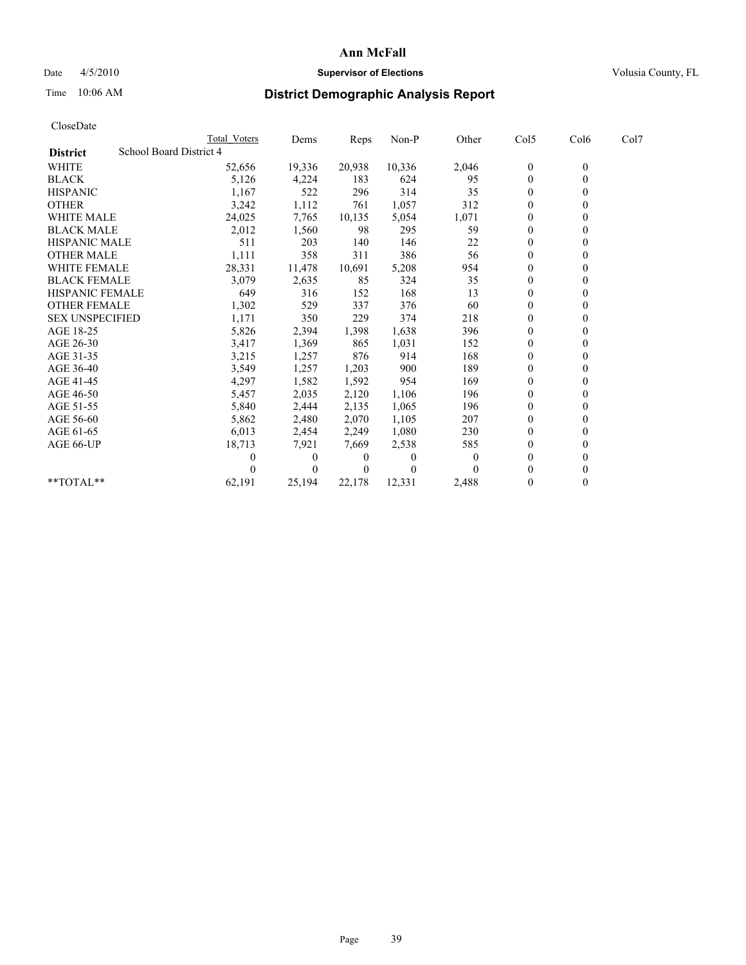## Date 4/5/2010 **Supervisor of Elections Supervisor of Elections** Volusia County, FL

## Time 10:06 AM **District Demographic Analysis Report**

| CloseDate              |                         |              |          |        |          |          |                  |                  |      |  |
|------------------------|-------------------------|--------------|----------|--------|----------|----------|------------------|------------------|------|--|
|                        |                         | Total Voters | Dems     | Reps   | Non-P    | Other    | Col5             | Col6             | Col7 |  |
| <b>District</b>        | School Board District 4 |              |          |        |          |          |                  |                  |      |  |
| <b>WHITE</b>           |                         | 52,656       | 19,336   | 20,938 | 10,336   | 2,046    | $\boldsymbol{0}$ | $\boldsymbol{0}$ |      |  |
| <b>BLACK</b>           |                         | 5,126        | 4,224    | 183    | 624      | 95       | $\boldsymbol{0}$ | $\mathbf{0}$     |      |  |
| <b>HISPANIC</b>        |                         | 1,167        | 522      | 296    | 314      | 35       | $\boldsymbol{0}$ | $\theta$         |      |  |
| <b>OTHER</b>           |                         | 3,242        | 1,112    | 761    | 1,057    | 312      | $\boldsymbol{0}$ | $\theta$         |      |  |
| <b>WHITE MALE</b>      |                         | 24,025       | 7,765    | 10,135 | 5,054    | 1,071    | 0                | $\theta$         |      |  |
| <b>BLACK MALE</b>      |                         | 2,012        | 1,560    | 98     | 295      | 59       | $\boldsymbol{0}$ | $\theta$         |      |  |
| <b>HISPANIC MALE</b>   |                         | 511          | 203      | 140    | 146      | $22\,$   | 0                | $\theta$         |      |  |
| <b>OTHER MALE</b>      |                         | 1,111        | 358      | 311    | 386      | 56       | $\boldsymbol{0}$ | $\mathbf{0}$     |      |  |
| <b>WHITE FEMALE</b>    |                         | 28,331       | 11,478   | 10,691 | 5,208    | 954      | $\boldsymbol{0}$ | $\mathbf{0}$     |      |  |
| <b>BLACK FEMALE</b>    |                         | 3,079        | 2,635    | 85     | 324      | 35       | $\boldsymbol{0}$ | $\theta$         |      |  |
| <b>HISPANIC FEMALE</b> |                         | 649          | 316      | 152    | 168      | 13       | $\overline{0}$   | $\theta$         |      |  |
| <b>OTHER FEMALE</b>    |                         | 1,302        | 529      | 337    | 376      | 60       | 0                | $\mathbf{0}$     |      |  |
| <b>SEX UNSPECIFIED</b> |                         | 1,171        | 350      | 229    | 374      | 218      | $\overline{0}$   | $\Omega$         |      |  |
| AGE 18-25              |                         | 5,826        | 2,394    | 1,398  | 1,638    | 396      | $\overline{0}$   | $\Omega$         |      |  |
| AGE 26-30              |                         | 3,417        | 1,369    | 865    | 1,031    | 152      | $\boldsymbol{0}$ | $\mathbf{0}$     |      |  |
| AGE 31-35              |                         | 3,215        | 1,257    | 876    | 914      | 168      | $\boldsymbol{0}$ | $\mathbf{0}$     |      |  |
| AGE 36-40              |                         | 3,549        | 1,257    | 1,203  | 900      | 189      | $\overline{0}$   | $\theta$         |      |  |
| AGE 41-45              |                         | 4,297        | 1,582    | 1,592  | 954      | 169      | $\boldsymbol{0}$ | $\Omega$         |      |  |
| AGE 46-50              |                         | 5,457        | 2,035    | 2,120  | 1,106    | 196      | 0                | 0                |      |  |
| AGE 51-55              |                         | 5,840        | 2,444    | 2,135  | 1,065    | 196      | $\boldsymbol{0}$ | $\Omega$         |      |  |
| AGE 56-60              |                         | 5,862        | 2,480    | 2,070  | 1,105    | 207      | 0                | $\theta$         |      |  |
| AGE 61-65              |                         | 6,013        | 2,454    | 2,249  | 1,080    | 230      | $\boldsymbol{0}$ | $\theta$         |      |  |
| AGE 66-UP              |                         | 18,713       | 7,921    | 7,669  | 2,538    | 585      | $\boldsymbol{0}$ | $\theta$         |      |  |
|                        |                         | 0            | $\theta$ | 0      | $\theta$ | $\theta$ | $\boldsymbol{0}$ | $\theta$         |      |  |
|                        |                         | 0            | $\theta$ | 0      | 0        |          | $\theta$         | $\theta$         |      |  |
| $*$ TOTAL $*$          |                         | 62,191       | 25,194   | 22,178 | 12,331   | 2,488    | $\boldsymbol{0}$ | $\mathbf{0}$     |      |  |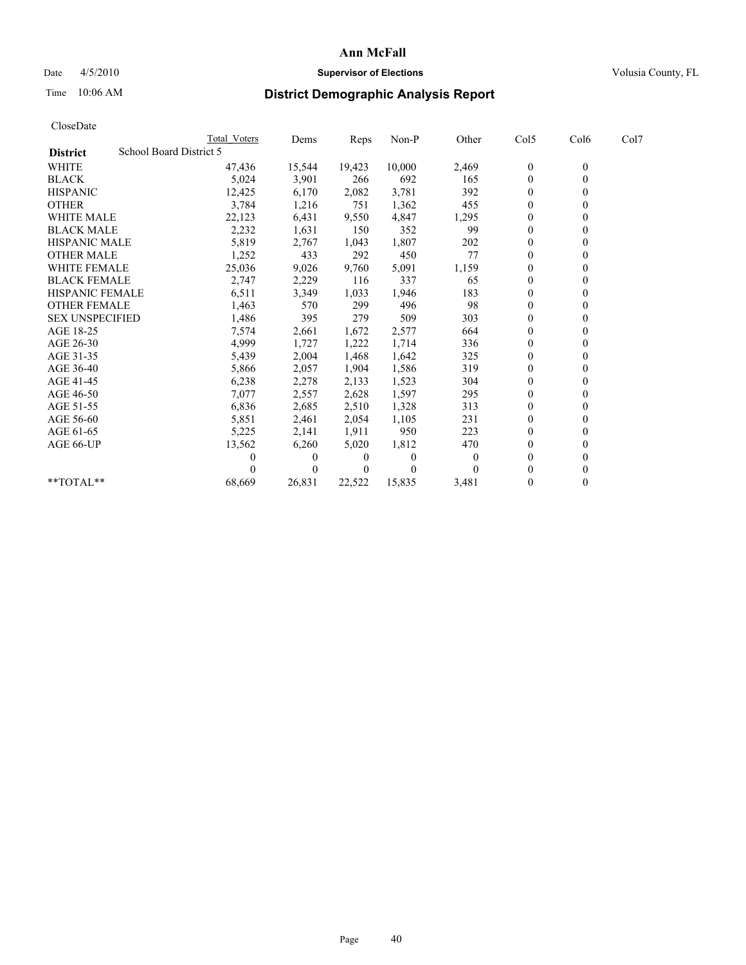## Date  $4/5/2010$  **Supervisor of Elections** Volusia County, FL

## Time 10:06 AM **District Demographic Analysis Report**

| CloseDate              |                         |          |        |          |          |                  |              |      |
|------------------------|-------------------------|----------|--------|----------|----------|------------------|--------------|------|
|                        | <b>Total Voters</b>     | Dems     | Reps   | Non-P    | Other    | Col <sub>5</sub> | Col6         | Col7 |
| <b>District</b>        | School Board District 5 |          |        |          |          |                  |              |      |
| <b>WHITE</b>           | 47,436                  | 15,544   | 19,423 | 10,000   | 2,469    | $\boldsymbol{0}$ | $\mathbf{0}$ |      |
| <b>BLACK</b>           | 5,024                   | 3,901    | 266    | 692      | 165      | $\boldsymbol{0}$ | $\mathbf{0}$ |      |
| <b>HISPANIC</b>        | 12,425                  | 6,170    | 2,082  | 3,781    | 392      | $\overline{0}$   | $\mathbf{0}$ |      |
| <b>OTHER</b>           | 3,784                   | 1,216    | 751    | 1,362    | 455      | 0                | $\theta$     |      |
| <b>WHITE MALE</b>      | 22,123                  | 6,431    | 9,550  | 4,847    | 1,295    | $\boldsymbol{0}$ | $\theta$     |      |
| <b>BLACK MALE</b>      | 2,232                   | 1,631    | 150    | 352      | 99       | $\boldsymbol{0}$ | $\mathbf{0}$ |      |
| <b>HISPANIC MALE</b>   | 5,819                   | 2,767    | 1,043  | 1,807    | 202      | 0                | $\Omega$     |      |
| <b>OTHER MALE</b>      | 1,252                   | 433      | 292    | 450      | 77       | $\overline{0}$   | $\theta$     |      |
| WHITE FEMALE           | 25,036                  | 9,026    | 9,760  | 5,091    | 1,159    | $\boldsymbol{0}$ | $\mathbf{0}$ |      |
| <b>BLACK FEMALE</b>    | 2,747                   | 2,229    | 116    | 337      | 65       | $\overline{0}$   | $\mathbf{0}$ |      |
| <b>HISPANIC FEMALE</b> | 6,511                   | 3,349    | 1,033  | 1,946    | 183      | 0                | $\Omega$     |      |
| <b>OTHER FEMALE</b>    | 1,463                   | 570      | 299    | 496      | 98       | $\boldsymbol{0}$ | $\mathbf{0}$ |      |
| <b>SEX UNSPECIFIED</b> | 1,486                   | 395      | 279    | 509      | 303      | 0                | $\theta$     |      |
| AGE 18-25              | 7,574                   | 2,661    | 1,672  | 2,577    | 664      | $\overline{0}$   | $\Omega$     |      |
| AGE 26-30              | 4,999                   | 1,727    | 1,222  | 1,714    | 336      | $\overline{0}$   | $\mathbf{0}$ |      |
| AGE 31-35              | 5,439                   | 2,004    | 1,468  | 1,642    | 325      | 0                | $\mathbf{0}$ |      |
| AGE 36-40              | 5,866                   | 2,057    | 1,904  | 1,586    | 319      | $\boldsymbol{0}$ | $\Omega$     |      |
| AGE 41-45              | 6,238                   | 2,278    | 2,133  | 1,523    | 304      | $\overline{0}$   | $\mathbf{0}$ |      |
| AGE 46-50              | 7,077                   | 2,557    | 2,628  | 1,597    | 295      | 0                | $\Omega$     |      |
| AGE 51-55              | 6,836                   | 2,685    | 2,510  | 1,328    | 313      | $\boldsymbol{0}$ | $\theta$     |      |
| AGE 56-60              | 5,851                   | 2,461    | 2,054  | 1,105    | 231      | $\boldsymbol{0}$ | $\mathbf{0}$ |      |
| AGE 61-65              | 5,225                   | 2,141    | 1,911  | 950      | 223      | $\mathbf{0}$     | $\mathbf{0}$ |      |
| AGE 66-UP              | 13,562                  | 6,260    | 5,020  | 1,812    | 470      | $\boldsymbol{0}$ | $\mathbf{0}$ |      |
|                        | 0                       | $\theta$ | 0      | $\theta$ | $\theta$ | 0                | $\theta$     |      |
|                        | 0                       | $\Omega$ | 0      | 0        | $\Omega$ | $\boldsymbol{0}$ | $\Omega$     |      |
| **TOTAL**              | 68,669                  | 26,831   | 22,522 | 15,835   | 3,481    | 0                | $\mathbf{0}$ |      |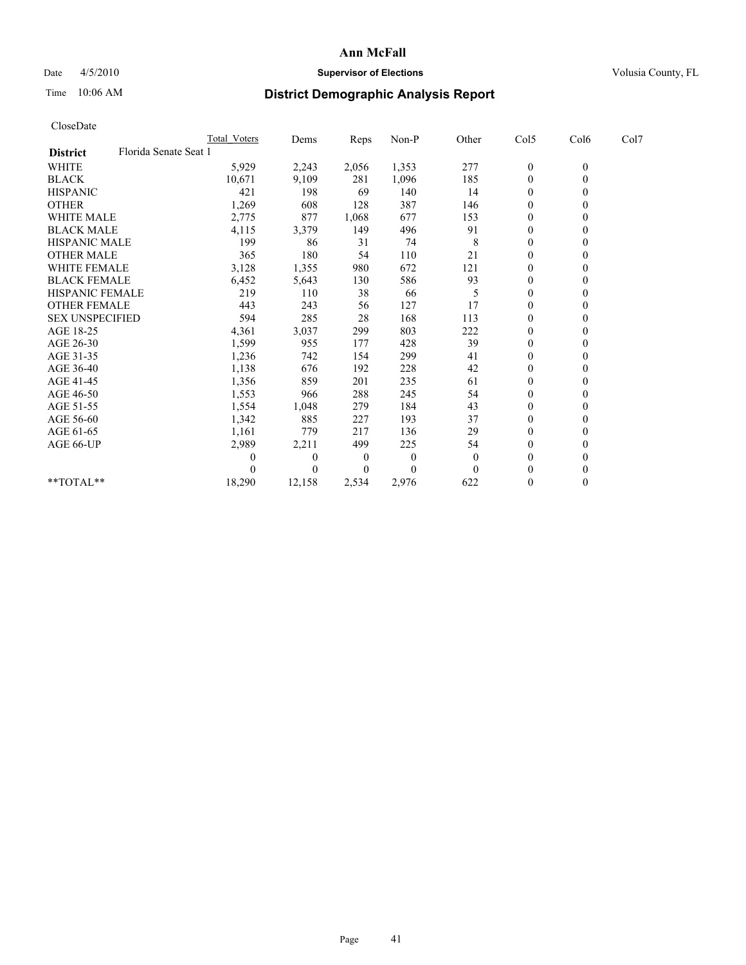## Date  $4/5/2010$  **Supervisor of Elections** Volusia County, FL

# Time 10:06 AM **District Demographic Analysis Report**

| CloseDate              |                       |                     |                |       |          |                |                  |              |      |
|------------------------|-----------------------|---------------------|----------------|-------|----------|----------------|------------------|--------------|------|
|                        |                       | <b>Total Voters</b> | Dems           | Reps  | Non-P    | Other          | Col5             | Col6         | Col7 |
| <b>District</b>        | Florida Senate Seat 1 |                     |                |       |          |                |                  |              |      |
| WHITE                  |                       | 5,929               | 2,243          | 2,056 | 1,353    | 277            | $\boldsymbol{0}$ | $\mathbf{0}$ |      |
| <b>BLACK</b>           |                       | 10,671              | 9,109          | 281   | 1,096    | 185            | $\boldsymbol{0}$ | $\mathbf{0}$ |      |
| <b>HISPANIC</b>        |                       | 421                 | 198            | 69    | 140      | 14             | $\overline{0}$   | $\mathbf{0}$ |      |
| <b>OTHER</b>           |                       | 1,269               | 608            | 128   | 387      | 146            | $\mathbf{0}$     | $\theta$     |      |
| <b>WHITE MALE</b>      |                       | 2,775               | 877            | 1,068 | 677      | 153            | $\boldsymbol{0}$ | $\mathbf{0}$ |      |
| <b>BLACK MALE</b>      |                       | 4,115               | 3,379          | 149   | 496      | 91             | $\overline{0}$   | $\theta$     |      |
| <b>HISPANIC MALE</b>   |                       | 199                 | 86             | 31    | 74       | 8              | 0                | $\Omega$     |      |
| <b>OTHER MALE</b>      |                       | 365                 | 180            | 54    | 110      | 21             | $\boldsymbol{0}$ | $\mathbf{0}$ |      |
| <b>WHITE FEMALE</b>    |                       | 3,128               | 1,355          | 980   | 672      | 121            | $\boldsymbol{0}$ | $\theta$     |      |
| <b>BLACK FEMALE</b>    |                       | 6,452               | 5,643          | 130   | 586      | 93             | $\boldsymbol{0}$ | $\Omega$     |      |
| <b>HISPANIC FEMALE</b> |                       | 219                 | 110            | 38    | 66       | 5              | 0                | $\Omega$     |      |
| <b>OTHER FEMALE</b>    |                       | 443                 | 243            | 56    | 127      | 17             | $\boldsymbol{0}$ | $\theta$     |      |
| <b>SEX UNSPECIFIED</b> |                       | 594                 | 285            | 28    | 168      | 113            | 0                | $\Omega$     |      |
| AGE 18-25              |                       | 4,361               | 3,037          | 299   | 803      | 222            | 0                | $\Omega$     |      |
| AGE 26-30              |                       | 1,599               | 955            | 177   | 428      | 39             | $\boldsymbol{0}$ | $\mathbf{0}$ |      |
| AGE 31-35              |                       | 1,236               | 742            | 154   | 299      | 41             | $\boldsymbol{0}$ | $\theta$     |      |
| AGE 36-40              |                       | 1,138               | 676            | 192   | 228      | 42             | $\boldsymbol{0}$ | $\Omega$     |      |
| AGE 41-45              |                       | 1,356               | 859            | 201   | 235      | 61             | $\boldsymbol{0}$ | $\Omega$     |      |
| AGE 46-50              |                       | 1,553               | 966            | 288   | 245      | 54             | $\boldsymbol{0}$ | $\mathbf{0}$ |      |
| AGE 51-55              |                       | 1,554               | 1,048          | 279   | 184      | 43             | $\boldsymbol{0}$ | $\Omega$     |      |
| AGE 56-60              |                       | 1,342               | 885            | 227   | 193      | 37             | $\boldsymbol{0}$ | $\Omega$     |      |
| AGE 61-65              |                       | 1,161               | 779            | 217   | 136      | 29             | $\mathbf{0}$     | $\mathbf{0}$ |      |
| AGE 66-UP              |                       | 2,989               | 2,211          | 499   | 225      | 54             | $\boldsymbol{0}$ | $\theta$     |      |
|                        |                       | 0                   | $\overline{0}$ | 0     | $\theta$ | $\overline{0}$ | $\overline{0}$   | $\Omega$     |      |
|                        |                       | 0                   | $\Omega$       | 0     | $\Omega$ | $\Omega$       | $\boldsymbol{0}$ | $\Omega$     |      |
| $*$ $TOTAI.**$         |                       | 18,290              | 12,158         | 2,534 | 2,976    | 622            | $\boldsymbol{0}$ | $\theta$     |      |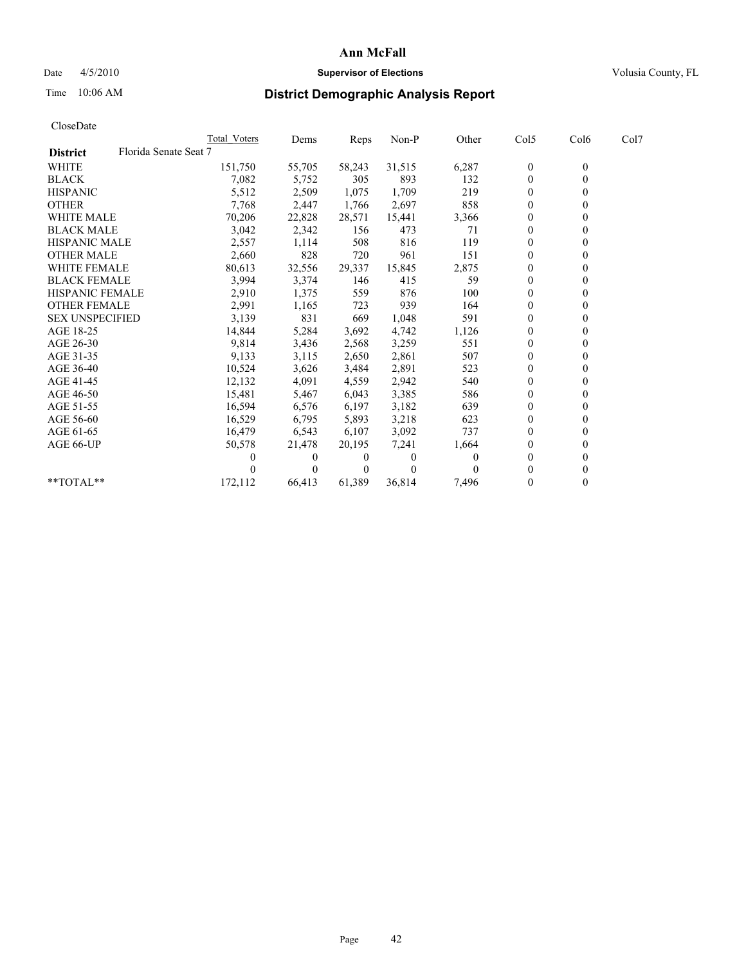## Date 4/5/2010 **Supervisor of Elections Supervisor of Elections** Volusia County, FL

## Time 10:06 AM **District Demographic Analysis Report**

|                                          | <b>Total Voters</b> | Dems     | <b>Reps</b> | Non-P    | Other | Col5           | Col6         | Col7 |
|------------------------------------------|---------------------|----------|-------------|----------|-------|----------------|--------------|------|
| Florida Senate Seat 7<br><b>District</b> |                     |          |             |          |       |                |              |      |
| <b>WHITE</b>                             | 151,750             | 55,705   | 58,243      | 31,515   | 6,287 | $\theta$       | $\mathbf{0}$ |      |
| <b>BLACK</b>                             | 7,082               | 5,752    | 305         | 893      | 132   | $\overline{0}$ |              |      |
| <b>HISPANIC</b>                          | 5,512               | 2,509    | 1,075       | 1,709    | 219   | $\theta$       |              |      |
| <b>OTHER</b>                             | 7,768               | 2,447    | 1,766       | 2,697    | 858   | $\Omega$       |              |      |
| <b>WHITE MALE</b>                        | 70,206              | 22,828   | 28,571      | 15,441   | 3,366 | 0              |              |      |
| <b>BLACK MALE</b>                        | 3,042               | 2,342    | 156         | 473      | 71    | $\theta$       |              |      |
| <b>HISPANIC MALE</b>                     | 2,557               | 1,114    | 508         | 816      | 119   | $\theta$       |              |      |
| <b>OTHER MALE</b>                        | 2,660               | 828      | 720         | 961      | 151   | $\Omega$       |              |      |
| WHITE FEMALE                             | 80,613              | 32,556   | 29,337      | 15,845   | 2,875 | $\theta$       |              |      |
| <b>BLACK FEMALE</b>                      | 3,994               | 3,374    | 146         | 415      | 59    | $\overline{0}$ |              |      |
| HISPANIC FEMALE                          | 2,910               | 1,375    | 559         | 876      | 100   | 0              |              |      |
| <b>OTHER FEMALE</b>                      | 2,991               | 1,165    | 723         | 939      | 164   | $\Omega$       |              |      |
| <b>SEX UNSPECIFIED</b>                   | 3,139               | 831      | 669         | 1,048    | 591   | $\theta$       |              |      |
| AGE 18-25                                | 14,844              | 5,284    | 3,692       | 4,742    | 1,126 | $\Omega$       |              |      |
| AGE 26-30                                | 9,814               | 3,436    | 2,568       | 3,259    | 551   | $\mathbf{0}$   |              |      |
| AGE 31-35                                | 9,133               | 3,115    | 2,650       | 2,861    | 507   | $\overline{0}$ |              |      |
| AGE 36-40                                | 10,524              | 3,626    | 3,484       | 2,891    | 523   | $\mathbf{0}$   |              |      |
| AGE 41-45                                | 12,132              | 4,091    | 4,559       | 2,942    | 540   | $\theta$       |              |      |
| AGE 46-50                                | 15,481              | 5,467    | 6,043       | 3,385    | 586   | $\Omega$       |              |      |
| AGE 51-55                                | 16,594              | 6,576    | 6,197       | 3,182    | 639   | $\overline{0}$ |              |      |
| AGE 56-60                                | 16,529              | 6,795    | 5,893       | 3,218    | 623   | $\theta$       |              |      |
| AGE 61-65                                | 16,479              | 6,543    | 6,107       | 3,092    | 737   | $\Omega$       |              |      |
| AGE 66-UP                                | 50,578              | 21,478   | 20,195      | 7,241    | 1,664 | 0              |              |      |
|                                          |                     | $\theta$ | 0           | $\Omega$ | 0     | $\theta$       |              |      |
|                                          |                     | $\Omega$ | $\theta$    | $\theta$ |       | 0              |              |      |
| $*$ $TOTAI.**$                           | 172,112             | 66,413   | 61,389      | 36,814   | 7,496 | $\theta$       |              |      |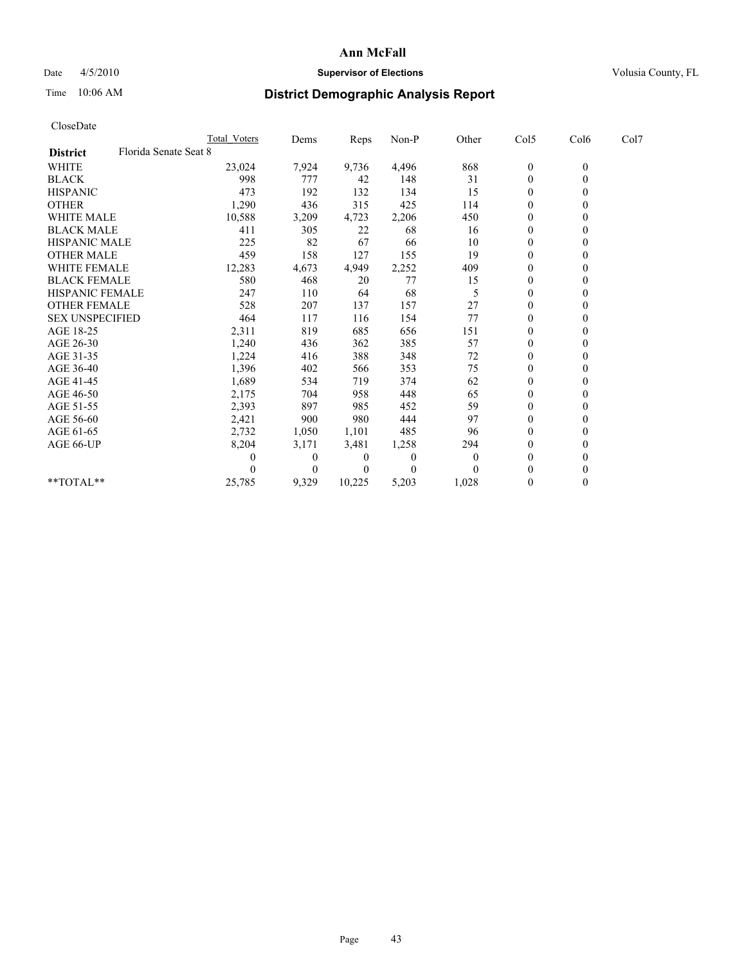## Date  $4/5/2010$  **Supervisor of Elections** Volusia County, FL

## Time 10:06 AM **District Demographic Analysis Report**

| CloseDate              |                       |              |          |        |                  |                |                  |                |      |
|------------------------|-----------------------|--------------|----------|--------|------------------|----------------|------------------|----------------|------|
|                        |                       | Total Voters | Dems     | Reps   | Non-P            | Other          | Col5             | Col6           | Col7 |
| <b>District</b>        | Florida Senate Seat 8 |              |          |        |                  |                |                  |                |      |
| WHITE                  |                       | 23,024       | 7,924    | 9,736  | 4,496            | 868            | $\boldsymbol{0}$ | $\mathbf{0}$   |      |
| <b>BLACK</b>           |                       | 998          | 777      | 42     | 148              | 31             | $\boldsymbol{0}$ | $\overline{0}$ |      |
| <b>HISPANIC</b>        |                       | 473          | 192      | 132    | 134              | 15             | $\overline{0}$   | $\mathbf{0}$   |      |
| <b>OTHER</b>           |                       | 1,290        | 436      | 315    | 425              | 114            | $\boldsymbol{0}$ | $\theta$       |      |
| <b>WHITE MALE</b>      |                       | 10,588       | 3,209    | 4,723  | 2,206            | 450            | $\overline{0}$   | $\theta$       |      |
| <b>BLACK MALE</b>      |                       | 411          | 305      | 22     | 68               | 16             | $\overline{0}$   | $\theta$       |      |
| <b>HISPANIC MALE</b>   |                       | 225          | 82       | 67     | 66               | 10             | 0                | $\theta$       |      |
| <b>OTHER MALE</b>      |                       | 459          | 158      | 127    | 155              | 19             | $\mathbf{0}$     | $\mathbf{0}$   |      |
| <b>WHITE FEMALE</b>    |                       | 12,283       | 4,673    | 4,949  | 2,252            | 409            | 0                | $\theta$       |      |
| <b>BLACK FEMALE</b>    |                       | 580          | 468      | 20     | 77               | 15             | $\boldsymbol{0}$ | $\theta$       |      |
| <b>HISPANIC FEMALE</b> |                       | 247          | 110      | 64     | 68               | 5              | 0                | $\theta$       |      |
| <b>OTHER FEMALE</b>    |                       | 528          | 207      | 137    | 157              | 27             | 0                | $\theta$       |      |
| <b>SEX UNSPECIFIED</b> |                       | 464          | 117      | 116    | 154              | 77             | $\boldsymbol{0}$ | $\Omega$       |      |
| AGE 18-25              |                       | 2,311        | 819      | 685    | 656              | 151            | 0                | $\theta$       |      |
| AGE 26-30              |                       | 1,240        | 436      | 362    | 385              | 57             | $\boldsymbol{0}$ | $\Omega$       |      |
| AGE 31-35              |                       | 1,224        | 416      | 388    | 348              | 72             | $\mathbf{0}$     | $\theta$       |      |
| AGE 36-40              |                       | 1,396        | 402      | 566    | 353              | 75             | $\boldsymbol{0}$ | $\theta$       |      |
| AGE 41-45              |                       | 1,689        | 534      | 719    | 374              | 62             | 0                | $\Omega$       |      |
| AGE 46-50              |                       | 2,175        | 704      | 958    | 448              | 65             | $\boldsymbol{0}$ | $\mathbf{0}$   |      |
| AGE 51-55              |                       | 2,393        | 897      | 985    | 452              | 59             | $\boldsymbol{0}$ | $\Omega$       |      |
| AGE 56-60              |                       | 2,421        | 900      | 980    | 444              | 97             | $\boldsymbol{0}$ | $\theta$       |      |
| AGE 61-65              |                       | 2,732        | 1,050    | 1,101  | 485              | 96             | $\mathbf{0}$     | $\mathbf{0}$   |      |
| AGE 66-UP              |                       | 8,204        | 3,171    | 3,481  | 1,258            | 294            | $\boldsymbol{0}$ | $\mathbf{0}$   |      |
|                        |                       | 0            | $\theta$ | 0      | $\boldsymbol{0}$ | $\overline{0}$ | $\boldsymbol{0}$ | $\theta$       |      |
|                        |                       | 0            | $\theta$ | 0      | $\theta$         | $\theta$       | $\theta$         | $\theta$       |      |
| $*$ TOTAL $*$          |                       | 25,785       | 9,329    | 10,225 | 5,203            | 1,028          | $\boldsymbol{0}$ | $\mathbf{0}$   |      |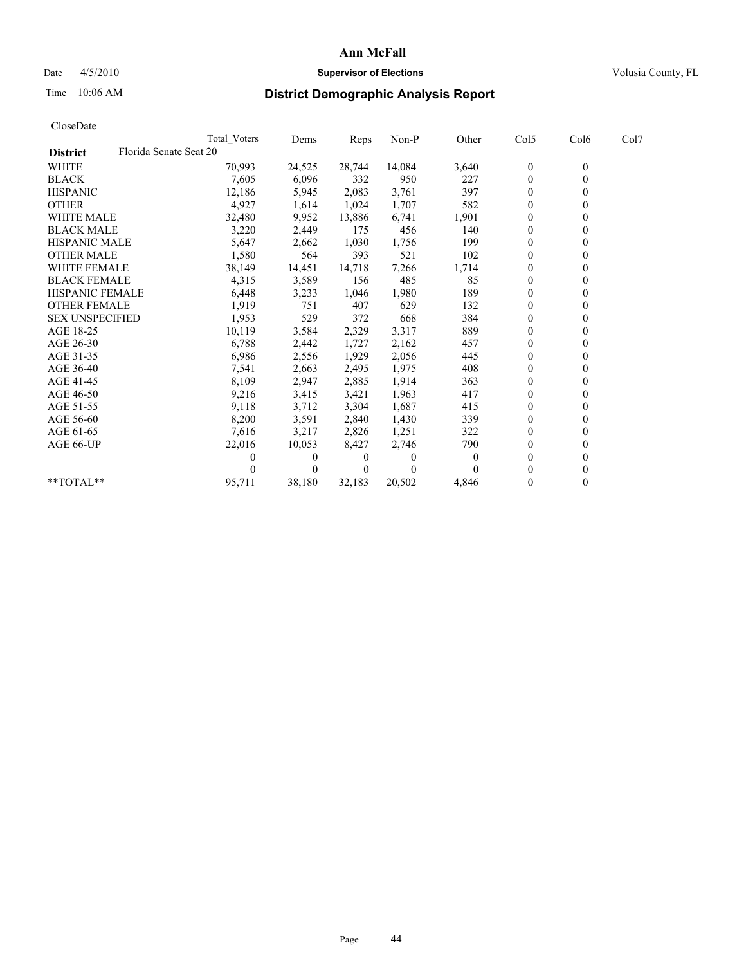## Date 4/5/2010 **Supervisor of Elections Supervisor of Elections** Volusia County, FL

# Time 10:06 AM **District Demographic Analysis Report**

|                        | Total Voters           | Dems     | <b>Reps</b> | Non-P    | Other    | Col5           | Col6         | Col7 |  |
|------------------------|------------------------|----------|-------------|----------|----------|----------------|--------------|------|--|
| <b>District</b>        | Florida Senate Seat 20 |          |             |          |          |                |              |      |  |
| <b>WHITE</b>           | 70,993                 | 24,525   | 28,744      | 14,084   | 3,640    | $\theta$       | $\mathbf{0}$ |      |  |
| <b>BLACK</b>           | 7,605                  | 6,096    | 332         | 950      | 227      | $\theta$       |              |      |  |
| <b>HISPANIC</b>        | 12,186                 | 5,945    | 2,083       | 3,761    | 397      | $\theta$       |              |      |  |
| <b>OTHER</b>           | 4,927                  | 1,614    | 1,024       | 1,707    | 582      | $\overline{0}$ |              |      |  |
| <b>WHITE MALE</b>      | 32,480                 | 9,952    | 13,886      | 6,741    | 1,901    | $\Omega$       |              |      |  |
| <b>BLACK MALE</b>      | 3,220                  | 2,449    | 175         | 456      | 140      | $\theta$       |              |      |  |
| <b>HISPANIC MALE</b>   | 5,647                  | 2,662    | 1,030       | 1,756    | 199      | $\theta$       |              |      |  |
| <b>OTHER MALE</b>      | 1,580                  | 564      | 393         | 521      | 102      | $\Omega$       |              |      |  |
| WHITE FEMALE           | 38,149                 | 14,451   | 14,718      | 7,266    | 1,714    | $\theta$       |              |      |  |
| <b>BLACK FEMALE</b>    | 4,315                  | 3,589    | 156         | 485      | 85       | $\overline{0}$ |              |      |  |
| HISPANIC FEMALE        | 6,448                  | 3,233    | 1,046       | 1,980    | 189      | $\Omega$       |              |      |  |
| <b>OTHER FEMALE</b>    | 1,919                  | 751      | 407         | 629      | 132      | $\Omega$       |              |      |  |
| <b>SEX UNSPECIFIED</b> | 1,953                  | 529      | 372         | 668      | 384      | $\Omega$       |              |      |  |
| AGE 18-25              | 10,119                 | 3,584    | 2,329       | 3,317    | 889      | $\Omega$       |              |      |  |
| AGE 26-30              | 6,788                  | 2,442    | 1,727       | 2,162    | 457      | $\mathbf{0}$   |              |      |  |
| AGE 31-35              | 6,986                  | 2,556    | 1,929       | 2,056    | 445      | $\overline{0}$ |              |      |  |
| AGE 36-40              | 7,541                  | 2,663    | 2,495       | 1,975    | 408      | $\overline{0}$ |              |      |  |
| AGE 41-45              | 8,109                  | 2,947    | 2,885       | 1,914    | 363      | $\theta$       |              |      |  |
| AGE 46-50              | 9,216                  | 3,415    | 3,421       | 1,963    | 417      | $\theta$       |              |      |  |
| AGE 51-55              | 9,118                  | 3,712    | 3,304       | 1,687    | 415      | $\overline{0}$ |              |      |  |
| AGE 56-60              | 8,200                  | 3,591    | 2,840       | 1,430    | 339      | $\theta$       |              |      |  |
| AGE 61-65              | 7,616                  | 3,217    | 2,826       | 1,251    | 322      | $\Omega$       |              |      |  |
| AGE 66-UP              | 22,016                 | 10,053   | 8,427       | 2,746    | 790      | $\Omega$       |              |      |  |
|                        |                        | 0        | 0           | 0        | $\theta$ | $\theta$       |              |      |  |
|                        |                        | $\Omega$ | $\theta$    | $\theta$ |          | 0              |              |      |  |
| $*$ $TOTAI.**$         | 95,711                 | 38,180   | 32,183      | 20,502   | 4,846    | $\theta$       |              |      |  |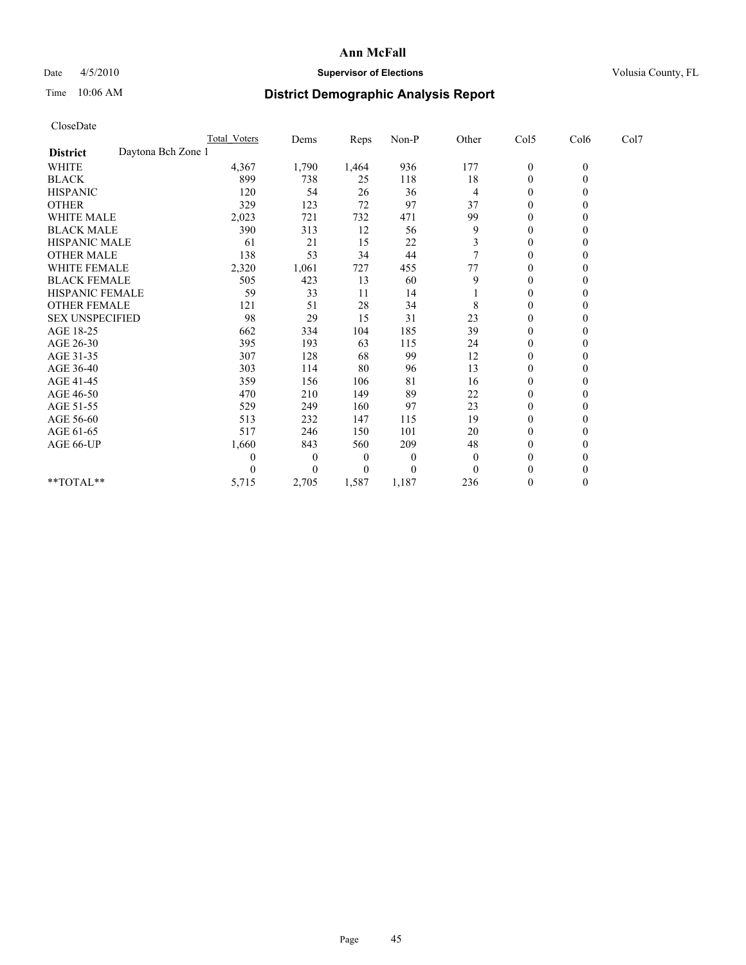## Date  $4/5/2010$  **Supervisor of Elections** Volusia County, FL

# Time 10:06 AM **District Demographic Analysis Report**

| CloseDate              |                    |                     |                |       |          |          |                  |              |      |
|------------------------|--------------------|---------------------|----------------|-------|----------|----------|------------------|--------------|------|
|                        |                    | <b>Total Voters</b> | Dems           | Reps  | Non-P    | Other    | Col5             | Col6         | Col7 |
| <b>District</b>        | Daytona Bch Zone 1 |                     |                |       |          |          |                  |              |      |
| WHITE                  |                    | 4,367               | 1,790          | 1,464 | 936      | 177      | $\boldsymbol{0}$ | $\mathbf{0}$ |      |
| <b>BLACK</b>           |                    | 899                 | 738            | 25    | 118      | 18       | $\boldsymbol{0}$ | $\mathbf{0}$ |      |
| <b>HISPANIC</b>        |                    | 120                 | 54             | 26    | 36       | 4        | $\overline{0}$   | $\Omega$     |      |
| <b>OTHER</b>           |                    | 329                 | 123            | 72    | 97       | 37       | $\mathbf{0}$     | $\theta$     |      |
| <b>WHITE MALE</b>      |                    | 2,023               | 721            | 732   | 471      | 99       | $\overline{0}$   | $\Omega$     |      |
| <b>BLACK MALE</b>      |                    | 390                 | 313            | 12    | 56       | 9        | $\overline{0}$   | $\theta$     |      |
| HISPANIC MALE          |                    | 61                  | 21             | 15    | 22       | 3        | 0                | $\Omega$     |      |
| <b>OTHER MALE</b>      |                    | 138                 | 53             | 34    | 44       |          | $\mathbf{0}$     | $\mathbf{0}$ |      |
| WHITE FEMALE           |                    | 2,320               | 1,061          | 727   | 455      | 77       | $\boldsymbol{0}$ | $\theta$     |      |
| <b>BLACK FEMALE</b>    |                    | 505                 | 423            | 13    | 60       | 9        | $\boldsymbol{0}$ | $\Omega$     |      |
| HISPANIC FEMALE        |                    | 59                  | 33             | 11    | 14       |          | 0                | $\Omega$     |      |
| OTHER FEMALE           |                    | 121                 | 51             | 28    | 34       | 8        | $\boldsymbol{0}$ | $\theta$     |      |
| <b>SEX UNSPECIFIED</b> |                    | 98                  | 29             | 15    | 31       | 23       | $\boldsymbol{0}$ | $\Omega$     |      |
| AGE 18-25              |                    | 662                 | 334            | 104   | 185      | 39       | 0                | $\theta$     |      |
| AGE 26-30              |                    | 395                 | 193            | 63    | 115      | 24       | $\boldsymbol{0}$ | $\theta$     |      |
| AGE 31-35              |                    | 307                 | 128            | 68    | 99       | 12       | $\boldsymbol{0}$ | $\theta$     |      |
| AGE 36-40              |                    | 303                 | 114            | 80    | 96       | 13       | $\boldsymbol{0}$ | $\Omega$     |      |
| AGE 41-45              |                    | 359                 | 156            | 106   | 81       | 16       | $\boldsymbol{0}$ | $\Omega$     |      |
| AGE 46-50              |                    | 470                 | 210            | 149   | 89       | 22       | $\boldsymbol{0}$ | $\mathbf{0}$ |      |
| AGE 51-55              |                    | 529                 | 249            | 160   | 97       | 23       | $\boldsymbol{0}$ | $\Omega$     |      |
| AGE 56-60              |                    | 513                 | 232            | 147   | 115      | 19       | $\boldsymbol{0}$ | $\Omega$     |      |
| AGE 61-65              |                    | 517                 | 246            | 150   | 101      | 20       | $\mathbf{0}$     | $\mathbf{0}$ |      |
| AGE 66-UP              |                    | 1,660               | 843            | 560   | 209      | 48       | $\boldsymbol{0}$ | $\mathbf{0}$ |      |
|                        |                    | 0                   | $\overline{0}$ | 0     | $\theta$ | $\theta$ | $\boldsymbol{0}$ | $\theta$     |      |
|                        |                    | 0                   | $\Omega$       | 0     | $\theta$ | $\Omega$ | $\mathbf{0}$     | $\Omega$     |      |
| $*$ $TOTAI.**$         |                    | 5,715               | 2,705          | 1,587 | 1,187    | 236      | $\boldsymbol{0}$ | $\theta$     |      |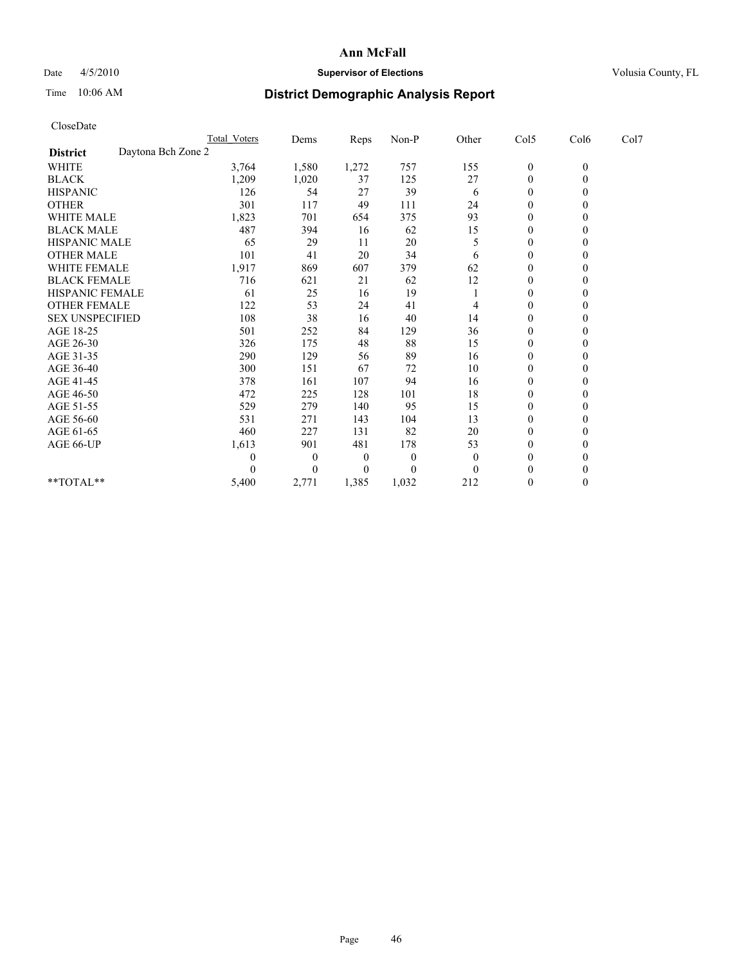## Date 4/5/2010 **Supervisor of Elections Supervisor of Elections** Volusia County, FL

# Time 10:06 AM **District Demographic Analysis Report**

|                        |   |                                                                                                                                                                                                       |                                                                                                                                                                                                              |          |                  | Col6          | Col7 |  |
|------------------------|---|-------------------------------------------------------------------------------------------------------------------------------------------------------------------------------------------------------|--------------------------------------------------------------------------------------------------------------------------------------------------------------------------------------------------------------|----------|------------------|---------------|------|--|
| Daytona Bch Zone 2     |   |                                                                                                                                                                                                       |                                                                                                                                                                                                              |          |                  |               |      |  |
|                        |   | 1,272                                                                                                                                                                                                 | 757                                                                                                                                                                                                          | 155      | $\boldsymbol{0}$ | $\mathbf{0}$  |      |  |
|                        |   | 37                                                                                                                                                                                                    | 125                                                                                                                                                                                                          | 27       | $\boldsymbol{0}$ | $\mathbf{0}$  |      |  |
|                        |   | 27                                                                                                                                                                                                    | 39                                                                                                                                                                                                           | 6        | $\boldsymbol{0}$ | $\Omega$      |      |  |
|                        |   | 49                                                                                                                                                                                                    | 111                                                                                                                                                                                                          | 24       | $\mathbf{0}$     | $\mathbf{0}$  |      |  |
|                        |   | 654                                                                                                                                                                                                   | 375                                                                                                                                                                                                          | 93       | 0                | $\theta$      |      |  |
|                        |   | 16                                                                                                                                                                                                    | 62                                                                                                                                                                                                           | 15       | $\overline{0}$   | $\mathbf{0}$  |      |  |
| <b>HISPANIC MALE</b>   |   | 11                                                                                                                                                                                                    | 20                                                                                                                                                                                                           | 5        | 0                | $\Omega$      |      |  |
|                        |   | 20                                                                                                                                                                                                    | 34                                                                                                                                                                                                           | 6        | $\boldsymbol{0}$ | $\Omega$      |      |  |
| <b>WHITE FEMALE</b>    |   | 607                                                                                                                                                                                                   | 379                                                                                                                                                                                                          | 62       | $\boldsymbol{0}$ | $\mathbf{0}$  |      |  |
| <b>BLACK FEMALE</b>    |   | 21                                                                                                                                                                                                    | 62                                                                                                                                                                                                           | 12       | 0                | $\theta$      |      |  |
| <b>HISPANIC FEMALE</b> |   | 16                                                                                                                                                                                                    | 19                                                                                                                                                                                                           |          | $\mathbf{0}$     | $\mathbf{0}$  |      |  |
| <b>OTHER FEMALE</b>    |   | 24                                                                                                                                                                                                    | 41                                                                                                                                                                                                           | 4        | $\boldsymbol{0}$ | $\Omega$      |      |  |
| <b>SEX UNSPECIFIED</b> |   | 16                                                                                                                                                                                                    | 40                                                                                                                                                                                                           | 14       | $\boldsymbol{0}$ | $\Omega$      |      |  |
|                        |   | 84                                                                                                                                                                                                    | 129                                                                                                                                                                                                          | 36       | $\overline{0}$   | $\Omega$      |      |  |
|                        |   | 48                                                                                                                                                                                                    | 88                                                                                                                                                                                                           | 15       | $\boldsymbol{0}$ | $\Omega$      |      |  |
|                        |   | 56                                                                                                                                                                                                    | 89                                                                                                                                                                                                           | 16       | $\boldsymbol{0}$ | $\mathbf{0}$  |      |  |
|                        |   | 67                                                                                                                                                                                                    | 72                                                                                                                                                                                                           | 10       | $\overline{0}$   | $\Omega$      |      |  |
|                        |   | 107                                                                                                                                                                                                   | 94                                                                                                                                                                                                           | 16       | 0                | $\Omega$      |      |  |
|                        |   | 128                                                                                                                                                                                                   | 101                                                                                                                                                                                                          | 18       | $\boldsymbol{0}$ | $\Omega$      |      |  |
|                        |   | 140                                                                                                                                                                                                   | 95                                                                                                                                                                                                           | 15       | $\boldsymbol{0}$ | $\Omega$      |      |  |
|                        |   | 143                                                                                                                                                                                                   | 104                                                                                                                                                                                                          | 13       | $\boldsymbol{0}$ | $\Omega$      |      |  |
|                        |   | 131                                                                                                                                                                                                   | 82                                                                                                                                                                                                           | 20       | $\boldsymbol{0}$ | $\Omega$      |      |  |
|                        |   | 481                                                                                                                                                                                                   | 178                                                                                                                                                                                                          | 53       | 0                | $\theta$      |      |  |
|                        | 0 | 0                                                                                                                                                                                                     | $\theta$                                                                                                                                                                                                     | $\theta$ | $\overline{0}$   | $\Omega$      |      |  |
|                        | 0 | 0                                                                                                                                                                                                     | $\theta$                                                                                                                                                                                                     | $\Omega$ | $\theta$         | $\theta$      |      |  |
|                        |   | 1,385                                                                                                                                                                                                 | 1,032                                                                                                                                                                                                        | 212      | $\mathbf{0}$     | $\mathbf{0}$  |      |  |
|                        |   | <b>Total Voters</b><br>3,764<br>1,209<br>126<br>301<br>1,823<br>487<br>65<br>101<br>1,917<br>716<br>61<br>122<br>108<br>501<br>326<br>290<br>300<br>378<br>472<br>529<br>531<br>460<br>1,613<br>5,400 | Dems<br>1,580<br>1,020<br>54<br>117<br>701<br>394<br>29<br>41<br>869<br>621<br>25<br>53<br>38<br>252<br>175<br>129<br>151<br>161<br>225<br>279<br>271<br>227<br>901<br>$\boldsymbol{0}$<br>$\theta$<br>2,771 | Reps     | Non-P            | Other<br>Col5 |      |  |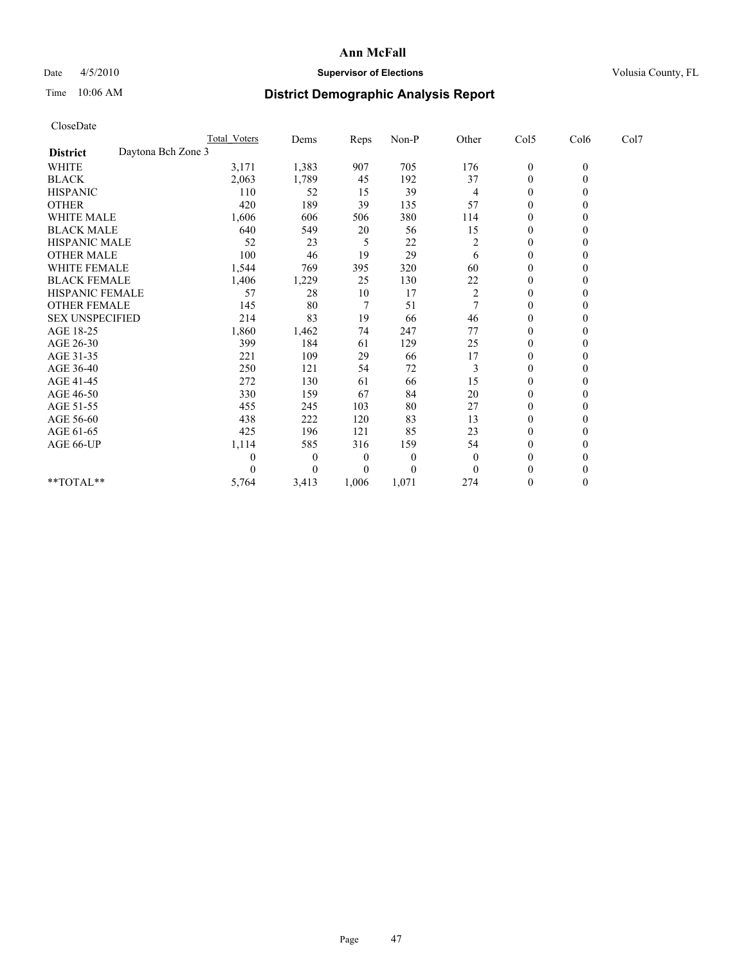## Date 4/5/2010 **Supervisor of Elections Supervisor of Elections** Volusia County, FL

# Time 10:06 AM **District Demographic Analysis Report**

|                                       | Total Voters | Dems         | Reps         | Non-P          | Other          | Col5             | Col6         | Col7 |  |
|---------------------------------------|--------------|--------------|--------------|----------------|----------------|------------------|--------------|------|--|
| Daytona Bch Zone 3<br><b>District</b> |              |              |              |                |                |                  |              |      |  |
| WHITE                                 | 3,171        | 1,383        | 907          | 705            | 176            | $\boldsymbol{0}$ | $\mathbf{0}$ |      |  |
| <b>BLACK</b>                          | 2,063        | 1,789        | 45           | 192            | 37             | $\theta$         |              |      |  |
| <b>HISPANIC</b>                       | 110          | 52           | 15           | 39             | 4              | $\theta$         |              |      |  |
| <b>OTHER</b>                          | 420          | 189          | 39           | 135            | 57             | $\theta$         |              |      |  |
| <b>WHITE MALE</b>                     | 1,606        | 606          | 506          | 380            | 114            | $\Omega$         |              |      |  |
| <b>BLACK MALE</b>                     | 640          | 549          | 20           | 56             | 15             | $\theta$         |              |      |  |
| <b>HISPANIC MALE</b>                  | 52           | 23           | 5            | 22             | $\overline{c}$ | $\theta$         |              |      |  |
| <b>OTHER MALE</b>                     | 100          | 46           | 19           | 29             | 6              | $\Omega$         |              |      |  |
| WHITE FEMALE                          | 1,544        | 769          | 395          | 320            | 60             | $\theta$         |              |      |  |
| <b>BLACK FEMALE</b>                   | 1,406        | 1,229        | 25           | 130            | 22             | $\theta$         |              |      |  |
| HISPANIC FEMALE                       | 57           | 28           | 10           | 17             | $\overline{c}$ | $\theta$         |              |      |  |
| <b>OTHER FEMALE</b>                   | 145          | 80           | 7            | 51             | 7              | $\theta$         |              |      |  |
| <b>SEX UNSPECIFIED</b>                | 214          | 83           | 19           | 66             | 46             | $\theta$         |              |      |  |
| AGE 18-25                             | 1,860        | 1,462        | 74           | 247            | 77             | $\theta$         |              |      |  |
| AGE 26-30                             | 399          | 184          | 61           | 129            | 25             | $\theta$         |              |      |  |
| AGE 31-35                             | 221          | 109          | 29           | 66             | 17             | $\theta$         |              |      |  |
| AGE 36-40                             | 250          | 121          | 54           | 72             | 3              | $\mathbf{0}$     |              |      |  |
| AGE 41-45                             | 272          | 130          | 61           | 66             | 15             | $\theta$         |              |      |  |
| AGE 46-50                             | 330          | 159          | 67           | 84             | 20             | $\theta$         |              |      |  |
| AGE 51-55                             | 455          | 245          | 103          | 80             | 27             | $\mathbf{0}$     |              |      |  |
| AGE 56-60                             | 438          | 222          | 120          | 83             | 13             | $\theta$         |              |      |  |
| AGE 61-65                             | 425          | 196          | 121          | 85             | 23             | $\theta$         |              |      |  |
| AGE 66-UP                             | 1,114        | 585          | 316          | 159            | 54             | $\mathbf{0}$     |              |      |  |
|                                       | $\theta$     | $\mathbf{0}$ | $\mathbf{0}$ | $\overline{0}$ | $\mathbf{0}$   | $\theta$         |              |      |  |
|                                       | 0            | 0            | $\theta$     | $\theta$       | $\theta$       | $\theta$         |              |      |  |
| **TOTAL**                             | 5,764        | 3,413        | 1,006        | 1,071          | 274            | $\Omega$         |              |      |  |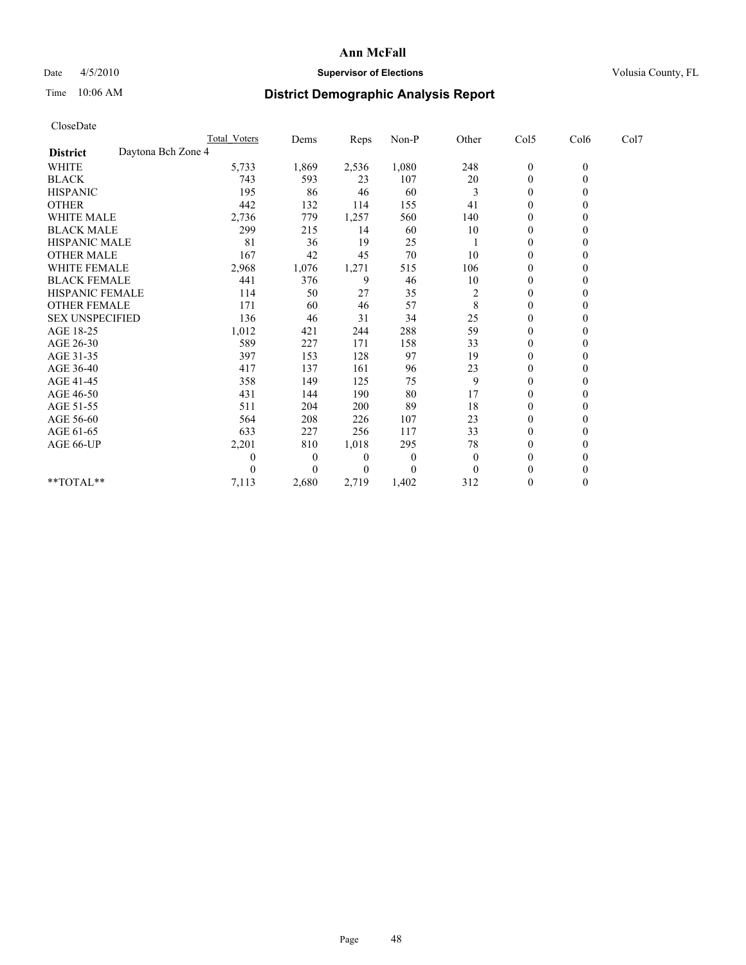## Date 4/5/2010 **Supervisor of Elections Supervisor of Elections** Volusia County, FL

# Time 10:06 AM **District Demographic Analysis Report**

|                                       | Total Voters | Dems         | <b>Reps</b> | $Non-P$      | Other          | Col5             | Col6         | Col7 |  |
|---------------------------------------|--------------|--------------|-------------|--------------|----------------|------------------|--------------|------|--|
| Daytona Bch Zone 4<br><b>District</b> |              |              |             |              |                |                  |              |      |  |
| WHITE                                 | 5,733        | 1,869        | 2,536       | 1,080        | 248            | $\boldsymbol{0}$ | $\mathbf{0}$ |      |  |
| <b>BLACK</b>                          | 743          | 593          | 23          | 107          | 20             | $\mathbf{0}$     |              |      |  |
| <b>HISPANIC</b>                       | 195          | 86           | 46          | 60           | 3              | $\theta$         |              |      |  |
| <b>OTHER</b>                          | 442          | 132          | 114         | 155          | 41             | $\Omega$         |              |      |  |
| <b>WHITE MALE</b>                     | 2,736        | 779          | 1,257       | 560          | 140            | 0                |              |      |  |
| <b>BLACK MALE</b>                     | 299          | 215          | 14          | 60           | 10             | $\theta$         |              |      |  |
| <b>HISPANIC MALE</b>                  | 81           | 36           | 19          | 25           |                | $\theta$         |              |      |  |
| <b>OTHER MALE</b>                     | 167          | 42           | 45          | 70           | 10             | $\Omega$         |              |      |  |
| WHITE FEMALE                          | 2,968        | 1,076        | 1,271       | 515          | 106            | $\theta$         |              |      |  |
| <b>BLACK FEMALE</b>                   | 441          | 376          | 9           | 46           | 10             | $\overline{0}$   |              |      |  |
| HISPANIC FEMALE                       | 114          | 50           | 27          | 35           | $\overline{c}$ | 0                |              |      |  |
| <b>OTHER FEMALE</b>                   | 171          | 60           | 46          | 57           | 8              | $\Omega$         |              |      |  |
| <b>SEX UNSPECIFIED</b>                | 136          | 46           | 31          | 34           | 25             | $\theta$         |              |      |  |
| AGE 18-25                             | 1,012        | 421          | 244         | 288          | 59             | $\Omega$         |              |      |  |
| AGE 26-30                             | 589          | 227          | 171         | 158          | 33             | $\theta$         |              |      |  |
| AGE 31-35                             | 397          | 153          | 128         | 97           | 19             | $\Omega$         |              |      |  |
| AGE 36-40                             | 417          | 137          | 161         | 96           | 23             | $\mathbf{0}$     |              |      |  |
| AGE 41-45                             | 358          | 149          | 125         | 75           | 9              | $\theta$         |              |      |  |
| AGE 46-50                             | 431          | 144          | 190         | 80           | 17             | $\theta$         |              |      |  |
| AGE 51-55                             | 511          | 204          | 200         | 89           | 18             | $\overline{0}$   |              |      |  |
| AGE 56-60                             | 564          | 208          | 226         | 107          | 23             | $\theta$         |              |      |  |
| AGE 61-65                             | 633          | 227          | 256         | 117          | 33             | $\Omega$         |              |      |  |
| AGE 66-UP                             | 2,201        | 810          | 1,018       | 295          | 78             | $\Omega$         |              |      |  |
|                                       | 0            | $\mathbf{0}$ | 0           | $\mathbf{0}$ | $\theta$       | $\theta$         |              |      |  |
|                                       |              | $\Omega$     | $\theta$    | $\theta$     | $\theta$       | $\theta$         |              |      |  |
| $*$ $TOTAI.**$                        | 7,113        | 2,680        | 2,719       | 1,402        | 312            | $\theta$         |              |      |  |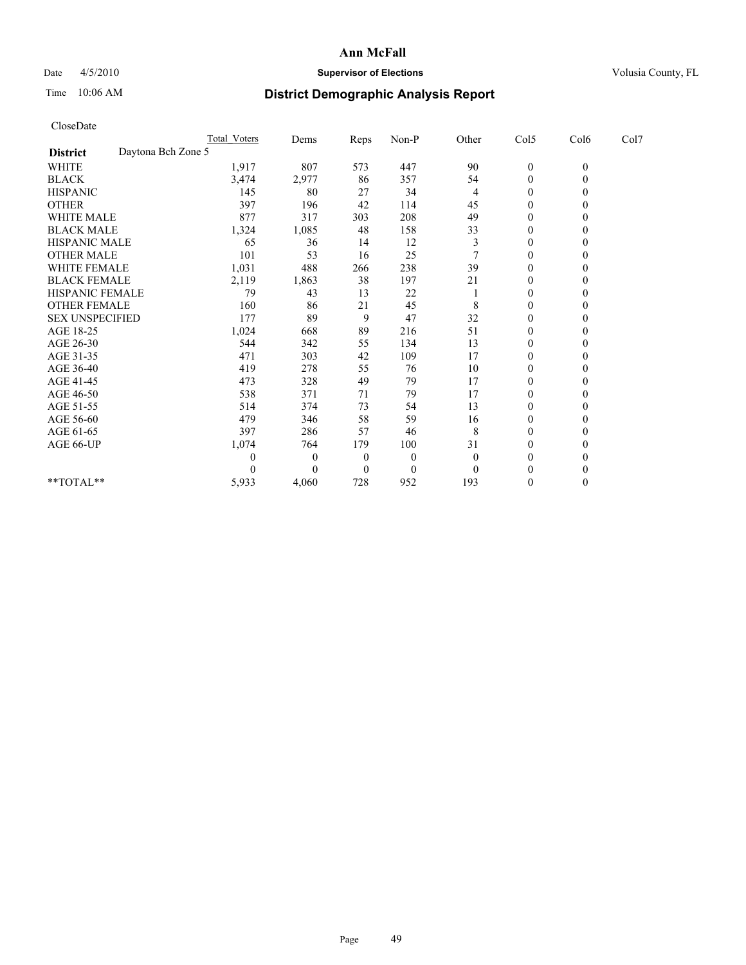## Date 4/5/2010 **Supervisor of Elections Supervisor of Elections** Volusia County, FL

# Time 10:06 AM **District Demographic Analysis Report**

|                                       | Total Voters | Dems         | Reps           | Non-P    | Other    | Col5           | Col6         | Col7 |
|---------------------------------------|--------------|--------------|----------------|----------|----------|----------------|--------------|------|
| Daytona Bch Zone 5<br><b>District</b> |              |              |                |          |          |                |              |      |
| WHITE                                 | 1,917        | 807          | 573            | 447      | 90       | $\overline{0}$ | $\mathbf{0}$ |      |
| <b>BLACK</b>                          | 3,474        | 2,977        | 86             | 357      | 54       | $\theta$       |              |      |
| <b>HISPANIC</b>                       | 145          | 80           | 27             | 34       | 4        | $\theta$       |              |      |
| <b>OTHER</b>                          | 397          | 196          | 42             | 114      | 45       | $\theta$       |              |      |
| <b>WHITE MALE</b>                     | 877          | 317          | 303            | 208      | 49       | $\Omega$       |              |      |
| <b>BLACK MALE</b>                     | 1,324        | 1,085        | 48             | 158      | 33       | $\theta$       |              |      |
| <b>HISPANIC MALE</b>                  | 65           | 36           | 14             | 12       | 3        | $\theta$       |              |      |
| <b>OTHER MALE</b>                     | 101          | 53           | 16             | 25       |          | $\Omega$       |              |      |
| WHITE FEMALE                          | 1,031        | 488          | 266            | 238      | 39       | $\theta$       |              |      |
| <b>BLACK FEMALE</b>                   | 2,119        | 1,863        | 38             | 197      | 21       | $\mathbf{0}$   |              |      |
| HISPANIC FEMALE                       | 79           | 43           | 13             | 22       |          | $\theta$       |              |      |
| <b>OTHER FEMALE</b>                   | 160          | 86           | 21             | 45       | 8        | $\theta$       |              |      |
| <b>SEX UNSPECIFIED</b>                | 177          | 89           | 9              | 47       | 32       | $\theta$       |              |      |
| AGE 18-25                             | 1,024        | 668          | 89             | 216      | 51       | $\theta$       |              |      |
| AGE 26-30                             | 544          | 342          | 55             | 134      | 13       | $\theta$       |              |      |
| AGE 31-35                             | 471          | 303          | 42             | 109      | 17       | $\Omega$       |              |      |
| AGE 36-40                             | 419          | 278          | 55             | 76       | 10       | $\mathbf{0}$   |              |      |
| AGE 41-45                             | 473          | 328          | 49             | 79       | 17       | $\theta$       |              |      |
| AGE 46-50                             | 538          | 371          | 71             | 79       | 17       | $\theta$       |              |      |
| AGE 51-55                             | 514          | 374          | 73             | 54       | 13       | $\mathbf{0}$   |              |      |
| AGE 56-60                             | 479          | 346          | 58             | 59       | 16       | $\theta$       |              |      |
| AGE 61-65                             | 397          | 286          | 57             | 46       | 8        | $\theta$       |              |      |
| AGE 66-UP                             | 1,074        | 764          | 179            | 100      | 31       | $\Omega$       |              |      |
|                                       | $\theta$     | $\mathbf{0}$ | $\overline{0}$ | $\theta$ | $\theta$ | $\Omega$       |              |      |
|                                       |              | $\Omega$     | $\theta$       | $\theta$ | $\theta$ | $\theta$       |              |      |
| **TOTAL**                             | 5,933        | 4,060        | 728            | 952      | 193      | $\Omega$       |              |      |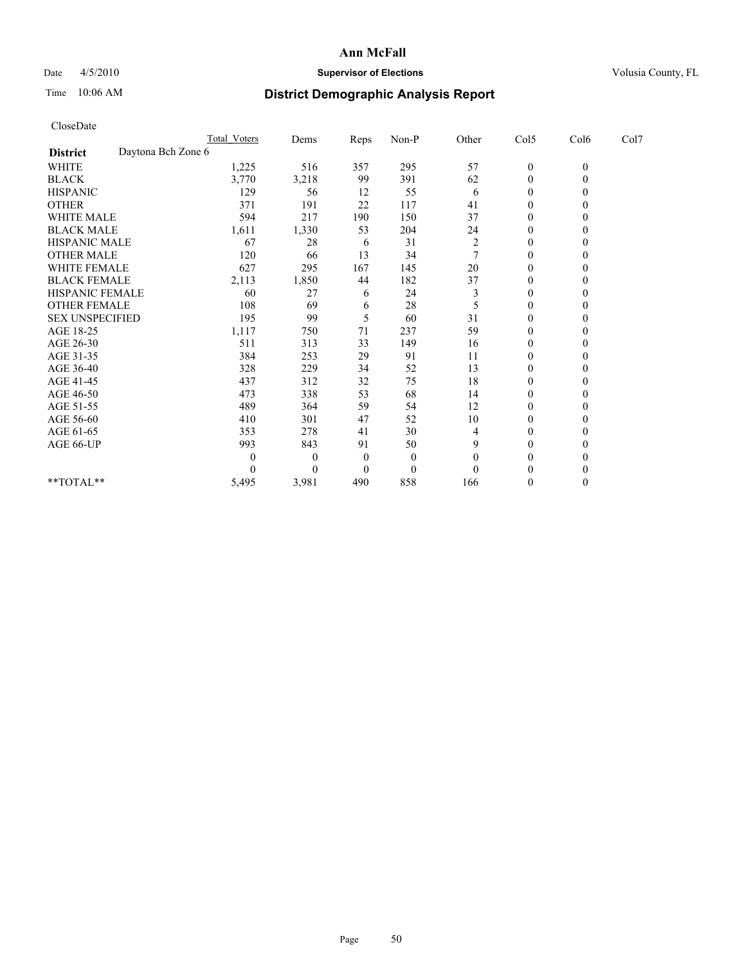## Date 4/5/2010 **Supervisor of Elections Supervisor of Elections** Volusia County, FL

# Time 10:06 AM **District Demographic Analysis Report**

|                                       | Total Voters     | Dems     | Reps           | Non-P    | Other          | Col5         | Col6         | Col7 |  |
|---------------------------------------|------------------|----------|----------------|----------|----------------|--------------|--------------|------|--|
| Daytona Bch Zone 6<br><b>District</b> |                  |          |                |          |                |              |              |      |  |
| WHITE                                 | 1,225            | 516      | 357            | 295      | 57             | $\mathbf{0}$ | $\mathbf{0}$ |      |  |
| <b>BLACK</b>                          | 3,770            | 3,218    | 99             | 391      | 62             | $\theta$     |              |      |  |
| <b>HISPANIC</b>                       | 129              | 56       | 12             | 55       | 6              | $\theta$     |              |      |  |
| <b>OTHER</b>                          | 371              | 191      | 22             | 117      | 41             | $\Omega$     |              |      |  |
| <b>WHITE MALE</b>                     | 594              | 217      | 190            | 150      | 37             | 0            |              |      |  |
| <b>BLACK MALE</b>                     | 1,611            | 1,330    | 53             | 204      | 24             | $\theta$     |              |      |  |
| <b>HISPANIC MALE</b>                  | 67               | 28       | 6              | 31       | $\overline{c}$ | $\theta$     |              |      |  |
| <b>OTHER MALE</b>                     | 120              | 66       | 13             | 34       |                | $\Omega$     |              |      |  |
| WHITE FEMALE                          | 627              | 295      | 167            | 145      | 20             | $\theta$     |              |      |  |
| <b>BLACK FEMALE</b>                   | 2,113            | 1,850    | 44             | 182      | 37             | $\mathbf{0}$ |              |      |  |
| HISPANIC FEMALE                       | 60               | 27       | 6              | 24       | 3              | $\theta$     |              |      |  |
| <b>OTHER FEMALE</b>                   | 108              | 69       | 6              | 28       | 5              | $\theta$     |              |      |  |
| <b>SEX UNSPECIFIED</b>                | 195              | 99       | 5              | 60       | 31             | $\theta$     |              |      |  |
| AGE 18-25                             | 1,117            | 750      | 71             | 237      | 59             | $\theta$     |              |      |  |
| AGE 26-30                             | 511              | 313      | 33             | 149      | 16             | $\theta$     |              |      |  |
| AGE 31-35                             | 384              | 253      | 29             | 91       | 11             | $\Omega$     |              |      |  |
| AGE 36-40                             | 328              | 229      | 34             | 52       | 13             | $\mathbf{0}$ |              |      |  |
| AGE 41-45                             | 437              | 312      | 32             | 75       | 18             | $\theta$     |              |      |  |
| AGE 46-50                             | 473              | 338      | 53             | 68       | 14             | $\theta$     |              |      |  |
| AGE 51-55                             | 489              | 364      | 59             | 54       | 12             | $\mathbf{0}$ |              |      |  |
| AGE 56-60                             | 410              | 301      | 47             | 52       | 10             | $\theta$     |              |      |  |
| AGE 61-65                             | 353              | 278      | 41             | 30       | 4              | $\theta$     |              |      |  |
| AGE 66-UP                             | 993              | 843      | 91             | 50       | 9              | $\theta$     |              |      |  |
|                                       | $\boldsymbol{0}$ | 0        | $\overline{0}$ | $\theta$ | $\theta$       | $\Omega$     |              |      |  |
|                                       | $\Omega$         | $\Omega$ | $\theta$       | $\theta$ | $\theta$       | $\theta$     |              |      |  |
| **TOTAL**                             | 5,495            | 3,981    | 490            | 858      | 166            | $\Omega$     |              |      |  |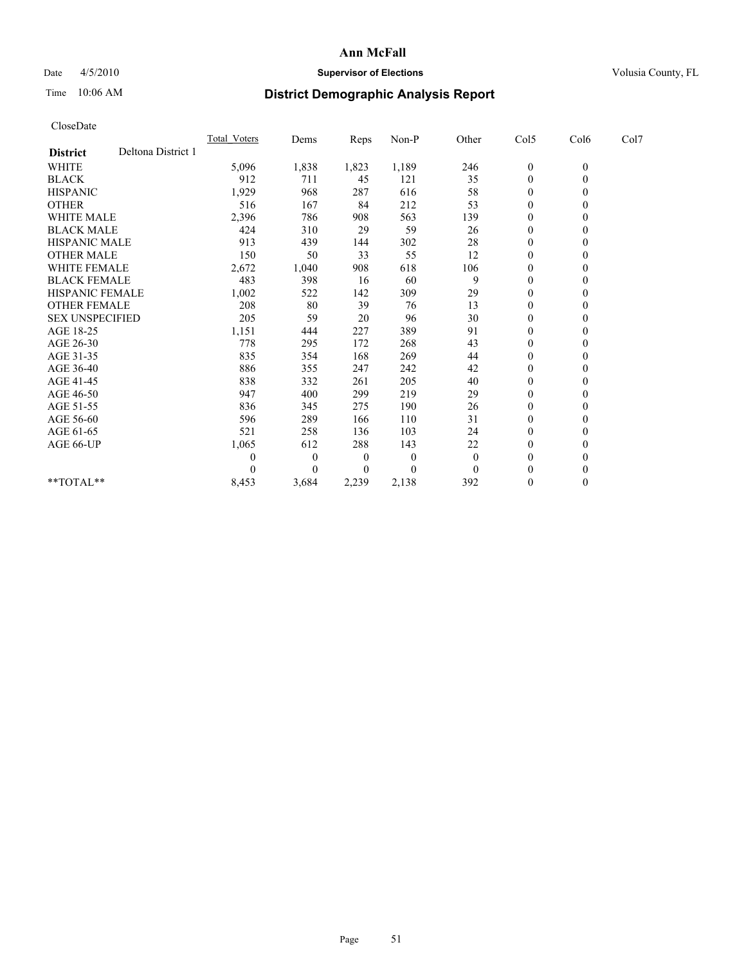## Date  $4/5/2010$  **Supervisor of Elections** Volusia County, FL

# Time 10:06 AM **District Demographic Analysis Report**

| CloseDate              |                    |              |                |          |          |                |                  |                  |      |
|------------------------|--------------------|--------------|----------------|----------|----------|----------------|------------------|------------------|------|
|                        |                    | Total Voters | Dems           | Reps     | $Non-P$  | Other          | Col5             | Col6             | Col7 |
| <b>District</b>        | Deltona District 1 |              |                |          |          |                |                  |                  |      |
| <b>WHITE</b>           |                    | 5,096        | 1,838          | 1,823    | 1,189    | 246            | $\boldsymbol{0}$ | $\boldsymbol{0}$ |      |
| <b>BLACK</b>           |                    | 912          | 711            | 45       | 121      | 35             | $\boldsymbol{0}$ | $\mathbf{0}$     |      |
| <b>HISPANIC</b>        |                    | 1,929        | 968            | 287      | 616      | 58             | $\overline{0}$   | $\Omega$         |      |
| <b>OTHER</b>           |                    | 516          | 167            | 84       | 212      | 53             | $\overline{0}$   | $\theta$         |      |
| <b>WHITE MALE</b>      |                    | 2,396        | 786            | 908      | 563      | 139            | $\boldsymbol{0}$ | $\mathbf{0}$     |      |
| <b>BLACK MALE</b>      |                    | 424          | 310            | 29       | 59       | 26             | $\overline{0}$   | $\mathbf{0}$     |      |
| <b>HISPANIC MALE</b>   |                    | 913          | 439            | 144      | 302      | 28             | $\boldsymbol{0}$ | $\Omega$         |      |
| <b>OTHER MALE</b>      |                    | 150          | 50             | 33       | 55       | 12             | $\boldsymbol{0}$ | $\mathbf{0}$     |      |
| <b>WHITE FEMALE</b>    |                    | 2,672        | 1,040          | 908      | 618      | 106            | $\boldsymbol{0}$ | $\theta$         |      |
| <b>BLACK FEMALE</b>    |                    | 483          | 398            | 16       | 60       | 9              | $\boldsymbol{0}$ | $\Omega$         |      |
| <b>HISPANIC FEMALE</b> |                    | 1,002        | 522            | 142      | 309      | 29             | $\overline{0}$   | $\theta$         |      |
| <b>OTHER FEMALE</b>    |                    | 208          | 80             | 39       | 76       | 13             | $\boldsymbol{0}$ | $\mathbf{0}$     |      |
| <b>SEX UNSPECIFIED</b> |                    | 205          | 59             | 20       | 96       | 30             | $\mathbf{0}$     | $\mathbf{0}$     |      |
| AGE 18-25              |                    | 1,151        | 444            | 227      | 389      | 91             | $\boldsymbol{0}$ | $\mathbf{0}$     |      |
| AGE 26-30              |                    | 778          | 295            | 172      | 268      | 43             | $\boldsymbol{0}$ | $\mathbf{0}$     |      |
| AGE 31-35              |                    | 835          | 354            | 168      | 269      | 44             | $\boldsymbol{0}$ | $\theta$         |      |
| AGE 36-40              |                    | 886          | 355            | 247      | 242      | 42             | $\boldsymbol{0}$ | $\Omega$         |      |
| AGE 41-45              |                    | 838          | 332            | 261      | 205      | 40             | $\boldsymbol{0}$ | $\theta$         |      |
| AGE 46-50              |                    | 947          | 400            | 299      | 219      | 29             | $\boldsymbol{0}$ | $\mathbf{0}$     |      |
| AGE 51-55              |                    | 836          | 345            | 275      | 190      | 26             | 0                | $\theta$         |      |
| AGE 56-60              |                    | 596          | 289            | 166      | 110      | 31             | 0                | $\Omega$         |      |
| AGE 61-65              |                    | 521          | 258            | 136      | 103      | 24             | $\boldsymbol{0}$ | $\mathbf{0}$     |      |
| AGE 66-UP              |                    | 1,065        | 612            | 288      | 143      | 22             | $\boldsymbol{0}$ | $\boldsymbol{0}$ |      |
|                        |                    | 0            | $\overline{0}$ | $\theta$ | $\theta$ | $\overline{0}$ | $\overline{0}$   | $\mathbf{0}$     |      |
|                        |                    | 0            | $\theta$       | 0        | $\theta$ | $\theta$       | $\mathbf{0}$     | $\theta$         |      |
| $**TOTAL**$            |                    | 8,453        | 3,684          | 2,239    | 2,138    | 392            | $\overline{0}$   | $\theta$         |      |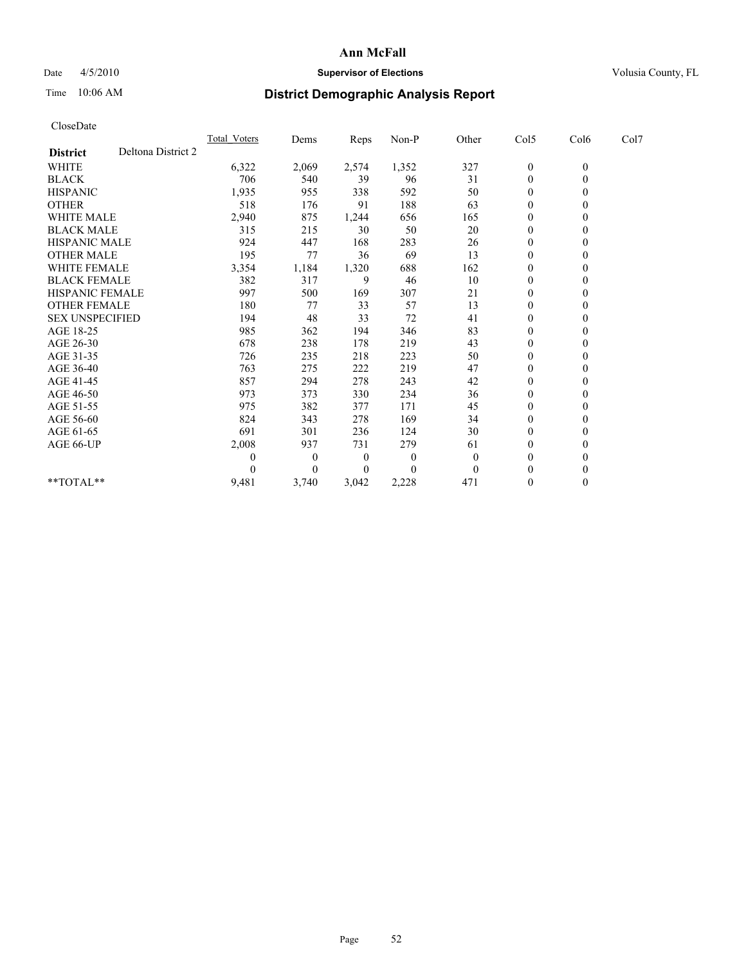## Date 4/5/2010 **Supervisor of Elections Supervisor of Elections** Volusia County, FL

# Time 10:06 AM **District Demographic Analysis Report**

|                        | <b>Total Voters</b> | Dems     | <b>Reps</b>      | Non-P        | Other    | Col5             | Col6         | Col7 |  |
|------------------------|---------------------|----------|------------------|--------------|----------|------------------|--------------|------|--|
| <b>District</b>        | Deltona District 2  |          |                  |              |          |                  |              |      |  |
| <b>WHITE</b>           | 6,322               | 2,069    | 2,574            | 1,352        | 327      | $\boldsymbol{0}$ | $\mathbf{0}$ |      |  |
| <b>BLACK</b>           | 706                 | 540      | 39               | 96           | 31       | $\Omega$         |              |      |  |
| <b>HISPANIC</b>        | 1,935               | 955      | 338              | 592          | 50       | $\theta$         |              |      |  |
| <b>OTHER</b>           | 518                 | 176      | 91               | 188          | 63       | $\overline{0}$   |              |      |  |
| <b>WHITE MALE</b>      | 2,940               | 875      | 1,244            | 656          | 165      | 0                |              |      |  |
| <b>BLACK MALE</b>      | 315                 | 215      | 30               | 50           | 20       | $\theta$         |              |      |  |
| HISPANIC MALE          | 924                 | 447      | 168              | 283          | 26       | $\theta$         |              |      |  |
| <b>OTHER MALE</b>      | 195                 | 77       | 36               | 69           | 13       | $\Omega$         |              |      |  |
| WHITE FEMALE           | 3,354               | 1,184    | 1,320            | 688          | 162      | $\theta$         |              |      |  |
| <b>BLACK FEMALE</b>    | 382                 | 317      | 9                | 46           | 10       | $\overline{0}$   |              |      |  |
| HISPANIC FEMALE        | 997                 | 500      | 169              | 307          | 21       | $\mathbf{0}$     |              |      |  |
| <b>OTHER FEMALE</b>    | 180                 | 77       | 33               | 57           | 13       | $\theta$         |              |      |  |
| <b>SEX UNSPECIFIED</b> | 194                 | 48       | 33               | 72           | 41       | $\overline{0}$   |              |      |  |
| AGE 18-25              | 985                 | 362      | 194              | 346          | 83       | $\Omega$         |              |      |  |
| AGE 26-30              | 678                 | 238      | 178              | 219          | 43       | $\theta$         |              |      |  |
| AGE 31-35              | 726                 | 235      | 218              | 223          | 50       | $\Omega$         |              |      |  |
| AGE 36-40              | 763                 | 275      | 222              | 219          | 47       | $\Omega$         |              |      |  |
| AGE 41-45              | 857                 | 294      | 278              | 243          | 42       | $\theta$         |              |      |  |
| AGE 46-50              | 973                 | 373      | 330              | 234          | 36       | $\overline{0}$   |              |      |  |
| AGE 51-55              | 975                 | 382      | 377              | 171          | 45       | $\Omega$         |              |      |  |
| AGE 56-60              | 824                 | 343      | 278              | 169          | 34       | $\theta$         |              |      |  |
| AGE 61-65              | 691                 | 301      | 236              | 124          | 30       | $\Omega$         |              |      |  |
| AGE 66-UP              | 2,008               | 937      | 731              | 279          | 61       | $\overline{0}$   |              |      |  |
|                        | 0                   | $\theta$ | $\boldsymbol{0}$ | $\mathbf{0}$ | $\Omega$ | $\theta$         |              |      |  |
|                        |                     | $\Omega$ | $\Omega$         | $\theta$     | $\theta$ | $\overline{0}$   |              |      |  |
| **TOTAL**              | 9,481               | 3,740    | 3,042            | 2,228        | 471      | $\mathbf{0}$     | 0            |      |  |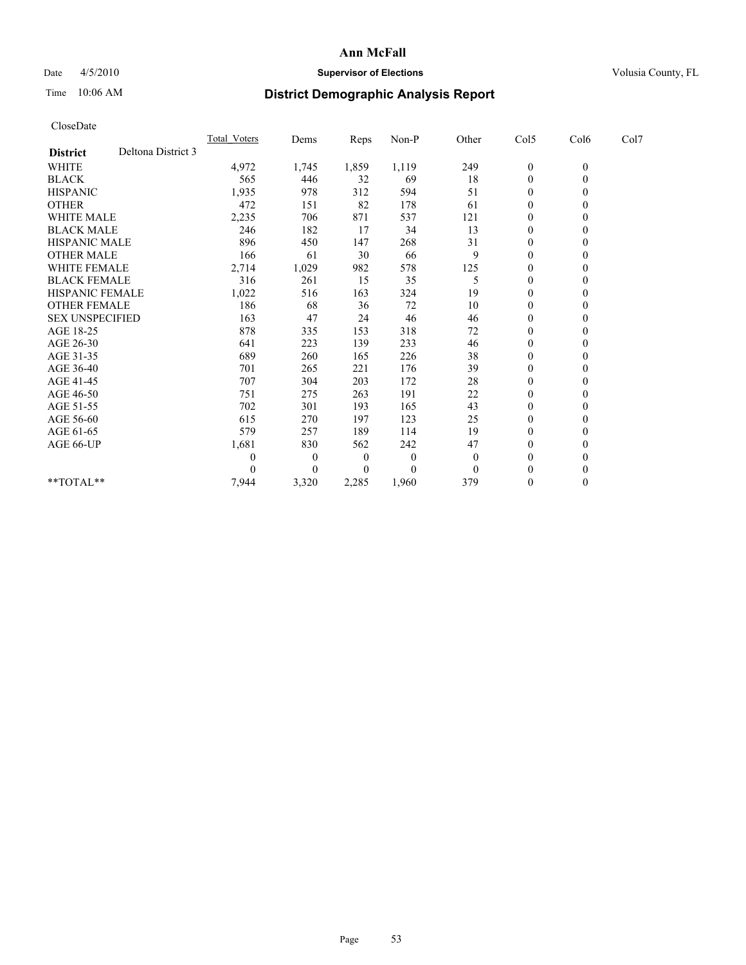## Date  $4/5/2010$  **Supervisor of Elections** Volusia County, FL

# Time 10:06 AM **District Demographic Analysis Report**

| CloseDate                             |                     |          |       |          |          |                  |                |      |  |
|---------------------------------------|---------------------|----------|-------|----------|----------|------------------|----------------|------|--|
|                                       | <b>Total Voters</b> | Dems     | Reps  | Non-P    | Other    | Col5             | Col6           | Col7 |  |
| Deltona District 3<br><b>District</b> |                     |          |       |          |          |                  |                |      |  |
| <b>WHITE</b>                          | 4,972               | 1,745    | 1,859 | 1,119    | 249      | $\boldsymbol{0}$ | $\overline{0}$ |      |  |
| <b>BLACK</b>                          | 565                 | 446      | 32    | 69       | 18       | $\overline{0}$   | $\theta$       |      |  |
| <b>HISPANIC</b>                       | 1,935               | 978      | 312   | 594      | 51       | 0                | $\theta$       |      |  |
| <b>OTHER</b>                          | 472                 | 151      | 82    | 178      | 61       | 0                | $\theta$       |      |  |
| WHITE MALE                            | 2,235               | 706      | 871   | 537      | 121      | $\overline{0}$   | $\theta$       |      |  |
| <b>BLACK MALE</b>                     | 246                 | 182      | 17    | 34       | 13       | 0                | $\theta$       |      |  |
| <b>HISPANIC MALE</b>                  | 896                 | 450      | 147   | 268      | 31       | $\mathbf{0}$     | $\theta$       |      |  |
| <b>OTHER MALE</b>                     | 166                 | 61       | 30    | 66       | 9        | $\mathbf{0}$     | $\theta$       |      |  |
| WHITE FEMALE                          | 2,714               | 1,029    | 982   | 578      | 125      | 0                | $\theta$       |      |  |
| <b>BLACK FEMALE</b>                   | 316                 | 261      | 15    | 35       | 5        | 0                | $\Omega$       |      |  |
| HISPANIC FEMALE                       | 1,022               | 516      | 163   | 324      | 19       | 0                | $\theta$       |      |  |
| <b>OTHER FEMALE</b>                   | 186                 | 68       | 36    | 72       | 10       | $\overline{0}$   | $\theta$       |      |  |
| <b>SEX UNSPECIFIED</b>                | 163                 | 47       | 24    | 46       | 46       | 0                | $\theta$       |      |  |
| AGE 18-25                             | 878                 | 335      | 153   | 318      | 72       | 0                | $\Omega$       |      |  |
| AGE 26-30                             | 641                 | 223      | 139   | 233      | 46       | $\overline{0}$   | $\theta$       |      |  |
| AGE 31-35                             | 689                 | 260      | 165   | 226      | 38       | 0                | $\theta$       |      |  |
| AGE 36-40                             | 701                 | 265      | 221   | 176      | 39       | $\mathbf{0}$     | 0              |      |  |
| AGE 41-45                             | 707                 | 304      | 203   | 172      | 28       | $\mathbf{0}$     | $\theta$       |      |  |
| AGE 46-50                             | 751                 | 275      | 263   | 191      | 22       | 0                | $\theta$       |      |  |
| AGE 51-55                             | 702                 | 301      | 193   | 165      | 43       | $\mathbf{0}$     | $\theta$       |      |  |
| AGE 56-60                             | 615                 | 270      | 197   | 123      | 25       | 0                | $\theta$       |      |  |
| AGE 61-65                             | 579                 | 257      | 189   | 114      | 19       | $\mathbf{0}$     | $\theta$       |      |  |
| AGE 66-UP                             | 1,681               | 830      | 562   | 242      | 47       | $\mathbf{0}$     | $\theta$       |      |  |
|                                       | 0                   | 0        | 0     | $\bf{0}$ | $\bf{0}$ | $\theta$         | $\theta$       |      |  |
|                                       | 0                   | $\theta$ | 0     | 0        | $\theta$ | $\theta$         | $\theta$       |      |  |
| $**TOTAL**$                           | 7,944               | 3,320    | 2,285 | 1,960    | 379      | 0                | $\theta$       |      |  |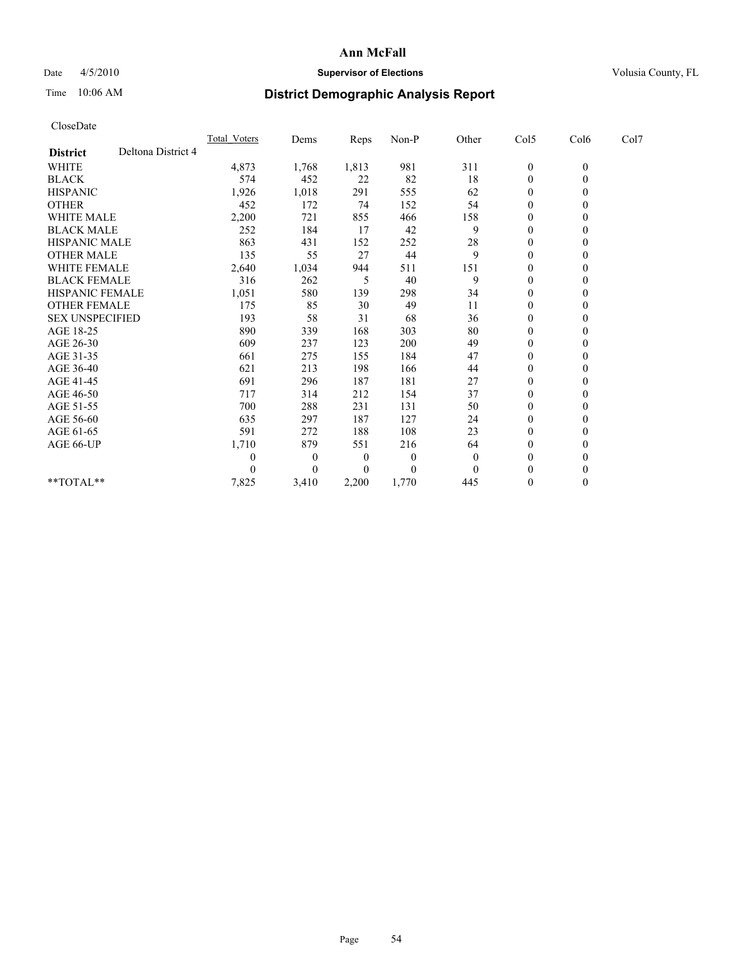## Date  $4/5/2010$  **Supervisor of Elections** Volusia County, FL

## Time 10:06 AM **District Demographic Analysis Report**

|                    | Total Voters                                                                                                                                                                                                 |          |          | Non-P    | Other          | Col5             | Col6           | Col7 |  |
|--------------------|--------------------------------------------------------------------------------------------------------------------------------------------------------------------------------------------------------------|----------|----------|----------|----------------|------------------|----------------|------|--|
| Deltona District 4 |                                                                                                                                                                                                              |          |          |          |                |                  |                |      |  |
|                    | 4,873                                                                                                                                                                                                        | 1,768    | 1,813    | 981      | 311            | $\boldsymbol{0}$ | $\mathbf{0}$   |      |  |
|                    | 574                                                                                                                                                                                                          | 452      | 22       | 82       | 18             | $\boldsymbol{0}$ | $\overline{0}$ |      |  |
|                    | 1,926                                                                                                                                                                                                        | 1,018    | 291      | 555      | 62             | $\boldsymbol{0}$ | $\Omega$       |      |  |
|                    | 452                                                                                                                                                                                                          | 172      | 74       | 152      | 54             | $\mathbf{0}$     | $\mathbf{0}$   |      |  |
|                    | 2,200                                                                                                                                                                                                        | 721      | 855      | 466      | 158            | 0                | $\theta$       |      |  |
|                    | 252                                                                                                                                                                                                          | 184      | 17       | 42       | 9              | $\overline{0}$   | $\theta$       |      |  |
|                    | 863                                                                                                                                                                                                          | 431      | 152      | 252      | 28             | 0                | $\Omega$       |      |  |
|                    | 135                                                                                                                                                                                                          | 55       | 27       | 44       | 9              | $\theta$         | $\Omega$       |      |  |
|                    | 2,640                                                                                                                                                                                                        | 1,034    | 944      | 511      | 151            | $\boldsymbol{0}$ | $\mathbf{0}$   |      |  |
|                    | 316                                                                                                                                                                                                          | 262      | 5        | 40       | 9              | $\mathbf{0}$     | $\Omega$       |      |  |
|                    | 1,051                                                                                                                                                                                                        | 580      | 139      | 298      | 34             | $\mathbf{0}$     | $\mathbf{0}$   |      |  |
|                    | 175                                                                                                                                                                                                          | 85       | 30       | 49       | 11             | $\boldsymbol{0}$ | $\mathbf{0}$   |      |  |
|                    | 193                                                                                                                                                                                                          | 58       | 31       | 68       | 36             | 0                | $\Omega$       |      |  |
|                    | 890                                                                                                                                                                                                          | 339      | 168      | 303      | 80             | $\overline{0}$   | $\Omega$       |      |  |
|                    | 609                                                                                                                                                                                                          | 237      | 123      | 200      | 49             | $\boldsymbol{0}$ | $\theta$       |      |  |
|                    | 661                                                                                                                                                                                                          | 275      | 155      | 184      | 47             | $\boldsymbol{0}$ | $\theta$       |      |  |
|                    | 621                                                                                                                                                                                                          | 213      | 198      | 166      | 44             | $\mathbf{0}$     | $\Omega$       |      |  |
|                    | 691                                                                                                                                                                                                          | 296      | 187      | 181      | 27             | $\boldsymbol{0}$ | $\theta$       |      |  |
|                    | 717                                                                                                                                                                                                          | 314      | 212      | 154      | 37             | $\boldsymbol{0}$ | $\mathbf{0}$   |      |  |
|                    | 700                                                                                                                                                                                                          | 288      | 231      | 131      | 50             | $\boldsymbol{0}$ | $\Omega$       |      |  |
|                    | 635                                                                                                                                                                                                          | 297      | 187      | 127      | 24             | $\boldsymbol{0}$ | $\Omega$       |      |  |
|                    | 591                                                                                                                                                                                                          | 272      | 188      | 108      | 23             | $\theta$         | $\theta$       |      |  |
|                    | 1,710                                                                                                                                                                                                        | 879      | 551      | 216      | 64             | 0                | $\theta$       |      |  |
|                    | $\theta$                                                                                                                                                                                                     | 0        | $\theta$ | $\theta$ | $\overline{0}$ | $\mathbf{0}$     | $\Omega$       |      |  |
|                    | $\theta$                                                                                                                                                                                                     | $\theta$ | 0        | $\Omega$ | $\Omega$       | $\theta$         | $\theta$       |      |  |
|                    | 7,825                                                                                                                                                                                                        | 3,410    | 2,200    | 1,770    | 445            | $\overline{0}$   | $\mathbf{0}$   |      |  |
|                    | <b>WHITE MALE</b><br><b>BLACK MALE</b><br><b>HISPANIC MALE</b><br><b>OTHER MALE</b><br><b>WHITE FEMALE</b><br><b>BLACK FEMALE</b><br><b>HISPANIC FEMALE</b><br><b>OTHER FEMALE</b><br><b>SEX UNSPECIFIED</b> |          | Dems     | Reps     |                |                  |                |      |  |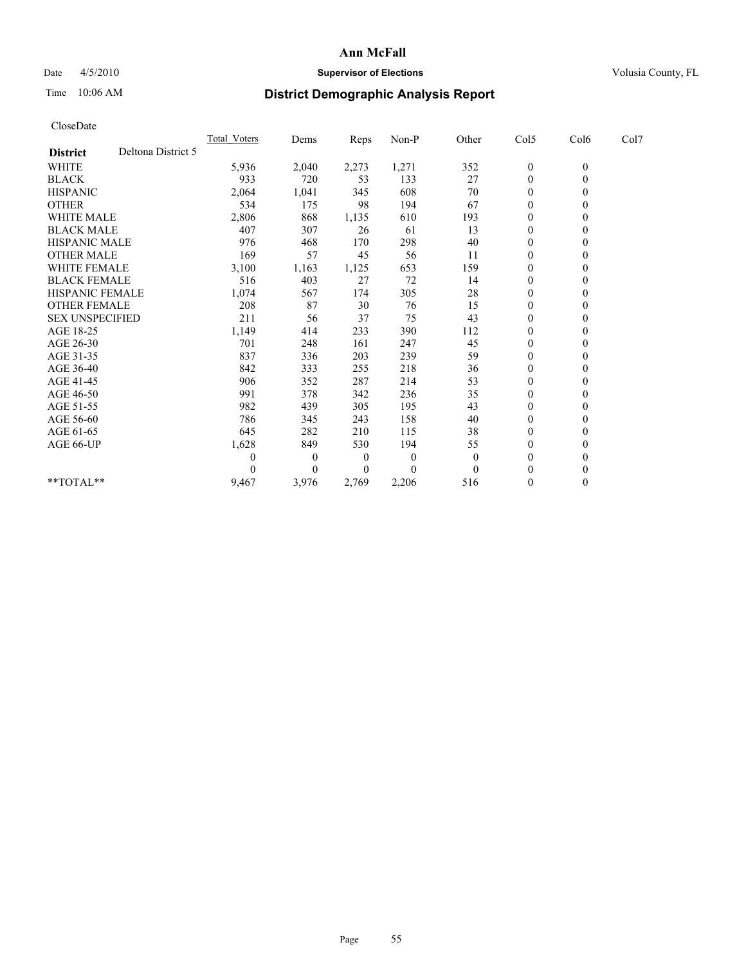## Date  $4/5/2010$  **Supervisor of Elections** Volusia County, FL

# Time 10:06 AM **District Demographic Analysis Report**

| CloseDate              |                    |              |          |          |          |          |                  |              |      |  |
|------------------------|--------------------|--------------|----------|----------|----------|----------|------------------|--------------|------|--|
|                        |                    | Total Voters | Dems     | Reps     | Non-P    | Other    | Col5             | Col6         | Col7 |  |
| <b>District</b>        | Deltona District 5 |              |          |          |          |          |                  |              |      |  |
| <b>WHITE</b>           |                    | 5,936        | 2,040    | 2,273    | 1,271    | 352      | $\boldsymbol{0}$ | $\mathbf{0}$ |      |  |
| <b>BLACK</b>           |                    | 933          | 720      | 53       | 133      | 27       | $\boldsymbol{0}$ | $\mathbf{0}$ |      |  |
| <b>HISPANIC</b>        |                    | 2,064        | 1,041    | 345      | 608      | 70       | $\boldsymbol{0}$ | $\Omega$     |      |  |
| <b>OTHER</b>           |                    | 534          | 175      | 98       | 194      | 67       | $\mathbf{0}$     | $\theta$     |      |  |
| <b>WHITE MALE</b>      |                    | 2,806        | 868      | 1,135    | 610      | 193      | 0                | $\mathbf{0}$ |      |  |
| <b>BLACK MALE</b>      |                    | 407          | 307      | 26       | 61       | 13       | $\overline{0}$   | $\theta$     |      |  |
| <b>HISPANIC MALE</b>   |                    | 976          | 468      | 170      | 298      | 40       | 0                | $\Omega$     |      |  |
| <b>OTHER MALE</b>      |                    | 169          | 57       | 45       | 56       | 11       | $\boldsymbol{0}$ | $\theta$     |      |  |
| <b>WHITE FEMALE</b>    |                    | 3,100        | 1,163    | 1,125    | 653      | 159      | $\boldsymbol{0}$ | $\theta$     |      |  |
| <b>BLACK FEMALE</b>    |                    | 516          | 403      | 27       | 72       | 14       | 0                | $\Omega$     |      |  |
| <b>HISPANIC FEMALE</b> |                    | 1,074        | 567      | 174      | 305      | 28       | $\mathbf{0}$     | $\theta$     |      |  |
| <b>OTHER FEMALE</b>    |                    | 208          | 87       | 30       | 76       | 15       | $\boldsymbol{0}$ | $\mathbf{0}$ |      |  |
| <b>SEX UNSPECIFIED</b> |                    | 211          | 56       | 37       | 75       | 43       | $\boldsymbol{0}$ | $\theta$     |      |  |
| AGE 18-25              |                    | 1,149        | 414      | 233      | 390      | 112      | $\overline{0}$   | $\Omega$     |      |  |
| AGE 26-30              |                    | 701          | 248      | 161      | 247      | 45       | $\boldsymbol{0}$ | $\mathbf{0}$ |      |  |
| AGE 31-35              |                    | 837          | 336      | 203      | 239      | 59       | $\boldsymbol{0}$ | $\theta$     |      |  |
| AGE 36-40              |                    | 842          | 333      | 255      | 218      | 36       | $\boldsymbol{0}$ | $\Omega$     |      |  |
| AGE 41-45              |                    | 906          | 352      | 287      | 214      | 53       | $\boldsymbol{0}$ | $\theta$     |      |  |
| AGE 46-50              |                    | 991          | 378      | 342      | 236      | 35       | $\boldsymbol{0}$ | $\mathbf{0}$ |      |  |
| AGE 51-55              |                    | 982          | 439      | 305      | 195      | 43       | $\boldsymbol{0}$ | $\Omega$     |      |  |
| AGE 56-60              |                    | 786          | 345      | 243      | 158      | 40       | $\overline{0}$   | $\Omega$     |      |  |
| AGE 61-65              |                    | 645          | 282      | 210      | 115      | 38       | $\boldsymbol{0}$ | $\mathbf{0}$ |      |  |
| AGE 66-UP              |                    | 1,628        | 849      | 530      | 194      | 55       | 0                | $\theta$     |      |  |
|                        |                    | $\theta$     | $\theta$ | $\theta$ | $\theta$ | $\theta$ | $\mathbf{0}$     | $\Omega$     |      |  |
|                        |                    | $\theta$     | $\theta$ | 0        | $\Omega$ | $\theta$ | $\theta$         | $\theta$     |      |  |
| **TOTAL**              |                    | 9,467        | 3,976    | 2,769    | 2,206    | 516      | $\overline{0}$   | $\mathbf{0}$ |      |  |
|                        |                    |              |          |          |          |          |                  |              |      |  |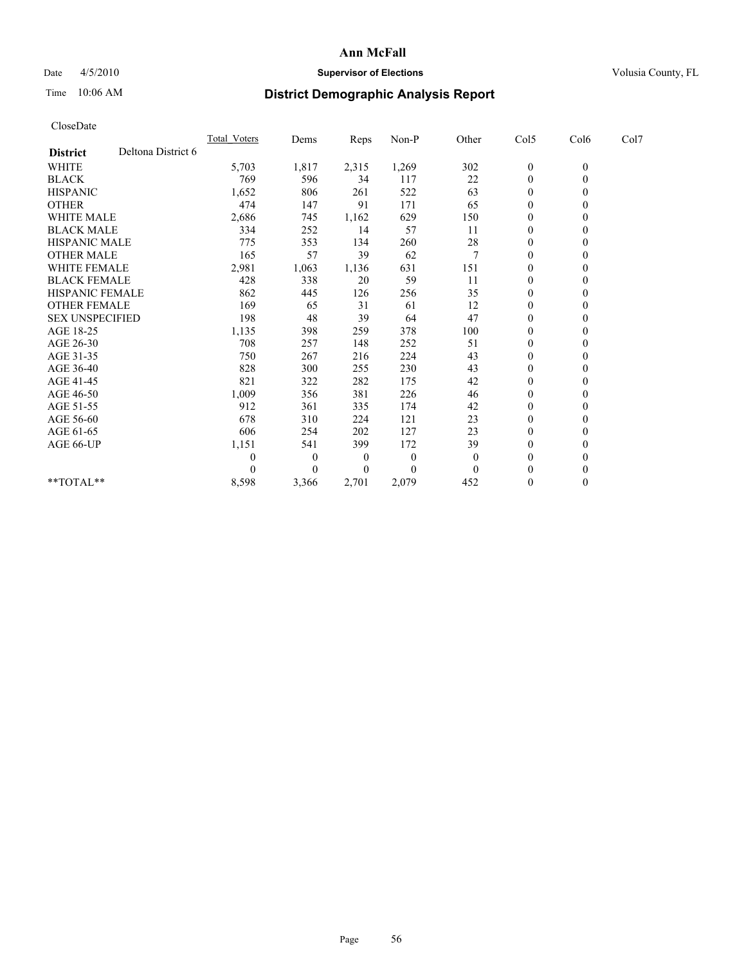## Date 4/5/2010 **Supervisor of Elections Supervisor of Elections** Volusia County, FL

# Time 10:06 AM **District Demographic Analysis Report**

| CloseDate              |                    |              |          |       |          |          |                  |                  |      |
|------------------------|--------------------|--------------|----------|-------|----------|----------|------------------|------------------|------|
|                        |                    | Total Voters | Dems     | Reps  | Non-P    | Other    | Col5             | Col6             | Col7 |
| <b>District</b>        | Deltona District 6 |              |          |       |          |          |                  |                  |      |
| <b>WHITE</b>           |                    | 5,703        | 1,817    | 2,315 | 1,269    | 302      | $\boldsymbol{0}$ | $\boldsymbol{0}$ |      |
| <b>BLACK</b>           |                    | 769          | 596      | 34    | 117      | 22       | $\boldsymbol{0}$ | $\theta$         |      |
| <b>HISPANIC</b>        |                    | 1,652        | 806      | 261   | 522      | 63       | 0                | $\theta$         |      |
| <b>OTHER</b>           |                    | 474          | 147      | 91    | 171      | 65       | $\mathbf{0}$     | $\mathbf{0}$     |      |
| <b>WHITE MALE</b>      |                    | 2,686        | 745      | 1,162 | 629      | 150      | 0                | $\theta$         |      |
| <b>BLACK MALE</b>      |                    | 334          | 252      | 14    | 57       | 11       | $\overline{0}$   | $\theta$         |      |
| <b>HISPANIC MALE</b>   |                    | 775          | 353      | 134   | 260      | 28       | $\boldsymbol{0}$ | $\theta$         |      |
| <b>OTHER MALE</b>      |                    | 165          | 57       | 39    | 62       | 7        | 0                | $\theta$         |      |
| <b>WHITE FEMALE</b>    |                    | 2,981        | 1,063    | 1,136 | 631      | 151      | $\mathbf{0}$     | $\mathbf{0}$     |      |
| <b>BLACK FEMALE</b>    |                    | 428          | 338      | 20    | 59       | 11       | 0                | $\theta$         |      |
| <b>HISPANIC FEMALE</b> |                    | 862          | 445      | 126   | 256      | 35       | $\mathbf{0}$     | $\mathbf{0}$     |      |
| <b>OTHER FEMALE</b>    |                    | 169          | 65       | 31    | 61       | 12       | $\boldsymbol{0}$ | $\theta$         |      |
| <b>SEX UNSPECIFIED</b> |                    | 198          | 48       | 39    | 64       | 47       | $\boldsymbol{0}$ | $\Omega$         |      |
| AGE 18-25              |                    | 1,135        | 398      | 259   | 378      | 100      | $\boldsymbol{0}$ | $\theta$         |      |
| AGE 26-30              |                    | 708          | 257      | 148   | 252      | 51       | 0                | $\mathbf{0}$     |      |
| AGE 31-35              |                    | 750          | 267      | 216   | 224      | 43       | $\mathbf{0}$     | $\mathbf{0}$     |      |
| AGE 36-40              |                    | 828          | 300      | 255   | 230      | 43       | $\boldsymbol{0}$ | $\theta$         |      |
| AGE 41-45              |                    | 821          | 322      | 282   | 175      | 42       | $\boldsymbol{0}$ | $\Omega$         |      |
| AGE 46-50              |                    | 1,009        | 356      | 381   | 226      | 46       | $\boldsymbol{0}$ | $\theta$         |      |
| AGE 51-55              |                    | 912          | 361      | 335   | 174      | 42       | 0                | $\Omega$         |      |
| AGE 56-60              |                    | 678          | 310      | 224   | 121      | 23       | $\mathbf{0}$     | $\mathbf{0}$     |      |
| AGE 61-65              |                    | 606          | 254      | 202   | 127      | 23       | 0                | $\mathbf{0}$     |      |
| AGE 66-UP              |                    | 1,151        | 541      | 399   | 172      | 39       | $\mathbf{0}$     | $\theta$         |      |
|                        |                    | $\theta$     | 0        | 0     | $\theta$ | $\theta$ | $\boldsymbol{0}$ | $\theta$         |      |
|                        |                    | $\Omega$     | $\theta$ | 0     | $\theta$ | $\theta$ | $\boldsymbol{0}$ | $\theta$         |      |
| **TOTAL**              |                    | 8,598        | 3,366    | 2,701 | 2,079    | 452      | $\boldsymbol{0}$ | $\theta$         |      |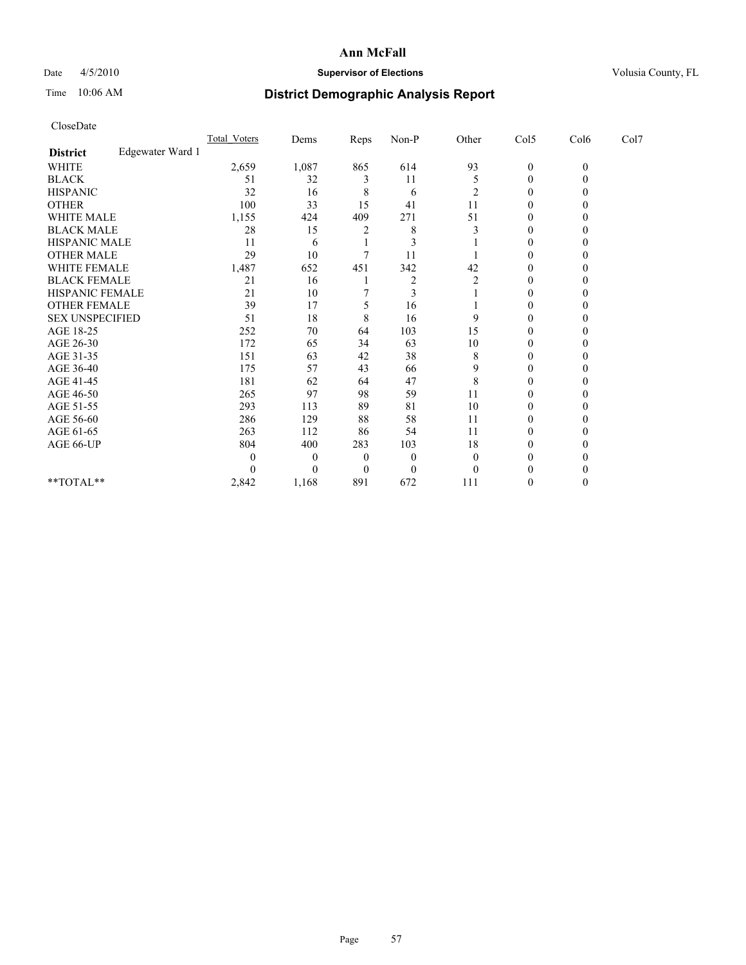## Date  $4/5/2010$  **Supervisor of Elections** Volusia County, FL

# Time 10:06 AM **District Demographic Analysis Report**

|                  | Total Voters                                                                                                                                                                                   | Dems     | Reps     | Non-P    | Other          | Col5             | Col6         | Col7 |  |
|------------------|------------------------------------------------------------------------------------------------------------------------------------------------------------------------------------------------|----------|----------|----------|----------------|------------------|--------------|------|--|
| Edgewater Ward 1 |                                                                                                                                                                                                |          |          |          |                |                  |              |      |  |
|                  | 2,659                                                                                                                                                                                          | 1,087    | 865      | 614      | 93             | $\boldsymbol{0}$ | $\mathbf{0}$ |      |  |
|                  | 51                                                                                                                                                                                             | 32       | 3        | 11       | 5              | 0                | $\theta$     |      |  |
|                  | 32                                                                                                                                                                                             | 16       | 8        | 6        | 2              | $\theta$         | $\theta$     |      |  |
|                  | 100                                                                                                                                                                                            | 33       | 15       | 41       | 11             | $\boldsymbol{0}$ | 0            |      |  |
|                  | 1,155                                                                                                                                                                                          | 424      | 409      | 271      | 51             | $\boldsymbol{0}$ | 0            |      |  |
|                  | 28                                                                                                                                                                                             | 15       | 2        | 8        | 3              | $\mathbf{0}$     | 0            |      |  |
|                  | 11                                                                                                                                                                                             | 6        |          | 3        |                | $\mathbf{0}$     | 0            |      |  |
|                  | 29                                                                                                                                                                                             | 10       | 7        | 11       |                | $\boldsymbol{0}$ | $\theta$     |      |  |
|                  | 1,487                                                                                                                                                                                          | 652      | 451      | 342      | 42             | $\mathbf{0}$     | $\theta$     |      |  |
|                  | 21                                                                                                                                                                                             | 16       |          | 2        | $\overline{c}$ | $\theta$         | 0            |      |  |
|                  | 21                                                                                                                                                                                             | 10       |          | 3        |                | $\mathbf{0}$     | 0            |      |  |
|                  | 39                                                                                                                                                                                             | 17       | 5        | 16       |                | $\boldsymbol{0}$ | $\theta$     |      |  |
|                  | 51                                                                                                                                                                                             | 18       | 8        | 16       | 9              | $\theta$         | 0            |      |  |
|                  | 252                                                                                                                                                                                            | 70       | 64       | 103      | 15             | $\mathbf{0}$     | 0            |      |  |
|                  | 172                                                                                                                                                                                            | 65       | 34       | 63       | 10             | $\boldsymbol{0}$ | $\Omega$     |      |  |
|                  | 151                                                                                                                                                                                            | 63       | 42       | 38       | 8              | $\mathbf{0}$     | $\theta$     |      |  |
|                  | 175                                                                                                                                                                                            | 57       | 43       | 66       | 9              | $\theta$         | 0            |      |  |
|                  | 181                                                                                                                                                                                            | 62       | 64       | 47       | 8              | $\boldsymbol{0}$ | 0            |      |  |
|                  | 265                                                                                                                                                                                            | 97       | 98       | 59       | 11             | $\boldsymbol{0}$ | $\theta$     |      |  |
|                  | 293                                                                                                                                                                                            | 113      | 89       | 81       | 10             | $\boldsymbol{0}$ | 0            |      |  |
|                  | 286                                                                                                                                                                                            | 129      | 88       | 58       | 11             | $\boldsymbol{0}$ | 0            |      |  |
|                  | 263                                                                                                                                                                                            | 112      | 86       | 54       | 11             | $\boldsymbol{0}$ | $\Omega$     |      |  |
|                  | 804                                                                                                                                                                                            | 400      | 283      | 103      | 18             | $\boldsymbol{0}$ | $\theta$     |      |  |
|                  | $\theta$                                                                                                                                                                                       | $\theta$ | $\theta$ | $\theta$ | $\Omega$       | $\theta$         | 0            |      |  |
|                  | $\theta$                                                                                                                                                                                       | $\theta$ | $\theta$ | $\theta$ | $\Omega$       | 0                |              |      |  |
|                  | 2,842                                                                                                                                                                                          | 1,168    | 891      | 672      | 111            | 0                | $\theta$     |      |  |
|                  | <b>WHITE MALE</b><br><b>BLACK MALE</b><br>HISPANIC MALE<br><b>OTHER MALE</b><br>WHITE FEMALE<br><b>BLACK FEMALE</b><br><b>HISPANIC FEMALE</b><br><b>OTHER FEMALE</b><br><b>SEX UNSPECIFIED</b> |          |          |          |                |                  |              |      |  |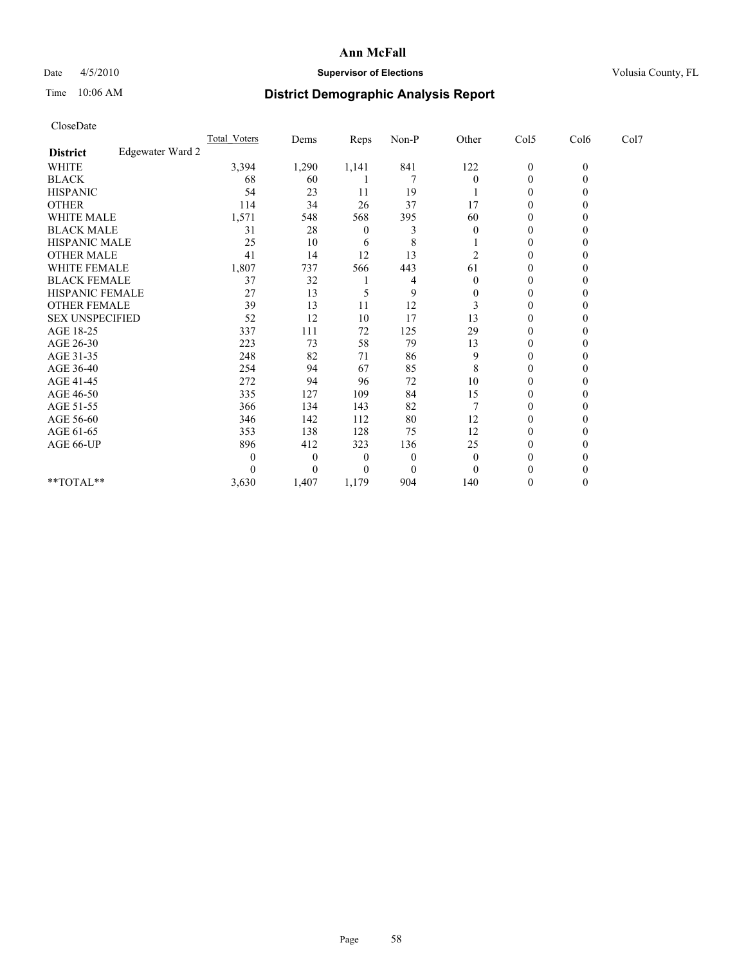## Date  $4/5/2010$  **Supervisor of Elections** Volusia County, FL

# Time 10:06 AM **District Demographic Analysis Report**

| CloseDate              |                  |              |          |          |          |                  |                  |              |      |  |
|------------------------|------------------|--------------|----------|----------|----------|------------------|------------------|--------------|------|--|
|                        |                  | Total Voters | Dems     | Reps     | Non-P    | Other            | Col5             | Col6         | Col7 |  |
| <b>District</b>        | Edgewater Ward 2 |              |          |          |          |                  |                  |              |      |  |
| <b>WHITE</b>           |                  | 3,394        | 1,290    | 1,141    | 841      | 122              | $\boldsymbol{0}$ | $\mathbf{0}$ |      |  |
| <b>BLACK</b>           |                  | 68           | 60       |          | 7        | $\boldsymbol{0}$ | $\boldsymbol{0}$ | $\theta$     |      |  |
| <b>HISPANIC</b>        |                  | 54           | 23       | 11       | 19       |                  | $\boldsymbol{0}$ | $\theta$     |      |  |
| <b>OTHER</b>           |                  | 114          | 34       | 26       | 37       | 17               | $\boldsymbol{0}$ | 0            |      |  |
| <b>WHITE MALE</b>      |                  | 1,571        | 548      | 568      | 395      | 60               | $\boldsymbol{0}$ | $\theta$     |      |  |
| <b>BLACK MALE</b>      |                  | 31           | 28       | $\theta$ | 3        | $\overline{0}$   | $\mathbf{0}$     | 0            |      |  |
| HISPANIC MALE          |                  | 25           | 10       | 6        | 8        |                  | 0                | 0            |      |  |
| <b>OTHER MALE</b>      |                  | 41           | 14       | 12       | 13       | 2                | $\theta$         | $\theta$     |      |  |
| WHITE FEMALE           |                  | 1,807        | 737      | 566      | 443      | 61               | $\boldsymbol{0}$ | $\theta$     |      |  |
| <b>BLACK FEMALE</b>    |                  | 37           | 32       |          | 4        | $\theta$         | $\boldsymbol{0}$ | 0            |      |  |
| <b>HISPANIC FEMALE</b> |                  | 27           | 13       | 5        | 9        | $\theta$         | $\boldsymbol{0}$ | 0            |      |  |
| <b>OTHER FEMALE</b>    |                  | 39           | 13       | 11       | 12       | 3                | $\overline{0}$   | $\theta$     |      |  |
| <b>SEX UNSPECIFIED</b> |                  | 52           | 12       | 10       | 17       | 13               | $\boldsymbol{0}$ | 0            |      |  |
| AGE 18-25              |                  | 337          | 111      | 72       | 125      | 29               | $\boldsymbol{0}$ | 0            |      |  |
| AGE 26-30              |                  | 223          | 73       | 58       | 79       | 13               | $\theta$         | $\Omega$     |      |  |
| AGE 31-35              |                  | 248          | 82       | 71       | 86       | 9                | $\mathbf{0}$     | $\theta$     |      |  |
| AGE 36-40              |                  | 254          | 94       | 67       | 85       | 8                | $\theta$         | 0            |      |  |
| AGE 41-45              |                  | 272          | 94       | 96       | 72       | 10               | $\boldsymbol{0}$ | 0            |      |  |
| AGE 46-50              |                  | 335          | 127      | 109      | 84       | 15               | $\boldsymbol{0}$ | $\theta$     |      |  |
| AGE 51-55              |                  | 366          | 134      | 143      | 82       |                  | $\boldsymbol{0}$ | 0            |      |  |
| AGE 56-60              |                  | 346          | 142      | 112      | 80       | 12               | $\boldsymbol{0}$ | 0            |      |  |
| AGE 61-65              |                  | 353          | 138      | 128      | 75       | 12               | $\boldsymbol{0}$ | $\Omega$     |      |  |
| AGE 66-UP              |                  | 896          | 412      | 323      | 136      | 25               | $\boldsymbol{0}$ | $\theta$     |      |  |
|                        |                  | $\theta$     | $\theta$ | 0        | $\theta$ | $\theta$         | $\theta$         | 0            |      |  |
|                        |                  | $\theta$     | $\theta$ | 0        | $\theta$ | $\Omega$         | 0                | 0            |      |  |
| **TOTAL**              |                  | 3,630        | 1,407    | 1,179    | 904      | 140              | $\boldsymbol{0}$ | $\theta$     |      |  |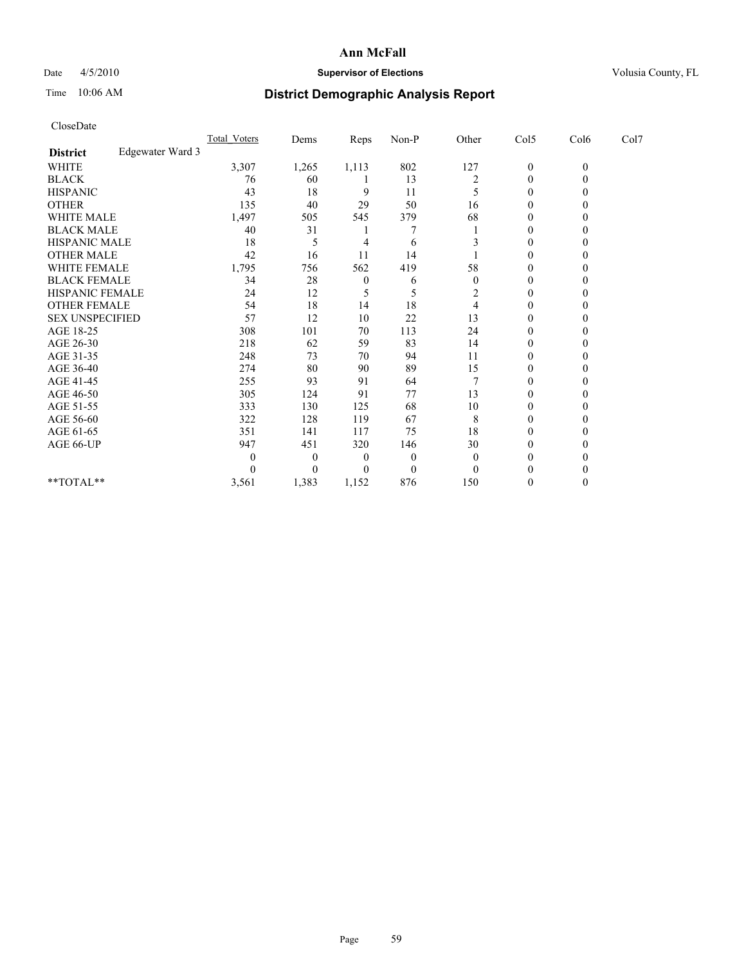## Date  $4/5/2010$  **Supervisor of Elections** Volusia County, FL

# Time 10:06 AM **District Demographic Analysis Report**

| CloseDate              |                  |                     |                  |          |                  |                |                  |              |      |
|------------------------|------------------|---------------------|------------------|----------|------------------|----------------|------------------|--------------|------|
|                        |                  | <b>Total Voters</b> | Dems             | Reps     | Non-P            | Other          | Col5             | Col6         | Col7 |
| <b>District</b>        | Edgewater Ward 3 |                     |                  |          |                  |                |                  |              |      |
| <b>WHITE</b>           |                  | 3,307               | 1,265            | 1,113    | 802              | 127            | $\boldsymbol{0}$ | $\mathbf{0}$ |      |
| <b>BLACK</b>           |                  | 76                  | 60               |          | 13               | $\overline{c}$ | $\boldsymbol{0}$ | $\theta$     |      |
| <b>HISPANIC</b>        |                  | 43                  | 18               | 9        | 11               | 5              | $\boldsymbol{0}$ | $\Omega$     |      |
| <b>OTHER</b>           |                  | 135                 | 40               | 29       | 50               | 16             | $\boldsymbol{0}$ | 0            |      |
| <b>WHITE MALE</b>      |                  | 1,497               | 505              | 545      | 379              | 68             | $\boldsymbol{0}$ | 0            |      |
| <b>BLACK MALE</b>      |                  | 40                  | 31               |          |                  |                | $\theta$         | 0            |      |
| HISPANIC MALE          |                  | 18                  | 5                | 4        | 6                |                | $\boldsymbol{0}$ | 0            |      |
| <b>OTHER MALE</b>      |                  | 42                  | 16               | 11       | 14               |                | $\theta$         | $\Omega$     |      |
| WHITE FEMALE           |                  | 1,795               | 756              | 562      | 419              | 58             | 0                | $\theta$     |      |
| <b>BLACK FEMALE</b>    |                  | 34                  | 28               | $\theta$ | 6                | $\theta$       | $\theta$         | 0            |      |
| HISPANIC FEMALE        |                  | 24                  | 12               | 5        | 5                | 2              | $\boldsymbol{0}$ | 0            |      |
| <b>OTHER FEMALE</b>    |                  | 54                  | 18               | 14       | 18               | 4              | $\boldsymbol{0}$ | $\theta$     |      |
| <b>SEX UNSPECIFIED</b> |                  | 57                  | 12               | 10       | 22               | 13             | $\boldsymbol{0}$ | 0            |      |
| AGE 18-25              |                  | 308                 | 101              | 70       | 113              | 24             | 0                | 0            |      |
| AGE 26-30              |                  | 218                 | 62               | 59       | 83               | 14             | $\theta$         | $\theta$     |      |
| AGE 31-35              |                  | 248                 | 73               | 70       | 94               | 11             | $\boldsymbol{0}$ | $\theta$     |      |
| AGE 36-40              |                  | 274                 | 80               | 90       | 89               | 15             | $\boldsymbol{0}$ | 0            |      |
| AGE 41-45              |                  | 255                 | 93               | 91       | 64               |                | $\mathbf{0}$     | 0            |      |
| AGE 46-50              |                  | 305                 | 124              | 91       | 77               | 13             | $\boldsymbol{0}$ | 0            |      |
| AGE 51-55              |                  | 333                 | 130              | 125      | 68               | 10             | $\mathbf{0}$     | 0            |      |
| AGE 56-60              |                  | 322                 | 128              | 119      | 67               | 8              | $\mathbf{0}$     | 0            |      |
| AGE 61-65              |                  | 351                 | 141              | 117      | 75               | 18             | $\boldsymbol{0}$ | $\Omega$     |      |
| AGE 66-UP              |                  | 947                 | 451              | 320      | 146              | 30             | 0                | 0            |      |
|                        |                  | $\boldsymbol{0}$    | $\boldsymbol{0}$ | 0        | $\boldsymbol{0}$ | $\overline{0}$ | $\theta$         | $_{0}$       |      |
|                        |                  | $\Omega$            | $\theta$         | 0        | $\theta$         | $\Omega$       | 0                | 0            |      |
| $*$ TOTAL $*$          |                  | 3,561               | 1,383            | 1,152    | 876              | 150            | $\mathbf{0}$     | $\theta$     |      |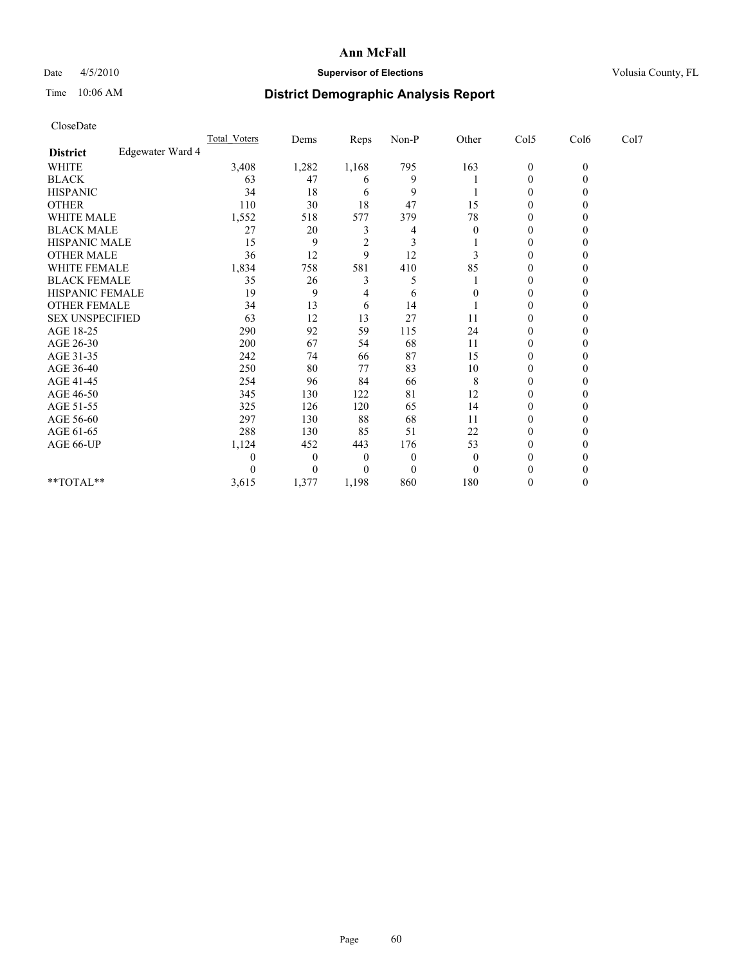## Date  $4/5/2010$  **Supervisor of Elections** Volusia County, FL

# Time 10:06 AM **District Demographic Analysis Report**

| Total Voters                                                                                                                                                                                   | Dems             |                | Non-P    |                  |                  |              |      |      |
|------------------------------------------------------------------------------------------------------------------------------------------------------------------------------------------------|------------------|----------------|----------|------------------|------------------|--------------|------|------|
|                                                                                                                                                                                                |                  |                |          |                  |                  |              |      |      |
| 3,408                                                                                                                                                                                          | 1,282            | 1,168          | 795      | 163              | $\boldsymbol{0}$ | $\mathbf{0}$ |      |      |
| 63                                                                                                                                                                                             | 47               | 6              | 9        |                  | 0                | $\theta$     |      |      |
| 34                                                                                                                                                                                             | 18               | 6              | 9        |                  | $\theta$         | $\theta$     |      |      |
| 110                                                                                                                                                                                            | 30               | 18             | 47       | 15               | $\mathbf{0}$     | 0            |      |      |
| 1,552                                                                                                                                                                                          | 518              | 577            | 379      | 78               | $\mathbf{0}$     | 0            |      |      |
| 27                                                                                                                                                                                             | 20               | 3              | 4        | $\overline{0}$   | $\mathbf{0}$     | 0            |      |      |
| 15                                                                                                                                                                                             | 9                | $\overline{2}$ | 3        |                  | 0                | 0            |      |      |
| 36                                                                                                                                                                                             | 12               | 9              | 12       | 3                | $\boldsymbol{0}$ | $\theta$     |      |      |
| 1,834                                                                                                                                                                                          | 758              | 581            | 410      | 85               | $\boldsymbol{0}$ | $\Omega$     |      |      |
| 35                                                                                                                                                                                             | 26               | 3              | 5        |                  | $\theta$         | 0            |      |      |
| 19                                                                                                                                                                                             | 9                | 4              | 6        | $\boldsymbol{0}$ | $\boldsymbol{0}$ | 0            |      |      |
| 34                                                                                                                                                                                             | 13               | 6              | 14       |                  | $\boldsymbol{0}$ | $\theta$     |      |      |
| 63                                                                                                                                                                                             | 12               | 13             | 27       | 11               | 0                | 0            |      |      |
| 290                                                                                                                                                                                            | 92               | 59             | 115      | 24               | $\boldsymbol{0}$ | 0            |      |      |
| 200                                                                                                                                                                                            | 67               | 54             | 68       | 11               | $\theta$         | $\theta$     |      |      |
| 242                                                                                                                                                                                            | 74               | 66             | 87       | 15               | $\boldsymbol{0}$ | $\theta$     |      |      |
| 250                                                                                                                                                                                            | 80               | 77             | 83       | 10               | $\boldsymbol{0}$ | 0            |      |      |
| 254                                                                                                                                                                                            | 96               | 84             | 66       | 8                | $\boldsymbol{0}$ | 0            |      |      |
| 345                                                                                                                                                                                            | 130              | 122            | 81       | 12               | $\boldsymbol{0}$ | $\theta$     |      |      |
| 325                                                                                                                                                                                            | 126              | 120            | 65       | 14               | 0                | 0            |      |      |
| 297                                                                                                                                                                                            | 130              | 88             | 68       | 11               | 0                | 0            |      |      |
| 288                                                                                                                                                                                            | 130              | 85             | 51       | 22               | $\boldsymbol{0}$ | $\Omega$     |      |      |
| 1,124                                                                                                                                                                                          | 452              | 443            | 176      | 53               | $\boldsymbol{0}$ | $\theta$     |      |      |
| 0                                                                                                                                                                                              | $\theta$         | 0              | $\theta$ | $\Omega$         | $\theta$         | 0            |      |      |
| 0                                                                                                                                                                                              | $\theta$         | 0              | $\theta$ | $\Omega$         |                  |              |      |      |
| 3,615                                                                                                                                                                                          | 1,377            | 1,198          | 860      | 180              | 0                | $\theta$     |      |      |
| <b>WHITE MALE</b><br><b>BLACK MALE</b><br>HISPANIC MALE<br><b>OTHER MALE</b><br>WHITE FEMALE<br><b>BLACK FEMALE</b><br><b>HISPANIC FEMALE</b><br><b>OTHER FEMALE</b><br><b>SEX UNSPECIFIED</b> | Edgewater Ward 4 |                | Reps     |                  | Other            | Col5         | Col6 | Col7 |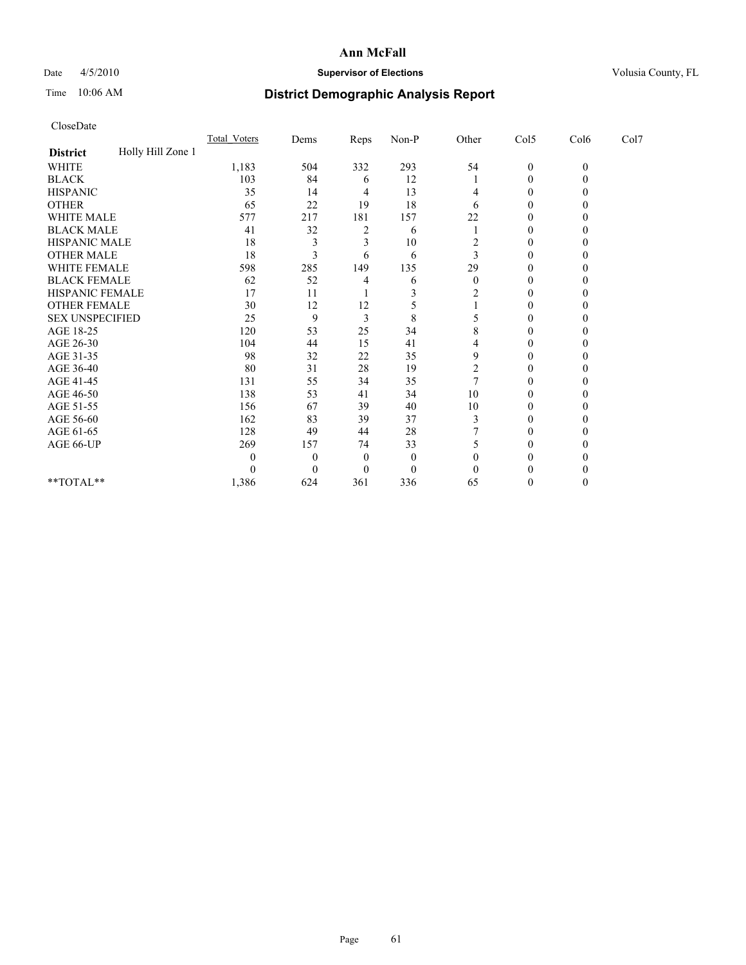## Date  $4/5/2010$  **Supervisor of Elections** Volusia County, FL

# Time 10:06 AM **District Demographic Analysis Report**

| CloseDate              |                   |              |          |                |          |                |                  |              |      |  |
|------------------------|-------------------|--------------|----------|----------------|----------|----------------|------------------|--------------|------|--|
|                        |                   | Total Voters | Dems     | Reps           | Non-P    | Other          | Col5             | Col6         | Col7 |  |
| <b>District</b>        | Holly Hill Zone 1 |              |          |                |          |                |                  |              |      |  |
| <b>WHITE</b>           |                   | 1,183        | 504      | 332            | 293      | 54             | $\boldsymbol{0}$ | $\mathbf{0}$ |      |  |
| <b>BLACK</b>           |                   | 103          | 84       | 6              | 12       |                | $\boldsymbol{0}$ | $\theta$     |      |  |
| <b>HISPANIC</b>        |                   | 35           | 14       | 4              | 13       | 4              | 0                | 0            |      |  |
| <b>OTHER</b>           |                   | 65           | 22       | 19             | 18       | 6              | $\boldsymbol{0}$ | 0            |      |  |
| WHITE MALE             |                   | 577          | 217      | 181            | 157      | 22             | $\boldsymbol{0}$ | 0            |      |  |
| <b>BLACK MALE</b>      |                   | 41           | 32       | $\overline{c}$ | 6        |                | 0                | 0            |      |  |
| HISPANIC MALE          |                   | 18           | 3        | 3              | 10       | 2              | 0                | 0            |      |  |
| <b>OTHER MALE</b>      |                   | 18           | 3        | 6              | 6        | 3              | $\theta$         | $\theta$     |      |  |
| WHITE FEMALE           |                   | 598          | 285      | 149            | 135      | 29             | $\mathbf{0}$     | 0            |      |  |
| <b>BLACK FEMALE</b>    |                   | 62           | 52       | 4              | 6        | $\overline{0}$ | 0                |              |      |  |
| HISPANIC FEMALE        |                   | 17           | 11       |                | 3        | $\overline{c}$ | $\mathbf{0}$     | 0            |      |  |
| <b>OTHER FEMALE</b>    |                   | 30           | 12       | 12             | 5        |                | $\mathbf{0}$     | 0            |      |  |
| <b>SEX UNSPECIFIED</b> |                   | 25           | 9        | 3              | 8        |                | 0                | 0            |      |  |
| AGE 18-25              |                   | 120          | 53       | 25             | 34       | 8              | $\mathbf{0}$     | 0            |      |  |
| AGE 26-30              |                   | 104          | 44       | 15             | 41       | 4              | $\theta$         | $\theta$     |      |  |
| AGE 31-35              |                   | 98           | 32       | 22             | 35       | 9              | $\overline{0}$   | 0            |      |  |
| AGE 36-40              |                   | 80           | 31       | 28             | 19       | $\overline{c}$ | 0                |              |      |  |
| AGE 41-45              |                   | 131          | 55       | 34             | 35       |                | $\boldsymbol{0}$ | 0            |      |  |
| AGE 46-50              |                   | 138          | 53       | 41             | 34       | 10             | 0                | 0            |      |  |
| AGE 51-55              |                   | 156          | 67       | 39             | 40       | 10             | $\boldsymbol{0}$ | 0            |      |  |
| AGE 56-60              |                   | 162          | 83       | 39             | 37       | 3              | $\boldsymbol{0}$ | 0            |      |  |
| AGE 61-65              |                   | 128          | 49       | 44             | 28       |                | $\boldsymbol{0}$ | 0            |      |  |
| AGE 66-UP              |                   | 269          | 157      | 74             | 33       | 5              | 0                |              |      |  |
|                        |                   | $\theta$     | $\theta$ | $\theta$       | $\theta$ | 0              | 0                |              |      |  |
|                        |                   | $\theta$     | $\theta$ | 0              | $\theta$ | $\Omega$       | 0                | 0            |      |  |
| **TOTAL**              |                   | 1,386        | 624      | 361            | 336      | 65             | 0                | $\theta$     |      |  |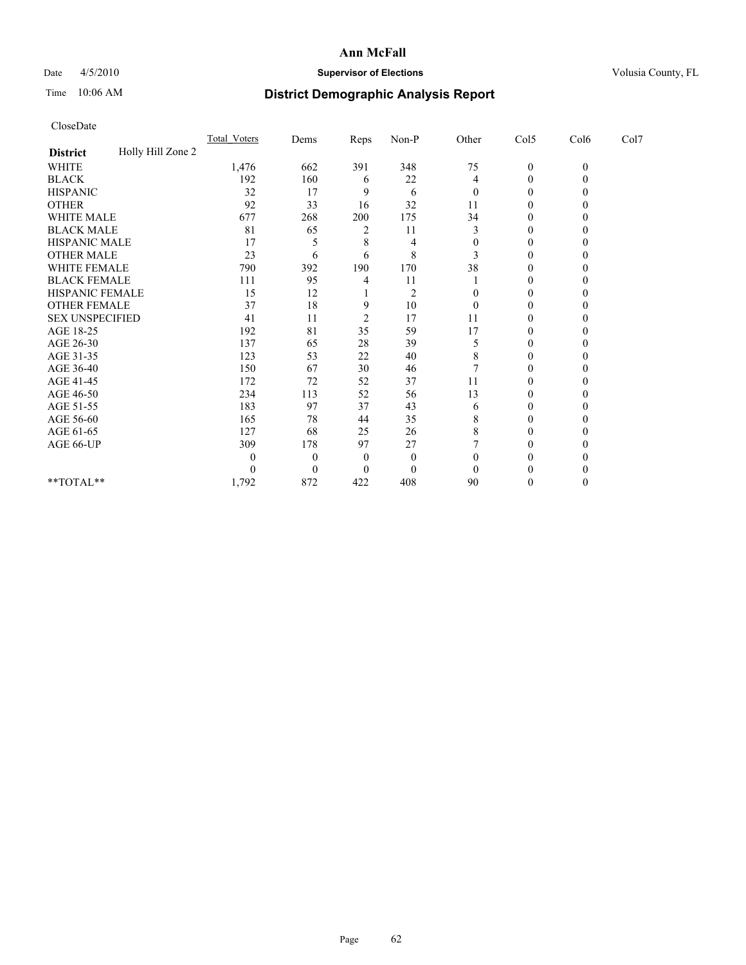## Date  $4/5/2010$  **Supervisor of Elections** Volusia County, FL

# Time 10:06 AM **District Demographic Analysis Report**

| CloseDate              |                   |                     |                  |                |                |                |                  |              |      |  |
|------------------------|-------------------|---------------------|------------------|----------------|----------------|----------------|------------------|--------------|------|--|
|                        |                   | <b>Total Voters</b> | Dems             | Reps           | Non-P          | Other          | Col5             | Col6         | Col7 |  |
| <b>District</b>        | Holly Hill Zone 2 |                     |                  |                |                |                |                  |              |      |  |
| <b>WHITE</b>           |                   | 1,476               | 662              | 391            | 348            | 75             | $\boldsymbol{0}$ | $\mathbf{0}$ |      |  |
| <b>BLACK</b>           |                   | 192                 | 160              | 6              | 22             | 4              | $\boldsymbol{0}$ | $\theta$     |      |  |
| <b>HISPANIC</b>        |                   | 32                  | 17               | 9              | 6              | $\overline{0}$ | 0                | 0            |      |  |
| <b>OTHER</b>           |                   | 92                  | 33               | 16             | 32             | 11             | $\boldsymbol{0}$ | 0            |      |  |
| WHITE MALE             |                   | 677                 | 268              | 200            | 175            | 34             | $\boldsymbol{0}$ | 0            |      |  |
| <b>BLACK MALE</b>      |                   | 81                  | 65               | 2              | 11             | 3              | $\theta$         | 0            |      |  |
| HISPANIC MALE          |                   | 17                  | 5                | 8              | 4              | $\theta$       | $\boldsymbol{0}$ | 0            |      |  |
| <b>OTHER MALE</b>      |                   | 23                  | 6                | 6              | 8              | 3              | $\theta$         | $\theta$     |      |  |
| WHITE FEMALE           |                   | 790                 | 392              | 190            | 170            | 38             | $\boldsymbol{0}$ | 0            |      |  |
| <b>BLACK FEMALE</b>    |                   | 111                 | 95               | 4              | 11             |                | 0                | $_{0}$       |      |  |
| HISPANIC FEMALE        |                   | 15                  | 12               |                | $\overline{2}$ | $\theta$       | $\boldsymbol{0}$ | 0            |      |  |
| <b>OTHER FEMALE</b>    |                   | 37                  | 18               | 9              | 10             | $\theta$       | $\boldsymbol{0}$ | 0            |      |  |
| <b>SEX UNSPECIFIED</b> |                   | 41                  | 11               | $\overline{c}$ | 17             | 11             | 0                | 0            |      |  |
| AGE 18-25              |                   | 192                 | 81               | 35             | 59             | 17             | $\mathbf{0}$     | 0            |      |  |
| AGE 26-30              |                   | 137                 | 65               | 28             | 39             | 5              | $\boldsymbol{0}$ | $\theta$     |      |  |
| AGE 31-35              |                   | 123                 | 53               | 22             | 40             | 8              | $\mathbf{0}$     | 0            |      |  |
| AGE 36-40              |                   | 150                 | 67               | 30             | 46             | 7              | $\theta$         | 0            |      |  |
| AGE 41-45              |                   | 172                 | 72               | 52             | 37             | 11             | 0                | 0            |      |  |
| AGE 46-50              |                   | 234                 | 113              | 52             | 56             | 13             | 0                | 0            |      |  |
| AGE 51-55              |                   | 183                 | 97               | 37             | 43             | 6              | $\mathbf{0}$     | 0            |      |  |
| AGE 56-60              |                   | 165                 | 78               | 44             | 35             | 8              | $\mathbf{0}$     | 0            |      |  |
| AGE 61-65              |                   | 127                 | 68               | 25             | 26             | 8              | $\mathbf{0}$     | $\theta$     |      |  |
| AGE 66-UP              |                   | 309                 | 178              | 97             | 27             |                | 0                | 0            |      |  |
|                        |                   | $\theta$            | $\theta$         | $\Omega$       | $\theta$       | $\theta$       | $\theta$         |              |      |  |
|                        |                   | $\theta$            | $\boldsymbol{0}$ | 0              | $\theta$       | $\theta$       | 0                | 0            |      |  |
| **TOTAL**              |                   | 1,792               | 872              | 422            | 408            | 90             | 0                | $\theta$     |      |  |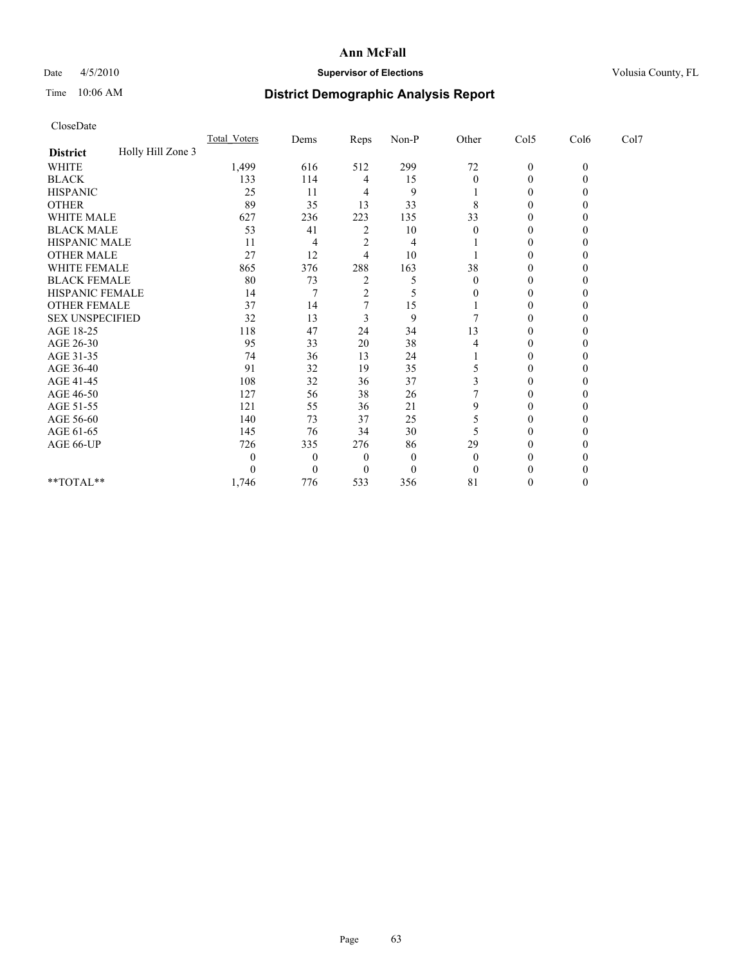## Date 4/5/2010 **Supervisor of Elections Supervisor of Elections** Volusia County, FL

# Time 10:06 AM **District Demographic Analysis Report**

|                                      | <b>Total Voters</b> | Dems     | Reps           | $Non-P$  | Other        | Col5         | Col6         | Col7 |
|--------------------------------------|---------------------|----------|----------------|----------|--------------|--------------|--------------|------|
| Holly Hill Zone 3<br><b>District</b> |                     |          |                |          |              |              |              |      |
| <b>WHITE</b>                         | 1,499               | 616      | 512            | 299      | $72\,$       | $\mathbf{0}$ | $\mathbf{0}$ |      |
| <b>BLACK</b>                         | 133                 | 114      | 4              | 15       | 0            | $\Omega$     |              |      |
| <b>HISPANIC</b>                      | 25                  | 11       |                | 9        |              | $\Omega$     |              |      |
| <b>OTHER</b>                         | 89                  | 35       | 13             | 33       | 8            | $\theta$     |              |      |
| WHITE MALE                           | 627                 | 236      | 223            | 135      | 33           |              |              |      |
| <b>BLACK MALE</b>                    | 53                  | 41       | $\overline{2}$ | 10       | 0            | 0            |              |      |
| HISPANIC MALE                        | 11                  | 4        | $\overline{c}$ | 4        |              | $\Omega$     |              |      |
| <b>OTHER MALE</b>                    | 27                  | 12       | 4              | 10       |              | 0            |              |      |
| WHITE FEMALE                         | 865                 | 376      | 288            | 163      | 38           | $\Omega$     |              |      |
| <b>BLACK FEMALE</b>                  | 80                  | 73       | $\overline{2}$ | 5        | $\mathbf{0}$ | $\mathbf{0}$ |              |      |
| HISPANIC FEMALE                      | 14                  |          | $\mathfrak{D}$ |          |              | 0            |              |      |
| <b>OTHER FEMALE</b>                  | 37                  | 14       |                | 15       |              | $\Omega$     |              |      |
| <b>SEX UNSPECIFIED</b>               | 32                  | 13       | 3              | 9        |              | $\Omega$     |              |      |
| AGE 18-25                            | 118                 | 47       | 24             | 34       | 13           | 0            |              |      |
| AGE 26-30                            | 95                  | 33       | 20             | 38       |              | 0            |              |      |
| AGE 31-35                            | 74                  | 36       | 13             | 24       |              | $\theta$     |              |      |
| AGE 36-40                            | 91                  | 32       | 19             | 35       |              | 0            |              |      |
| AGE 41-45                            | 108                 | 32       | 36             | 37       |              | $\Omega$     |              |      |
| AGE 46-50                            | 127                 | 56       | 38             | 26       |              | $\Omega$     |              |      |
| AGE 51-55                            | 121                 | 55       | 36             | 21       | 9            | 0            |              |      |
| AGE 56-60                            | 140                 | 73       | 37             | 25       |              | $\Omega$     |              |      |
| AGE 61-65                            | 145                 | 76       | 34             | 30       |              | $\Omega$     |              |      |
| AGE 66-UP                            | 726                 | 335      | 276            | 86       | 29           | 0            |              |      |
|                                      | $\theta$            | $\Omega$ | $\mathbf{0}$   | $\Omega$ | $\theta$     | 0            |              |      |
|                                      | 0                   | $\Omega$ | $\Omega$       | $\theta$ | 0            |              |              |      |
| **TOTAL**                            | 1,746               | 776      | 533            | 356      | 81           | 0            |              |      |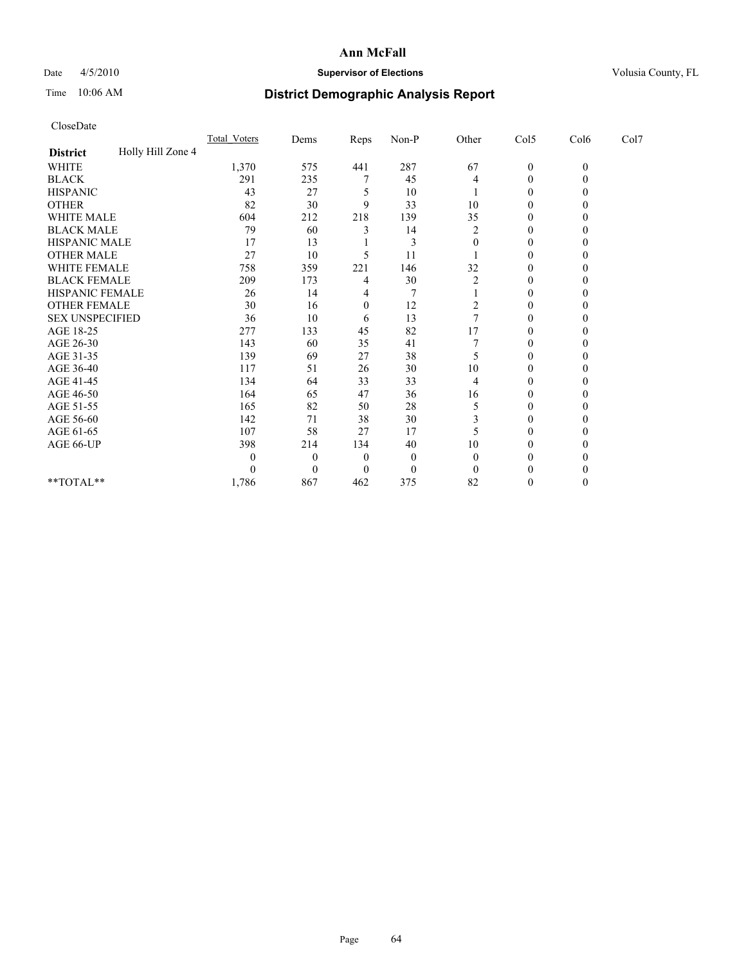## Date  $4/5/2010$  **Supervisor of Elections** Volusia County, FL

# Time 10:06 AM **District Demographic Analysis Report**

| CloseDate              |                   |                     |                |                  |                |                |                  |              |      |  |
|------------------------|-------------------|---------------------|----------------|------------------|----------------|----------------|------------------|--------------|------|--|
|                        |                   | <b>Total Voters</b> | Dems           | Reps             | Non-P          | Other          | Col5             | Col6         | Col7 |  |
| <b>District</b>        | Holly Hill Zone 4 |                     |                |                  |                |                |                  |              |      |  |
| <b>WHITE</b>           |                   | 1,370               | 575            | 441              | 287            | 67             | $\boldsymbol{0}$ | $\mathbf{0}$ |      |  |
| <b>BLACK</b>           |                   | 291                 | 235            |                  | 45             | 4              | 0                | $\mathbf{0}$ |      |  |
| <b>HISPANIC</b>        |                   | 43                  | 27             | 5                | 10             |                | $\boldsymbol{0}$ | 0            |      |  |
| <b>OTHER</b>           |                   | 82                  | 30             | 9                | 33             | 10             | $\mathbf{0}$     | 0            |      |  |
| WHITE MALE             |                   | 604                 | 212            | 218              | 139            | 35             | $\boldsymbol{0}$ | $\theta$     |      |  |
| <b>BLACK MALE</b>      |                   | 79                  | 60             | 3                | 14             | $\overline{2}$ | $\mathbf{0}$     | 0            |      |  |
| HISPANIC MALE          |                   | 17                  | 13             |                  | 3              | $\theta$       | 0                | 0            |      |  |
| <b>OTHER MALE</b>      |                   | 27                  | 10             | 5                | 11             |                | $\mathbf{0}$     | $\theta$     |      |  |
| WHITE FEMALE           |                   | 758                 | 359            | 221              | 146            | 32             | $\mathbf{0}$     | $\Omega$     |      |  |
| <b>BLACK FEMALE</b>    |                   | 209                 | 173            | 4                | 30             | $\overline{c}$ | $\mathbf{0}$     | 0            |      |  |
| HISPANIC FEMALE        |                   | 26                  | 14             | 4                | $\overline{7}$ |                | $\boldsymbol{0}$ | 0            |      |  |
| <b>OTHER FEMALE</b>    |                   | 30                  | 16             | $\boldsymbol{0}$ | 12             | 2              | $\boldsymbol{0}$ | $\theta$     |      |  |
| <b>SEX UNSPECIFIED</b> |                   | 36                  | 10             | 6                | 13             | 7              | $\boldsymbol{0}$ | 0            |      |  |
| AGE 18-25              |                   | 277                 | 133            | 45               | 82             | 17             | $\boldsymbol{0}$ | $\theta$     |      |  |
| AGE 26-30              |                   | 143                 | 60             | 35               | 41             |                | $\boldsymbol{0}$ | $\theta$     |      |  |
| AGE 31-35              |                   | 139                 | 69             | 27               | 38             | 5              | $\boldsymbol{0}$ | $\theta$     |      |  |
| AGE 36-40              |                   | 117                 | 51             | 26               | 30             | 10             | $\theta$         | $\theta$     |      |  |
| AGE 41-45              |                   | 134                 | 64             | 33               | 33             | 4              | $\boldsymbol{0}$ | $\theta$     |      |  |
| AGE 46-50              |                   | 164                 | 65             | 47               | 36             | 16             | $\boldsymbol{0}$ | $\theta$     |      |  |
| AGE 51-55              |                   | 165                 | 82             | 50               | 28             | 5              | $\boldsymbol{0}$ | 0            |      |  |
| AGE 56-60              |                   | 142                 | 71             | 38               | 30             | 3              | $\boldsymbol{0}$ | $\Omega$     |      |  |
| AGE 61-65              |                   | 107                 | 58             | 27               | 17             | 5              | $\boldsymbol{0}$ | $\theta$     |      |  |
| AGE 66-UP              |                   | 398                 | 214            | 134              | 40             | 10             | $\boldsymbol{0}$ | 0            |      |  |
|                        |                   | 0                   | $\overline{0}$ | 0                | $\theta$       | $\theta$       | $\theta$         | $\theta$     |      |  |
|                        |                   | 0                   | $\Omega$       | 0                | $\mathbf{0}$   | $\Omega$       | $\theta$         | 0            |      |  |
| $**TOTAL**$            |                   | 1,786               | 867            | 462              | 375            | 82             | $\boldsymbol{0}$ | $\theta$     |      |  |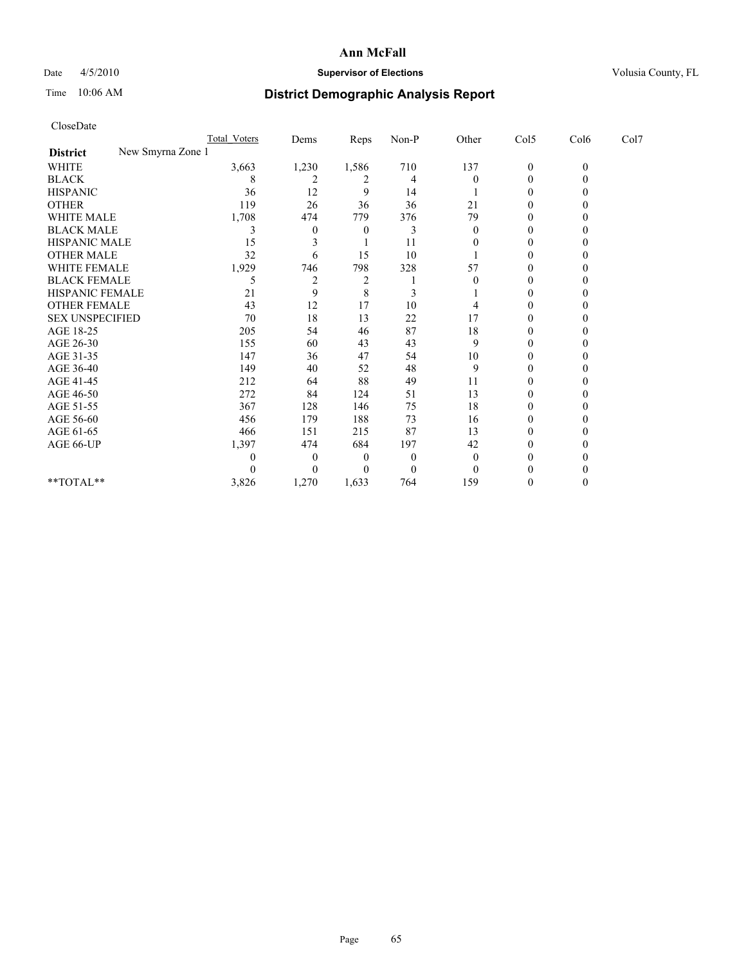## Date 4/5/2010 **Supervisor of Elections Supervisor of Elections** Volusia County, FL

# Time 10:06 AM **District Demographic Analysis Report**

|                                      | Total Voters | Dems           | Reps           | $Non-P$          | Other    | Col5           | Col6     | Col7 |
|--------------------------------------|--------------|----------------|----------------|------------------|----------|----------------|----------|------|
| New Smyrna Zone 1<br><b>District</b> |              |                |                |                  |          |                |          |      |
| WHITE                                | 3,663        | 1,230          | 1,586          | 710              | 137      | $\overline{0}$ | $\theta$ |      |
| <b>BLACK</b>                         | 8            | $\overline{c}$ | 2              | 4                | $\theta$ | $\Omega$       |          |      |
| <b>HISPANIC</b>                      | 36           | 12             | 9              | 14               |          | $\Omega$       |          |      |
| <b>OTHER</b>                         | 119          | 26             | 36             | 36               | 21       | $\theta$       |          |      |
| <b>WHITE MALE</b>                    | 1,708        | 474            | 779            | 376              | 79       |                |          |      |
| <b>BLACK MALE</b>                    | 3            | $\Omega$       | $\theta$       |                  | $\theta$ | 0              |          |      |
| HISPANIC MALE                        | 15           | 3              |                | 11               |          | $\theta$       |          |      |
| <b>OTHER MALE</b>                    | 32           | 6              | 15             | 10               |          | 0              |          |      |
| WHITE FEMALE                         | 1,929        | 746            | 798            | 328              | 57       | $\Omega$       |          |      |
| <b>BLACK FEMALE</b>                  | 5            | $\overline{c}$ | $\overline{c}$ |                  |          | $\Omega$       |          |      |
| HISPANIC FEMALE                      | 21           | 9              | 8              |                  |          | 0              |          |      |
| <b>OTHER FEMALE</b>                  | 43           | 12             | 17             | 10               |          | $\Omega$       |          |      |
| <b>SEX UNSPECIFIED</b>               | 70           | 18             | 13             | 22               | 17       | $\Omega$       |          |      |
| AGE 18-25                            | 205          | 54             | 46             | 87               | 18       | 0              |          |      |
| AGE 26-30                            | 155          | 60             | 43             | 43               | 9        | $\Omega$       |          |      |
| AGE 31-35                            | 147          | 36             | 47             | 54               | 10       | 0              |          |      |
| AGE 36-40                            | 149          | 40             | 52             | 48               | 9        | 0              |          |      |
| AGE 41-45                            | 212          | 64             | 88             | 49               | 11       | $\Omega$       |          |      |
| AGE 46-50                            | 272          | 84             | 124            | 51               | 13       | $\theta$       |          |      |
| AGE 51-55                            | 367          | 128            | 146            | 75               | 18       | $\Omega$       |          |      |
| AGE 56-60                            | 456          | 179            | 188            | 73               | 16       | $\Omega$       |          |      |
| AGE 61-65                            | 466          | 151            | 215            | 87               | 13       | $\Omega$       |          |      |
| AGE 66-UP                            | 1,397        | 474            | 684            | 197              | 42       | 0              |          |      |
|                                      |              | $\theta$       | $\theta$       | $\boldsymbol{0}$ | $\theta$ | 0              |          |      |
|                                      |              | 0              | $\Omega$       | $\Omega$         | $\theta$ |                |          |      |
| **TOTAL**                            | 3,826        | 1,270          | 1,633          | 764              | 159      | 0              |          |      |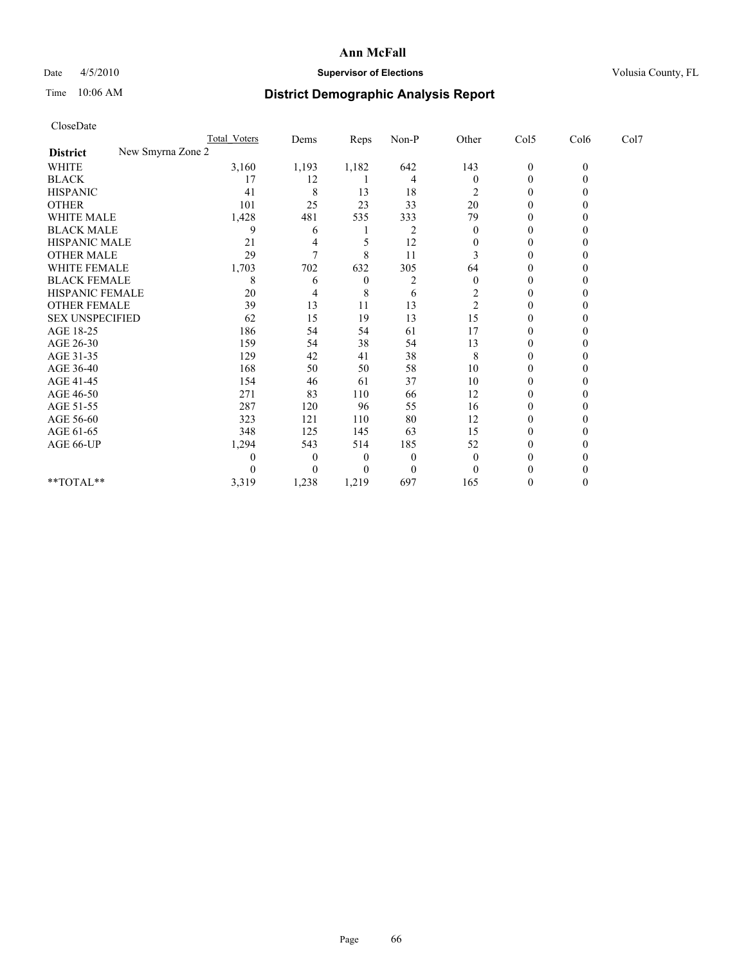## Date 4/5/2010 **Supervisor of Elections Supervisor of Elections** Volusia County, FL

# Time 10:06 AM **District Demographic Analysis Report**

|                                      | Total Voters | Dems           | Reps           | $Non-P$          | Other                   | Col5             | Col6         | Col7 |
|--------------------------------------|--------------|----------------|----------------|------------------|-------------------------|------------------|--------------|------|
| New Smyrna Zone 2<br><b>District</b> |              |                |                |                  |                         |                  |              |      |
| <b>WHITE</b>                         | 3,160        | 1,193          | 1,182          | 642              | 143                     | $\boldsymbol{0}$ | $\mathbf{0}$ |      |
| <b>BLACK</b>                         | 17           | 12             |                | 4                | $\theta$                | $\mathbf{0}$     |              |      |
| <b>HISPANIC</b>                      | 41           | 8              | 13             | 18               | 2                       | $\Omega$         |              |      |
| <b>OTHER</b>                         | 101          | 25             | 23             | 33               | 20                      | $\theta$         |              |      |
| WHITE MALE                           | 1,428        | 481            | 535            | 333              | 79                      | 0                |              |      |
| <b>BLACK MALE</b>                    | 9            | 6              |                | 2                | $\theta$                | $\Omega$         |              |      |
| HISPANIC MALE                        | 21           | 4              |                | 12               | 0                       | $\Omega$         |              |      |
| <b>OTHER MALE</b>                    | 29           | $\overline{7}$ | 8              | 11               |                         | $\Omega$         |              |      |
| WHITE FEMALE                         | 1,703        | 702            | 632            | 305              | 64                      | $\Omega$         |              |      |
| <b>BLACK FEMALE</b>                  | 8            | 6              | $\overline{0}$ | 2                | $\mathbf{0}$            | $\theta$         |              |      |
| HISPANIC FEMALE                      | 20           | 4              | 8              | 6                | $\overline{\mathbf{c}}$ | 0                |              |      |
| <b>OTHER FEMALE</b>                  | 39           | 13             | 11             | 13               | $\overline{c}$          | $\Omega$         |              |      |
| <b>SEX UNSPECIFIED</b>               | 62           | 15             | 19             | 13               | 15                      | $\Omega$         |              |      |
| AGE 18-25                            | 186          | 54             | 54             | 61               | 17                      | 0                |              |      |
| AGE 26-30                            | 159          | 54             | 38             | 54               | 13                      | $\Omega$         |              |      |
| AGE 31-35                            | 129          | 42             | 41             | 38               | 8                       | $\Omega$         |              |      |
| AGE 36-40                            | 168          | 50             | 50             | 58               | 10                      | 0                |              |      |
| AGE 41-45                            | 154          | 46             | 61             | 37               | 10                      | $\theta$         |              |      |
| AGE 46-50                            | 271          | 83             | 110            | 66               | 12                      | $\Omega$         |              |      |
| AGE 51-55                            | 287          | 120            | 96             | 55               | 16                      | $\Omega$         |              |      |
| AGE 56-60                            | 323          | 121            | 110            | 80               | 12                      | $\theta$         |              |      |
| AGE 61-65                            | 348          | 125            | 145            | 63               | 15                      | $\Omega$         |              |      |
| AGE 66-UP                            | 1,294        | 543            | 514            | 185              | 52                      | $\mathbf{0}$     |              |      |
|                                      | 0            | $\theta$       | $\theta$       | $\boldsymbol{0}$ | $\theta$                | $\Omega$         |              |      |
|                                      |              | 0              | $\Omega$       | $\theta$         | $\theta$                |                  |              |      |
| **TOTAL**                            | 3,319        | 1,238          | 1,219          | 697              | 165                     | $\Omega$         |              |      |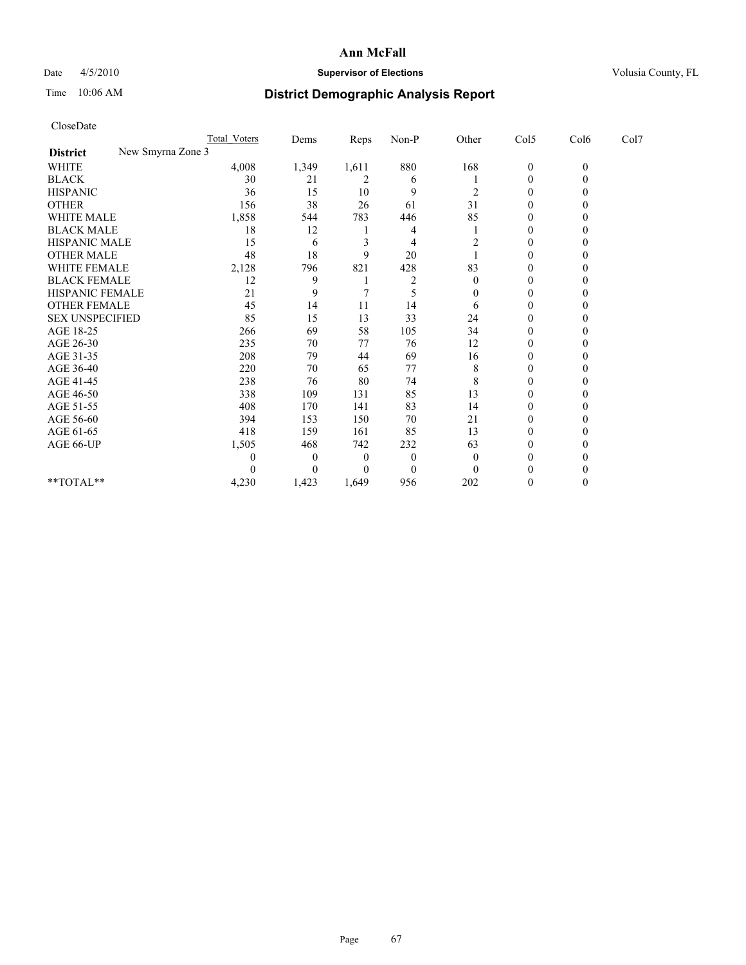## Date  $4/5/2010$  **Supervisor of Elections** Volusia County, FL

# Time 10:06 AM **District Demographic Analysis Report**

| CloseDate                            |                     |          |          |          |                |                  |              |      |
|--------------------------------------|---------------------|----------|----------|----------|----------------|------------------|--------------|------|
|                                      | <b>Total Voters</b> | Dems     | Reps     | Non-P    | Other          | Col5             | Col6         | Col7 |
| New Smyrna Zone 3<br><b>District</b> |                     |          |          |          |                |                  |              |      |
| <b>WHITE</b>                         | 4,008               | 1,349    | 1,611    | 880      | 168            | $\boldsymbol{0}$ | $\mathbf{0}$ |      |
| <b>BLACK</b>                         | 30                  | 21       | 2        | 6        |                | 0                | $\theta$     |      |
| <b>HISPANIC</b>                      | 36                  | 15       | 10       | 9        | 2              | 0                | 0            |      |
| <b>OTHER</b>                         | 156                 | 38       | 26       | 61       | 31             | $\mathbf{0}$     | 0            |      |
| WHITE MALE                           | 1,858               | 544      | 783      | 446      | 85             | $\mathbf{0}$     | 0            |      |
| <b>BLACK MALE</b>                    | 18                  | 12       |          | 4        |                | $\mathbf{0}$     | 0            |      |
| HISPANIC MALE                        | 15                  | 6        | 3        | 4        | $\overline{c}$ | 0                | 0            |      |
| <b>OTHER MALE</b>                    | 48                  | 18       | 9        | 20       |                | $\mathbf{0}$     | $\theta$     |      |
| WHITE FEMALE                         | 2,128               | 796      | 821      | 428      | 83             | $\mathbf{0}$     | 0            |      |
| <b>BLACK FEMALE</b>                  | 12                  | 9        |          | 2        | $\theta$       | 0                | $_{0}$       |      |
| HISPANIC FEMALE                      | 21                  | 9        | 7        | 5        | $\theta$       | $\boldsymbol{0}$ | 0            |      |
| <b>OTHER FEMALE</b>                  | 45                  | 14       | 11       | 14       | 6              | $\boldsymbol{0}$ | 0            |      |
| <b>SEX UNSPECIFIED</b>               | 85                  | 15       | 13       | 33       | 24             | 0                | 0            |      |
| AGE 18-25                            | 266                 | 69       | 58       | 105      | 34             | $\boldsymbol{0}$ | 0            |      |
| AGE 26-30                            | 235                 | 70       | 77       | 76       | 12             | $\boldsymbol{0}$ | $\theta$     |      |
| AGE 31-35                            | 208                 | 79       | 44       | 69       | 16             | $\boldsymbol{0}$ | 0            |      |
| AGE 36-40                            | 220                 | 70       | 65       | 77       | 8              | $\boldsymbol{0}$ | 0            |      |
| AGE 41-45                            | 238                 | 76       | 80       | 74       | 8              | $\boldsymbol{0}$ | 0            |      |
| AGE 46-50                            | 338                 | 109      | 131      | 85       | 13             | $\boldsymbol{0}$ | 0            |      |
| AGE 51-55                            | 408                 | 170      | 141      | 83       | 14             | $\boldsymbol{0}$ | 0            |      |
| AGE 56-60                            | 394                 | 153      | 150      | 70       | 21             | $\boldsymbol{0}$ | $\theta$     |      |
| AGE 61-65                            | 418                 | 159      | 161      | 85       | 13             | $\boldsymbol{0}$ | $\theta$     |      |
| AGE 66-UP                            | 1,505               | 468      | 742      | 232      | 63             | 0                | 0            |      |
|                                      | $\theta$            | $\theta$ | $\theta$ | $\theta$ | $\overline{0}$ | $\theta$         |              |      |
|                                      | $\theta$            | $\theta$ | 0        | $\theta$ | $\Omega$       | $\theta$         | 0            |      |
| **TOTAL**                            | 4,230               | 1,423    | 1,649    | 956      | 202            | 0                | $\theta$     |      |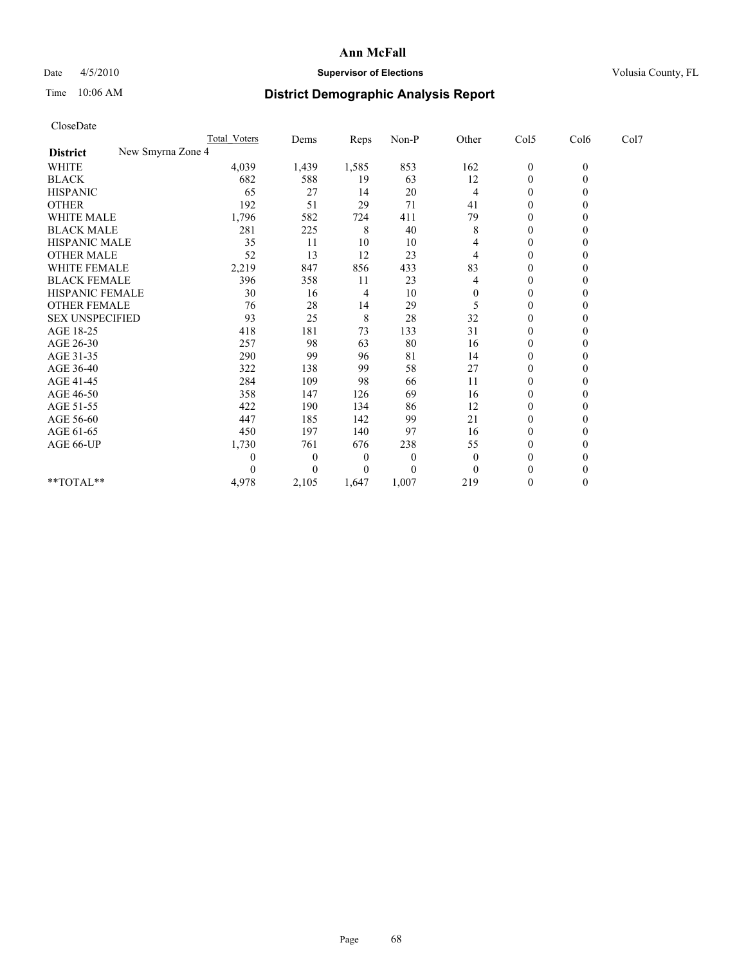## Date  $4/5/2010$  **Supervisor of Elections** Volusia County, FL

# Time 10:06 AM **District Demographic Analysis Report**

| CloseDate                            |                  |                  |       |          |          |                  |                |      |
|--------------------------------------|------------------|------------------|-------|----------|----------|------------------|----------------|------|
|                                      | Total Voters     | Dems             | Reps  | Non-P    | Other    | Col5             | Col6           | Col7 |
| New Smyrna Zone 4<br><b>District</b> |                  |                  |       |          |          |                  |                |      |
| <b>WHITE</b>                         | 4,039            | 1,439            | 1,585 | 853      | 162      | $\boldsymbol{0}$ | $\mathbf{0}$   |      |
| <b>BLACK</b>                         | 682              | 588              | 19    | 63       | 12       | $\boldsymbol{0}$ | $\overline{0}$ |      |
| <b>HISPANIC</b>                      | 65               | 27               | 14    | 20       | 4        | $\theta$         | $\Omega$       |      |
| <b>OTHER</b>                         | 192              | 51               | 29    | 71       | 41       | $\boldsymbol{0}$ | $\theta$       |      |
| <b>WHITE MALE</b>                    | 1,796            | 582              | 724   | 411      | 79       | 0                | $\theta$       |      |
| <b>BLACK MALE</b>                    | 281              | 225              | 8     | 40       | 8        | $\mathbf{0}$     | $\theta$       |      |
| HISPANIC MALE                        | 35               | 11               | 10    | 10       | 4        | 0                | $\theta$       |      |
| <b>OTHER MALE</b>                    | 52               | 13               | 12    | 23       | 4        | $\boldsymbol{0}$ | $\Omega$       |      |
| <b>WHITE FEMALE</b>                  | 2,219            | 847              | 856   | 433      | 83       | $\boldsymbol{0}$ | $\theta$       |      |
| <b>BLACK FEMALE</b>                  | 396              | 358              | 11    | 23       | 4        | $\boldsymbol{0}$ | $\theta$       |      |
| <b>HISPANIC FEMALE</b>               | 30               | 16               | 4     | 10       | $\theta$ | $\mathbf{0}$     | $\Omega$       |      |
| <b>OTHER FEMALE</b>                  | 76               | 28               | 14    | 29       | 5        | $\boldsymbol{0}$ | $\theta$       |      |
| <b>SEX UNSPECIFIED</b>               | 93               | 25               | 8     | 28       | 32       | $\boldsymbol{0}$ | $\theta$       |      |
| AGE 18-25                            | 418              | 181              | 73    | 133      | 31       | $\boldsymbol{0}$ | $\Omega$       |      |
| AGE 26-30                            | 257              | 98               | 63    | 80       | 16       | $\boldsymbol{0}$ | $\Omega$       |      |
| AGE 31-35                            | 290              | 99               | 96    | 81       | 14       | $\boldsymbol{0}$ | $\theta$       |      |
| AGE 36-40                            | 322              | 138              | 99    | 58       | 27       | $\overline{0}$   | $\Omega$       |      |
| AGE 41-45                            | 284              | 109              | 98    | 66       | 11       | $\boldsymbol{0}$ | $\theta$       |      |
| AGE 46-50                            | 358              | 147              | 126   | 69       | 16       | $\boldsymbol{0}$ | $\theta$       |      |
| AGE 51-55                            | 422              | 190              | 134   | 86       | 12       | $\boldsymbol{0}$ | $\theta$       |      |
| AGE 56-60                            | 447              | 185              | 142   | 99       | 21       | $\boldsymbol{0}$ | $\theta$       |      |
| AGE 61-65                            | 450              | 197              | 140   | 97       | 16       | $\theta$         | $\Omega$       |      |
| AGE 66-UP                            | 1,730            | 761              | 676   | 238      | 55       | 0                | $\theta$       |      |
|                                      | $\boldsymbol{0}$ | $\boldsymbol{0}$ | 0     | $\theta$ | $\theta$ | $\mathbf{0}$     | $\Omega$       |      |
|                                      | $\theta$         | $\theta$         | 0     | $\theta$ | $\Omega$ | $\theta$         | $\theta$       |      |
| **TOTAL**                            | 4,978            | 2,105            | 1,647 | 1,007    | 219      | $\overline{0}$   | $\theta$       |      |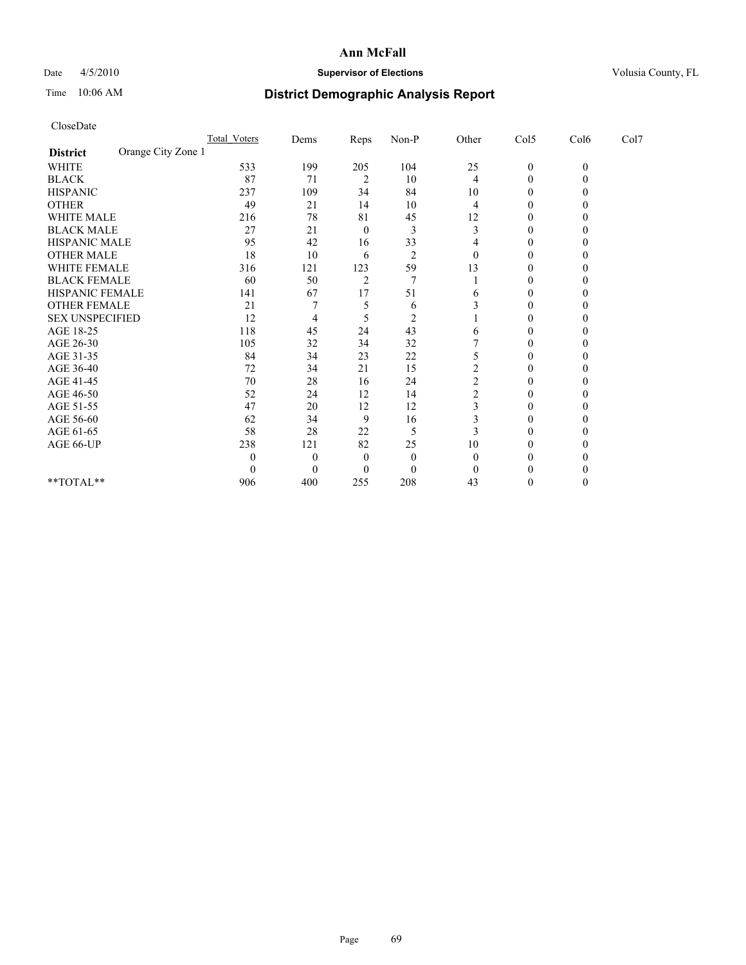## Date  $4/5/2010$  **Supervisor of Elections** Volusia County, FL

# Time 10:06 AM **District Demographic Analysis Report**

| CloseDate              |                    |                     |                |                |                         |                         |                  |                  |      |  |
|------------------------|--------------------|---------------------|----------------|----------------|-------------------------|-------------------------|------------------|------------------|------|--|
|                        |                    | <b>Total Voters</b> | Dems           | Reps           | Non-P                   | Other                   | Col5             | Col6             | Col7 |  |
| <b>District</b>        | Orange City Zone 1 |                     |                |                |                         |                         |                  |                  |      |  |
| <b>WHITE</b>           |                    | 533                 | 199            | 205            | 104                     | 25                      | $\boldsymbol{0}$ | $\boldsymbol{0}$ |      |  |
| <b>BLACK</b>           |                    | 87                  | 71             | $\overline{2}$ | 10                      | 4                       | $\boldsymbol{0}$ | $\theta$         |      |  |
| <b>HISPANIC</b>        |                    | 237                 | 109            | 34             | 84                      | 10                      | $\mathbf{0}$     | 0                |      |  |
| <b>OTHER</b>           |                    | 49                  | 21             | 14             | 10                      | 4                       | $\mathbf{0}$     | $\theta$         |      |  |
| WHITE MALE             |                    | 216                 | 78             | 81             | 45                      | 12                      | $\theta$         | $\theta$         |      |  |
| <b>BLACK MALE</b>      |                    | 27                  | 21             | $\mathbf{0}$   | 3                       | 3                       | $\mathbf{0}$     | 0                |      |  |
| HISPANIC MALE          |                    | 95                  | 42             | 16             | 33                      | 4                       | $\boldsymbol{0}$ | 0                |      |  |
| <b>OTHER MALE</b>      |                    | 18                  | 10             | 6              | 2                       | $\theta$                | $\theta$         | $\theta$         |      |  |
| <b>WHITE FEMALE</b>    |                    | 316                 | 121            | 123            | 59                      | 13                      | $\mathbf{0}$     | $\Omega$         |      |  |
| <b>BLACK FEMALE</b>    |                    | 60                  | 50             | $\overline{2}$ | 7                       |                         | $\theta$         | $\theta$         |      |  |
| HISPANIC FEMALE        |                    | 141                 | 67             | 17             | 51                      | 6                       | $\mathbf{0}$     | 0                |      |  |
| <b>OTHER FEMALE</b>    |                    | 21                  | 7              | 5              | 6                       | 3                       | $\theta$         | 0                |      |  |
| <b>SEX UNSPECIFIED</b> |                    | 12                  | 4              | 5              | $\overline{\mathbf{c}}$ |                         | $\theta$         | 0                |      |  |
| AGE 18-25              |                    | 118                 | 45             | 24             | 43                      | 6                       | $\mathbf{0}$     | 0                |      |  |
| AGE 26-30              |                    | 105                 | 32             | 34             | 32                      |                         | $\mathbf{0}$     | $\theta$         |      |  |
| AGE 31-35              |                    | 84                  | 34             | 23             | 22                      | 5                       | $\mathbf{0}$     | $\Omega$         |      |  |
| AGE 36-40              |                    | 72                  | 34             | 21             | 15                      | $\overline{\mathbf{c}}$ | $\theta$         |                  |      |  |
| AGE 41-45              |                    | 70                  | 28             | 16             | 24                      | $\overline{\mathbf{c}}$ | $\mathbf{0}$     | $\theta$         |      |  |
| AGE 46-50              |                    | 52                  | 24             | 12             | 14                      | $\overline{2}$          | $\mathbf{0}$     | 0                |      |  |
| AGE 51-55              |                    | 47                  | 20             | 12             | 12                      | 3                       | $\mathbf{0}$     | 0                |      |  |
| AGE 56-60              |                    | 62                  | 34             | 9              | 16                      | 3                       | $\mathbf{0}$     | $\theta$         |      |  |
| AGE 61-65              |                    | 58                  | 28             | 22             | 5                       | 3                       | $\theta$         | $\theta$         |      |  |
| AGE 66-UP              |                    | 238                 | 121            | 82             | 25                      | 10                      | $\mathbf{0}$     | 0                |      |  |
|                        |                    | 0                   | $\overline{0}$ | $\theta$       | $\theta$                | $\theta$                | $\theta$         |                  |      |  |
|                        |                    | 0                   | $\theta$       | $\mathbf{0}$   | $\theta$                | $\theta$                | $\theta$         | 0                |      |  |
| **TOTAL**              |                    | 906                 | 400            | 255            | 208                     | 43                      | $\mathbf{0}$     | $\Omega$         |      |  |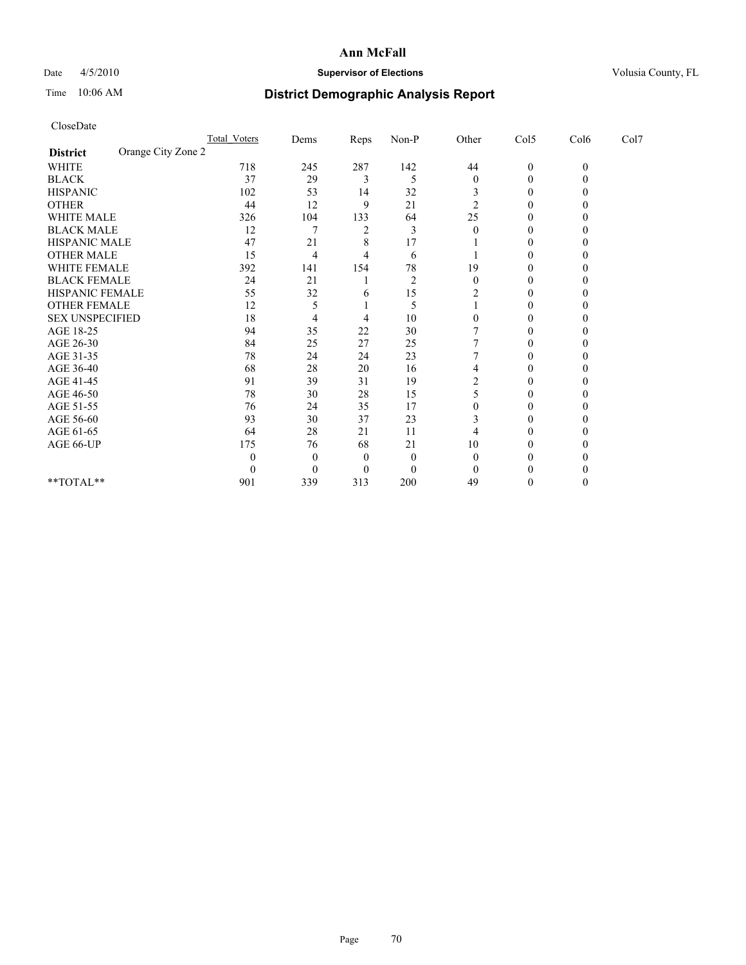## Date  $4/5/2010$  **Supervisor of Elections** Volusia County, FL

# Time 10:06 AM **District Demographic Analysis Report**

| CloseDate              |                    |                     |                |      |          |                  |                  |              |      |  |
|------------------------|--------------------|---------------------|----------------|------|----------|------------------|------------------|--------------|------|--|
|                        |                    | <b>Total Voters</b> | Dems           | Reps | Non-P    | Other            | Col5             | Col6         | Col7 |  |
| <b>District</b>        | Orange City Zone 2 |                     |                |      |          |                  |                  |              |      |  |
| WHITE                  |                    | 718                 | 245            | 287  | 142      | 44               | $\boldsymbol{0}$ | $\mathbf{0}$ |      |  |
| <b>BLACK</b>           |                    | 37                  | 29             | 3    | 5        | $\boldsymbol{0}$ | $\mathbf{0}$     | $\Omega$     |      |  |
| <b>HISPANIC</b>        |                    | 102                 | 53             | 14   | 32       | 3                | 0                | 0            |      |  |
| <b>OTHER</b>           |                    | 44                  | 12             | 9    | 21       | $\overline{c}$   | $\mathbf{0}$     | 0            |      |  |
| <b>WHITE MALE</b>      |                    | 326                 | 104            | 133  | 64       | 25               | 0                | $\theta$     |      |  |
| <b>BLACK MALE</b>      |                    | 12                  | 7              | 2    | 3        | $\theta$         | $\theta$         | 0            |      |  |
| HISPANIC MALE          |                    | 47                  | 21             | 8    | 17       |                  | $\mathbf{0}$     | 0            |      |  |
| <b>OTHER MALE</b>      |                    | 15                  | $\overline{4}$ | 4    | 6        |                  | $\boldsymbol{0}$ | 0            |      |  |
| WHITE FEMALE           |                    | 392                 | 141            | 154  | 78       | 19               | $\mathbf{0}$     | 0            |      |  |
| <b>BLACK FEMALE</b>    |                    | 24                  | 21             |      | 2        | $\theta$         | $\theta$         | 0            |      |  |
| HISPANIC FEMALE        |                    | 55                  | 32             | 6    | 15       | 2                | $\mathbf{0}$     | 0            |      |  |
| <b>OTHER FEMALE</b>    |                    | 12                  | 5              |      | 5        |                  | $\mathbf{0}$     | 0            |      |  |
| <b>SEX UNSPECIFIED</b> |                    | 18                  | 4              | 4    | 10       | $\theta$         | $\theta$         | 0            |      |  |
| AGE 18-25              |                    | 94                  | 35             | 22   | 30       | 7                | $\mathbf{0}$     | 0            |      |  |
| AGE 26-30              |                    | 84                  | 25             | 27   | 25       |                  | $\mathbf{0}$     | $\theta$     |      |  |
| AGE 31-35              |                    | 78                  | 24             | 24   | 23       |                  | $\mathbf{0}$     | 0            |      |  |
| AGE 36-40              |                    | 68                  | 28             | 20   | 16       | 4                | 0                | $\theta$     |      |  |
| AGE 41-45              |                    | 91                  | 39             | 31   | 19       | 2                | $\theta$         | 0            |      |  |
| AGE 46-50              |                    | 78                  | 30             | 28   | 15       | 5                | $\mathbf{0}$     | $\theta$     |      |  |
| AGE 51-55              |                    | 76                  | 24             | 35   | 17       | $\theta$         | 0                | $\theta$     |      |  |
| AGE 56-60              |                    | 93                  | 30             | 37   | 23       | 3                | 0                | $\theta$     |      |  |
| AGE 61-65              |                    | 64                  | 28             | 21   | 11       | 4                | $\boldsymbol{0}$ | 0            |      |  |
| AGE 66-UP              |                    | 175                 | 76             | 68   | 21       | 10               | 0                | 0            |      |  |
|                        |                    | 0                   | $\overline{0}$ | 0    | $\theta$ | $\theta$         | 0                |              |      |  |
|                        |                    | $\theta$            | $\overline{0}$ | 0    | $\theta$ | $\Omega$         | 0                |              |      |  |
| $*$ $TOTAI.**$         |                    | 901                 | 339            | 313  | 200      | 49               | 0                | $\theta$     |      |  |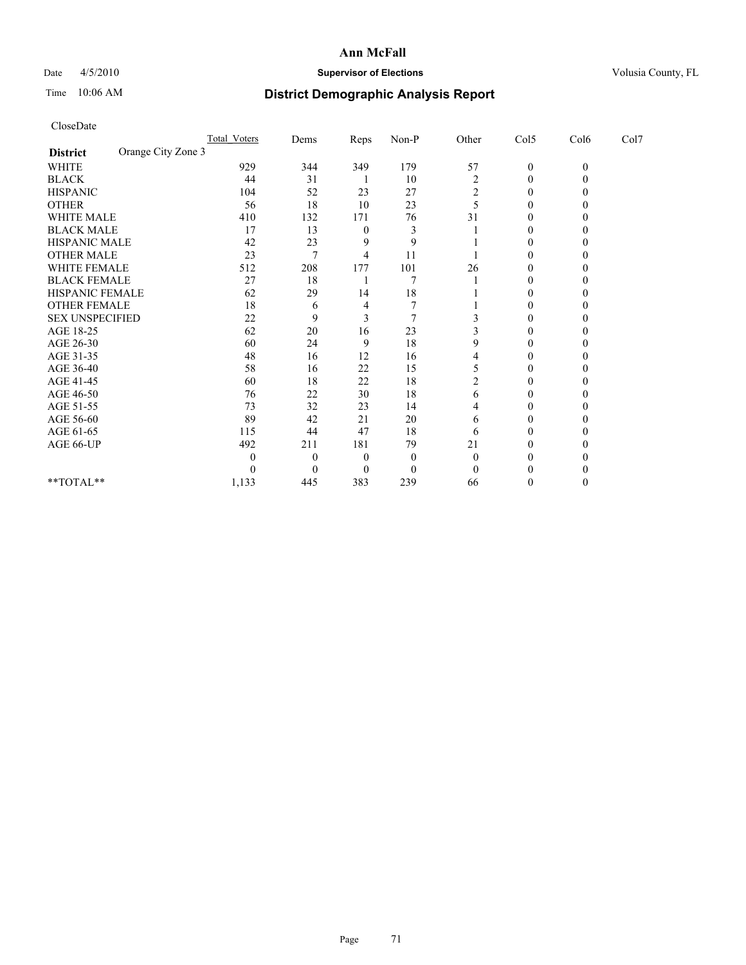## Date  $4/5/2010$  **Supervisor of Elections** Volusia County, FL

# Time 10:06 AM **District Demographic Analysis Report**

| CloseDate              |                    |                     |                |          |          |                |                  |              |      |  |
|------------------------|--------------------|---------------------|----------------|----------|----------|----------------|------------------|--------------|------|--|
|                        |                    | <b>Total Voters</b> | Dems           | Reps     | Non-P    | Other          | Col5             | Col6         | Col7 |  |
| <b>District</b>        | Orange City Zone 3 |                     |                |          |          |                |                  |              |      |  |
| WHITE                  |                    | 929                 | 344            | 349      | 179      | 57             | $\boldsymbol{0}$ | $\mathbf{0}$ |      |  |
| <b>BLACK</b>           |                    | 44                  | 31             |          | 10       | $\overline{c}$ | $\boldsymbol{0}$ | $\Omega$     |      |  |
| <b>HISPANIC</b>        |                    | 104                 | 52             | 23       | 27       | 2              | 0                | 0            |      |  |
| <b>OTHER</b>           |                    | 56                  | 18             | 10       | 23       | 5              | $\mathbf{0}$     | 0            |      |  |
| WHITE MALE             |                    | 410                 | 132            | 171      | 76       | 31             | 0                | $\theta$     |      |  |
| <b>BLACK MALE</b>      |                    | 17                  | 13             | 0        | 3        |                | $\theta$         | 0            |      |  |
| HISPANIC MALE          |                    | 42                  | 23             | 9        | 9        |                | $\mathbf{0}$     | 0            |      |  |
| <b>OTHER MALE</b>      |                    | 23                  | $\tau$         | 4        | 11       |                | $\boldsymbol{0}$ | $\theta$     |      |  |
| WHITE FEMALE           |                    | 512                 | 208            | 177      | 101      | 26             | $\mathbf{0}$     | $\theta$     |      |  |
| <b>BLACK FEMALE</b>    |                    | 27                  | 18             |          | 7        |                | $\theta$         | 0            |      |  |
| HISPANIC FEMALE        |                    | 62                  | 29             | 14       | 18       |                | $\mathbf{0}$     | 0            |      |  |
| <b>OTHER FEMALE</b>    |                    | 18                  | 6              | 4        | 7        |                | $\mathbf{0}$     | 0            |      |  |
| <b>SEX UNSPECIFIED</b> |                    | 22                  | 9              | 3        | 7        | 3              | $\theta$         | 0            |      |  |
| AGE 18-25              |                    | 62                  | 20             | 16       | 23       |                | $\mathbf{0}$     | 0            |      |  |
| AGE 26-30              |                    | 60                  | 24             | 9        | 18       | 9              | $\boldsymbol{0}$ | $\theta$     |      |  |
| AGE 31-35              |                    | 48                  | 16             | 12       | 16       | 4              | $\boldsymbol{0}$ | $\theta$     |      |  |
| AGE 36-40              |                    | 58                  | 16             | 22       | 15       | 5              | 0                | $\theta$     |      |  |
| AGE 41-45              |                    | 60                  | 18             | 22       | 18       | 2              | $\boldsymbol{0}$ | 0            |      |  |
| AGE 46-50              |                    | 76                  | 22             | 30       | 18       | 6              | $\boldsymbol{0}$ | 0            |      |  |
| AGE 51-55              |                    | 73                  | 32             | 23       | 14       | 4              | 0                | 0            |      |  |
| AGE 56-60              |                    | 89                  | 42             | 21       | 20       | 6              | 0                | $\theta$     |      |  |
| AGE 61-65              |                    | 115                 | 44             | 47       | 18       | 6              | $\boldsymbol{0}$ | 0            |      |  |
| AGE 66-UP              |                    | 492                 | 211            | 181      | 79       | 21             | $\boldsymbol{0}$ | 0            |      |  |
|                        |                    | 0                   | $\overline{0}$ | 0        | $\theta$ | $\theta$       | 0                |              |      |  |
|                        |                    | 0                   | $\theta$       | $\theta$ | $\theta$ | $\Omega$       | 0                |              |      |  |
| $*$ $TOTAI.**$         |                    | 1,133               | 445            | 383      | 239      | 66             | 0                | $\theta$     |      |  |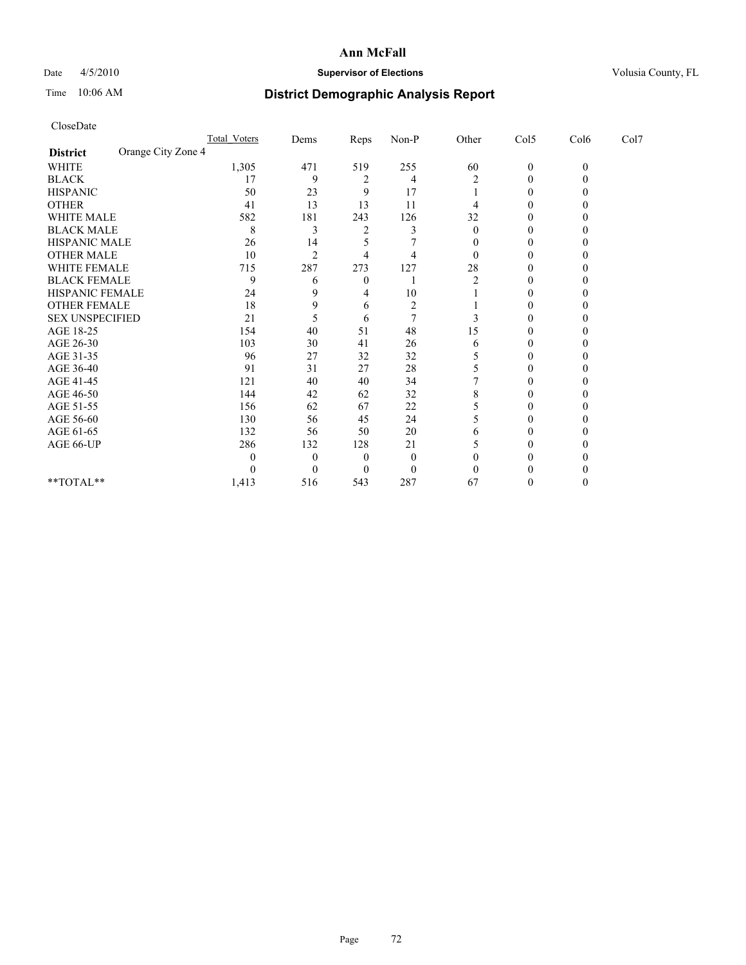## Date 4/5/2010 **Supervisor of Elections Supervisor of Elections** Volusia County, FL

# Time 10:06 AM **District Demographic Analysis Report**

|                                       | <b>Total Voters</b> | Dems     | Reps           | $Non-P$        | Other | Col5             | Col6     | Col7 |  |
|---------------------------------------|---------------------|----------|----------------|----------------|-------|------------------|----------|------|--|
| Orange City Zone 4<br><b>District</b> |                     |          |                |                |       |                  |          |      |  |
| <b>WHITE</b>                          | 1,305               | 471      | 519            | 255            | 60    | $\boldsymbol{0}$ | $\theta$ |      |  |
| <b>BLACK</b>                          | 17                  | 9        |                | 4              | 2     | $\Omega$         |          |      |  |
| <b>HISPANIC</b>                       | 50                  | 23       | 9              | 17             |       | 0                |          |      |  |
| <b>OTHER</b>                          | 41                  | 13       | 13             | 11             |       |                  |          |      |  |
| <b>WHITE MALE</b>                     | 582                 | 181      | 243            | 126            | 32    |                  |          |      |  |
| <b>BLACK MALE</b>                     | 8                   | 3        | 2              |                | 0     | 0                |          |      |  |
| HISPANIC MALE                         | 26                  | 14       |                |                | 0     | 0                |          |      |  |
| <b>OTHER MALE</b>                     | 10                  | 2        |                | 4              | 0     |                  |          |      |  |
| WHITE FEMALE                          | 715                 | 287      | 273            | 127            | 28    | 0                |          |      |  |
| <b>BLACK FEMALE</b>                   | 9                   | 6        | $\overline{0}$ |                | 2     | $\Omega$         |          |      |  |
| HISPANIC FEMALE                       | 24                  | 9        | 4              | 10             |       | $\Omega$         |          |      |  |
| <b>OTHER FEMALE</b>                   | 18                  | 9        | 6              | $\overline{c}$ |       | 0                |          |      |  |
| <b>SEX UNSPECIFIED</b>                | 21                  |          | 6              |                |       | $\theta$         |          |      |  |
| AGE 18-25                             | 154                 | 40       | 51             | 48             | 15    | 0                |          |      |  |
| AGE 26-30                             | 103                 | 30       | 41             | 26             | 6     | 0                |          |      |  |
| AGE 31-35                             | 96                  | 27       | 32             | 32             |       | 0                |          |      |  |
| AGE 36-40                             | 91                  | 31       | 27             | 28             |       |                  |          |      |  |
| AGE 41-45                             | 121                 | 40       | 40             | 34             |       | 0                |          |      |  |
| AGE 46-50                             | 144                 | 42       | 62             | 32             | 8     |                  |          |      |  |
| AGE 51-55                             | 156                 | 62       | 67             | 22             |       |                  |          |      |  |
| AGE 56-60                             | 130                 | 56       | 45             | 24             |       | 0                |          |      |  |
| AGE 61-65                             | 132                 | 56       | 50             | 20             | 6     | $\theta$         |          |      |  |
| AGE 66-UP                             | 286                 | 132      | 128            | 21             |       | 0                |          |      |  |
|                                       | 0                   | $\Omega$ | $\theta$       | $\theta$       |       | 0                |          |      |  |
|                                       |                     | $\Omega$ | $\theta$       | $\overline{0}$ |       |                  |          |      |  |
| **TOTAL**                             | 1,413               | 516      | 543            | 287            | 67    | $\theta$         |          |      |  |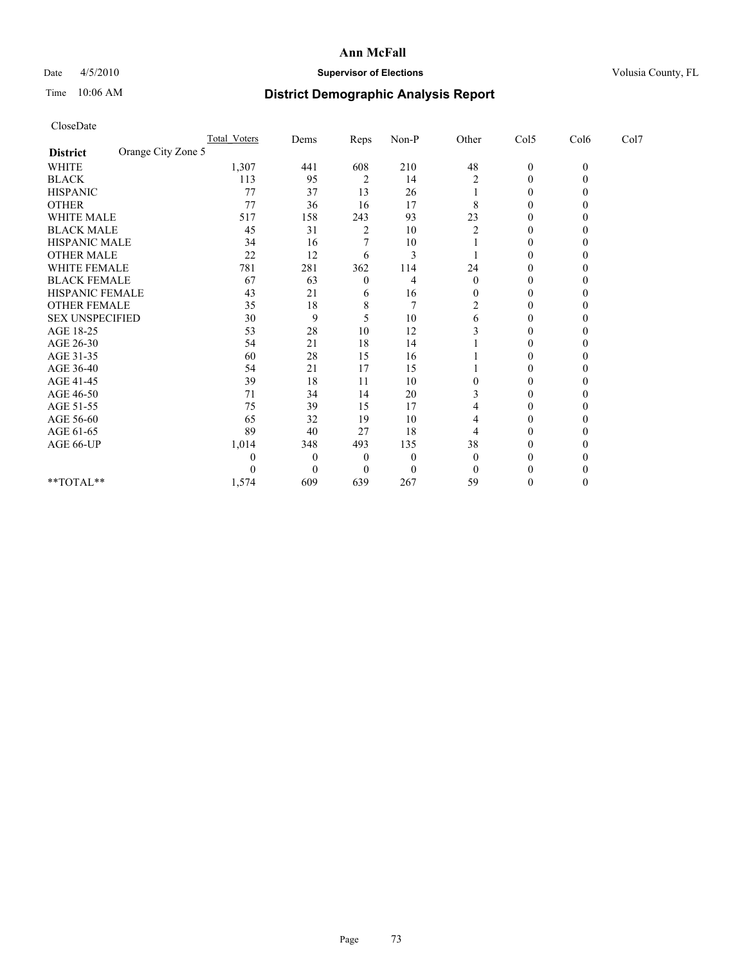## Date  $4/5/2010$  **Supervisor of Elections Supervisor of Elections** Volusia County, FL

# Time 10:06 AM **District Demographic Analysis Report**

|                                       | Total Voters | Dems     | <b>Reps</b>      | $Non-P$  | Other        | Col5         | Col6         | Col7 |
|---------------------------------------|--------------|----------|------------------|----------|--------------|--------------|--------------|------|
| Orange City Zone 5<br><b>District</b> |              |          |                  |          |              |              |              |      |
| <b>WHITE</b>                          | 1,307        | 441      | 608              | 210      | 48           | $\mathbf{0}$ | $\mathbf{0}$ |      |
| <b>BLACK</b>                          | 113          | 95       | 2                | 14       |              | 0            |              |      |
| <b>HISPANIC</b>                       | 77           | 37       | 13               | 26       |              | 0            |              |      |
| <b>OTHER</b>                          | 77           | 36       | 16               | 17       | 8            | $\Omega$     |              |      |
| <b>WHITE MALE</b>                     | 517          | 158      | 243              | 93       | 23           | 0            |              |      |
| <b>BLACK MALE</b>                     | 45           | 31       | $\overline{c}$   | 10       | 2            | 0            |              |      |
| HISPANIC MALE                         | 34           | 16       |                  | 10       |              | $\Omega$     |              |      |
| <b>OTHER MALE</b>                     | 22           | 12       | 6                | 3        |              | 0            |              |      |
| WHITE FEMALE                          | 781          | 281      | 362              | 114      | 24           | 0            |              |      |
| <b>BLACK FEMALE</b>                   | 67           | 63       | $\theta$         | 4        | $\mathbf{0}$ | 0            |              |      |
| HISPANIC FEMALE                       | 43           | 21       | 6                | 16       | 0            | 0            |              |      |
| <b>OTHER FEMALE</b>                   | 35           | 18       | 8                |          | 2            | 0            |              |      |
| <b>SEX UNSPECIFIED</b>                | 30           | 9        | 5                | 10       | 6            | 0            |              |      |
| AGE 18-25                             | 53           | 28       | 10               | 12       |              | 0            |              |      |
| AGE 26-30                             | 54           | 21       | 18               | 14       |              | 0            |              |      |
| AGE 31-35                             | 60           | 28       | 15               | 16       |              | 0            |              |      |
| AGE 36-40                             | 54           | 21       | 17               | 15       |              | 0            |              |      |
| AGE 41-45                             | 39           | 18       | 11               | 10       |              | 0            |              |      |
| AGE 46-50                             | 71           | 34       | 14               | 20       |              | 0            |              |      |
| AGE 51-55                             | 75           | 39       | 15               | 17       |              | 0            |              |      |
| AGE 56-60                             | 65           | 32       | 19               | 10       | 4            | 0            |              |      |
| AGE 61-65                             | 89           | 40       | 27               | 18       |              | 0            |              |      |
| AGE 66-UP                             | 1,014        | 348      | 493              | 135      | 38           | 0            |              |      |
|                                       |              | $\theta$ | $\boldsymbol{0}$ | $\theta$ | $\Omega$     | 0            |              |      |
|                                       |              | $\Omega$ | $\theta$         | $\theta$ |              |              |              |      |
| $**TOTAL**$                           | 1,574        | 609      | 639              | 267      | 59           | 0            |              |      |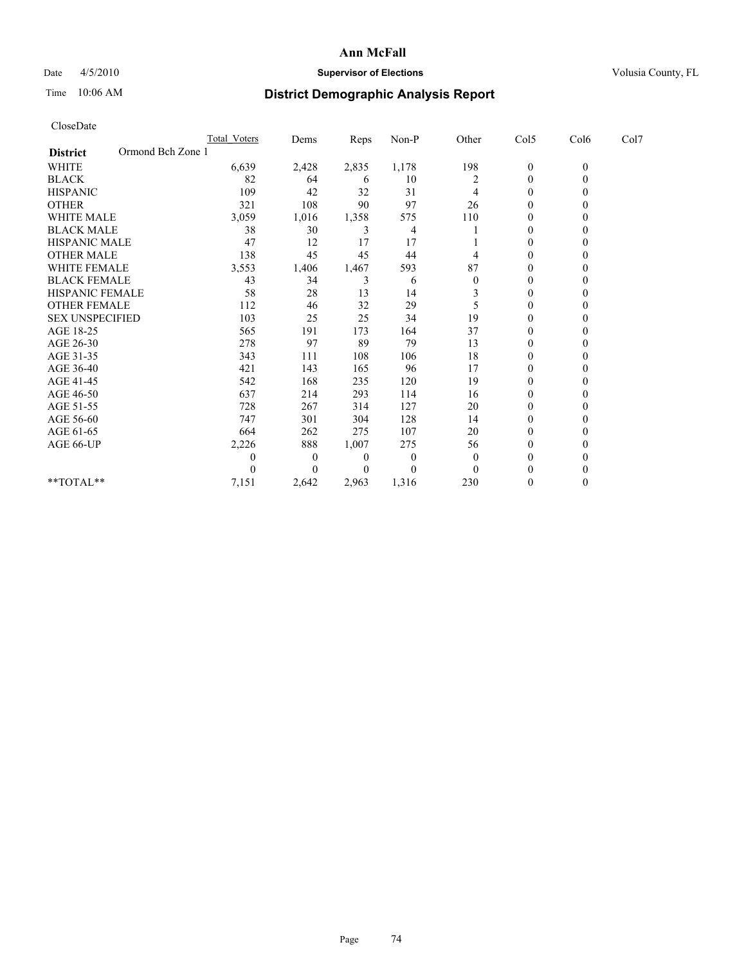## Date  $4/5/2010$  **Supervisor of Elections Supervisor of Elections** Volusia County, FL

## Time 10:06 AM **District Demographic Analysis Report**

|                                      | <b>Total Voters</b> | Dems     | Reps     | Non-P    | Other        | Col5             | Col6         | Col7 |
|--------------------------------------|---------------------|----------|----------|----------|--------------|------------------|--------------|------|
| Ormond Bch Zone 1<br><b>District</b> |                     |          |          |          |              |                  |              |      |
| <b>WHITE</b>                         | 6,639               | 2,428    | 2,835    | 1,178    | 198          | $\boldsymbol{0}$ | $\mathbf{0}$ |      |
| <b>BLACK</b>                         | 82                  | 64       | 6        | 10       | 2            | $\Omega$         |              |      |
| <b>HISPANIC</b>                      | 109                 | 42       | 32       | 31       | 4            | $\Omega$         |              |      |
| <b>OTHER</b>                         | 321                 | 108      | 90       | 97       | 26           | $\theta$         |              |      |
| <b>WHITE MALE</b>                    | 3,059               | 1,016    | 1,358    | 575      | 110          | 0                |              |      |
| <b>BLACK MALE</b>                    | 38                  | 30       | 3        | 4        |              | $\Omega$         |              |      |
| HISPANIC MALE                        | 47                  | 12       | 17       | 17       |              | $\Omega$         |              |      |
| <b>OTHER MALE</b>                    | 138                 | 45       | 45       | 44       |              | 0                |              |      |
| WHITE FEMALE                         | 3,553               | 1,406    | 1,467    | 593      | 87           | $\theta$         |              |      |
| <b>BLACK FEMALE</b>                  | 43                  | 34       | 3        | 6        | $\mathbf{0}$ | $\Omega$         |              |      |
| HISPANIC FEMALE                      | 58                  | 28       | 13       | 14       |              | $\theta$         |              |      |
| <b>OTHER FEMALE</b>                  | 112                 | 46       | 32       | 29       | 5            | $\theta$         |              |      |
| <b>SEX UNSPECIFIED</b>               | 103                 | 25       | 25       | 34       | 19           | $\mathbf{0}$     |              |      |
| AGE 18-25                            | 565                 | 191      | 173      | 164      | 37           | $\Omega$         |              |      |
| AGE 26-30                            | 278                 | 97       | 89       | 79       | 13           | $\Omega$         |              |      |
| AGE 31-35                            | 343                 | 111      | 108      | 106      | 18           | $\Omega$         |              |      |
| AGE 36-40                            | 421                 | 143      | 165      | 96       | 17           | $\Omega$         |              |      |
| AGE 41-45                            | 542                 | 168      | 235      | 120      | 19           | $\theta$         |              |      |
| AGE 46-50                            | 637                 | 214      | 293      | 114      | 16           | $\Omega$         |              |      |
| AGE 51-55                            | 728                 | 267      | 314      | 127      | 20           | 0                |              |      |
| AGE 56-60                            | 747                 | 301      | 304      | 128      | 14           | $\theta$         |              |      |
| AGE 61-65                            | 664                 | 262      | 275      | 107      | 20           | $\Omega$         |              |      |
| AGE 66-UP                            | 2,226               | 888      | 1,007    | 275      | 56           | $\Omega$         |              |      |
|                                      | 0                   | $\bf{0}$ | $\bf{0}$ | $\bf{0}$ | $\theta$     | $\theta$         |              |      |
|                                      | 0                   | $\Omega$ | $\Omega$ | $\theta$ | $\theta$     | $\Omega$         |              |      |
| **TOTAL**                            | 7,151               | 2,642    | 2,963    | 1,316    | 230          | $\theta$         | 0            |      |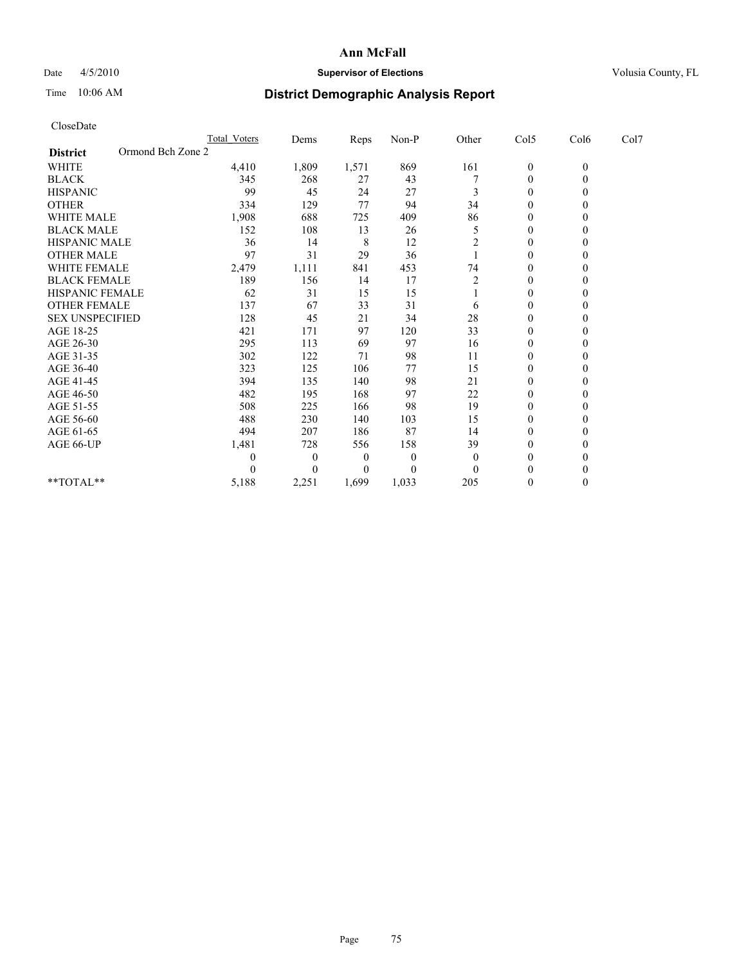## Date  $4/5/2010$  **Supervisor of Elections** Volusia County, FL

# Time 10:06 AM **District Demographic Analysis Report**

| CloseDate              |                     |                |       |          |                |                  |              |      |
|------------------------|---------------------|----------------|-------|----------|----------------|------------------|--------------|------|
|                        | <b>Total Voters</b> | Dems           | Reps  | Non-P    | Other          | Col5             | Col6         | Col7 |
| <b>District</b>        | Ormond Bch Zone 2   |                |       |          |                |                  |              |      |
| WHITE                  | 4,410               | 1,809          | 1,571 | 869      | 161            | $\boldsymbol{0}$ | $\mathbf{0}$ |      |
| <b>BLACK</b>           | 345                 | 268            | 27    | 43       |                | $\boldsymbol{0}$ | $\mathbf{0}$ |      |
| <b>HISPANIC</b>        | 99                  | 45             | 24    | 27       | 3              | $\overline{0}$   | $\Omega$     |      |
| <b>OTHER</b>           | 334                 | 129            | 77    | 94       | 34             | $\mathbf{0}$     | $\theta$     |      |
| <b>WHITE MALE</b>      | 1,908               | 688            | 725   | 409      | 86             | $\mathbf{0}$     | $\Omega$     |      |
| <b>BLACK MALE</b>      | 152                 | 108            | 13    | 26       | 5              | $\mathbf{0}$     | $\theta$     |      |
| HISPANIC MALE          | 36                  | 14             | 8     | 12       | $\overline{c}$ | $\mathbf{0}$     | $\theta$     |      |
| <b>OTHER MALE</b>      | 97                  | 31             | 29    | 36       |                | $\mathbf{0}$     | $\mathbf{0}$ |      |
| WHITE FEMALE           | 2,479               | 1,111          | 841   | 453      | 74             | 0                | $\theta$     |      |
| <b>BLACK FEMALE</b>    | 189                 | 156            | 14    | 17       | $\overline{c}$ | $\boldsymbol{0}$ | $\theta$     |      |
| HISPANIC FEMALE        | 62                  | 31             | 15    | 15       |                | 0                | $\Omega$     |      |
| <b>OTHER FEMALE</b>    | 137                 | 67             | 33    | 31       | 6              | 0                | $\theta$     |      |
| <b>SEX UNSPECIFIED</b> | 128                 | 45             | 21    | 34       | 28             | $\boldsymbol{0}$ | $\Omega$     |      |
| AGE 18-25              | 421                 | 171            | 97    | 120      | 33             | 0                | $\theta$     |      |
| AGE 26-30              | 295                 | 113            | 69    | 97       | 16             | $\boldsymbol{0}$ | $\Omega$     |      |
| AGE 31-35              | 302                 | 122            | 71    | 98       | 11             | $\boldsymbol{0}$ | $\mathbf{0}$ |      |
| AGE 36-40              | 323                 | 125            | 106   | 77       | 15             | $\boldsymbol{0}$ | $\Omega$     |      |
| AGE 41-45              | 394                 | 135            | 140   | 98       | 21             | $\boldsymbol{0}$ | $\Omega$     |      |
| AGE 46-50              | 482                 | 195            | 168   | 97       | 22             | $\overline{0}$   | $\Omega$     |      |
| AGE 51-55              | 508                 | 225            | 166   | 98       | 19             | $\boldsymbol{0}$ | $\Omega$     |      |
| AGE 56-60              | 488                 | 230            | 140   | 103      | 15             | $\boldsymbol{0}$ | $\Omega$     |      |
| AGE 61-65              | 494                 | 207            | 186   | 87       | 14             | $\mathbf{0}$     | $\Omega$     |      |
| AGE 66-UP              | 1,481               | 728            | 556   | 158      | 39             | $\boldsymbol{0}$ | $\Omega$     |      |
|                        | 0                   | $\overline{0}$ | 0     | $\theta$ | $\theta$       | $\boldsymbol{0}$ | 0            |      |
|                        | 0                   | $\Omega$       | 0     | $\Omega$ | $\Omega$       | $\theta$         | $\theta$     |      |
| $*$ $TOTAI.**$         | 5,188               | 2,251          | 1,699 | 1,033    | 205            | $\boldsymbol{0}$ | $\Omega$     |      |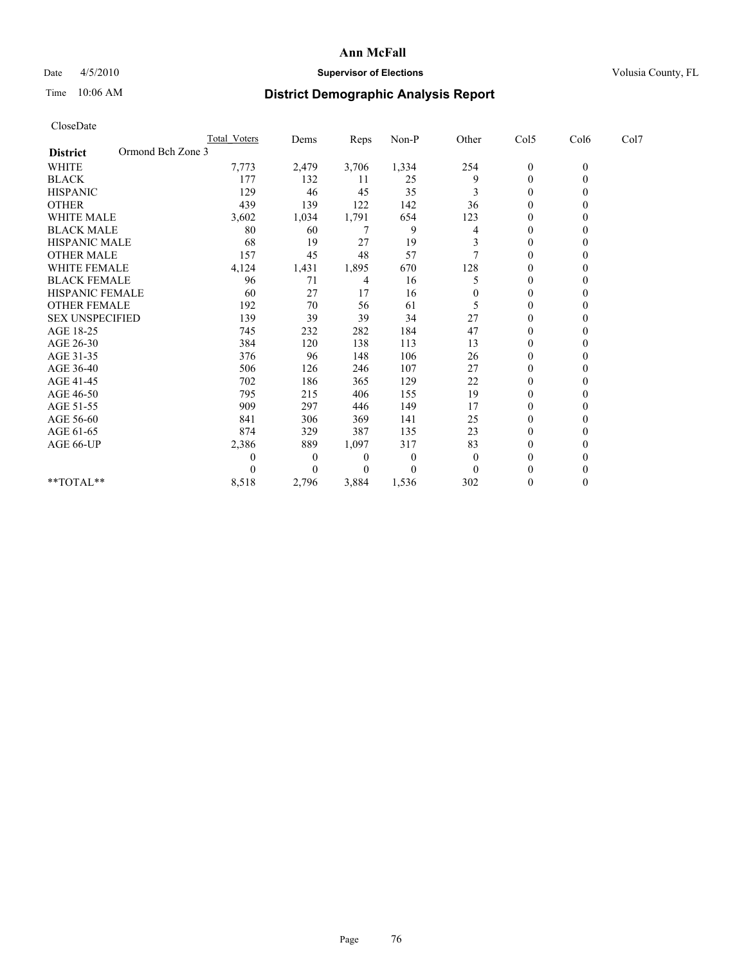## Date  $4/5/2010$  **Supervisor of Elections Supervisor of Elections** Volusia County, FL

# Time 10:06 AM **District Demographic Analysis Report**

|                                      | Total Voters | Dems         | Reps         | Non-P          | Other    | Col5             | Col6         | Col7 |
|--------------------------------------|--------------|--------------|--------------|----------------|----------|------------------|--------------|------|
| Ormond Bch Zone 3<br><b>District</b> |              |              |              |                |          |                  |              |      |
| WHITE                                | 7,773        | 2,479        | 3,706        | 1,334          | 254      | $\boldsymbol{0}$ | $\mathbf{0}$ |      |
| <b>BLACK</b>                         | 177          | 132          | 11           | 25             | 9        | $\mathbf{0}$     |              |      |
| <b>HISPANIC</b>                      | 129          | 46           | 45           | 35             | 3        | $\theta$         |              |      |
| <b>OTHER</b>                         | 439          | 139          | 122          | 142            | 36       | $\theta$         |              |      |
| <b>WHITE MALE</b>                    | 3,602        | 1,034        | 1,791        | 654            | 123      | 0                |              |      |
| <b>BLACK MALE</b>                    | 80           | 60           | 7            | 9              | 4        | $\theta$         |              |      |
| <b>HISPANIC MALE</b>                 | 68           | 19           | 27           | 19             |          | $\Omega$         |              |      |
| <b>OTHER MALE</b>                    | 157          | 45           | 48           | 57             |          | $\Omega$         |              |      |
| WHITE FEMALE                         | 4,124        | 1,431        | 1,895        | 670            | 128      | $\theta$         |              |      |
| <b>BLACK FEMALE</b>                  | 96           | 71           | 4            | 16             |          | $\theta$         |              |      |
| HISPANIC FEMALE                      | 60           | 27           | 17           | 16             | 0        | $\Omega$         |              |      |
| <b>OTHER FEMALE</b>                  | 192          | 70           | 56           | 61             | 5        | $\theta$         |              |      |
| <b>SEX UNSPECIFIED</b>               | 139          | 39           | 39           | 34             | 27       | $\Omega$         |              |      |
| AGE 18-25                            | 745          | 232          | 282          | 184            | 47       | $\theta$         |              |      |
| AGE 26-30                            | 384          | 120          | 138          | 113            | 13       | $\theta$         |              |      |
| AGE 31-35                            | 376          | 96           | 148          | 106            | 26       | $\Omega$         |              |      |
| AGE 36-40                            | 506          | 126          | 246          | 107            | 27       | $\Omega$         |              |      |
| AGE 41-45                            | 702          | 186          | 365          | 129            | 22       | $\theta$         |              |      |
| AGE 46-50                            | 795          | 215          | 406          | 155            | 19       | $\theta$         |              |      |
| AGE 51-55                            | 909          | 297          | 446          | 149            | 17       | $\Omega$         |              |      |
| AGE 56-60                            | 841          | 306          | 369          | 141            | 25       | $\theta$         |              |      |
| AGE 61-65                            | 874          | 329          | 387          | 135            | 23       | $\Omega$         |              |      |
| AGE 66-UP                            | 2,386        | 889          | 1,097        | 317            | 83       | $\mathbf{0}$     |              |      |
|                                      | $\theta$     | $\mathbf{0}$ | $\mathbf{0}$ | $\overline{0}$ | $\theta$ | $\theta$         |              |      |
|                                      |              | 0            | $\Omega$     | $\theta$       | $\theta$ | $\theta$         |              |      |
| **TOTAL**                            | 8,518        | 2,796        | 3,884        | 1,536          | 302      | $\overline{0}$   |              |      |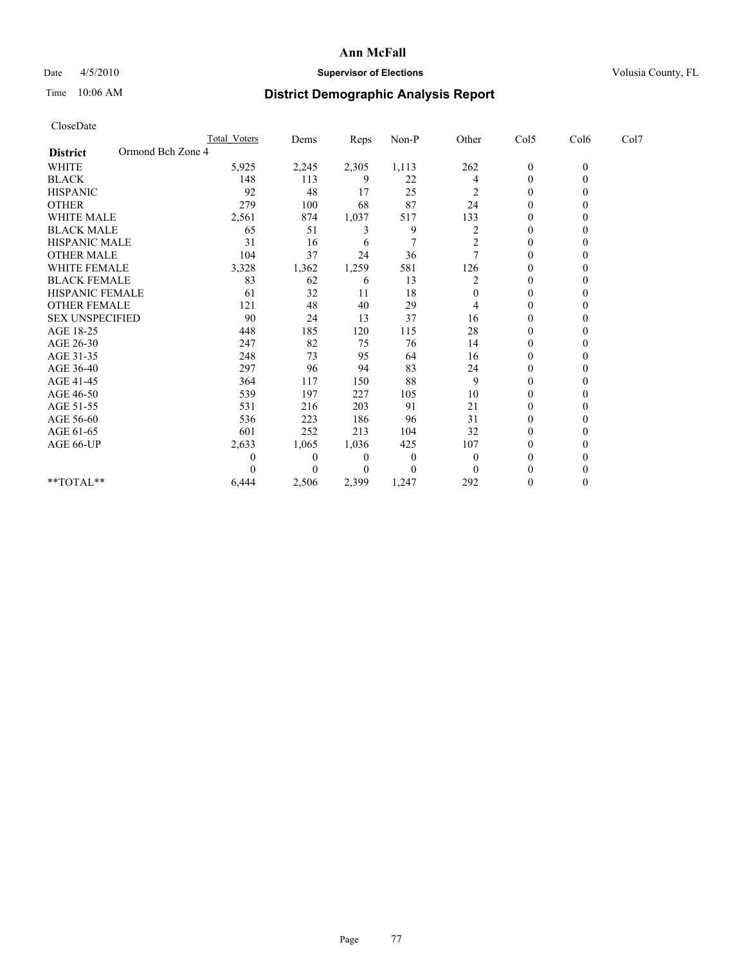## Date  $4/5/2010$  **Supervisor of Elections** Volusia County, FL

# Time 10:06 AM **District Demographic Analysis Report**

| CloseDate              |                   |                     |                |       |          |          |                  |              |      |
|------------------------|-------------------|---------------------|----------------|-------|----------|----------|------------------|--------------|------|
|                        |                   | <b>Total Voters</b> | Dems           | Reps  | Non-P    | Other    | Col5             | Col6         | Col7 |
| <b>District</b>        | Ormond Bch Zone 4 |                     |                |       |          |          |                  |              |      |
| <b>WHITE</b>           |                   | 5,925               | 2,245          | 2,305 | 1,113    | 262      | $\boldsymbol{0}$ | $\mathbf{0}$ |      |
| <b>BLACK</b>           |                   | 148                 | 113            | 9     | 22       | 4        | $\boldsymbol{0}$ | $\mathbf{0}$ |      |
| <b>HISPANIC</b>        |                   | 92                  | 48             | 17    | 25       | 2        | $\boldsymbol{0}$ | $\theta$     |      |
| <b>OTHER</b>           |                   | 279                 | 100            | 68    | 87       | 24       | $\mathbf{0}$     | $\theta$     |      |
| <b>WHITE MALE</b>      |                   | 2,561               | 874            | 1,037 | 517      | 133      | $\mathbf{0}$     | $\theta$     |      |
| <b>BLACK MALE</b>      |                   | 65                  | 51             | 3     | 9        | 2        | $\mathbf{0}$     | $\Omega$     |      |
| <b>HISPANIC MALE</b>   |                   | 31                  | 16             | 6     | 7        | 2        | 0                | $\theta$     |      |
| <b>OTHER MALE</b>      |                   | 104                 | 37             | 24    | 36       |          | $\mathbf{0}$     | $\theta$     |      |
| <b>WHITE FEMALE</b>    |                   | 3,328               | 1,362          | 1,259 | 581      | 126      | $\mathbf{0}$     | $\Omega$     |      |
| <b>BLACK FEMALE</b>    |                   | 83                  | 62             | 6     | 13       | 2        | $\mathbf{0}$     | 0            |      |
| HISPANIC FEMALE        |                   | 61                  | 32             | 11    | 18       | $\Omega$ | $\mathbf{0}$     | $\Omega$     |      |
| <b>OTHER FEMALE</b>    |                   | 121                 | 48             | 40    | 29       | 4        | $\boldsymbol{0}$ | $\theta$     |      |
| <b>SEX UNSPECIFIED</b> |                   | 90                  | 24             | 13    | 37       | 16       | $\mathbf{0}$     | 0            |      |
| AGE 18-25              |                   | 448                 | 185            | 120   | 115      | 28       | $\mathbf{0}$     | $\theta$     |      |
| AGE 26-30              |                   | 247                 | 82             | 75    | 76       | 14       | $\boldsymbol{0}$ | $\theta$     |      |
| AGE 31-35              |                   | 248                 | 73             | 95    | 64       | 16       | $\mathbf{0}$     | $\Omega$     |      |
| AGE 36-40              |                   | 297                 | 96             | 94    | 83       | 24       | $\mathbf{0}$     | 0            |      |
| AGE 41-45              |                   | 364                 | 117            | 150   | 88       | 9        | $\boldsymbol{0}$ | $\theta$     |      |
| AGE 46-50              |                   | 539                 | 197            | 227   | 105      | 10       | $\mathbf{0}$     | $\theta$     |      |
| AGE 51-55              |                   | 531                 | 216            | 203   | 91       | 21       | $\boldsymbol{0}$ | $\Omega$     |      |
| AGE 56-60              |                   | 536                 | 223            | 186   | 96       | 31       | $\mathbf{0}$     | $\Omega$     |      |
| AGE 61-65              |                   | 601                 | 252            | 213   | 104      | 32       | $\boldsymbol{0}$ | $\theta$     |      |
| AGE 66-UP              |                   | 2,633               | 1,065          | 1,036 | 425      | 107      | $\mathbf{0}$     | 0            |      |
|                        |                   | 0                   | $\overline{0}$ | 0     | $\theta$ | $\theta$ | $\mathbf{0}$     | $\theta$     |      |
|                        |                   | 0                   | $\Omega$       | 0     | $\theta$ | $\Omega$ | $\theta$         | 0            |      |
| **TOTAL**              |                   | 6,444               | 2,506          | 2,399 | 1,247    | 292      | 0                | $\theta$     |      |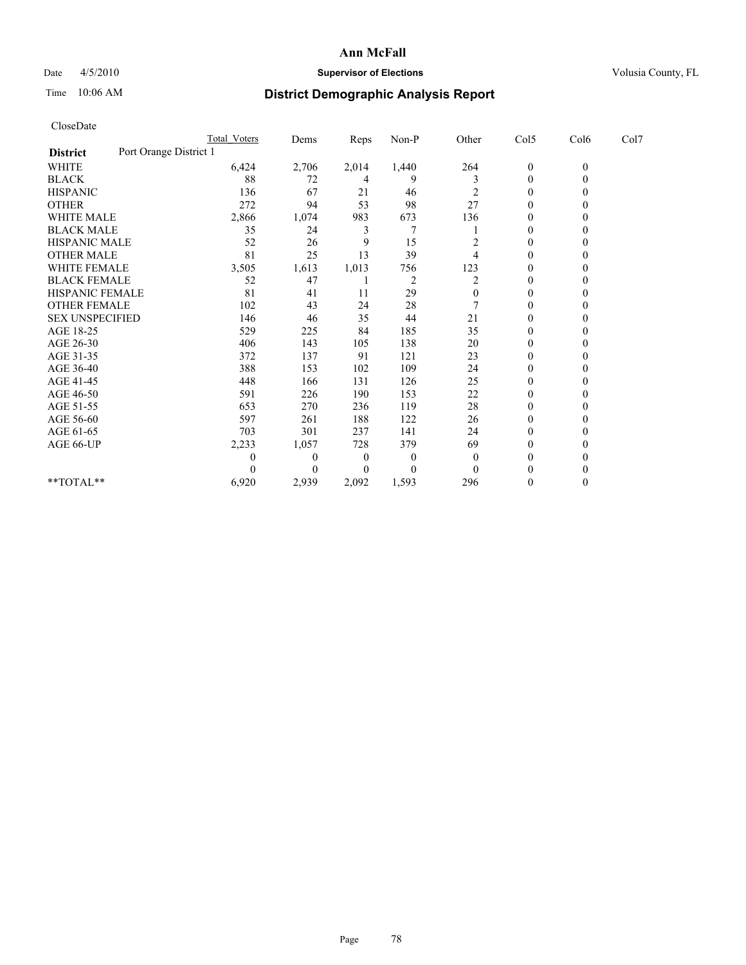## Date  $4/5/2010$  **Supervisor of Elections** Volusia County, FL

# Time 10:06 AM **District Demographic Analysis Report**

| CloseDate              |                        |                |          |          |                |                  |              |      |
|------------------------|------------------------|----------------|----------|----------|----------------|------------------|--------------|------|
|                        | <b>Total Voters</b>    | Dems           | Reps     | Non-P    | Other          | Col5             | Col6         | Col7 |
| <b>District</b>        | Port Orange District 1 |                |          |          |                |                  |              |      |
| WHITE                  | 6,424                  | 2,706          | 2,014    | 1,440    | 264            | $\boldsymbol{0}$ | $\mathbf{0}$ |      |
| <b>BLACK</b>           | 88                     | 72             | 4        | 9        | 3              | 0                | $\mathbf{0}$ |      |
| <b>HISPANIC</b>        | 136                    | 67             | 21       | 46       | $\overline{c}$ | $\boldsymbol{0}$ | $\Omega$     |      |
| <b>OTHER</b>           | 272                    | 94             | 53       | 98       | 27             | $\boldsymbol{0}$ | $\mathbf{0}$ |      |
| <b>WHITE MALE</b>      | 2,866                  | 1,074          | 983      | 673      | 136            | $\boldsymbol{0}$ | $\theta$     |      |
| <b>BLACK MALE</b>      | 35                     | 24             | 3        | 7        |                | $\boldsymbol{0}$ | $\Omega$     |      |
| HISPANIC MALE          | 52                     | 26             | 9        | 15       | 2              | $\boldsymbol{0}$ | $\theta$     |      |
| <b>OTHER MALE</b>      | 81                     | 25             | 13       | 39       | 4              | $\mathbf{0}$     | $\Omega$     |      |
| WHITE FEMALE           | 3,505                  | 1,613          | 1,013    | 756      | 123            | 0                | $\Omega$     |      |
| <b>BLACK FEMALE</b>    | 52                     | 47             |          | 2        | 2              | $\boldsymbol{0}$ | $\theta$     |      |
| HISPANIC FEMALE        | 81                     | 41             | 11       | 29       | $\mathbf{0}$   | 0                | $\Omega$     |      |
| OTHER FEMALE           | 102                    | 43             | 24       | 28       |                | 0                | $\theta$     |      |
| <b>SEX UNSPECIFIED</b> | 146                    | 46             | 35       | 44       | 21             | $\boldsymbol{0}$ | $\theta$     |      |
| AGE 18-25              | 529                    | 225            | 84       | 185      | 35             | 0                | $\theta$     |      |
| AGE 26-30              | 406                    | 143            | 105      | 138      | 20             | $\boldsymbol{0}$ | $\Omega$     |      |
| AGE 31-35              | 372                    | 137            | 91       | 121      | 23             | $\boldsymbol{0}$ | $\mathbf{0}$ |      |
| AGE 36-40              | 388                    | 153            | 102      | 109      | 24             | $\boldsymbol{0}$ | $\Omega$     |      |
| AGE 41-45              | 448                    | 166            | 131      | 126      | 25             | $\boldsymbol{0}$ | $\Omega$     |      |
| AGE 46-50              | 591                    | 226            | 190      | 153      | 22             | $\overline{0}$   | $\Omega$     |      |
| AGE 51-55              | 653                    | 270            | 236      | 119      | 28             | $\boldsymbol{0}$ | $\Omega$     |      |
| AGE 56-60              | 597                    | 261            | 188      | 122      | 26             | $\boldsymbol{0}$ | $\Omega$     |      |
| AGE 61-65              | 703                    | 301            | 237      | 141      | 24             | $\mathbf{0}$     | $\Omega$     |      |
| AGE 66-UP              | 2,233                  | 1,057          | 728      | 379      | 69             | $\boldsymbol{0}$ | $\theta$     |      |
|                        | 0                      | $\overline{0}$ | $\theta$ | $\theta$ | $\theta$       | $\boldsymbol{0}$ | 0            |      |
|                        | 0                      | $\Omega$       | 0        | $\Omega$ | $\Omega$       | $\theta$         | 0            |      |
| $*$ $TOTAI.**$         | 6,920                  | 2,939          | 2,092    | 1,593    | 296            | $\boldsymbol{0}$ | $\Omega$     |      |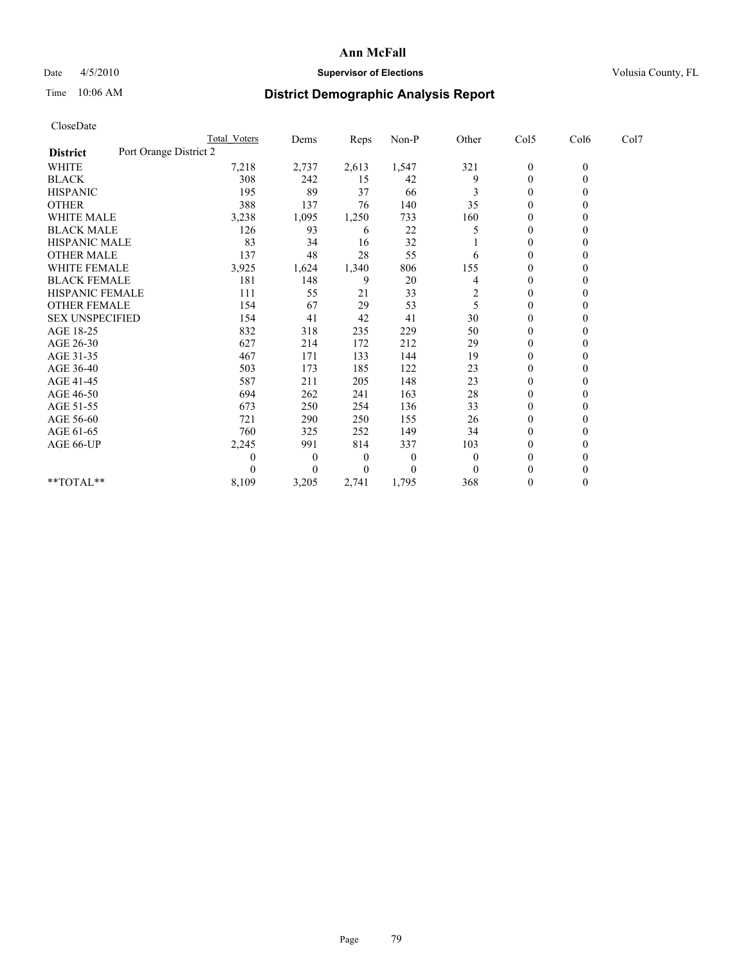## Date  $4/5/2010$  **Supervisor of Elections** Volusia County, FL

# Time 10:06 AM **District Demographic Analysis Report**

| CloseDate              |                        |                  |       |          |                         |                  |              |      |  |
|------------------------|------------------------|------------------|-------|----------|-------------------------|------------------|--------------|------|--|
|                        | Total Voters           | Dems             | Reps  | Non-P    | Other                   | Col5             | Col6         | Col7 |  |
| <b>District</b>        | Port Orange District 2 |                  |       |          |                         |                  |              |      |  |
| <b>WHITE</b>           | 7,218                  | 2,737            | 2,613 | 1,547    | 321                     | $\boldsymbol{0}$ | $\mathbf{0}$ |      |  |
| <b>BLACK</b>           | 308                    | 242              | 15    | 42       | 9                       | $\boldsymbol{0}$ | $\mathbf{0}$ |      |  |
| <b>HISPANIC</b>        | 195                    | 89               | 37    | 66       | 3                       | $\boldsymbol{0}$ | $\Omega$     |      |  |
| <b>OTHER</b>           | 388                    | 137              | 76    | 140      | 35                      | $\mathbf{0}$     | $\Omega$     |      |  |
| <b>WHITE MALE</b>      | 3,238                  | 1,095            | 1,250 | 733      | 160                     | 0                | $\theta$     |      |  |
| <b>BLACK MALE</b>      | 126                    | 93               | 6     | 22       | 5                       | $\overline{0}$   | $\Omega$     |      |  |
| <b>HISPANIC MALE</b>   | 83                     | 34               | 16    | 32       |                         | 0                | $\Omega$     |      |  |
| <b>OTHER MALE</b>      | 137                    | 48               | 28    | 55       | 6                       | $\boldsymbol{0}$ | $\Omega$     |      |  |
| <b>WHITE FEMALE</b>    | 3,925                  | 1,624            | 1,340 | 806      | 155                     | $\boldsymbol{0}$ | $\mathbf{0}$ |      |  |
| <b>BLACK FEMALE</b>    | 181                    | 148              | 9     | 20       | 4                       | 0                | $\theta$     |      |  |
| <b>HISPANIC FEMALE</b> | 111                    | 55               | 21    | 33       | $\overline{\mathbf{c}}$ | $\overline{0}$   | $\mathbf{0}$ |      |  |
| <b>OTHER FEMALE</b>    | 154                    | 67               | 29    | 53       | 5                       | $\boldsymbol{0}$ | $\Omega$     |      |  |
| <b>SEX UNSPECIFIED</b> | 154                    | 41               | 42    | 41       | 30                      | $\boldsymbol{0}$ | $\Omega$     |      |  |
| AGE 18-25              | 832                    | 318              | 235   | 229      | 50                      | $\overline{0}$   | $\Omega$     |      |  |
| AGE 26-30              | 627                    | 214              | 172   | 212      | 29                      | $\boldsymbol{0}$ | $\Omega$     |      |  |
| AGE 31-35              | 467                    | 171              | 133   | 144      | 19                      | $\boldsymbol{0}$ | $\Omega$     |      |  |
| AGE 36-40              | 503                    | 173              | 185   | 122      | 23                      | $\overline{0}$   | $\Omega$     |      |  |
| AGE 41-45              | 587                    | 211              | 205   | 148      | 23                      | 0                | $\Omega$     |      |  |
| AGE 46-50              | 694                    | 262              | 241   | 163      | 28                      | $\boldsymbol{0}$ | $\Omega$     |      |  |
| AGE 51-55              | 673                    | 250              | 254   | 136      | 33                      | $\boldsymbol{0}$ | $\Omega$     |      |  |
| AGE 56-60              | 721                    | 290              | 250   | 155      | 26                      | $\boldsymbol{0}$ | $\Omega$     |      |  |
| AGE 61-65              | 760                    | 325              | 252   | 149      | 34                      | $\mathbf{0}$     | $\Omega$     |      |  |
| AGE 66-UP              | 2,245                  | 991              | 814   | 337      | 103                     | 0                | $\theta$     |      |  |
|                        | 0                      | $\boldsymbol{0}$ | 0     | $\theta$ | $\theta$                | $\overline{0}$   | $\Omega$     |      |  |
|                        | 0                      | $\theta$         | 0     | $\Omega$ | $\Omega$                | $\theta$         | $\theta$     |      |  |
| **TOTAL**              | 8,109                  | 3,205            | 2,741 | 1,795    | 368                     | $\boldsymbol{0}$ | $\mathbf{0}$ |      |  |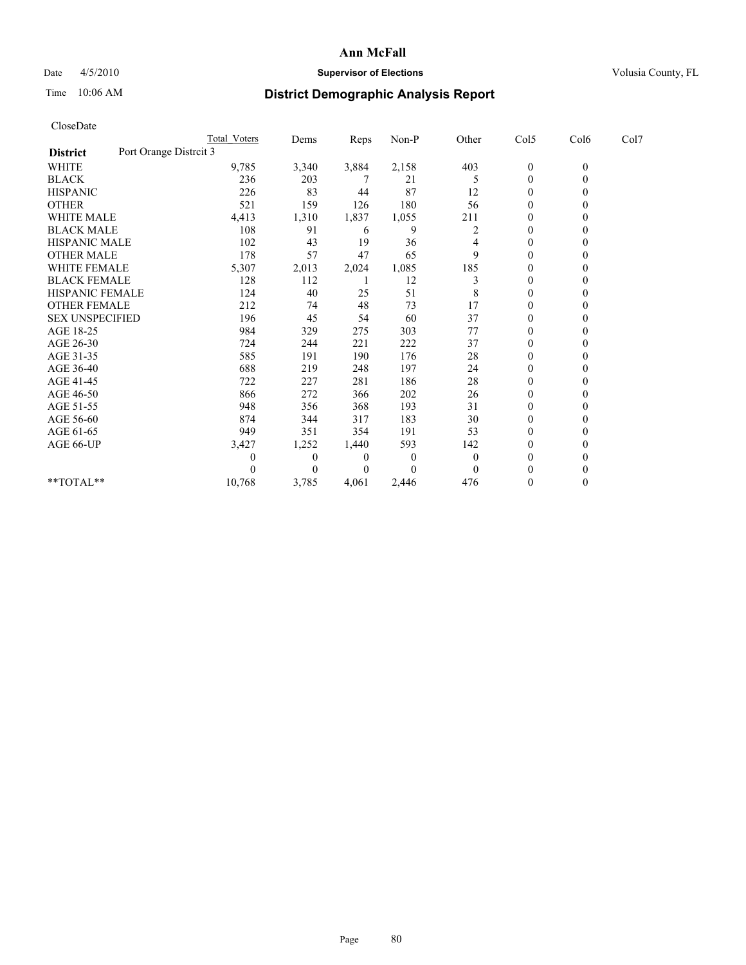## Date  $4/5/2010$  **Supervisor of Elections Supervisor of Elections** Volusia County, FL

# Time 10:06 AM **District Demographic Analysis Report**

|                                           | Total Voters | Dems         | Reps         | $Non-P$        | Other    | Col5           | Col6         | Col7 |
|-------------------------------------------|--------------|--------------|--------------|----------------|----------|----------------|--------------|------|
| Port Orange Distrcit 3<br><b>District</b> |              |              |              |                |          |                |              |      |
| WHITE                                     | 9,785        | 3,340        | 3,884        | 2,158          | 403      | $\mathbf{0}$   | $\mathbf{0}$ |      |
| <b>BLACK</b>                              | 236          | 203          |              | 21             | 5        | $\mathbf{0}$   |              |      |
| <b>HISPANIC</b>                           | 226          | 83           | 44           | 87             | 12       | $\theta$       |              |      |
| <b>OTHER</b>                              | 521          | 159          | 126          | 180            | 56       | $\theta$       |              |      |
| <b>WHITE MALE</b>                         | 4,413        | 1,310        | 1,837        | 1,055          | 211      | 0              |              |      |
| <b>BLACK MALE</b>                         | 108          | 91           | 6            | 9              | 2        | $\theta$       |              |      |
| HISPANIC MALE                             | 102          | 43           | 19           | 36             | 4        | $\Omega$       |              |      |
| <b>OTHER MALE</b>                         | 178          | 57           | 47           | 65             | 9        | $\Omega$       |              |      |
| WHITE FEMALE                              | 5,307        | 2,013        | 2,024        | 1,085          | 185      | $\Omega$       |              |      |
| <b>BLACK FEMALE</b>                       | 128          | 112          |              | 12             | 3        | $\theta$       |              |      |
| HISPANIC FEMALE                           | 124          | 40           | 25           | 51             | 8        | $\theta$       |              |      |
| <b>OTHER FEMALE</b>                       | 212          | 74           | 48           | 73             | 17       | $\theta$       |              |      |
| <b>SEX UNSPECIFIED</b>                    | 196          | 45           | 54           | 60             | 37       | $\mathbf{0}$   |              |      |
| AGE 18-25                                 | 984          | 329          | 275          | 303            | 77       | $\theta$       |              |      |
| AGE 26-30                                 | 724          | 244          | 221          | 222            | 37       | $\theta$       |              |      |
| AGE 31-35                                 | 585          | 191          | 190          | 176            | $28\,$   | $\Omega$       |              |      |
| AGE 36-40                                 | 688          | 219          | 248          | 197            | 24       | $\Omega$       |              |      |
| AGE 41-45                                 | 722          | 227          | 281          | 186            | 28       | $\theta$       |              |      |
| AGE 46-50                                 | 866          | 272          | 366          | 202            | 26       | $\theta$       |              |      |
| AGE 51-55                                 | 948          | 356          | 368          | 193            | 31       | $\Omega$       |              |      |
| AGE 56-60                                 | 874          | 344          | 317          | 183            | 30       | $\Omega$       |              |      |
| AGE 61-65                                 | 949          | 351          | 354          | 191            | 53       | $\theta$       |              |      |
| AGE 66-UP                                 | 3,427        | 1,252        | 1,440        | 593            | 142      | $\mathbf{0}$   |              |      |
|                                           | 0            | $\mathbf{0}$ | $\mathbf{0}$ | $\overline{0}$ | $\theta$ | $\Omega$       |              |      |
|                                           |              | $\theta$     | $\theta$     | $\theta$       | $\theta$ | $\theta$       |              |      |
| **TOTAL**                                 | 10,768       | 3,785        | 4,061        | 2,446          | 476      | $\overline{0}$ |              |      |